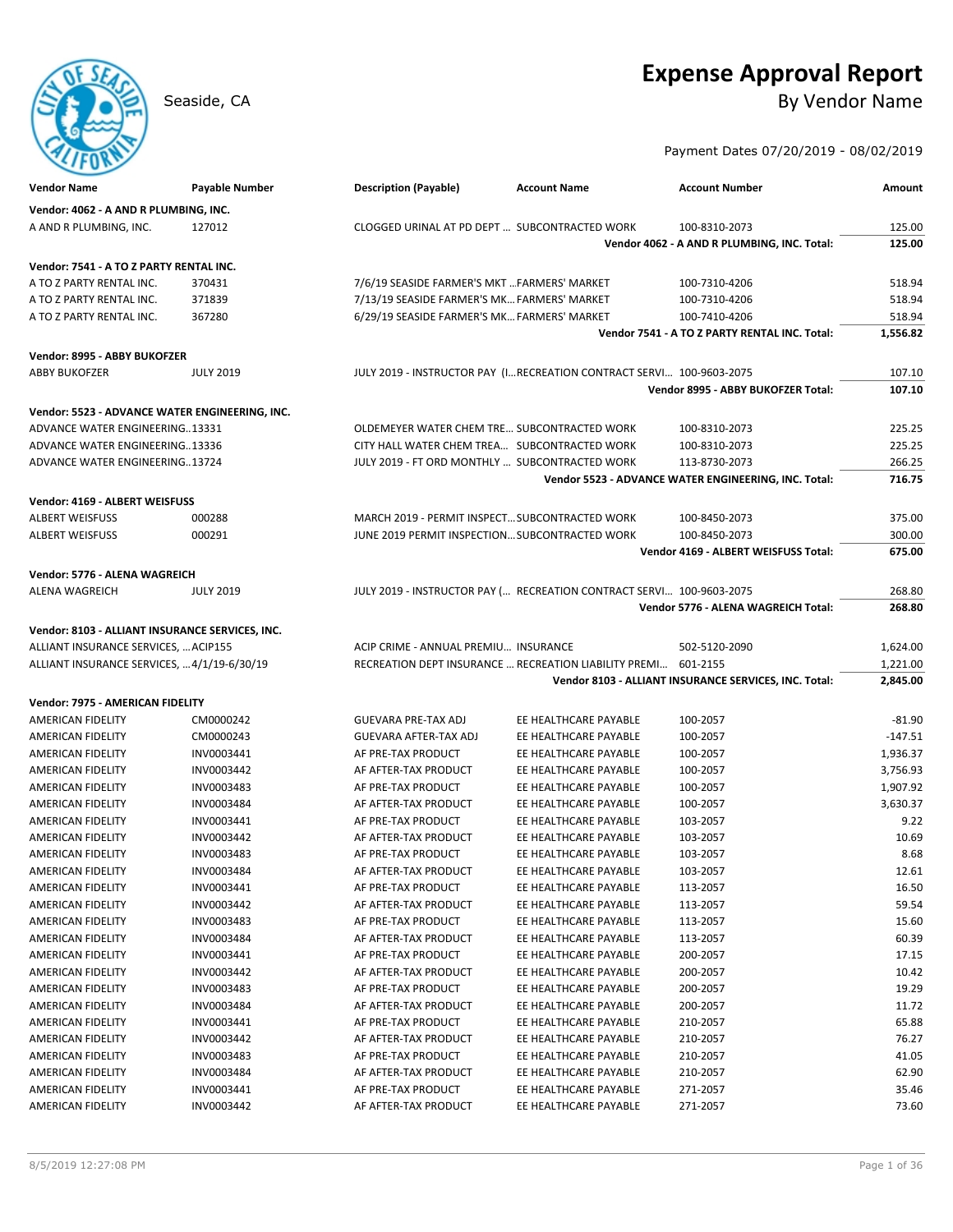# **Expense Approval Report**

Seaside, CA By Vendor Name

## Payment Dates 07/20/2019 - 08/02/2019

| <b>Vendor Name</b>                              | <b>Payable Number</b> | <b>Description (Payable)</b>                   | <b>Account Name</b>                                                   | <b>Account Number</b>                                 | Amount    |
|-------------------------------------------------|-----------------------|------------------------------------------------|-----------------------------------------------------------------------|-------------------------------------------------------|-----------|
| Vendor: 4062 - A AND R PLUMBING, INC.           |                       |                                                |                                                                       |                                                       |           |
| A AND R PLUMBING, INC.                          | 127012                | CLOGGED URINAL AT PD DEPT  SUBCONTRACTED WORK  |                                                                       | 100-8310-2073                                         | 125.00    |
|                                                 |                       |                                                |                                                                       | Vendor 4062 - A AND R PLUMBING, INC. Total:           | 125.00    |
|                                                 |                       |                                                |                                                                       |                                                       |           |
| Vendor: 7541 - A TO Z PARTY RENTAL INC.         |                       |                                                |                                                                       |                                                       |           |
| A TO Z PARTY RENTAL INC.                        | 370431                | 7/6/19 SEASIDE FARMER'S MKT  FARMERS' MARKET   |                                                                       | 100-7310-4206                                         | 518.94    |
| A TO Z PARTY RENTAL INC.                        | 371839                | 7/13/19 SEASIDE FARMER'S MK FARMERS' MARKET    |                                                                       | 100-7310-4206                                         | 518.94    |
| A TO Z PARTY RENTAL INC.                        | 367280                | 6/29/19 SEASIDE FARMER'S MK FARMERS' MARKET    |                                                                       | 100-7410-4206                                         | 518.94    |
|                                                 |                       |                                                |                                                                       | Vendor 7541 - A TO Z PARTY RENTAL INC. Total:         | 1,556.82  |
| Vendor: 8995 - ABBY BUKOFZER                    |                       |                                                |                                                                       |                                                       |           |
| <b>ABBY BUKOFZER</b>                            | <b>JULY 2019</b>      |                                                | JULY 2019 - INSTRUCTOR PAY (I RECREATION CONTRACT SERVI 100-9603-2075 |                                                       | 107.10    |
|                                                 |                       |                                                |                                                                       | Vendor 8995 - ABBY BUKOFZER Total:                    | 107.10    |
| Vendor: 5523 - ADVANCE WATER ENGINEERING, INC.  |                       |                                                |                                                                       |                                                       |           |
| ADVANCE WATER ENGINEERING13331                  |                       | OLDEMEYER WATER CHEM TRE SUBCONTRACTED WORK    |                                                                       | 100-8310-2073                                         | 225.25    |
| ADVANCE WATER ENGINEERING13336                  |                       | CITY HALL WATER CHEM TREA SUBCONTRACTED WORK   |                                                                       | 100-8310-2073                                         | 225.25    |
| ADVANCE WATER ENGINEERING13724                  |                       | JULY 2019 - FT ORD MONTHLY  SUBCONTRACTED WORK |                                                                       | 113-8730-2073                                         | 266.25    |
|                                                 |                       |                                                |                                                                       | Vendor 5523 - ADVANCE WATER ENGINEERING, INC. Total:  | 716.75    |
|                                                 |                       |                                                |                                                                       |                                                       |           |
| Vendor: 4169 - ALBERT WEISFUSS                  |                       |                                                |                                                                       |                                                       |           |
| <b>ALBERT WEISFUSS</b>                          | 000288                | MARCH 2019 - PERMIT INSPECT SUBCONTRACTED WORK |                                                                       | 100-8450-2073                                         | 375.00    |
| <b>ALBERT WEISFUSS</b>                          | 000291                | JUNE 2019 PERMIT INSPECTION SUBCONTRACTED WORK |                                                                       | 100-8450-2073                                         | 300.00    |
|                                                 |                       |                                                |                                                                       | Vendor 4169 - ALBERT WEISFUSS Total:                  | 675.00    |
| Vendor: 5776 - ALENA WAGREICH                   |                       |                                                |                                                                       |                                                       |           |
| <b>ALENA WAGREICH</b>                           | <b>JULY 2019</b>      |                                                | JULY 2019 - INSTRUCTOR PAY ( RECREATION CONTRACT SERVI 100-9603-2075  |                                                       | 268.80    |
|                                                 |                       |                                                |                                                                       | Vendor 5776 - ALENA WAGREICH Total:                   | 268.80    |
| Vendor: 8103 - ALLIANT INSURANCE SERVICES, INC. |                       |                                                |                                                                       |                                                       |           |
| ALLIANT INSURANCE SERVICES,  ACIP155            |                       | ACIP CRIME - ANNUAL PREMIU INSURANCE           |                                                                       | 502-5120-2090                                         | 1,624.00  |
| ALLIANT INSURANCE SERVICES,  4/1/19-6/30/19     |                       |                                                | RECREATION DEPT INSURANCE  RECREATION LIABILITY PREMI 601-2155        |                                                       | 1,221.00  |
|                                                 |                       |                                                |                                                                       | Vendor 8103 - ALLIANT INSURANCE SERVICES, INC. Total: | 2,845.00  |
| Vendor: 7975 - AMERICAN FIDELITY                |                       |                                                |                                                                       |                                                       |           |
|                                                 | CM0000242             |                                                | EE HEALTHCARE PAYABLE                                                 | 100-2057                                              | $-81.90$  |
| AMERICAN FIDELITY                               |                       | <b>GUEVARA PRE-TAX ADJ</b>                     |                                                                       |                                                       |           |
| AMERICAN FIDELITY                               | CM0000243             | <b>GUEVARA AFTER-TAX ADJ</b>                   | EE HEALTHCARE PAYABLE                                                 | 100-2057                                              | $-147.51$ |
| AMERICAN FIDELITY                               | INV0003441            | AF PRE-TAX PRODUCT                             | EE HEALTHCARE PAYABLE                                                 | 100-2057                                              | 1,936.37  |
| AMERICAN FIDELITY                               | INV0003442            | AF AFTER-TAX PRODUCT<br>AF PRE-TAX PRODUCT     | EE HEALTHCARE PAYABLE                                                 | 100-2057                                              | 3,756.93  |
| AMERICAN FIDELITY                               | INV0003483            |                                                | EE HEALTHCARE PAYABLE                                                 | 100-2057                                              | 1,907.92  |
| AMERICAN FIDELITY                               | INV0003484            | AF AFTER-TAX PRODUCT                           | EE HEALTHCARE PAYABLE                                                 | 100-2057                                              | 3,630.37  |
| AMERICAN FIDELITY                               | INV0003441            | AF PRE-TAX PRODUCT                             | EE HEALTHCARE PAYABLE                                                 | 103-2057                                              | 9.22      |
| AMERICAN FIDELITY                               | INV0003442            | AF AFTER-TAX PRODUCT                           | EE HEALTHCARE PAYABLE                                                 | 103-2057                                              | 10.69     |
| AMERICAN FIDELITY                               | INV0003483            | AF PRE-TAX PRODUCT                             | EE HEALTHCARE PAYABLE                                                 | 103-2057                                              | 8.68      |
| AMERICAN FIDELITY                               | INV0003484            | AF AFTER-TAX PRODUCT                           | EE HEALTHCARE PAYABLE                                                 | 103-2057                                              | 12.61     |
| AMERICAN FIDELITY                               | INV0003441            | AF PRE-TAX PRODUCT                             | EE HEALTHCARE PAYABLE                                                 | 113-2057                                              | 16.50     |
| AMERICAN FIDELITY                               | INV0003442            | AF AFTER-TAX PRODUCT                           | EE HEALTHCARE PAYABLE                                                 | 113-2057                                              | 59.54     |
| AMERICAN FIDELITY                               | INV0003483            | AF PRE-TAX PRODUCT                             | EE HEALTHCARE PAYABLE                                                 | 113-2057                                              | 15.60     |
| AMERICAN FIDELITY                               | INV0003484            | AF AFTER-TAX PRODUCT                           | EE HEALTHCARE PAYABLE                                                 | 113-2057                                              | 60.39     |
| AMERICAN FIDELITY                               | INV0003441            | AF PRE-TAX PRODUCT                             | EE HEALTHCARE PAYABLE                                                 | 200-2057                                              | 17.15     |
| AMERICAN FIDELITY                               | INV0003442            | AF AFTER-TAX PRODUCT                           | EE HEALTHCARE PAYABLE                                                 | 200-2057                                              | 10.42     |
| <b>AMERICAN FIDELITY</b>                        | INV0003483            | AF PRE-TAX PRODUCT                             | EE HEALTHCARE PAYABLE                                                 | 200-2057                                              | 19.29     |
| AMERICAN FIDELITY                               | INV0003484            | AF AFTER-TAX PRODUCT                           | EE HEALTHCARE PAYABLE                                                 | 200-2057                                              | 11.72     |
| AMERICAN FIDELITY                               | INV0003441            | AF PRE-TAX PRODUCT                             | EE HEALTHCARE PAYABLE                                                 | 210-2057                                              | 65.88     |
| AMERICAN FIDELITY                               | INV0003442            | AF AFTER-TAX PRODUCT                           | EE HEALTHCARE PAYABLE                                                 | 210-2057                                              | 76.27     |
| AMERICAN FIDELITY                               | INV0003483            | AF PRE-TAX PRODUCT                             | EE HEALTHCARE PAYABLE                                                 | 210-2057                                              | 41.05     |
| AMERICAN FIDELITY                               | INV0003484            | AF AFTER-TAX PRODUCT                           | EE HEALTHCARE PAYABLE                                                 | 210-2057                                              | 62.90     |
| AMERICAN FIDELITY                               | INV0003441            | AF PRE-TAX PRODUCT                             | EE HEALTHCARE PAYABLE                                                 | 271-2057                                              | 35.46     |
| AMERICAN FIDELITY                               | INV0003442            | AF AFTER-TAX PRODUCT                           | EE HEALTHCARE PAYABLE                                                 | 271-2057                                              | 73.60     |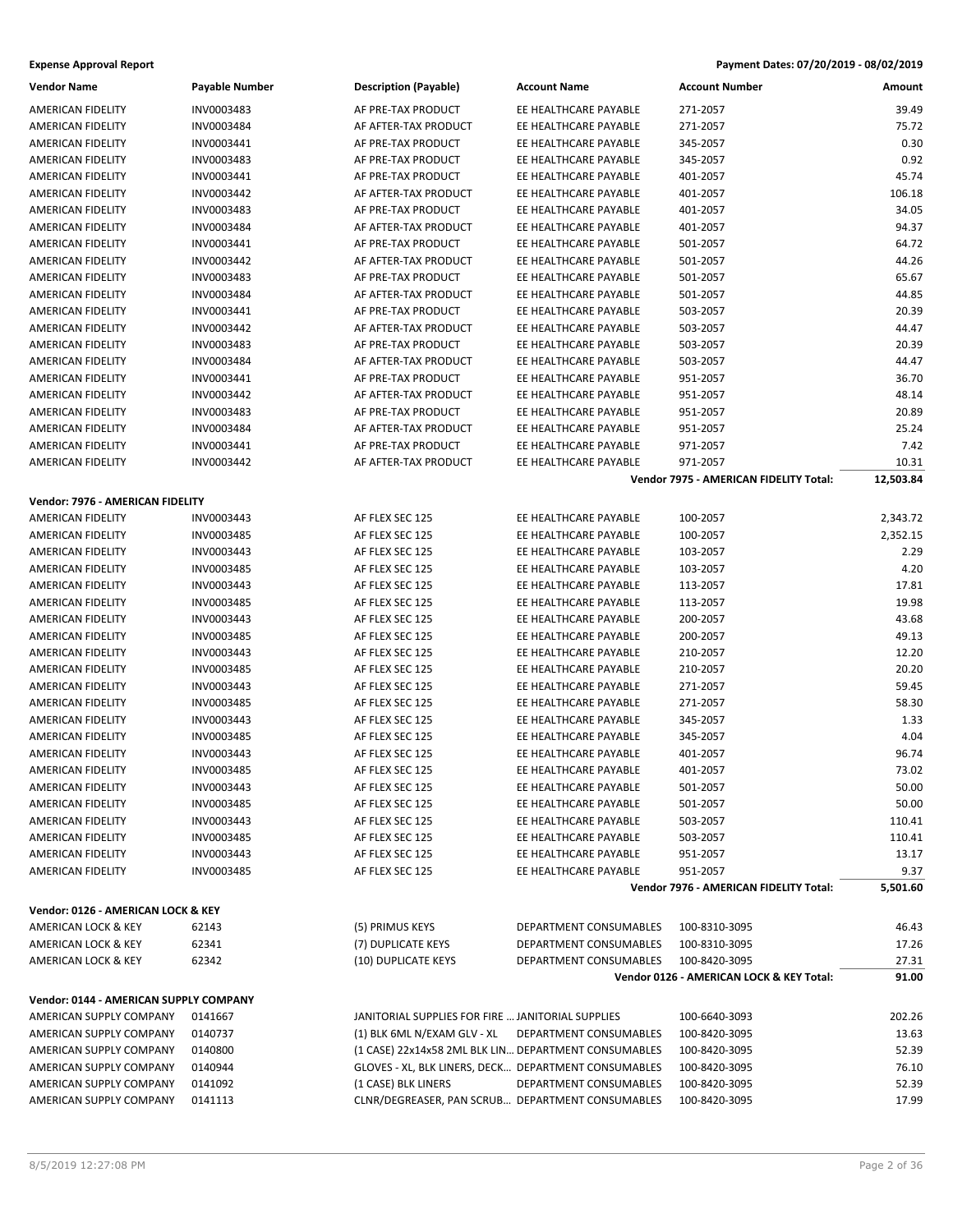| <b>Vendor Name</b>                            | <b>Payable Number</b>    | <b>Description (Payable)</b>                         | <b>Account Name</b>    | <b>Account Number</b>                    | Amount    |
|-----------------------------------------------|--------------------------|------------------------------------------------------|------------------------|------------------------------------------|-----------|
| AMERICAN FIDELITY                             | INV0003483               | AF PRE-TAX PRODUCT                                   | EE HEALTHCARE PAYABLE  | 271-2057                                 | 39.49     |
| AMERICAN FIDELITY                             | INV0003484               | AF AFTER-TAX PRODUCT                                 | EE HEALTHCARE PAYABLE  | 271-2057                                 | 75.72     |
| AMERICAN FIDELITY                             | INV0003441               | AF PRE-TAX PRODUCT                                   | EE HEALTHCARE PAYABLE  | 345-2057                                 | 0.30      |
| AMERICAN FIDELITY                             | INV0003483               | AF PRE-TAX PRODUCT                                   | EE HEALTHCARE PAYABLE  | 345-2057                                 | 0.92      |
| <b>AMERICAN FIDELITY</b>                      | INV0003441               | AF PRE-TAX PRODUCT                                   | EE HEALTHCARE PAYABLE  | 401-2057                                 | 45.74     |
| AMERICAN FIDELITY                             | INV0003442               | AF AFTER-TAX PRODUCT                                 | EE HEALTHCARE PAYABLE  | 401-2057                                 | 106.18    |
| AMERICAN FIDELITY                             | INV0003483               | AF PRE-TAX PRODUCT                                   | EE HEALTHCARE PAYABLE  | 401-2057                                 | 34.05     |
| AMERICAN FIDELITY                             | INV0003484               | AF AFTER-TAX PRODUCT                                 | EE HEALTHCARE PAYABLE  | 401-2057                                 | 94.37     |
| <b>AMERICAN FIDELITY</b>                      | INV0003441               | AF PRE-TAX PRODUCT                                   | EE HEALTHCARE PAYABLE  | 501-2057                                 | 64.72     |
| AMERICAN FIDELITY                             | INV0003442               | AF AFTER-TAX PRODUCT                                 | EE HEALTHCARE PAYABLE  | 501-2057                                 | 44.26     |
| AMERICAN FIDELITY                             | INV0003483               | AF PRE-TAX PRODUCT                                   | EE HEALTHCARE PAYABLE  | 501-2057                                 | 65.67     |
| AMERICAN FIDELITY                             | INV0003484               | AF AFTER-TAX PRODUCT                                 | EE HEALTHCARE PAYABLE  | 501-2057                                 | 44.85     |
| AMERICAN FIDELITY                             | INV0003441               | AF PRE-TAX PRODUCT                                   | EE HEALTHCARE PAYABLE  | 503-2057                                 | 20.39     |
| AMERICAN FIDELITY                             | INV0003442               | AF AFTER-TAX PRODUCT                                 | EE HEALTHCARE PAYABLE  | 503-2057                                 | 44.47     |
| AMERICAN FIDELITY                             | INV0003483               | AF PRE-TAX PRODUCT                                   | EE HEALTHCARE PAYABLE  | 503-2057                                 | 20.39     |
| AMERICAN FIDELITY                             | INV0003484               | AF AFTER-TAX PRODUCT                                 | EE HEALTHCARE PAYABLE  | 503-2057                                 | 44.47     |
| AMERICAN FIDELITY                             | INV0003441               | AF PRE-TAX PRODUCT                                   | EE HEALTHCARE PAYABLE  | 951-2057                                 | 36.70     |
|                                               |                          |                                                      | EE HEALTHCARE PAYABLE  | 951-2057                                 |           |
| AMERICAN FIDELITY<br><b>AMERICAN FIDELITY</b> | INV0003442<br>INV0003483 | AF AFTER-TAX PRODUCT                                 | EE HEALTHCARE PAYABLE  |                                          | 48.14     |
|                                               |                          | AF PRE-TAX PRODUCT                                   |                        | 951-2057                                 | 20.89     |
| AMERICAN FIDELITY                             | INV0003484               | AF AFTER-TAX PRODUCT                                 | EE HEALTHCARE PAYABLE  | 951-2057                                 | 25.24     |
| AMERICAN FIDELITY                             | INV0003441               | AF PRE-TAX PRODUCT                                   | EE HEALTHCARE PAYABLE  | 971-2057                                 | 7.42      |
| AMERICAN FIDELITY                             | INV0003442               | AF AFTER-TAX PRODUCT                                 | EE HEALTHCARE PAYABLE  | 971-2057                                 | 10.31     |
|                                               |                          |                                                      |                        | Vendor 7975 - AMERICAN FIDELITY Total:   | 12,503.84 |
| Vendor: 7976 - AMERICAN FIDELITY              |                          |                                                      |                        |                                          |           |
| AMERICAN FIDELITY                             | INV0003443               | AF FLEX SEC 125                                      | EE HEALTHCARE PAYABLE  | 100-2057                                 | 2,343.72  |
| AMERICAN FIDELITY                             | INV0003485               | AF FLEX SEC 125                                      | EE HEALTHCARE PAYABLE  | 100-2057                                 | 2,352.15  |
| AMERICAN FIDELITY                             | INV0003443               | AF FLEX SEC 125                                      | EE HEALTHCARE PAYABLE  | 103-2057                                 | 2.29      |
| AMERICAN FIDELITY                             | INV0003485               | AF FLEX SEC 125                                      | EE HEALTHCARE PAYABLE  | 103-2057                                 | 4.20      |
| AMERICAN FIDELITY                             | INV0003443               | AF FLEX SEC 125                                      | EE HEALTHCARE PAYABLE  | 113-2057                                 | 17.81     |
| AMERICAN FIDELITY                             | INV0003485               | AF FLEX SEC 125                                      | EE HEALTHCARE PAYABLE  | 113-2057                                 | 19.98     |
| AMERICAN FIDELITY                             | INV0003443               | AF FLEX SEC 125                                      | EE HEALTHCARE PAYABLE  | 200-2057                                 | 43.68     |
| AMERICAN FIDELITY                             | INV0003485               | AF FLEX SEC 125                                      | EE HEALTHCARE PAYABLE  | 200-2057                                 | 49.13     |
| AMERICAN FIDELITY                             | INV0003443               | AF FLEX SEC 125                                      | EE HEALTHCARE PAYABLE  | 210-2057                                 | 12.20     |
| AMERICAN FIDELITY                             | INV0003485               | AF FLEX SEC 125                                      | EE HEALTHCARE PAYABLE  | 210-2057                                 | 20.20     |
| AMERICAN FIDELITY                             | INV0003443               | AF FLEX SEC 125                                      | EE HEALTHCARE PAYABLE  | 271-2057                                 | 59.45     |
| AMERICAN FIDELITY                             | INV0003485               | AF FLEX SEC 125                                      | EE HEALTHCARE PAYABLE  | 271-2057                                 | 58.30     |
| AMERICAN FIDELITY                             | INV0003443               | AF FLEX SEC 125                                      | EE HEALTHCARE PAYABLE  | 345-2057                                 | 1.33      |
| AMERICAN FIDELITY                             | INV0003485               | AF FLEX SEC 125                                      | EE HEALTHCARE PAYABLE  | 345-2057                                 | 4.04      |
| AMERICAN FIDELITY                             | INV0003443               | AF FLEX SEC 125                                      | EE HEALTHCARE PAYABLE  | 401-2057                                 | 96.74     |
| AMERICAN FIDELITY                             | INV0003485               | AF FLEX SEC 125                                      | EE HEALTHCARE PAYABLE  | 401-2057                                 | 73.02     |
| AMERICAN FIDELITY                             | INV0003443               | AF FLEX SEC 125                                      | EE HEALTHCARE PAYABLE  | 501-2057                                 | 50.00     |
| AMERICAN FIDELITY                             | INV0003485               | AF FLEX SEC 125                                      | EE HEALTHCARE PAYABLE  | 501-2057                                 | 50.00     |
| <b>AMERICAN FIDELITY</b>                      | INV0003443               | AF FLEX SEC 125                                      | EE HEALTHCARE PAYABLE  | 503-2057                                 | 110.41    |
| AMERICAN FIDELITY                             | INV0003485               | AF FLEX SEC 125                                      | EE HEALTHCARE PAYABLE  | 503-2057                                 | 110.41    |
| AMERICAN FIDELITY                             | INV0003443               | AF FLEX SEC 125                                      | EE HEALTHCARE PAYABLE  | 951-2057                                 | 13.17     |
| AMERICAN FIDELITY                             | INV0003485               | AF FLEX SEC 125                                      | EE HEALTHCARE PAYABLE  | 951-2057                                 | 9.37      |
|                                               |                          |                                                      |                        | Vendor 7976 - AMERICAN FIDELITY Total:   | 5,501.60  |
| Vendor: 0126 - AMERICAN LOCK & KEY            |                          |                                                      |                        |                                          |           |
| AMERICAN LOCK & KEY                           | 62143                    | (5) PRIMUS KEYS                                      | DEPARTMENT CONSUMABLES | 100-8310-3095                            | 46.43     |
| AMERICAN LOCK & KEY                           | 62341                    | (7) DUPLICATE KEYS                                   | DEPARTMENT CONSUMABLES | 100-8310-3095                            | 17.26     |
| AMERICAN LOCK & KEY                           | 62342                    | (10) DUPLICATE KEYS                                  | DEPARTMENT CONSUMABLES | 100-8420-3095                            | 27.31     |
|                                               |                          |                                                      |                        | Vendor 0126 - AMERICAN LOCK & KEY Total: | 91.00     |
| Vendor: 0144 - AMERICAN SUPPLY COMPANY        |                          |                                                      |                        |                                          |           |
| AMERICAN SUPPLY COMPANY                       | 0141667                  | JANITORIAL SUPPLIES FOR FIRE  JANITORIAL SUPPLIES    |                        | 100-6640-3093                            | 202.26    |
| AMERICAN SUPPLY COMPANY                       | 0140737                  | (1) BLK 6ML N/EXAM GLV - XL                          | DEPARTMENT CONSUMABLES | 100-8420-3095                            | 13.63     |
| AMERICAN SUPPLY COMPANY                       | 0140800                  | (1 CASE) 22x14x58 2ML BLK LIN DEPARTMENT CONSUMABLES |                        | 100-8420-3095                            | 52.39     |
| AMERICAN SUPPLY COMPANY                       | 0140944                  | GLOVES - XL, BLK LINERS, DECK DEPARTMENT CONSUMABLES |                        | 100-8420-3095                            | 76.10     |
| AMERICAN SUPPLY COMPANY                       | 0141092                  | (1 CASE) BLK LINERS                                  | DEPARTMENT CONSUMABLES | 100-8420-3095                            | 52.39     |
| AMERICAN SUPPLY COMPANY                       | 0141113                  | CLNR/DEGREASER, PAN SCRUB DEPARTMENT CONSUMABLES     |                        | 100-8420-3095                            | 17.99     |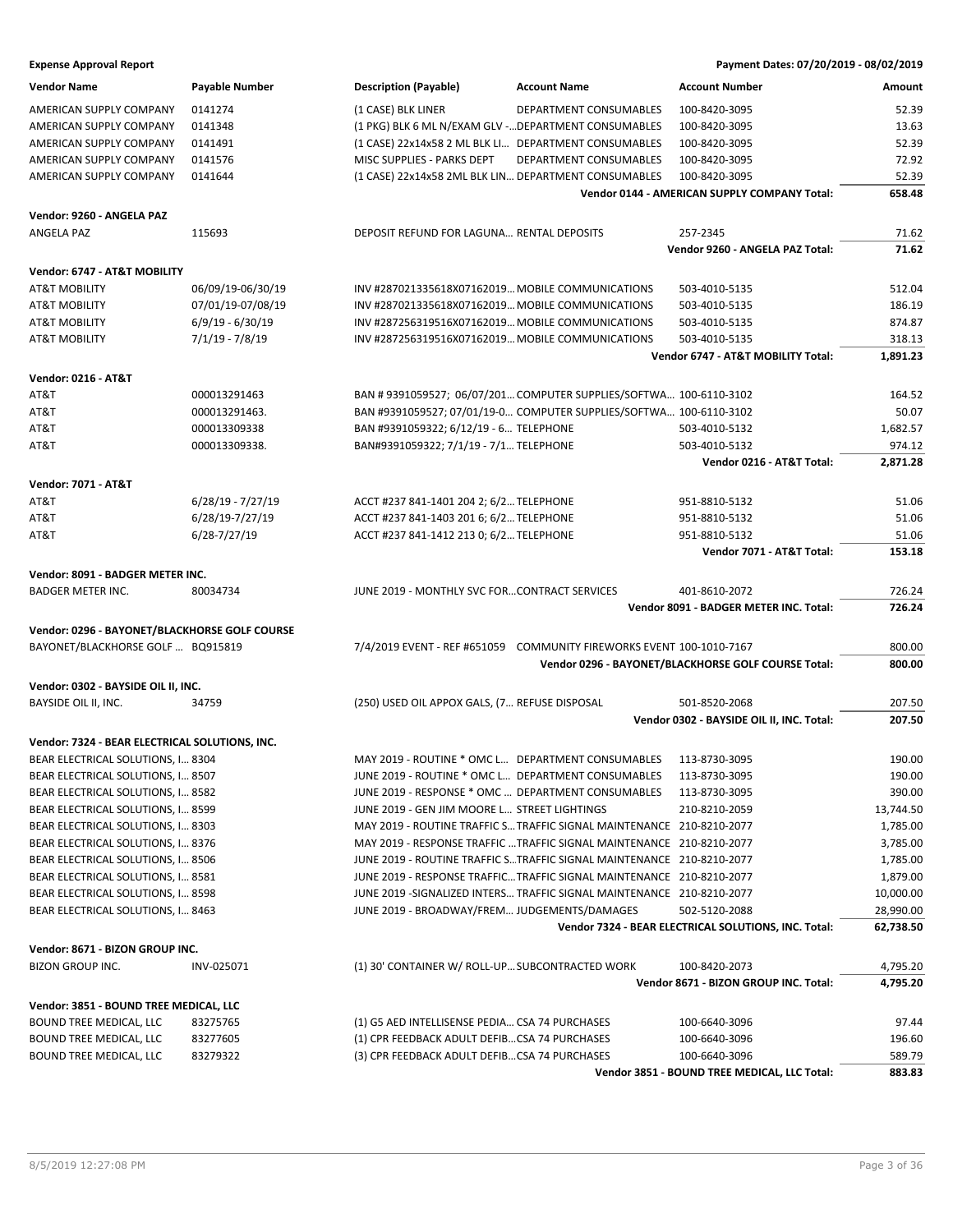| <b>Vendor Name</b>                             | <b>Payable Number</b> | <b>Description (Payable)</b>                         | <b>Account Name</b>                                                    | <b>Account Number</b>                                | Amount    |
|------------------------------------------------|-----------------------|------------------------------------------------------|------------------------------------------------------------------------|------------------------------------------------------|-----------|
| AMERICAN SUPPLY COMPANY                        | 0141274               | (1 CASE) BLK LINER                                   | DEPARTMENT CONSUMABLES                                                 | 100-8420-3095                                        | 52.39     |
| AMERICAN SUPPLY COMPANY                        | 0141348               | (1 PKG) BLK 6 ML N/EXAM GLV - DEPARTMENT CONSUMABLES |                                                                        | 100-8420-3095                                        | 13.63     |
| AMERICAN SUPPLY COMPANY                        | 0141491               | (1 CASE) 22x14x58 2 ML BLK LI DEPARTMENT CONSUMABLES |                                                                        | 100-8420-3095                                        | 52.39     |
| AMERICAN SUPPLY COMPANY                        | 0141576               | MISC SUPPLIES - PARKS DEPT                           | <b>DEPARTMENT CONSUMABLES</b>                                          | 100-8420-3095                                        | 72.92     |
| AMERICAN SUPPLY COMPANY                        | 0141644               | (1 CASE) 22x14x58 2ML BLK LIN DEPARTMENT CONSUMABLES |                                                                        | 100-8420-3095                                        | 52.39     |
|                                                |                       |                                                      |                                                                        | Vendor 0144 - AMERICAN SUPPLY COMPANY Total:         | 658.48    |
| Vendor: 9260 - ANGELA PAZ                      |                       |                                                      |                                                                        |                                                      |           |
| ANGELA PAZ                                     | 115693                | DEPOSIT REFUND FOR LAGUNA RENTAL DEPOSITS            |                                                                        | 257-2345                                             | 71.62     |
|                                                |                       |                                                      |                                                                        | Vendor 9260 - ANGELA PAZ Total:                      | 71.62     |
| Vendor: 6747 - AT&T MOBILITY                   |                       |                                                      |                                                                        |                                                      |           |
| AT&T MOBILITY                                  | 06/09/19-06/30/19     | INV #287021335618X07162019 MOBILE COMMUNICATIONS     |                                                                        | 503-4010-5135                                        | 512.04    |
| AT&T MOBILITY                                  | 07/01/19-07/08/19     | INV #287021335618X07162019 MOBILE COMMUNICATIONS     |                                                                        | 503-4010-5135                                        | 186.19    |
| <b>AT&amp;T MOBILITY</b>                       | $6/9/19 - 6/30/19$    | INV #287256319516X07162019 MOBILE COMMUNICATIONS     |                                                                        | 503-4010-5135                                        | 874.87    |
| <b>AT&amp;T MOBILITY</b>                       | $7/1/19 - 7/8/19$     | INV #287256319516X07162019 MOBILE COMMUNICATIONS     |                                                                        | 503-4010-5135                                        | 318.13    |
|                                                |                       |                                                      |                                                                        | Vendor 6747 - AT&T MOBILITY Total:                   | 1,891.23  |
| <b>Vendor: 0216 - AT&amp;T</b>                 |                       |                                                      |                                                                        |                                                      |           |
| AT&T                                           | 000013291463          |                                                      | BAN # 9391059527; 06/07/201 COMPUTER SUPPLIES/SOFTWA 100-6110-3102     |                                                      | 164.52    |
| AT&T                                           | 000013291463.         |                                                      | BAN #9391059527; 07/01/19-0 COMPUTER SUPPLIES/SOFTWA 100-6110-3102     |                                                      | 50.07     |
| AT&T                                           | 000013309338          | BAN #9391059322; 6/12/19 - 6 TELEPHONE               |                                                                        | 503-4010-5132                                        | 1,682.57  |
| AT&T                                           | 000013309338.         | BAN#9391059322; 7/1/19 - 7/1 TELEPHONE               |                                                                        | 503-4010-5132                                        | 974.12    |
|                                                |                       |                                                      |                                                                        | Vendor 0216 - AT&T Total:                            | 2,871.28  |
| <b>Vendor: 7071 - AT&amp;T</b>                 |                       |                                                      |                                                                        |                                                      |           |
| AT&T                                           | $6/28/19 - 7/27/19$   | ACCT #237 841-1401 204 2; 6/2 TELEPHONE              |                                                                        | 951-8810-5132                                        | 51.06     |
| AT&T                                           | 6/28/19-7/27/19       | ACCT #237 841-1403 201 6; 6/2 TELEPHONE              |                                                                        | 951-8810-5132                                        | 51.06     |
| AT&T                                           | $6/28 - 7/27/19$      | ACCT #237 841-1412 213 0; 6/2 TELEPHONE              |                                                                        | 951-8810-5132                                        | 51.06     |
|                                                |                       |                                                      |                                                                        | Vendor 7071 - AT&T Total:                            | 153.18    |
| Vendor: 8091 - BADGER METER INC.               |                       |                                                      |                                                                        |                                                      |           |
| <b>BADGER METER INC.</b>                       | 80034734              | JUNE 2019 - MONTHLY SVC FORCONTRACT SERVICES         |                                                                        | 401-8610-2072                                        | 726.24    |
|                                                |                       |                                                      |                                                                        | Vendor 8091 - BADGER METER INC. Total:               | 726.24    |
| Vendor: 0296 - BAYONET/BLACKHORSE GOLF COURSE  |                       |                                                      |                                                                        |                                                      |           |
| BAYONET/BLACKHORSE GOLF  BQ915819              |                       |                                                      | 7/4/2019 EVENT - REF #651059 COMMUNITY FIREWORKS EVENT 100-1010-7167   |                                                      | 800.00    |
|                                                |                       |                                                      |                                                                        | Vendor 0296 - BAYONET/BLACKHORSE GOLF COURSE Total:  | 800.00    |
| Vendor: 0302 - BAYSIDE OIL II, INC.            |                       |                                                      |                                                                        |                                                      |           |
| BAYSIDE OIL II, INC.                           | 34759                 | (250) USED OIL APPOX GALS, (7 REFUSE DISPOSAL        |                                                                        | 501-8520-2068                                        | 207.50    |
|                                                |                       |                                                      |                                                                        | Vendor 0302 - BAYSIDE OIL II, INC. Total:            | 207.50    |
| Vendor: 7324 - BEAR ELECTRICAL SOLUTIONS, INC. |                       |                                                      |                                                                        |                                                      |           |
| BEAR ELECTRICAL SOLUTIONS, I 8304              |                       | MAY 2019 - ROUTINE * OMC L DEPARTMENT CONSUMABLES    |                                                                        | 113-8730-3095                                        | 190.00    |
| BEAR ELECTRICAL SOLUTIONS, I 8507              |                       | JUNE 2019 - ROUTINE * OMC L DEPARTMENT CONSUMABLES   |                                                                        | 113-8730-3095                                        | 190.00    |
| BEAR ELECTRICAL SOLUTIONS, I 8582              |                       | JUNE 2019 - RESPONSE * OMC  DEPARTMENT CONSUMABLES   |                                                                        | 113-8730-3095                                        | 390.00    |
| BEAR ELECTRICAL SOLUTIONS, I 8599              |                       | JUNE 2019 - GEN JIM MOORE L STREET LIGHTINGS         |                                                                        | 210-8210-2059                                        | 13,744.50 |
| BEAR ELECTRICAL SOLUTIONS, I 8303              |                       |                                                      | MAY 2019 - ROUTINE TRAFFIC S TRAFFIC SIGNAL MAINTENANCE 210-8210-2077  |                                                      | 1,785.00  |
| BEAR ELECTRICAL SOLUTIONS, I 8376              |                       |                                                      | MAY 2019 - RESPONSE TRAFFIC  TRAFFIC SIGNAL MAINTENANCE 210-8210-2077  |                                                      | 3,785.00  |
| BEAR ELECTRICAL SOLUTIONS, I 8506              |                       |                                                      | JUNE 2019 - ROUTINE TRAFFIC STRAFFIC SIGNAL MAINTENANCE 210-8210-2077  |                                                      | 1,785.00  |
| BEAR ELECTRICAL SOLUTIONS, I 8581              |                       |                                                      | JUNE 2019 - RESPONSE TRAFFIC TRAFFIC SIGNAL MAINTENANCE 210-8210-2077  |                                                      | 1,879.00  |
| BEAR ELECTRICAL SOLUTIONS, I 8598              |                       |                                                      | JUNE 2019 - SIGNALIZED INTERS TRAFFIC SIGNAL MAINTENANCE 210-8210-2077 |                                                      | 10,000.00 |
| BEAR ELECTRICAL SOLUTIONS, I 8463              |                       | JUNE 2019 - BROADWAY/FREM JUDGEMENTS/DAMAGES         |                                                                        | 502-5120-2088                                        | 28,990.00 |
|                                                |                       |                                                      |                                                                        | Vendor 7324 - BEAR ELECTRICAL SOLUTIONS, INC. Total: | 62,738.50 |
| Vendor: 8671 - BIZON GROUP INC.                |                       |                                                      |                                                                        |                                                      |           |
| <b>BIZON GROUP INC.</b>                        | INV-025071            | (1) 30' CONTAINER W/ ROLL-UP SUBCONTRACTED WORK      |                                                                        | 100-8420-2073                                        | 4,795.20  |
|                                                |                       |                                                      |                                                                        | Vendor 8671 - BIZON GROUP INC. Total:                | 4,795.20  |
| Vendor: 3851 - BOUND TREE MEDICAL, LLC         |                       |                                                      |                                                                        |                                                      |           |
| BOUND TREE MEDICAL, LLC                        | 83275765              | (1) G5 AED INTELLISENSE PEDIA CSA 74 PURCHASES       |                                                                        | 100-6640-3096                                        | 97.44     |
| BOUND TREE MEDICAL, LLC                        | 83277605              | (1) CPR FEEDBACK ADULT DEFIB CSA 74 PURCHASES        |                                                                        | 100-6640-3096                                        | 196.60    |
| BOUND TREE MEDICAL, LLC                        | 83279322              | (3) CPR FEEDBACK ADULT DEFIB CSA 74 PURCHASES        |                                                                        | 100-6640-3096                                        | 589.79    |
|                                                |                       |                                                      |                                                                        | Vendor 3851 - BOUND TREE MEDICAL, LLC Total:         | 883.83    |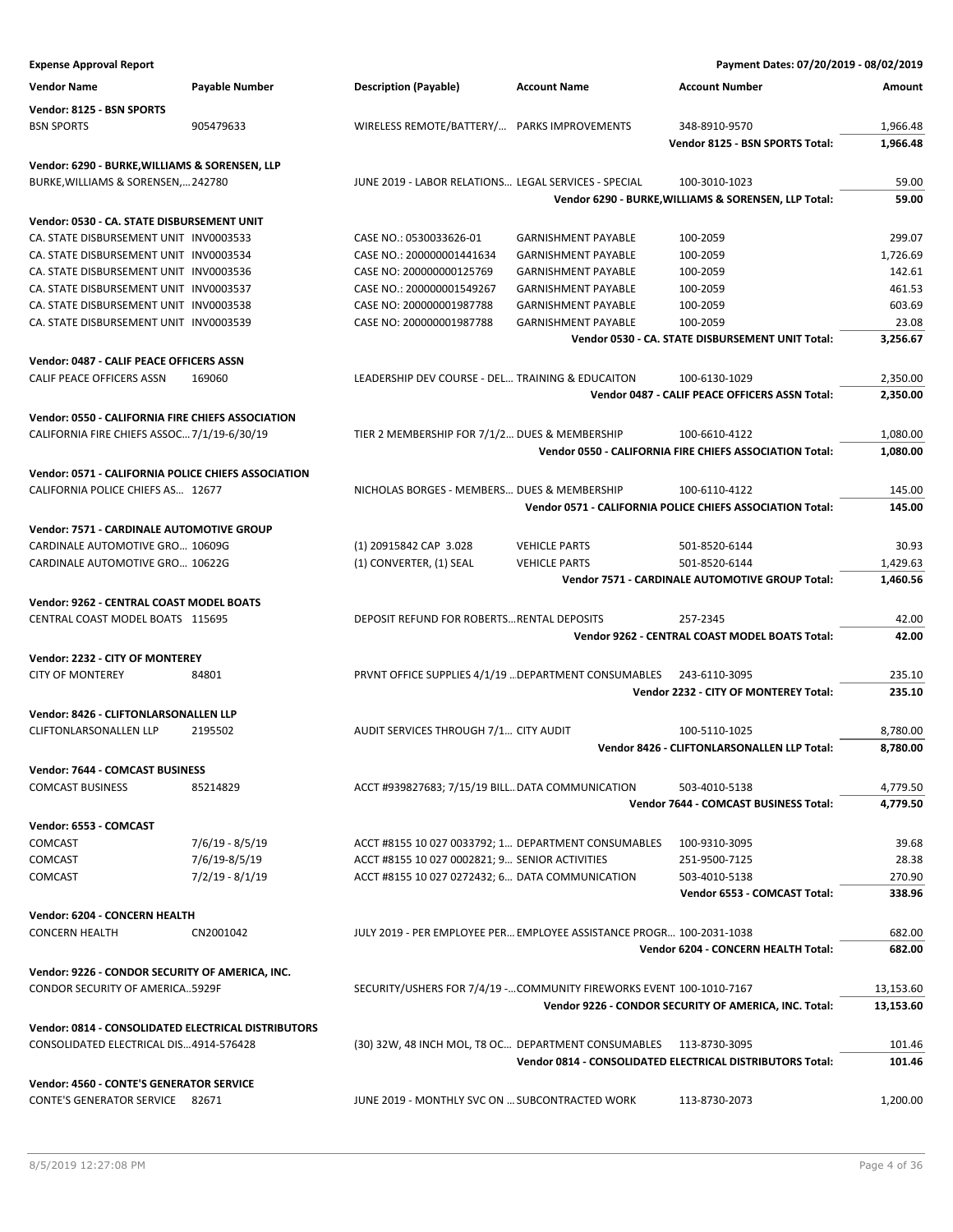| <b>Expense Approval Report</b>                                                       |                 |                                                                      |                                                                      | Payment Dates: 07/20/2019 - 08/02/2019                    |           |
|--------------------------------------------------------------------------------------|-----------------|----------------------------------------------------------------------|----------------------------------------------------------------------|-----------------------------------------------------------|-----------|
| <b>Vendor Name</b>                                                                   | Payable Number  | <b>Description (Payable)</b>                                         | <b>Account Name</b>                                                  | <b>Account Number</b>                                     | Amount    |
| Vendor: 8125 - BSN SPORTS                                                            |                 |                                                                      |                                                                      |                                                           |           |
| <b>BSN SPORTS</b>                                                                    | 905479633       | WIRELESS REMOTE/BATTERY/ PARKS IMPROVEMENTS                          |                                                                      | 348-8910-9570                                             | 1,966.48  |
|                                                                                      |                 |                                                                      |                                                                      | Vendor 8125 - BSN SPORTS Total:                           | 1,966.48  |
|                                                                                      |                 |                                                                      |                                                                      |                                                           |           |
| Vendor: 6290 - BURKE, WILLIAMS & SORENSEN, LLP<br>BURKE, WILLIAMS & SORENSEN, 242780 |                 | JUNE 2019 - LABOR RELATIONS LEGAL SERVICES - SPECIAL                 |                                                                      | 100-3010-1023                                             | 59.00     |
|                                                                                      |                 |                                                                      |                                                                      | Vendor 6290 - BURKE, WILLIAMS & SORENSEN, LLP Total:      | 59.00     |
|                                                                                      |                 |                                                                      |                                                                      |                                                           |           |
| Vendor: 0530 - CA. STATE DISBURSEMENT UNIT                                           |                 |                                                                      |                                                                      |                                                           |           |
| CA. STATE DISBURSEMENT UNIT INV0003533                                               |                 | CASE NO.: 0530033626-01                                              | <b>GARNISHMENT PAYABLE</b>                                           | 100-2059                                                  | 299.07    |
| CA. STATE DISBURSEMENT UNIT INV0003534                                               |                 | CASE NO.: 200000001441634                                            | <b>GARNISHMENT PAYABLE</b>                                           | 100-2059                                                  | 1,726.69  |
| CA. STATE DISBURSEMENT UNIT INV0003536                                               |                 | CASE NO: 200000000125769                                             | <b>GARNISHMENT PAYABLE</b>                                           | 100-2059                                                  | 142.61    |
| CA. STATE DISBURSEMENT UNIT INV0003537                                               |                 | CASE NO.: 200000001549267                                            | <b>GARNISHMENT PAYABLE</b>                                           | 100-2059                                                  | 461.53    |
| CA. STATE DISBURSEMENT UNIT INV0003538                                               |                 | CASE NO: 200000001987788                                             | <b>GARNISHMENT PAYABLE</b>                                           | 100-2059                                                  | 603.69    |
| CA. STATE DISBURSEMENT UNIT INV0003539                                               |                 | CASE NO: 200000001987788                                             | <b>GARNISHMENT PAYABLE</b>                                           | 100-2059                                                  | 23.08     |
|                                                                                      |                 |                                                                      |                                                                      | Vendor 0530 - CA. STATE DISBURSEMENT UNIT Total:          | 3,256.67  |
| Vendor: 0487 - CALIF PEACE OFFICERS ASSN                                             |                 |                                                                      |                                                                      |                                                           |           |
| CALIF PEACE OFFICERS ASSN                                                            | 169060          | LEADERSHIP DEV COURSE - DEL TRAINING & EDUCAITON                     |                                                                      | 100-6130-1029                                             | 2,350.00  |
|                                                                                      |                 |                                                                      |                                                                      | Vendor 0487 - CALIF PEACE OFFICERS ASSN Total:            | 2,350.00  |
| Vendor: 0550 - CALIFORNIA FIRE CHIEFS ASSOCIATION                                    |                 |                                                                      |                                                                      |                                                           |           |
| CALIFORNIA FIRE CHIEFS ASSOC 7/1/19-6/30/19                                          |                 | TIER 2 MEMBERSHIP FOR 7/1/2 DUES & MEMBERSHIP                        |                                                                      | 100-6610-4122                                             | 1,080.00  |
|                                                                                      |                 |                                                                      |                                                                      | Vendor 0550 - CALIFORNIA FIRE CHIEFS ASSOCIATION Total:   | 1,080.00  |
|                                                                                      |                 |                                                                      |                                                                      |                                                           |           |
| Vendor: 0571 - CALIFORNIA POLICE CHIEFS ASSOCIATION                                  |                 |                                                                      |                                                                      |                                                           |           |
| CALIFORNIA POLICE CHIEFS AS 12677                                                    |                 | NICHOLAS BORGES - MEMBERS DUES & MEMBERSHIP                          |                                                                      | 100-6110-4122                                             | 145.00    |
|                                                                                      |                 |                                                                      |                                                                      | Vendor 0571 - CALIFORNIA POLICE CHIEFS ASSOCIATION Total: | 145.00    |
| Vendor: 7571 - CARDINALE AUTOMOTIVE GROUP                                            |                 |                                                                      |                                                                      |                                                           |           |
| CARDINALE AUTOMOTIVE GRO 10609G                                                      |                 | (1) 20915842 CAP 3.028                                               | <b>VEHICLE PARTS</b>                                                 | 501-8520-6144                                             | 30.93     |
| CARDINALE AUTOMOTIVE GRO 10622G                                                      |                 | (1) CONVERTER, (1) SEAL                                              | <b>VEHICLE PARTS</b>                                                 | 501-8520-6144                                             | 1,429.63  |
|                                                                                      |                 |                                                                      |                                                                      | Vendor 7571 - CARDINALE AUTOMOTIVE GROUP Total:           | 1,460.56  |
| Vendor: 9262 - CENTRAL COAST MODEL BOATS                                             |                 |                                                                      |                                                                      |                                                           |           |
| CENTRAL COAST MODEL BOATS 115695                                                     |                 | DEPOSIT REFUND FOR ROBERTS RENTAL DEPOSITS                           |                                                                      | 257-2345                                                  | 42.00     |
|                                                                                      |                 |                                                                      |                                                                      | Vendor 9262 - CENTRAL COAST MODEL BOATS Total:            | 42.00     |
|                                                                                      |                 |                                                                      |                                                                      |                                                           |           |
| Vendor: 2232 - CITY OF MONTEREY                                                      |                 |                                                                      |                                                                      |                                                           |           |
| <b>CITY OF MONTEREY</b>                                                              | 84801           |                                                                      | PRVNT OFFICE SUPPLIES 4/1/19  DEPARTMENT CONSUMABLES                 | 243-6110-3095                                             | 235.10    |
|                                                                                      |                 |                                                                      |                                                                      | Vendor 2232 - CITY OF MONTEREY Total:                     | 235.10    |
| Vendor: 8426 - CLIFTONLARSONALLEN LLP                                                |                 |                                                                      |                                                                      |                                                           |           |
| <b>CLIFTONLARSONALLEN LLP</b>                                                        | 2195502         | AUDIT SERVICES THROUGH 7/1 CITY AUDIT                                |                                                                      | 100-5110-1025                                             | 8,780.00  |
|                                                                                      |                 |                                                                      |                                                                      | Vendor 8426 - CLIFTONLARSONALLEN LLP Total:               | 8,780.00  |
| Vendor: 7644 - COMCAST BUSINESS                                                      |                 |                                                                      |                                                                      |                                                           |           |
| <b>COMCAST BUSINESS</b>                                                              | 85214829        | ACCT #939827683; 7/15/19 BILL DATA COMMUNICATION                     |                                                                      | 503-4010-5138                                             | 4,779.50  |
|                                                                                      |                 |                                                                      |                                                                      | Vendor 7644 - COMCAST BUSINESS Total:                     | 4,779.50  |
|                                                                                      |                 |                                                                      |                                                                      |                                                           |           |
| Vendor: 6553 - COMCAST                                                               |                 |                                                                      |                                                                      |                                                           |           |
| <b>COMCAST</b>                                                                       | 7/6/19 - 8/5/19 | ACCT #8155 10 027 0033792; 1 DEPARTMENT CONSUMABLES                  |                                                                      | 100-9310-3095                                             | 39.68     |
| COMCAST                                                                              | 7/6/19-8/5/19   | ACCT #8155 10 027 0002821; 9 SENIOR ACTIVITIES                       |                                                                      | 251-9500-7125                                             | 28.38     |
| COMCAST                                                                              | 7/2/19 - 8/1/19 | ACCT #8155 10 027 0272432; 6 DATA COMMUNICATION                      |                                                                      | 503-4010-5138                                             | 270.90    |
|                                                                                      |                 |                                                                      |                                                                      | Vendor 6553 - COMCAST Total:                              | 338.96    |
| Vendor: 6204 - CONCERN HEALTH                                                        |                 |                                                                      |                                                                      |                                                           |           |
| <b>CONCERN HEALTH</b>                                                                | CN2001042       | JULY 2019 - PER EMPLOYEE PER EMPLOYEE ASSISTANCE PROGR 100-2031-1038 |                                                                      |                                                           | 682.00    |
|                                                                                      |                 |                                                                      |                                                                      | Vendor 6204 - CONCERN HEALTH Total:                       | 682.00    |
| Vendor: 9226 - CONDOR SECURITY OF AMERICA, INC.                                      |                 |                                                                      |                                                                      |                                                           |           |
| CONDOR SECURITY OF AMERICA5929F                                                      |                 |                                                                      | SECURITY/USHERS FOR 7/4/19 - COMMUNITY FIREWORKS EVENT 100-1010-7167 |                                                           | 13,153.60 |
|                                                                                      |                 |                                                                      |                                                                      | Vendor 9226 - CONDOR SECURITY OF AMERICA, INC. Total:     | 13,153.60 |
|                                                                                      |                 |                                                                      |                                                                      |                                                           |           |
| Vendor: 0814 - CONSOLIDATED ELECTRICAL DISTRIBUTORS                                  |                 |                                                                      |                                                                      |                                                           |           |
| CONSOLIDATED ELECTRICAL DIS4914-576428                                               |                 | (30) 32W, 48 INCH MOL, T8 OC DEPARTMENT CONSUMABLES                  |                                                                      | 113-8730-3095                                             | 101.46    |
|                                                                                      |                 |                                                                      |                                                                      | Vendor 0814 - CONSOLIDATED ELECTRICAL DISTRIBUTORS Total: | 101.46    |
| Vendor: 4560 - CONTE'S GENERATOR SERVICE                                             |                 |                                                                      |                                                                      |                                                           |           |
| <b>CONTE'S GENERATOR SERVICE</b>                                                     | 82671           | JUNE 2019 - MONTHLY SVC ON  SUBCONTRACTED WORK                       |                                                                      | 113-8730-2073                                             | 1,200.00  |
|                                                                                      |                 |                                                                      |                                                                      |                                                           |           |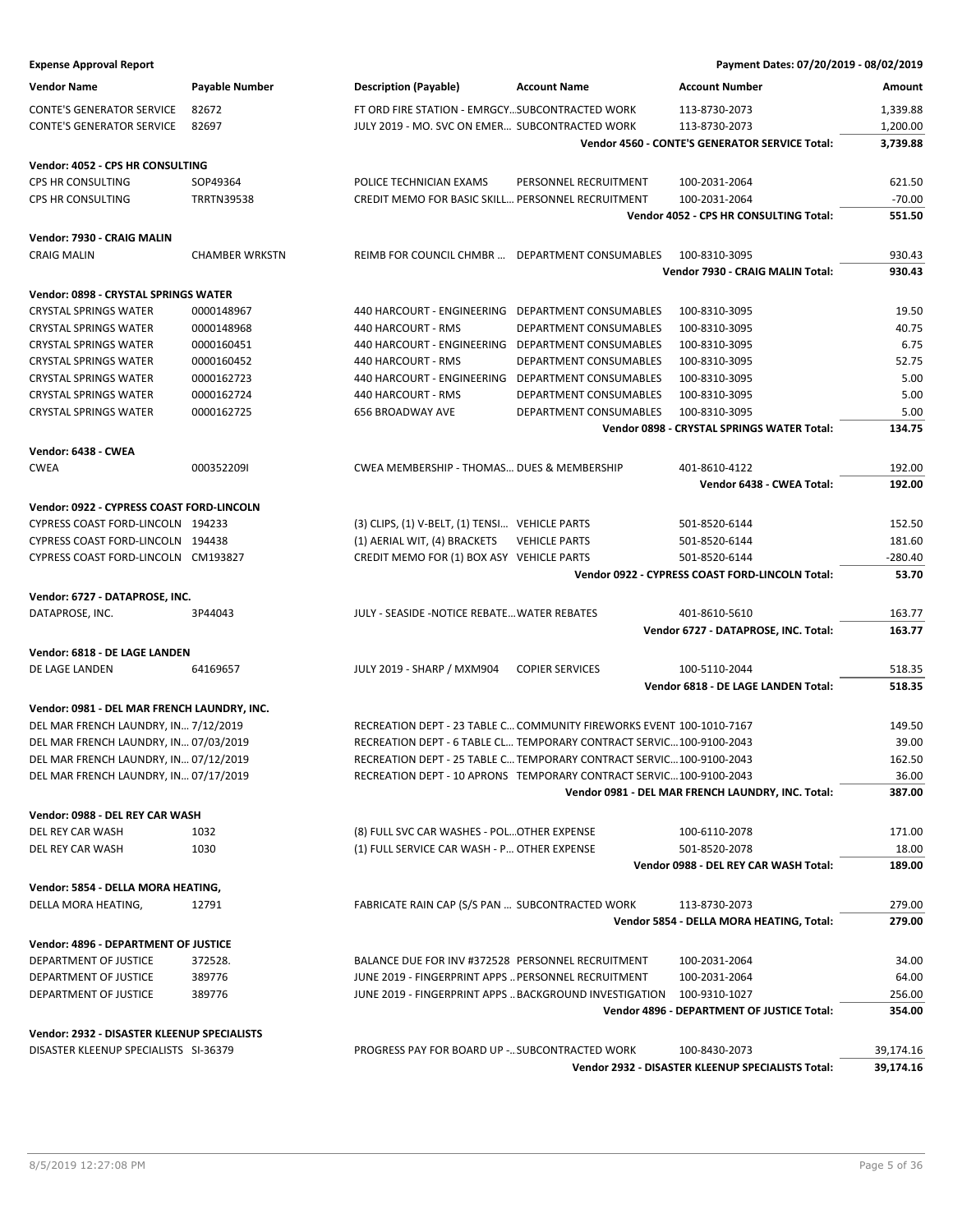| <b>Expense Approval Report</b>              |                       |                                                                      |                               | Payment Dates: 07/20/2019 - 08/02/2019                |           |
|---------------------------------------------|-----------------------|----------------------------------------------------------------------|-------------------------------|-------------------------------------------------------|-----------|
| <b>Vendor Name</b>                          | <b>Payable Number</b> | <b>Description (Payable)</b>                                         | <b>Account Name</b>           | <b>Account Number</b>                                 | Amount    |
| <b>CONTE'S GENERATOR SERVICE</b>            | 82672                 | FT ORD FIRE STATION - EMRGCY SUBCONTRACTED WORK                      |                               | 113-8730-2073                                         | 1,339.88  |
| <b>CONTE'S GENERATOR SERVICE</b>            | 82697                 | JULY 2019 - MO. SVC ON EMER SUBCONTRACTED WORK                       |                               | 113-8730-2073                                         | 1,200.00  |
|                                             |                       |                                                                      |                               | <b>Vendor 4560 - CONTE'S GENERATOR SERVICE Total:</b> | 3,739.88  |
| Vendor: 4052 - CPS HR CONSULTING            |                       |                                                                      |                               |                                                       |           |
| CPS HR CONSULTING                           | SOP49364              | POLICE TECHNICIAN EXAMS                                              | PERSONNEL RECRUITMENT         | 100-2031-2064                                         | 621.50    |
| CPS HR CONSULTING                           | <b>TRRTN39538</b>     | CREDIT MEMO FOR BASIC SKILL PERSONNEL RECRUITMENT                    |                               | 100-2031-2064                                         | $-70.00$  |
|                                             |                       |                                                                      |                               | Vendor 4052 - CPS HR CONSULTING Total:                | 551.50    |
| Vendor: 7930 - CRAIG MALIN                  |                       |                                                                      |                               |                                                       |           |
| <b>CRAIG MALIN</b>                          | <b>CHAMBER WRKSTN</b> | REIMB FOR COUNCIL CHMBR  DEPARTMENT CONSUMABLES                      |                               | 100-8310-3095                                         | 930.43    |
|                                             |                       |                                                                      |                               | Vendor 7930 - CRAIG MALIN Total:                      | 930.43    |
| Vendor: 0898 - CRYSTAL SPRINGS WATER        |                       |                                                                      |                               |                                                       |           |
| <b>CRYSTAL SPRINGS WATER</b>                | 0000148967            | 440 HARCOURT - ENGINEERING DEPARTMENT CONSUMABLES                    |                               | 100-8310-3095                                         | 19.50     |
| <b>CRYSTAL SPRINGS WATER</b>                | 0000148968            | 440 HARCOURT - RMS                                                   | DEPARTMENT CONSUMABLES        | 100-8310-3095                                         | 40.75     |
| <b>CRYSTAL SPRINGS WATER</b>                | 0000160451            | 440 HARCOURT - ENGINEERING                                           | DEPARTMENT CONSUMABLES        | 100-8310-3095                                         | 6.75      |
| <b>CRYSTAL SPRINGS WATER</b>                | 0000160452            | 440 HARCOURT - RMS                                                   | <b>DEPARTMENT CONSUMABLES</b> | 100-8310-3095                                         | 52.75     |
| <b>CRYSTAL SPRINGS WATER</b>                | 0000162723            | 440 HARCOURT - ENGINEERING DEPARTMENT CONSUMABLES                    |                               | 100-8310-3095                                         | 5.00      |
| <b>CRYSTAL SPRINGS WATER</b>                | 0000162724            | 440 HARCOURT - RMS                                                   | DEPARTMENT CONSUMABLES        | 100-8310-3095                                         | 5.00      |
| <b>CRYSTAL SPRINGS WATER</b>                | 0000162725            | 656 BROADWAY AVE                                                     | DEPARTMENT CONSUMABLES        | 100-8310-3095                                         | 5.00      |
|                                             |                       |                                                                      |                               | Vendor 0898 - CRYSTAL SPRINGS WATER Total:            | 134.75    |
|                                             |                       |                                                                      |                               |                                                       |           |
| Vendor: 6438 - CWEA                         |                       |                                                                      |                               |                                                       |           |
| <b>CWEA</b>                                 | 0003522091            | CWEA MEMBERSHIP - THOMAS DUES & MEMBERSHIP                           |                               | 401-8610-4122                                         | 192.00    |
|                                             |                       |                                                                      |                               | Vendor 6438 - CWEA Total:                             | 192.00    |
| Vendor: 0922 - CYPRESS COAST FORD-LINCOLN   |                       |                                                                      |                               |                                                       |           |
| CYPRESS COAST FORD-LINCOLN 194233           |                       | (3) CLIPS, (1) V-BELT, (1) TENSI VEHICLE PARTS                       |                               | 501-8520-6144                                         | 152.50    |
| CYPRESS COAST FORD-LINCOLN 194438           |                       | (1) AERIAL WIT, (4) BRACKETS                                         | <b>VEHICLE PARTS</b>          | 501-8520-6144                                         | 181.60    |
| CYPRESS COAST FORD-LINCOLN CM193827         |                       | CREDIT MEMO FOR (1) BOX ASY VEHICLE PARTS                            |                               | 501-8520-6144                                         | $-280.40$ |
|                                             |                       |                                                                      |                               | Vendor 0922 - CYPRESS COAST FORD-LINCOLN Total:       | 53.70     |
| Vendor: 6727 - DATAPROSE, INC.              |                       |                                                                      |                               |                                                       |           |
| DATAPROSE, INC.                             | 3P44043               | JULY - SEASIDE - NOTICE REBATE WATER REBATES                         |                               | 401-8610-5610                                         | 163.77    |
|                                             |                       |                                                                      |                               | Vendor 6727 - DATAPROSE, INC. Total:                  | 163.77    |
| Vendor: 6818 - DE LAGE LANDEN               |                       |                                                                      |                               |                                                       |           |
| DE LAGE LANDEN                              | 64169657              | JULY 2019 - SHARP / MXM904                                           | <b>COPIER SERVICES</b>        | 100-5110-2044                                         | 518.35    |
|                                             |                       |                                                                      |                               | Vendor 6818 - DE LAGE LANDEN Total:                   | 518.35    |
| Vendor: 0981 - DEL MAR FRENCH LAUNDRY, INC. |                       |                                                                      |                               |                                                       |           |
| DEL MAR FRENCH LAUNDRY, IN 7/12/2019        |                       | RECREATION DEPT - 23 TABLE C COMMUNITY FIREWORKS EVENT 100-1010-7167 |                               |                                                       | 149.50    |
| DEL MAR FRENCH LAUNDRY, IN 07/03/2019       |                       | RECREATION DEPT - 6 TABLE CL TEMPORARY CONTRACT SERVIC 100-9100-2043 |                               |                                                       | 39.00     |
| DEL MAR FRENCH LAUNDRY, IN 07/12/2019       |                       | RECREATION DEPT - 25 TABLE C TEMPORARY CONTRACT SERVIC 100-9100-2043 |                               |                                                       | 162.50    |
| DEL MAR FRENCH LAUNDRY, IN 07/17/2019       |                       | RECREATION DEPT - 10 APRONS TEMPORARY CONTRACT SERVIC 100-9100-2043  |                               |                                                       | 36.00     |
|                                             |                       |                                                                      |                               | Vendor 0981 - DEL MAR FRENCH LAUNDRY, INC. Total:     | 387.00    |
|                                             |                       |                                                                      |                               |                                                       |           |
| Vendor: 0988 - DEL REY CAR WASH             |                       |                                                                      |                               |                                                       |           |
| DEL REY CAR WASH                            | 1032                  | (8) FULL SVC CAR WASHES - POL OTHER EXPENSE                          |                               | 100-6110-2078                                         | 171.00    |
| DEL REY CAR WASH                            | 1030                  | (1) FULL SERVICE CAR WASH - P OTHER EXPENSE                          |                               | 501-8520-2078                                         | 18.00     |
|                                             |                       |                                                                      |                               | Vendor 0988 - DEL REY CAR WASH Total:                 | 189.00    |
| Vendor: 5854 - DELLA MORA HEATING,          |                       |                                                                      |                               |                                                       |           |
| DELLA MORA HEATING,                         | 12791                 | FABRICATE RAIN CAP (S/S PAN  SUBCONTRACTED WORK                      |                               | 113-8730-2073                                         | 279.00    |
|                                             |                       |                                                                      |                               | Vendor 5854 - DELLA MORA HEATING, Total:              | 279.00    |
| Vendor: 4896 - DEPARTMENT OF JUSTICE        |                       |                                                                      |                               |                                                       |           |
| DEPARTMENT OF JUSTICE                       | 372528.               | BALANCE DUE FOR INV #372528 PERSONNEL RECRUITMENT                    |                               | 100-2031-2064                                         | 34.00     |
| DEPARTMENT OF JUSTICE                       | 389776                | JUNE 2019 - FINGERPRINT APPS  PERSONNEL RECRUITMENT                  |                               | 100-2031-2064                                         | 64.00     |
| DEPARTMENT OF JUSTICE                       | 389776                | JUNE 2019 - FINGERPRINT APPS  BACKGROUND INVESTIGATION               |                               | 100-9310-1027                                         | 256.00    |
|                                             |                       |                                                                      |                               | Vendor 4896 - DEPARTMENT OF JUSTICE Total:            | 354.00    |
| Vendor: 2932 - DISASTER KLEENUP SPECIALISTS |                       |                                                                      |                               |                                                       |           |

| PROGRESS PAY FOR BOARD UP - SUBCONTRACTED WORK    |  | 100-8430-2073 | 39.174.16 |
|---------------------------------------------------|--|---------------|-----------|
| Vendor 2932 - DISASTER KLEENUP SPECIALISTS Total: |  |               |           |

DISASTER KLEENUP SPECIALISTS SI-36379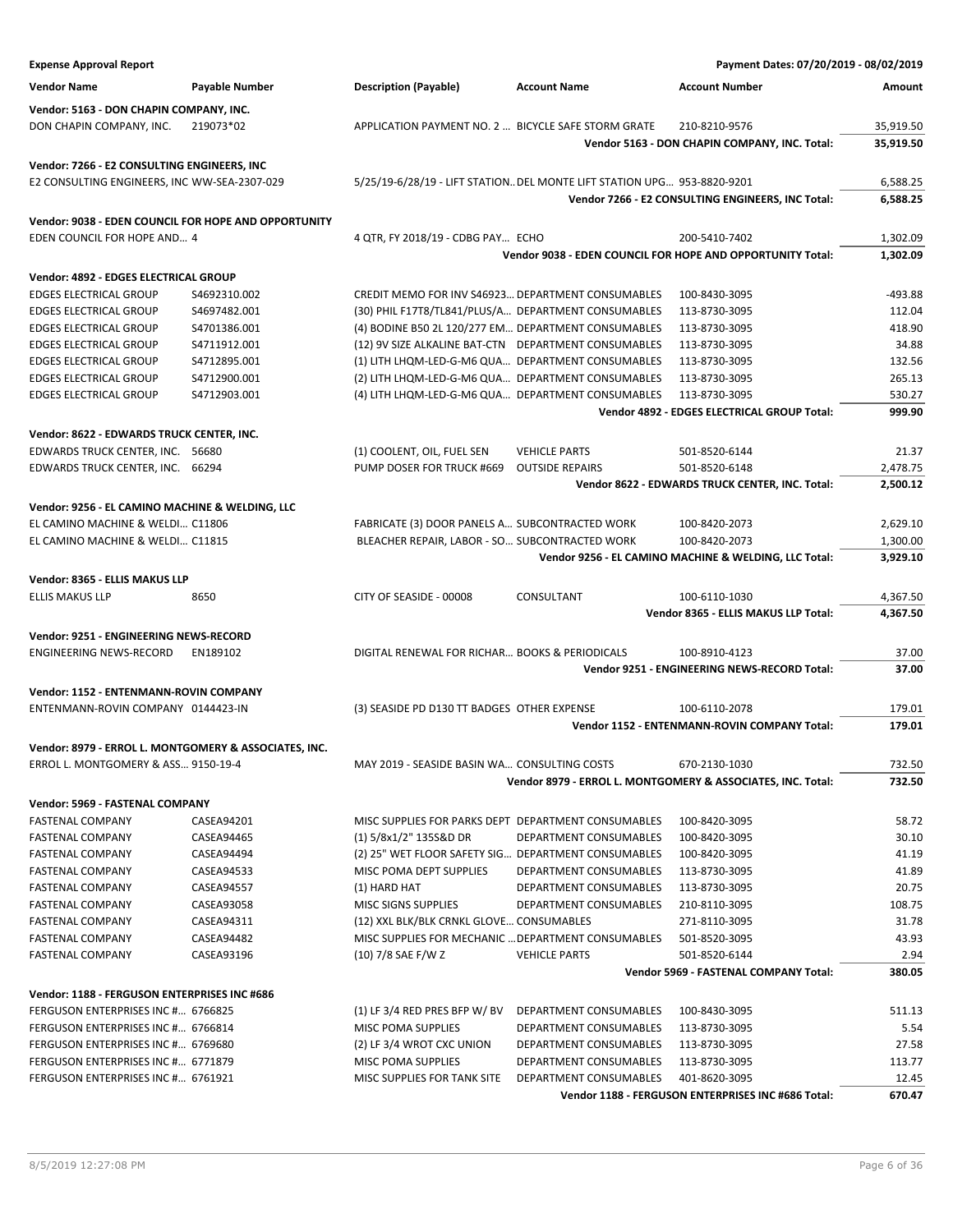| <b>Expense Approval Report</b>                                                      |                              |                                                                                                             |                                                                         | Payment Dates: 07/20/2019 - 08/02/2019                           |                      |
|-------------------------------------------------------------------------------------|------------------------------|-------------------------------------------------------------------------------------------------------------|-------------------------------------------------------------------------|------------------------------------------------------------------|----------------------|
| <b>Vendor Name</b>                                                                  | <b>Payable Number</b>        | <b>Description (Payable)</b>                                                                                | <b>Account Name</b>                                                     | <b>Account Number</b>                                            | Amount               |
| Vendor: 5163 - DON CHAPIN COMPANY, INC.                                             |                              |                                                                                                             |                                                                         |                                                                  |                      |
| DON CHAPIN COMPANY, INC.                                                            | 219073*02                    | APPLICATION PAYMENT NO. 2  BICYCLE SAFE STORM GRATE                                                         |                                                                         | 210-8210-9576                                                    | 35,919.50            |
|                                                                                     |                              |                                                                                                             |                                                                         | Vendor 5163 - DON CHAPIN COMPANY, INC. Total:                    | 35,919.50            |
| Vendor: 7266 - E2 CONSULTING ENGINEERS, INC                                         |                              |                                                                                                             |                                                                         |                                                                  |                      |
| E2 CONSULTING ENGINEERS, INC WW-SEA-2307-029                                        |                              |                                                                                                             | 5/25/19-6/28/19 - LIFT STATION DEL MONTE LIFT STATION UPG 953-8820-9201 |                                                                  | 6,588.25             |
|                                                                                     |                              |                                                                                                             |                                                                         | Vendor 7266 - E2 CONSULTING ENGINEERS, INC Total:                | 6,588.25             |
|                                                                                     |                              |                                                                                                             |                                                                         |                                                                  |                      |
| Vendor: 9038 - EDEN COUNCIL FOR HOPE AND OPPORTUNITY<br>EDEN COUNCIL FOR HOPE AND 4 |                              |                                                                                                             |                                                                         | 200-5410-7402                                                    |                      |
|                                                                                     |                              | 4 QTR, FY 2018/19 - CDBG PAY ECHO                                                                           |                                                                         | Vendor 9038 - EDEN COUNCIL FOR HOPE AND OPPORTUNITY Total:       | 1,302.09<br>1,302.09 |
|                                                                                     |                              |                                                                                                             |                                                                         |                                                                  |                      |
| Vendor: 4892 - EDGES ELECTRICAL GROUP                                               |                              |                                                                                                             |                                                                         |                                                                  |                      |
| <b>EDGES ELECTRICAL GROUP</b>                                                       | S4692310.002                 | CREDIT MEMO FOR INV \$46923 DEPARTMENT CONSUMABLES                                                          |                                                                         | 100-8430-3095                                                    | $-493.88$            |
| <b>EDGES ELECTRICAL GROUP</b>                                                       | S4697482.001                 | (30) PHIL F17T8/TL841/PLUS/A DEPARTMENT CONSUMABLES                                                         |                                                                         | 113-8730-3095                                                    | 112.04               |
| <b>EDGES ELECTRICAL GROUP</b><br><b>EDGES ELECTRICAL GROUP</b>                      | S4701386.001<br>S4711912.001 | (4) BODINE B50 2L 120/277 EM DEPARTMENT CONSUMABLES<br>(12) 9V SIZE ALKALINE BAT-CTN DEPARTMENT CONSUMABLES |                                                                         | 113-8730-3095<br>113-8730-3095                                   | 418.90<br>34.88      |
| <b>EDGES ELECTRICAL GROUP</b>                                                       | S4712895.001                 | (1) LITH LHQM-LED-G-M6 QUA DEPARTMENT CONSUMABLES                                                           |                                                                         | 113-8730-3095                                                    | 132.56               |
| <b>EDGES ELECTRICAL GROUP</b>                                                       | S4712900.001                 | (2) LITH LHQM-LED-G-M6 QUA DEPARTMENT CONSUMABLES                                                           |                                                                         | 113-8730-3095                                                    | 265.13               |
| <b>EDGES ELECTRICAL GROUP</b>                                                       | S4712903.001                 | (4) LITH LHQM-LED-G-M6 QUA DEPARTMENT CONSUMABLES                                                           |                                                                         | 113-8730-3095                                                    | 530.27               |
|                                                                                     |                              |                                                                                                             |                                                                         | Vendor 4892 - EDGES ELECTRICAL GROUP Total:                      | 999.90               |
|                                                                                     |                              |                                                                                                             |                                                                         |                                                                  |                      |
| Vendor: 8622 - EDWARDS TRUCK CENTER, INC.                                           |                              |                                                                                                             |                                                                         |                                                                  |                      |
| EDWARDS TRUCK CENTER, INC. 56680                                                    |                              | (1) COOLENT, OIL, FUEL SEN                                                                                  | <b>VEHICLE PARTS</b><br><b>OUTSIDE REPAIRS</b>                          | 501-8520-6144                                                    | 21.37                |
| EDWARDS TRUCK CENTER, INC. 66294                                                    |                              | PUMP DOSER FOR TRUCK #669                                                                                   |                                                                         | 501-8520-6148<br>Vendor 8622 - EDWARDS TRUCK CENTER, INC. Total: | 2,478.75<br>2,500.12 |
|                                                                                     |                              |                                                                                                             |                                                                         |                                                                  |                      |
| Vendor: 9256 - EL CAMINO MACHINE & WELDING, LLC                                     |                              |                                                                                                             |                                                                         |                                                                  |                      |
| EL CAMINO MACHINE & WELDI C11806                                                    |                              | FABRICATE (3) DOOR PANELS A SUBCONTRACTED WORK                                                              |                                                                         | 100-8420-2073                                                    | 2,629.10             |
| EL CAMINO MACHINE & WELDI C11815                                                    |                              | BLEACHER REPAIR, LABOR - SO SUBCONTRACTED WORK                                                              |                                                                         | 100-8420-2073                                                    | 1,300.00             |
|                                                                                     |                              |                                                                                                             |                                                                         | Vendor 9256 - EL CAMINO MACHINE & WELDING, LLC Total:            | 3,929.10             |
| Vendor: 8365 - ELLIS MAKUS LLP                                                      |                              |                                                                                                             |                                                                         |                                                                  |                      |
| <b>ELLIS MAKUS LLP</b>                                                              | 8650                         | CITY OF SEASIDE - 00008                                                                                     | CONSULTANT                                                              | 100-6110-1030                                                    | 4,367.50             |
|                                                                                     |                              |                                                                                                             |                                                                         | Vendor 8365 - ELLIS MAKUS LLP Total:                             | 4,367.50             |
| Vendor: 9251 - ENGINEERING NEWS-RECORD                                              |                              |                                                                                                             |                                                                         |                                                                  |                      |
| <b>ENGINEERING NEWS-RECORD</b>                                                      | EN189102                     | DIGITAL RENEWAL FOR RICHAR BOOKS & PERIODICALS                                                              |                                                                         | 100-8910-4123                                                    | 37.00                |
|                                                                                     |                              |                                                                                                             |                                                                         | Vendor 9251 - ENGINEERING NEWS-RECORD Total:                     | 37.00                |
| Vendor: 1152 - ENTENMANN-ROVIN COMPANY                                              |                              |                                                                                                             |                                                                         |                                                                  |                      |
| ENTENMANN-ROVIN COMPANY 0144423-IN                                                  |                              | (3) SEASIDE PD D130 TT BADGES OTHER EXPENSE                                                                 |                                                                         | 100-6110-2078                                                    | 179.01               |
|                                                                                     |                              |                                                                                                             |                                                                         | <b>Vendor 1152 - ENTENMANN-ROVIN COMPANY Total:</b>              | 179.01               |
| Vendor: 8979 - ERROL L. MONTGOMERY & ASSOCIATES, INC.                               |                              |                                                                                                             |                                                                         |                                                                  |                      |
| ERROL L. MONTGOMERY & ASS 9150-19-4                                                 |                              | MAY 2019 - SEASIDE BASIN WA CONSULTING COSTS                                                                |                                                                         | 670-2130-1030                                                    | 732.50               |
|                                                                                     |                              |                                                                                                             |                                                                         | Vendor 8979 - ERROL L. MONTGOMERY & ASSOCIATES, INC. Total:      | 732.50               |
| Vendor: 5969 - FASTENAL COMPANY                                                     |                              |                                                                                                             |                                                                         |                                                                  |                      |
| <b>FASTENAL COMPANY</b>                                                             | CASEA94201                   | MISC SUPPLIES FOR PARKS DEPT DEPARTMENT CONSUMABLES                                                         |                                                                         | 100-8420-3095                                                    | 58.72                |
| <b>FASTENAL COMPANY</b>                                                             | CASEA94465                   | $(1)$ 5/8x1/2" 135S&D DR                                                                                    | DEPARTMENT CONSUMABLES                                                  | 100-8420-3095                                                    | 30.10                |
| <b>FASTENAL COMPANY</b>                                                             | CASEA94494                   | (2) 25" WET FLOOR SAFETY SIG DEPARTMENT CONSUMABLES                                                         |                                                                         | 100-8420-3095                                                    | 41.19                |
| <b>FASTENAL COMPANY</b>                                                             | CASEA94533                   | MISC POMA DEPT SUPPLIES                                                                                     | DEPARTMENT CONSUMABLES                                                  | 113-8730-3095                                                    | 41.89                |
| <b>FASTENAL COMPANY</b>                                                             | CASEA94557                   | (1) HARD HAT                                                                                                | DEPARTMENT CONSUMABLES                                                  | 113-8730-3095                                                    | 20.75                |
| <b>FASTENAL COMPANY</b>                                                             | CASEA93058                   | MISC SIGNS SUPPLIES                                                                                         | DEPARTMENT CONSUMABLES                                                  | 210-8110-3095                                                    | 108.75               |
| <b>FASTENAL COMPANY</b>                                                             | CASEA94311                   | (12) XXL BLK/BLK CRNKL GLOVE CONSUMABLES                                                                    |                                                                         | 271-8110-3095                                                    | 31.78                |
| <b>FASTENAL COMPANY</b>                                                             | CASEA94482                   | MISC SUPPLIES FOR MECHANIC  DEPARTMENT CONSUMABLES                                                          |                                                                         | 501-8520-3095                                                    | 43.93                |
| <b>FASTENAL COMPANY</b>                                                             | CASEA93196                   | (10) 7/8 SAE F/W Z                                                                                          | <b>VEHICLE PARTS</b>                                                    | 501-8520-6144                                                    | 2.94                 |
|                                                                                     |                              |                                                                                                             |                                                                         | Vendor 5969 - FASTENAL COMPANY Total:                            | 380.05               |
| Vendor: 1188 - FERGUSON ENTERPRISES INC #686                                        |                              |                                                                                                             |                                                                         |                                                                  |                      |
| FERGUSON ENTERPRISES INC # 6766825                                                  |                              | $(1)$ LF 3/4 RED PRES BFP W/ BV                                                                             | DEPARTMENT CONSUMABLES                                                  | 100-8430-3095                                                    | 511.13               |
| FERGUSON ENTERPRISES INC # 6766814                                                  |                              | MISC POMA SUPPLIES                                                                                          | DEPARTMENT CONSUMABLES                                                  | 113-8730-3095                                                    | 5.54                 |
| FERGUSON ENTERPRISES INC # 6769680                                                  |                              | (2) LF 3/4 WROT CXC UNION                                                                                   | DEPARTMENT CONSUMABLES                                                  | 113-8730-3095                                                    | 27.58                |
| FERGUSON ENTERPRISES INC # 6771879                                                  |                              | MISC POMA SUPPLIES                                                                                          | DEPARTMENT CONSUMABLES                                                  | 113-8730-3095                                                    | 113.77               |
| FERGUSON ENTERPRISES INC # 6761921                                                  |                              | MISC SUPPLIES FOR TANK SITE                                                                                 | DEPARTMENT CONSUMABLES                                                  | 401-8620-3095                                                    | 12.45                |
|                                                                                     |                              |                                                                                                             |                                                                         | Vendor 1188 - FERGUSON ENTERPRISES INC #686 Total:               | 670.47               |
|                                                                                     |                              |                                                                                                             |                                                                         |                                                                  |                      |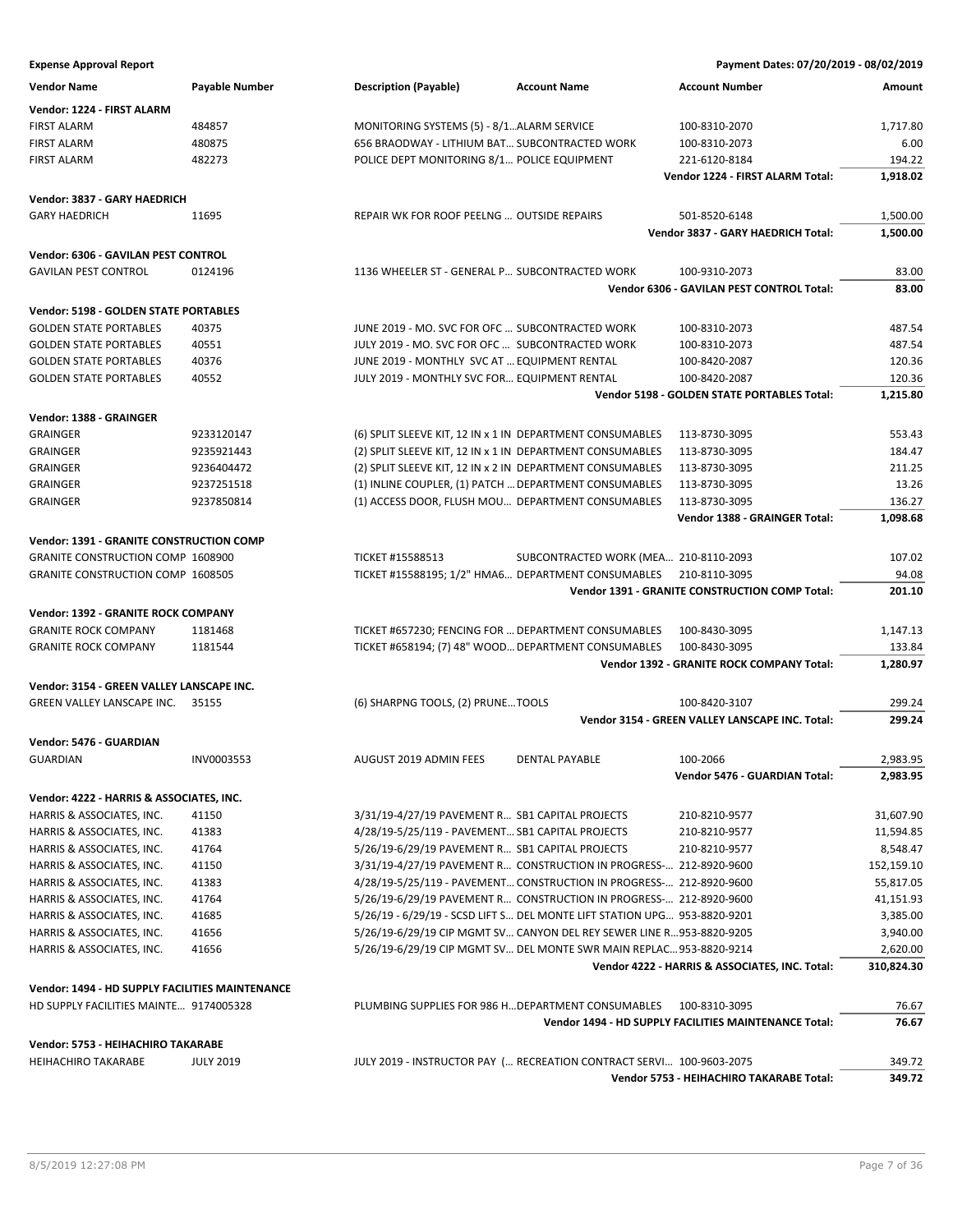| <b>Vendor Name</b>                              | <b>Payable Number</b> | <b>Description (Payable)</b>                                             | <b>Account Name</b>                   | <b>Account Number</b>                                 | Amount     |
|-------------------------------------------------|-----------------------|--------------------------------------------------------------------------|---------------------------------------|-------------------------------------------------------|------------|
| Vendor: 1224 - FIRST ALARM                      |                       |                                                                          |                                       |                                                       |            |
| <b>FIRST ALARM</b>                              | 484857                | MONITORING SYSTEMS (5) - 8/1ALARM SERVICE                                |                                       | 100-8310-2070                                         | 1,717.80   |
| <b>FIRST ALARM</b>                              | 480875                | 656 BRAODWAY - LITHIUM BAT SUBCONTRACTED WORK                            |                                       | 100-8310-2073                                         | 6.00       |
| <b>FIRST ALARM</b>                              | 482273                | POLICE DEPT MONITORING 8/1 POLICE EQUIPMENT                              |                                       | 221-6120-8184                                         | 194.22     |
|                                                 |                       |                                                                          |                                       | Vendor 1224 - FIRST ALARM Total:                      | 1,918.02   |
| Vendor: 3837 - GARY HAEDRICH                    |                       |                                                                          |                                       |                                                       |            |
| <b>GARY HAEDRICH</b>                            | 11695                 | REPAIR WK FOR ROOF PEELNG  OUTSIDE REPAIRS                               |                                       | 501-8520-6148                                         | 1,500.00   |
|                                                 |                       |                                                                          |                                       | Vendor 3837 - GARY HAEDRICH Total:                    | 1,500.00   |
| Vendor: 6306 - GAVILAN PEST CONTROL             |                       |                                                                          |                                       |                                                       |            |
| <b>GAVILAN PEST CONTROL</b>                     | 0124196               | 1136 WHEELER ST - GENERAL P SUBCONTRACTED WORK                           |                                       | 100-9310-2073                                         | 83.00      |
|                                                 |                       |                                                                          |                                       | Vendor 6306 - GAVILAN PEST CONTROL Total:             | 83.00      |
| Vendor: 5198 - GOLDEN STATE PORTABLES           |                       |                                                                          |                                       |                                                       |            |
| <b>GOLDEN STATE PORTABLES</b>                   | 40375                 | JUNE 2019 - MO. SVC FOR OFC  SUBCONTRACTED WORK                          |                                       | 100-8310-2073                                         | 487.54     |
| <b>GOLDEN STATE PORTABLES</b>                   | 40551                 | JULY 2019 - MO. SVC FOR OFC  SUBCONTRACTED WORK                          |                                       | 100-8310-2073                                         | 487.54     |
| <b>GOLDEN STATE PORTABLES</b>                   | 40376                 | JUNE 2019 - MONTHLY SVC AT  EQUIPMENT RENTAL                             |                                       | 100-8420-2087                                         | 120.36     |
| <b>GOLDEN STATE PORTABLES</b>                   | 40552                 | JULY 2019 - MONTHLY SVC FOR EQUIPMENT RENTAL                             |                                       | 100-8420-2087                                         | 120.36     |
|                                                 |                       |                                                                          |                                       | Vendor 5198 - GOLDEN STATE PORTABLES Total:           | 1,215.80   |
| Vendor: 1388 - GRAINGER                         |                       |                                                                          |                                       |                                                       |            |
| GRAINGER                                        | 9233120147            | (6) SPLIT SLEEVE KIT, 12 IN x 1 IN DEPARTMENT CONSUMABLES                |                                       | 113-8730-3095                                         | 553.43     |
| GRAINGER                                        | 9235921443            | (2) SPLIT SLEEVE KIT, 12 IN x 1 IN DEPARTMENT CONSUMABLES                |                                       | 113-8730-3095                                         | 184.47     |
| GRAINGER                                        | 9236404472            | (2) SPLIT SLEEVE KIT, 12 IN x 2 IN DEPARTMENT CONSUMABLES                |                                       | 113-8730-3095                                         | 211.25     |
| <b>GRAINGER</b>                                 | 9237251518            | (1) INLINE COUPLER, (1) PATCH  DEPARTMENT CONSUMABLES                    |                                       | 113-8730-3095                                         | 13.26      |
| <b>GRAINGER</b>                                 | 9237850814            | (1) ACCESS DOOR, FLUSH MOU DEPARTMENT CONSUMABLES                        |                                       | 113-8730-3095                                         | 136.27     |
|                                                 |                       |                                                                          |                                       | Vendor 1388 - GRAINGER Total:                         | 1,098.68   |
| Vendor: 1391 - GRANITE CONSTRUCTION COMP        |                       |                                                                          |                                       |                                                       |            |
| <b>GRANITE CONSTRUCTION COMP 1608900</b>        |                       | TICKET #15588513                                                         | SUBCONTRACTED WORK (MEA 210-8110-2093 |                                                       | 107.02     |
| <b>GRANITE CONSTRUCTION COMP 1608505</b>        |                       | TICKET #15588195; 1/2" HMA6 DEPARTMENT CONSUMABLES                       |                                       | 210-8110-3095                                         | 94.08      |
|                                                 |                       |                                                                          |                                       | Vendor 1391 - GRANITE CONSTRUCTION COMP Total:        | 201.10     |
| Vendor: 1392 - GRANITE ROCK COMPANY             |                       |                                                                          |                                       |                                                       |            |
| <b>GRANITE ROCK COMPANY</b>                     | 1181468               | TICKET #657230; FENCING FOR  DEPARTMENT CONSUMABLES                      |                                       | 100-8430-3095                                         | 1,147.13   |
| <b>GRANITE ROCK COMPANY</b>                     | 1181544               | TICKET #658194; (7) 48" WOOD DEPARTMENT CONSUMABLES                      |                                       | 100-8430-3095                                         | 133.84     |
|                                                 |                       |                                                                          |                                       | Vendor 1392 - GRANITE ROCK COMPANY Total:             | 1,280.97   |
| Vendor: 3154 - GREEN VALLEY LANSCAPE INC.       |                       |                                                                          |                                       |                                                       |            |
| <b>GREEN VALLEY LANSCAPE INC.</b>               | 35155                 | (6) SHARPNG TOOLS, (2) PRUNE TOOLS                                       |                                       | 100-8420-3107                                         | 299.24     |
|                                                 |                       |                                                                          |                                       | Vendor 3154 - GREEN VALLEY LANSCAPE INC. Total:       | 299.24     |
| Vendor: 5476 - GUARDIAN                         |                       |                                                                          |                                       |                                                       |            |
| <b>GUARDIAN</b>                                 | INV0003553            | AUGUST 2019 ADMIN FEES                                                   | <b>DENTAL PAYABLE</b>                 | 100-2066                                              | 2,983.95   |
|                                                 |                       |                                                                          |                                       | Vendor 5476 - GUARDIAN Total:                         | 2,983.95   |
| Vendor: 4222 - HARRIS & ASSOCIATES, INC.        |                       |                                                                          |                                       |                                                       |            |
| HARRIS & ASSOCIATES, INC.                       | 41150                 | 3/31/19-4/27/19 PAVEMENT R SB1 CAPITAL PROJECTS                          |                                       | 210-8210-9577                                         | 31,607.90  |
| HARRIS & ASSOCIATES, INC.                       | 41383                 | 4/28/19-5/25/119 - PAVEMENT SB1 CAPITAL PROJECTS                         |                                       | 210-8210-9577                                         | 11,594.85  |
| HARRIS & ASSOCIATES, INC.                       | 41764                 | 5/26/19-6/29/19 PAVEMENT R SB1 CAPITAL PROJECTS                          |                                       | 210-8210-9577                                         | 8,548.47   |
| HARRIS & ASSOCIATES, INC.                       | 41150                 | 3/31/19-4/27/19 PAVEMENT R CONSTRUCTION IN PROGRESS- 212-8920-9600       |                                       |                                                       | 152,159.10 |
| HARRIS & ASSOCIATES, INC.                       | 41383                 | 4/28/19-5/25/119 - PAVEMENT CONSTRUCTION IN PROGRESS- 212-8920-9600      |                                       |                                                       | 55,817.05  |
| HARRIS & ASSOCIATES, INC.                       | 41764                 | 5/26/19-6/29/19 PAVEMENT R CONSTRUCTION IN PROGRESS- 212-8920-9600       |                                       |                                                       | 41,151.93  |
| HARRIS & ASSOCIATES, INC.                       | 41685                 | 5/26/19 - 6/29/19 - SCSD LIFT S DEL MONTE LIFT STATION UPG 953-8820-9201 |                                       |                                                       | 3,385.00   |
| HARRIS & ASSOCIATES, INC.                       | 41656                 | 5/26/19-6/29/19 CIP MGMT SV CANYON DEL REY SEWER LINE R953-8820-9205     |                                       |                                                       | 3,940.00   |
| HARRIS & ASSOCIATES, INC.                       | 41656                 | 5/26/19-6/29/19 CIP MGMT SV DEL MONTE SWR MAIN REPLAC 953-8820-9214      |                                       |                                                       | 2,620.00   |
|                                                 |                       |                                                                          |                                       | Vendor 4222 - HARRIS & ASSOCIATES, INC. Total:        | 310,824.30 |
| Vendor: 1494 - HD SUPPLY FACILITIES MAINTENANCE |                       |                                                                          |                                       |                                                       |            |
| HD SUPPLY FACILITIES MAINTE 9174005328          |                       | PLUMBING SUPPLIES FOR 986 HDEPARTMENT CONSUMABLES                        |                                       | 100-8310-3095                                         | 76.67      |
|                                                 |                       |                                                                          |                                       | Vendor 1494 - HD SUPPLY FACILITIES MAINTENANCE Total: | 76.67      |
| Vendor: 5753 - HEIHACHIRO TAKARABE              |                       |                                                                          |                                       |                                                       |            |
| <b>HEIHACHIRO TAKARABE</b>                      | <b>JULY 2019</b>      | JULY 2019 - INSTRUCTOR PAY ( RECREATION CONTRACT SERVI 100-9603-2075     |                                       |                                                       | 349.72     |
|                                                 |                       |                                                                          |                                       | Vendor 5753 - HEIHACHIRO TAKARABE Total:              | 349.72     |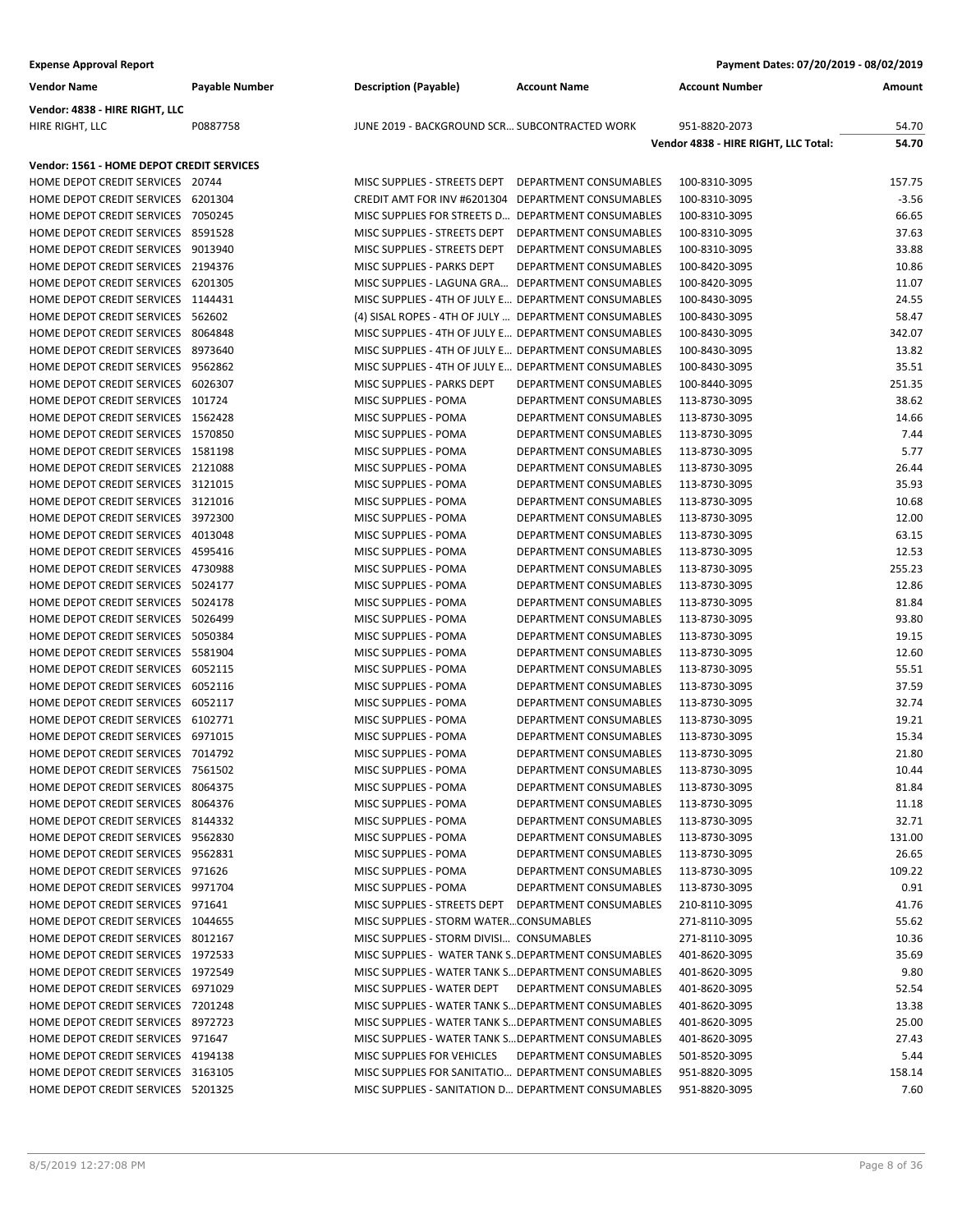| <b>Vendor Name</b>                                                       | Payable Number | <b>Description (Payable)</b>                                                      | <b>Account Name</b>                              | <b>Account Number</b>                | Amount         |
|--------------------------------------------------------------------------|----------------|-----------------------------------------------------------------------------------|--------------------------------------------------|--------------------------------------|----------------|
| Vendor: 4838 - HIRE RIGHT, LLC                                           |                |                                                                                   |                                                  |                                      |                |
| HIRE RIGHT, LLC                                                          | P0887758       | JUNE 2019 - BACKGROUND SCR SUBCONTRACTED WORK                                     |                                                  | 951-8820-2073                        | 54.70          |
|                                                                          |                |                                                                                   |                                                  | Vendor 4838 - HIRE RIGHT, LLC Total: | 54.70          |
| Vendor: 1561 - HOME DEPOT CREDIT SERVICES                                |                |                                                                                   |                                                  |                                      |                |
| HOME DEPOT CREDIT SERVICES 20744                                         |                | MISC SUPPLIES - STREETS DEPT DEPARTMENT CONSUMABLES                               |                                                  | 100-8310-3095                        | 157.75         |
| HOME DEPOT CREDIT SERVICES 6201304                                       |                | CREDIT AMT FOR INV #6201304 DEPARTMENT CONSUMABLES                                |                                                  | 100-8310-3095                        | $-3.56$        |
| HOME DEPOT CREDIT SERVICES 7050245                                       |                | MISC SUPPLIES FOR STREETS D DEPARTMENT CONSUMABLES                                |                                                  | 100-8310-3095                        | 66.65          |
| HOME DEPOT CREDIT SERVICES 8591528                                       |                | MISC SUPPLIES - STREETS DEPT DEPARTMENT CONSUMABLES                               |                                                  | 100-8310-3095                        | 37.63          |
| HOME DEPOT CREDIT SERVICES 9013940                                       |                | MISC SUPPLIES - STREETS DEPT                                                      | DEPARTMENT CONSUMABLES                           | 100-8310-3095                        | 33.88          |
| HOME DEPOT CREDIT SERVICES 2194376                                       |                | MISC SUPPLIES - PARKS DEPT                                                        | DEPARTMENT CONSUMABLES                           | 100-8420-3095                        | 10.86          |
| HOME DEPOT CREDIT SERVICES 6201305                                       |                | MISC SUPPLIES - LAGUNA GRA DEPARTMENT CONSUMABLES                                 |                                                  | 100-8420-3095                        | 11.07          |
| HOME DEPOT CREDIT SERVICES 1144431                                       |                | MISC SUPPLIES - 4TH OF JULY E DEPARTMENT CONSUMABLES                              |                                                  | 100-8430-3095                        | 24.55          |
| HOME DEPOT CREDIT SERVICES 562602                                        |                | (4) SISAL ROPES - 4TH OF JULY  DEPARTMENT CONSUMABLES                             |                                                  | 100-8430-3095                        | 58.47          |
| HOME DEPOT CREDIT SERVICES 8064848                                       |                | MISC SUPPLIES - 4TH OF JULY E DEPARTMENT CONSUMABLES                              |                                                  | 100-8430-3095                        | 342.07         |
| HOME DEPOT CREDIT SERVICES 8973640                                       |                | MISC SUPPLIES - 4TH OF JULY E DEPARTMENT CONSUMABLES                              |                                                  | 100-8430-3095                        | 13.82          |
| HOME DEPOT CREDIT SERVICES 9562862                                       |                | MISC SUPPLIES - 4TH OF JULY E DEPARTMENT CONSUMABLES                              |                                                  | 100-8430-3095                        | 35.51          |
| HOME DEPOT CREDIT SERVICES 6026307                                       |                | MISC SUPPLIES - PARKS DEPT                                                        | <b>DEPARTMENT CONSUMABLES</b>                    | 100-8440-3095                        | 251.35         |
| HOME DEPOT CREDIT SERVICES 101724                                        |                | MISC SUPPLIES - POMA                                                              | DEPARTMENT CONSUMABLES                           | 113-8730-3095                        | 38.62          |
| HOME DEPOT CREDIT SERVICES 1562428                                       |                | MISC SUPPLIES - POMA                                                              | DEPARTMENT CONSUMABLES                           | 113-8730-3095                        | 14.66          |
| HOME DEPOT CREDIT SERVICES 1570850                                       |                | MISC SUPPLIES - POMA                                                              | DEPARTMENT CONSUMABLES                           | 113-8730-3095                        | 7.44           |
| HOME DEPOT CREDIT SERVICES 1581198                                       |                | MISC SUPPLIES - POMA                                                              | <b>DEPARTMENT CONSUMABLES</b>                    | 113-8730-3095                        | 5.77           |
| HOME DEPOT CREDIT SERVICES 2121088                                       |                | MISC SUPPLIES - POMA                                                              | <b>DEPARTMENT CONSUMABLES</b>                    | 113-8730-3095                        | 26.44          |
| HOME DEPOT CREDIT SERVICES 3121015<br>HOME DEPOT CREDIT SERVICES 3121016 |                | MISC SUPPLIES - POMA                                                              | DEPARTMENT CONSUMABLES                           | 113-8730-3095                        | 35.93<br>10.68 |
| HOME DEPOT CREDIT SERVICES 3972300                                       |                | MISC SUPPLIES - POMA<br>MISC SUPPLIES - POMA                                      | DEPARTMENT CONSUMABLES<br>DEPARTMENT CONSUMABLES | 113-8730-3095<br>113-8730-3095       | 12.00          |
| HOME DEPOT CREDIT SERVICES 4013048                                       |                | MISC SUPPLIES - POMA                                                              | DEPARTMENT CONSUMABLES                           | 113-8730-3095                        | 63.15          |
| HOME DEPOT CREDIT SERVICES 4595416                                       |                | MISC SUPPLIES - POMA                                                              | DEPARTMENT CONSUMABLES                           | 113-8730-3095                        | 12.53          |
| HOME DEPOT CREDIT SERVICES 4730988                                       |                | MISC SUPPLIES - POMA                                                              | DEPARTMENT CONSUMABLES                           | 113-8730-3095                        | 255.23         |
| HOME DEPOT CREDIT SERVICES 5024177                                       |                | MISC SUPPLIES - POMA                                                              | DEPARTMENT CONSUMABLES                           | 113-8730-3095                        | 12.86          |
| HOME DEPOT CREDIT SERVICES 5024178                                       |                | MISC SUPPLIES - POMA                                                              | DEPARTMENT CONSUMABLES                           | 113-8730-3095                        | 81.84          |
| HOME DEPOT CREDIT SERVICES 5026499                                       |                | MISC SUPPLIES - POMA                                                              | DEPARTMENT CONSUMABLES                           | 113-8730-3095                        | 93.80          |
| HOME DEPOT CREDIT SERVICES 5050384                                       |                | MISC SUPPLIES - POMA                                                              | DEPARTMENT CONSUMABLES                           | 113-8730-3095                        | 19.15          |
| HOME DEPOT CREDIT SERVICES 5581904                                       |                | MISC SUPPLIES - POMA                                                              | DEPARTMENT CONSUMABLES                           | 113-8730-3095                        | 12.60          |
| HOME DEPOT CREDIT SERVICES 6052115                                       |                | MISC SUPPLIES - POMA                                                              | DEPARTMENT CONSUMABLES                           | 113-8730-3095                        | 55.51          |
| HOME DEPOT CREDIT SERVICES 6052116                                       |                | MISC SUPPLIES - POMA                                                              | DEPARTMENT CONSUMABLES                           | 113-8730-3095                        | 37.59          |
| HOME DEPOT CREDIT SERVICES 6052117                                       |                | MISC SUPPLIES - POMA                                                              | DEPARTMENT CONSUMABLES                           | 113-8730-3095                        | 32.74          |
| HOME DEPOT CREDIT SERVICES 6102771                                       |                | MISC SUPPLIES - POMA                                                              | DEPARTMENT CONSUMABLES                           | 113-8730-3095                        | 19.21          |
| HOME DEPOT CREDIT SERVICES 6971015                                       |                | MISC SUPPLIES - POMA                                                              | DEPARTMENT CONSUMABLES                           | 113-8730-3095                        | 15.34          |
| HOME DEPOT CREDIT SERVICES 7014792                                       |                | MISC SUPPLIES - POMA                                                              | DEPARTMENT CONSUMABLES                           | 113-8730-3095                        | 21.80          |
| HOME DEPOT CREDIT SERVICES 7561502                                       |                | MISC SUPPLIES - POMA                                                              | DEPARTMENT CONSUMABLES                           | 113-8730-3095                        | 10.44          |
| HOME DEPOT CREDIT SERVICES 8064375                                       |                | MISC SUPPLIES - POMA                                                              | DEPARTMENT CONSUMABLES                           | 113-8730-3095                        | 81.84          |
| HOME DEPOT CREDIT SERVICES 8064376                                       |                | MISC SUPPLIES - POMA                                                              | DEPARTMENT CONSUMABLES                           | 113-8730-3095                        | 11.18          |
| HOME DEPOT CREDIT SERVICES 8144332                                       |                | MISC SUPPLIES - POMA                                                              | DEPARTMENT CONSUMABLES                           | 113-8730-3095                        | 32.71          |
| HOME DEPOT CREDIT SERVICES 9562830                                       |                | MISC SUPPLIES - POMA                                                              | DEPARTMENT CONSUMABLES                           | 113-8730-3095                        | 131.00         |
| HOME DEPOT CREDIT SERVICES 9562831                                       |                | MISC SUPPLIES - POMA                                                              | DEPARTMENT CONSUMABLES                           | 113-8730-3095                        | 26.65          |
| HOME DEPOT CREDIT SERVICES 971626                                        |                | MISC SUPPLIES - POMA                                                              | DEPARTMENT CONSUMABLES                           | 113-8730-3095                        | 109.22         |
| HOME DEPOT CREDIT SERVICES 9971704                                       |                | <b>MISC SUPPLIES - POMA</b>                                                       | DEPARTMENT CONSUMABLES                           | 113-8730-3095                        | 0.91           |
| HOME DEPOT CREDIT SERVICES 971641                                        |                | MISC SUPPLIES - STREETS DEPT DEPARTMENT CONSUMABLES                               |                                                  | 210-8110-3095                        | 41.76          |
| HOME DEPOT CREDIT SERVICES 1044655                                       |                | MISC SUPPLIES - STORM WATERCONSUMABLES                                            |                                                  | 271-8110-3095                        | 55.62          |
| HOME DEPOT CREDIT SERVICES 8012167                                       |                | MISC SUPPLIES - STORM DIVISI CONSUMABLES                                          |                                                  | 271-8110-3095                        | 10.36          |
| HOME DEPOT CREDIT SERVICES 1972533                                       |                | MISC SUPPLIES - WATER TANK S. DEPARTMENT CONSUMABLES                              |                                                  | 401-8620-3095                        | 35.69          |
| HOME DEPOT CREDIT SERVICES 1972549                                       |                | MISC SUPPLIES - WATER TANK S DEPARTMENT CONSUMABLES                               |                                                  | 401-8620-3095                        | 9.80           |
| HOME DEPOT CREDIT SERVICES 6971029                                       |                | MISC SUPPLIES - WATER DEPT                                                        | DEPARTMENT CONSUMABLES                           | 401-8620-3095                        | 52.54          |
| HOME DEPOT CREDIT SERVICES 7201248                                       |                | MISC SUPPLIES - WATER TANK S DEPARTMENT CONSUMABLES                               |                                                  | 401-8620-3095                        | 13.38          |
| HOME DEPOT CREDIT SERVICES 8972723                                       |                | MISC SUPPLIES - WATER TANK S DEPARTMENT CONSUMABLES                               |                                                  | 401-8620-3095                        | 25.00          |
| HOME DEPOT CREDIT SERVICES 971647<br>HOME DEPOT CREDIT SERVICES 4194138  |                | MISC SUPPLIES - WATER TANK S DEPARTMENT CONSUMABLES<br>MISC SUPPLIES FOR VEHICLES |                                                  | 401-8620-3095                        | 27.43          |
| HOME DEPOT CREDIT SERVICES 3163105                                       |                | MISC SUPPLIES FOR SANITATIO DEPARTMENT CONSUMABLES                                | DEPARTMENT CONSUMABLES                           | 501-8520-3095<br>951-8820-3095       | 5.44<br>158.14 |
| HOME DEPOT CREDIT SERVICES 5201325                                       |                | MISC SUPPLIES - SANITATION D DEPARTMENT CONSUMABLES                               |                                                  | 951-8820-3095                        | 7.60           |
|                                                                          |                |                                                                                   |                                                  |                                      |                |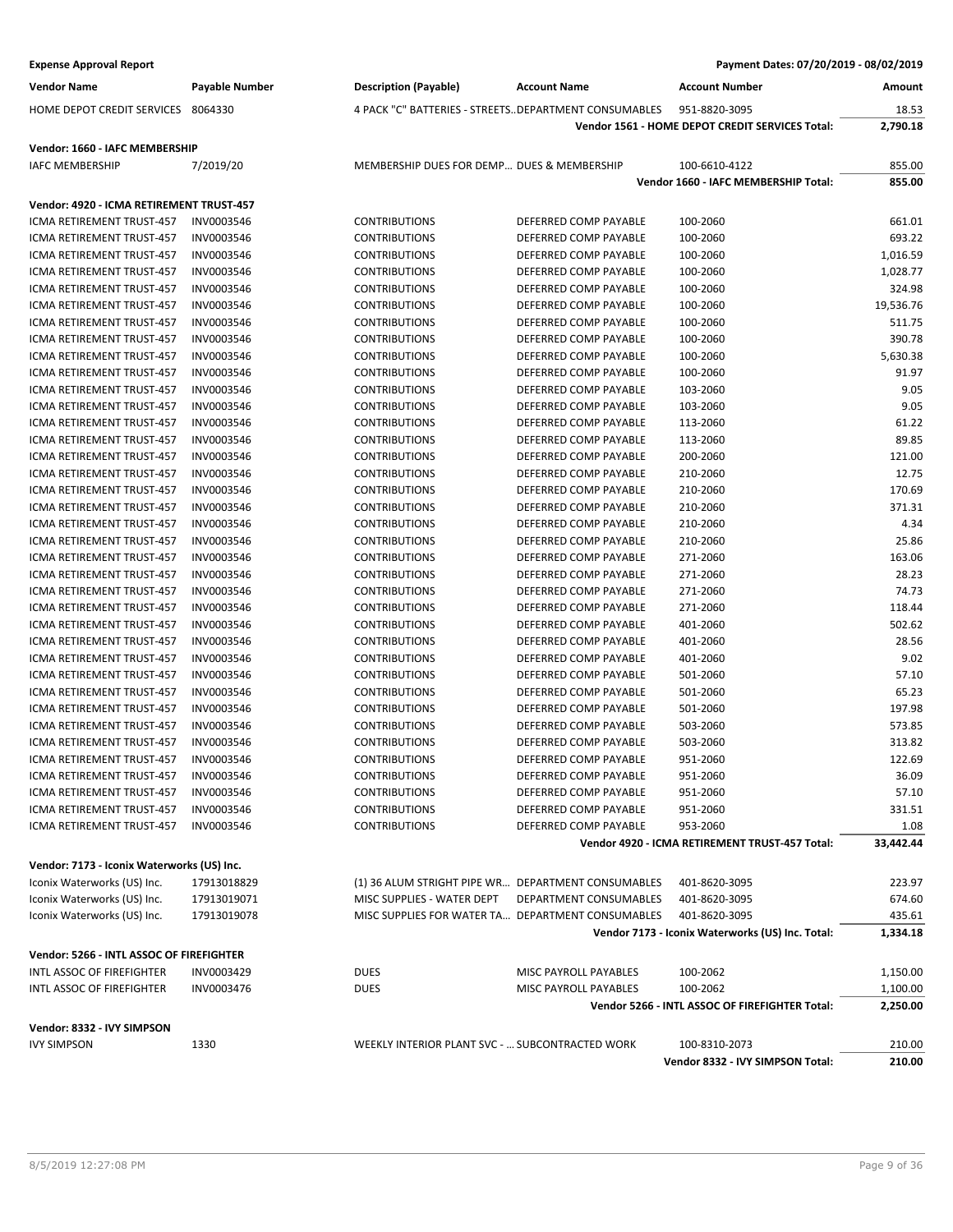| <b>Expense Approval Report</b>             |                |                                            |                                                       | Payment Dates: 07/20/2019 - 08/02/2019           |           |
|--------------------------------------------|----------------|--------------------------------------------|-------------------------------------------------------|--------------------------------------------------|-----------|
| <b>Vendor Name</b>                         | Payable Number | <b>Description (Payable)</b>               | <b>Account Name</b>                                   | <b>Account Number</b>                            | Amount    |
| HOME DEPOT CREDIT SERVICES                 | 8064330        |                                            | 4 PACK "C" BATTERIES - STREETS DEPARTMENT CONSUMABLES | 951-8820-3095                                    | 18.53     |
|                                            |                |                                            |                                                       | Vendor 1561 - HOME DEPOT CREDIT SERVICES Total:  | 2,790.18  |
| Vendor: 1660 - IAFC MEMBERSHIP             |                |                                            |                                                       |                                                  |           |
| <b>IAFC MEMBERSHIP</b>                     | 7/2019/20      | MEMBERSHIP DUES FOR DEMP DUES & MEMBERSHIP |                                                       | 100-6610-4122                                    | 855.00    |
|                                            |                |                                            |                                                       | Vendor 1660 - IAFC MEMBERSHIP Total:             | 855.00    |
| Vendor: 4920 - ICMA RETIREMENT TRUST-457   |                |                                            |                                                       |                                                  |           |
| <b>ICMA RETIREMENT TRUST-457</b>           | INV0003546     | <b>CONTRIBUTIONS</b>                       | DEFERRED COMP PAYABLE                                 | 100-2060                                         | 661.01    |
| ICMA RETIREMENT TRUST-457                  | INV0003546     | <b>CONTRIBUTIONS</b>                       | DEFERRED COMP PAYABLE                                 | 100-2060                                         | 693.22    |
| ICMA RETIREMENT TRUST-457                  | INV0003546     | <b>CONTRIBUTIONS</b>                       | DEFERRED COMP PAYABLE                                 | 100-2060                                         | 1,016.59  |
| <b>ICMA RETIREMENT TRUST-457</b>           | INV0003546     | <b>CONTRIBUTIONS</b>                       | DEFERRED COMP PAYABLE                                 | 100-2060                                         | 1,028.77  |
| ICMA RETIREMENT TRUST-457                  | INV0003546     | <b>CONTRIBUTIONS</b>                       | DEFERRED COMP PAYABLE                                 | 100-2060                                         | 324.98    |
| ICMA RETIREMENT TRUST-457                  | INV0003546     | <b>CONTRIBUTIONS</b>                       | DEFERRED COMP PAYABLE                                 | 100-2060                                         | 19,536.76 |
| ICMA RETIREMENT TRUST-457                  | INV0003546     | <b>CONTRIBUTIONS</b>                       | DEFERRED COMP PAYABLE                                 | 100-2060                                         | 511.75    |
| ICMA RETIREMENT TRUST-457                  | INV0003546     | <b>CONTRIBUTIONS</b>                       | DEFERRED COMP PAYABLE                                 | 100-2060                                         | 390.78    |
| ICMA RETIREMENT TRUST-457                  | INV0003546     | <b>CONTRIBUTIONS</b>                       | DEFERRED COMP PAYABLE                                 | 100-2060                                         | 5,630.38  |
| ICMA RETIREMENT TRUST-457                  | INV0003546     | <b>CONTRIBUTIONS</b>                       | DEFERRED COMP PAYABLE                                 | 100-2060                                         | 91.97     |
| ICMA RETIREMENT TRUST-457                  | INV0003546     | <b>CONTRIBUTIONS</b>                       | DEFERRED COMP PAYABLE                                 |                                                  | 9.05      |
|                                            |                |                                            |                                                       | 103-2060                                         |           |
| ICMA RETIREMENT TRUST-457                  | INV0003546     | <b>CONTRIBUTIONS</b>                       | DEFERRED COMP PAYABLE                                 | 103-2060                                         | 9.05      |
| ICMA RETIREMENT TRUST-457                  | INV0003546     | <b>CONTRIBUTIONS</b>                       | DEFERRED COMP PAYABLE                                 | 113-2060                                         | 61.22     |
| ICMA RETIREMENT TRUST-457                  | INV0003546     | <b>CONTRIBUTIONS</b>                       | DEFERRED COMP PAYABLE                                 | 113-2060                                         | 89.85     |
| ICMA RETIREMENT TRUST-457                  | INV0003546     | <b>CONTRIBUTIONS</b>                       | DEFERRED COMP PAYABLE                                 | 200-2060                                         | 121.00    |
| ICMA RETIREMENT TRUST-457                  | INV0003546     | <b>CONTRIBUTIONS</b>                       | DEFERRED COMP PAYABLE                                 | 210-2060                                         | 12.75     |
| ICMA RETIREMENT TRUST-457                  | INV0003546     | <b>CONTRIBUTIONS</b>                       | DEFERRED COMP PAYABLE                                 | 210-2060                                         | 170.69    |
| ICMA RETIREMENT TRUST-457                  | INV0003546     | <b>CONTRIBUTIONS</b>                       | DEFERRED COMP PAYABLE                                 | 210-2060                                         | 371.31    |
| ICMA RETIREMENT TRUST-457                  | INV0003546     | <b>CONTRIBUTIONS</b>                       | DEFERRED COMP PAYABLE                                 | 210-2060                                         | 4.34      |
| ICMA RETIREMENT TRUST-457                  | INV0003546     | <b>CONTRIBUTIONS</b>                       | DEFERRED COMP PAYABLE                                 | 210-2060                                         | 25.86     |
| ICMA RETIREMENT TRUST-457                  | INV0003546     | <b>CONTRIBUTIONS</b>                       | DEFERRED COMP PAYABLE                                 | 271-2060                                         | 163.06    |
| ICMA RETIREMENT TRUST-457                  | INV0003546     | <b>CONTRIBUTIONS</b>                       | DEFERRED COMP PAYABLE                                 | 271-2060                                         | 28.23     |
| ICMA RETIREMENT TRUST-457                  | INV0003546     | <b>CONTRIBUTIONS</b>                       | DEFERRED COMP PAYABLE                                 | 271-2060                                         | 74.73     |
| ICMA RETIREMENT TRUST-457                  | INV0003546     | <b>CONTRIBUTIONS</b>                       | DEFERRED COMP PAYABLE                                 | 271-2060                                         | 118.44    |
| ICMA RETIREMENT TRUST-457                  | INV0003546     | <b>CONTRIBUTIONS</b>                       | DEFERRED COMP PAYABLE                                 | 401-2060                                         | 502.62    |
| ICMA RETIREMENT TRUST-457                  | INV0003546     | <b>CONTRIBUTIONS</b>                       | DEFERRED COMP PAYABLE                                 | 401-2060                                         | 28.56     |
| ICMA RETIREMENT TRUST-457                  | INV0003546     | <b>CONTRIBUTIONS</b>                       | DEFERRED COMP PAYABLE                                 | 401-2060                                         | 9.02      |
| ICMA RETIREMENT TRUST-457                  | INV0003546     | <b>CONTRIBUTIONS</b>                       | DEFERRED COMP PAYABLE                                 | 501-2060                                         | 57.10     |
| ICMA RETIREMENT TRUST-457                  | INV0003546     | <b>CONTRIBUTIONS</b>                       | DEFERRED COMP PAYABLE                                 | 501-2060                                         | 65.23     |
| ICMA RETIREMENT TRUST-457                  | INV0003546     | <b>CONTRIBUTIONS</b>                       | DEFERRED COMP PAYABLE                                 | 501-2060                                         | 197.98    |
| <b>ICMA RETIREMENT TRUST-457</b>           | INV0003546     | <b>CONTRIBUTIONS</b>                       | DEFERRED COMP PAYABLE                                 | 503-2060                                         | 573.85    |
| ICMA RETIREMENT TRUST-457                  | INV0003546     | <b>CONTRIBUTIONS</b>                       | DEFERRED COMP PAYABLE                                 | 503-2060                                         | 313.82    |
| ICMA RETIREMENT TRUST-457                  | INV0003546     | <b>CONTRIBUTIONS</b>                       | DEFERRED COMP PAYABLE                                 | 951-2060                                         | 122.69    |
| ICMA RETIREMENT TRUST-457                  | INV0003546     | <b>CONTRIBUTIONS</b>                       | DEFERRED COMP PAYABLE                                 | 951-2060                                         | 36.09     |
| ICMA RETIREMENT TRUST-457                  | INV0003546     | <b>CONTRIBUTIONS</b>                       | DEFERRED COMP PAYABLE                                 | 951-2060                                         | 57.10     |
| ICMA RETIREMENT TRUST-457                  | INV0003546     | <b>CONTRIBUTIONS</b>                       | DEFERRED COMP PAYABLE                                 | 951-2060                                         | 331.51    |
| ICMA RETIREMENT TRUST-457                  | INV0003546     | <b>CONTRIBUTIONS</b>                       | DEFERRED COMP PAYABLE                                 | 953-2060                                         | 1.08      |
|                                            |                |                                            |                                                       | Vendor 4920 - ICMA RETIREMENT TRUST-457 Total:   | 33,442.44 |
|                                            |                |                                            |                                                       |                                                  |           |
| Vendor: 7173 - Iconix Waterworks (US) Inc. |                |                                            |                                                       |                                                  |           |
| Iconix Waterworks (US) Inc.                | 17913018829    |                                            | (1) 36 ALUM STRIGHT PIPE WR DEPARTMENT CONSUMABLES    | 401-8620-3095                                    | 223.97    |
| Iconix Waterworks (US) Inc.                | 17913019071    | MISC SUPPLIES - WATER DEPT                 | <b>DEPARTMENT CONSUMABLES</b>                         | 401-8620-3095                                    | 674.60    |
| Iconix Waterworks (US) Inc.                | 17913019078    |                                            | MISC SUPPLIES FOR WATER TA DEPARTMENT CONSUMABLES     | 401-8620-3095                                    | 435.61    |
|                                            |                |                                            |                                                       | Vendor 7173 - Iconix Waterworks (US) Inc. Total: | 1,334.18  |
| Vendor: 5266 - INTL ASSOC OF FIREFIGHTER   |                |                                            |                                                       |                                                  |           |
| INTL ASSOC OF FIREFIGHTER                  | INV0003429     | <b>DUES</b>                                | MISC PAYROLL PAYABLES                                 | 100-2062                                         | 1,150.00  |
| INTL ASSOC OF FIREFIGHTER                  | INV0003476     | <b>DUES</b>                                | MISC PAYROLL PAYABLES                                 | 100-2062                                         | 1,100.00  |
|                                            |                |                                            |                                                       | Vendor 5266 - INTL ASSOC OF FIREFIGHTER Total:   | 2,250.00  |
|                                            |                |                                            |                                                       |                                                  |           |
| Vendor: 8332 - IVY SIMPSON                 |                |                                            |                                                       |                                                  |           |
| <b>IVY SIMPSON</b>                         | 1330           |                                            | WEEKLY INTERIOR PLANT SVC -  SUBCONTRACTED WORK       | 100-8310-2073                                    | 210.00    |
|                                            |                |                                            |                                                       | Vendor 8332 - IVY SIMPSON Total:                 | 210.00    |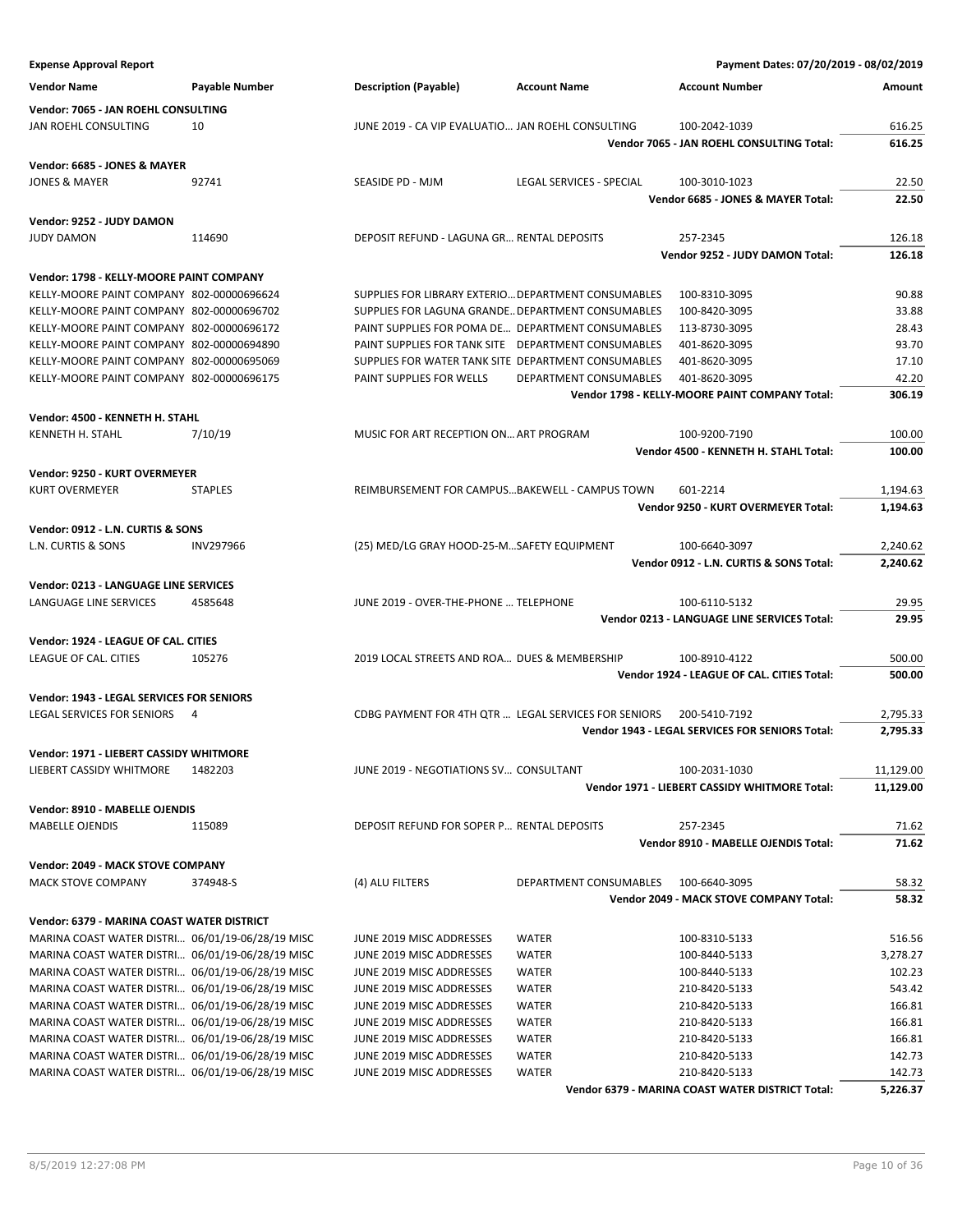| <b>Expense Approval Report</b>                   |                  |                                                      |                          | Payment Dates: 07/20/2019 - 08/02/2019           |           |
|--------------------------------------------------|------------------|------------------------------------------------------|--------------------------|--------------------------------------------------|-----------|
| <b>Vendor Name</b>                               | Payable Number   | <b>Description (Payable)</b>                         | <b>Account Name</b>      | <b>Account Number</b>                            | Amount    |
| Vendor: 7065 - JAN ROEHL CONSULTING              |                  |                                                      |                          |                                                  |           |
| JAN ROEHL CONSULTING                             | 10               | JUNE 2019 - CA VIP EVALUATIO  JAN ROEHL CONSULTING   |                          | 100-2042-1039                                    | 616.25    |
|                                                  |                  |                                                      |                          | Vendor 7065 - JAN ROEHL CONSULTING Total:        | 616.25    |
| Vendor: 6685 - JONES & MAYER                     |                  |                                                      |                          |                                                  |           |
| <b>JONES &amp; MAYER</b>                         | 92741            | SEASIDE PD - MJM                                     | LEGAL SERVICES - SPECIAL | 100-3010-1023                                    | 22.50     |
|                                                  |                  |                                                      |                          | Vendor 6685 - JONES & MAYER Total:               | 22.50     |
| Vendor: 9252 - JUDY DAMON                        |                  |                                                      |                          |                                                  |           |
| <b>JUDY DAMON</b>                                | 114690           | DEPOSIT REFUND - LAGUNA GR RENTAL DEPOSITS           |                          | 257-2345                                         | 126.18    |
|                                                  |                  |                                                      |                          | Vendor 9252 - JUDY DAMON Total:                  | 126.18    |
| Vendor: 1798 - KELLY-MOORE PAINT COMPANY         |                  |                                                      |                          |                                                  |           |
| KELLY-MOORE PAINT COMPANY 802-00000696624        |                  | SUPPLIES FOR LIBRARY EXTERIO DEPARTMENT CONSUMABLES  |                          | 100-8310-3095                                    | 90.88     |
| KELLY-MOORE PAINT COMPANY 802-00000696702        |                  | SUPPLIES FOR LAGUNA GRANDE DEPARTMENT CONSUMABLES    |                          | 100-8420-3095                                    | 33.88     |
| KELLY-MOORE PAINT COMPANY 802-00000696172        |                  | PAINT SUPPLIES FOR POMA DE DEPARTMENT CONSUMABLES    |                          | 113-8730-3095                                    | 28.43     |
| KELLY-MOORE PAINT COMPANY 802-00000694890        |                  | PAINT SUPPLIES FOR TANK SITE DEPARTMENT CONSUMABLES  |                          | 401-8620-3095                                    | 93.70     |
| KELLY-MOORE PAINT COMPANY 802-00000695069        |                  | SUPPLIES FOR WATER TANK SITE DEPARTMENT CONSUMABLES  |                          | 401-8620-3095                                    | 17.10     |
| KELLY-MOORE PAINT COMPANY 802-00000696175        |                  | PAINT SUPPLIES FOR WELLS                             | DEPARTMENT CONSUMABLES   | 401-8620-3095                                    | 42.20     |
|                                                  |                  |                                                      |                          | Vendor 1798 - KELLY-MOORE PAINT COMPANY Total:   | 306.19    |
| Vendor: 4500 - KENNETH H. STAHL                  |                  |                                                      |                          |                                                  |           |
| <b>KENNETH H. STAHL</b>                          | 7/10/19          | MUSIC FOR ART RECEPTION ON ART PROGRAM               |                          | 100-9200-7190                                    | 100.00    |
|                                                  |                  |                                                      |                          | Vendor 4500 - KENNETH H. STAHL Total:            | 100.00    |
|                                                  |                  |                                                      |                          |                                                  |           |
| Vendor: 9250 - KURT OVERMEYER                    |                  |                                                      |                          |                                                  |           |
| <b>KURT OVERMEYER</b>                            | <b>STAPLES</b>   | REIMBURSEMENT FOR CAMPUSBAKEWELL - CAMPUS TOWN       |                          | 601-2214                                         | 1,194.63  |
|                                                  |                  |                                                      |                          | Vendor 9250 - KURT OVERMEYER Total:              | 1,194.63  |
| Vendor: 0912 - L.N. CURTIS & SONS                |                  |                                                      |                          |                                                  |           |
| L.N. CURTIS & SONS                               | <b>INV297966</b> | (25) MED/LG GRAY HOOD-25-MSAFETY EQUIPMENT           |                          | 100-6640-3097                                    | 2,240.62  |
|                                                  |                  |                                                      |                          | Vendor 0912 - L.N. CURTIS & SONS Total:          | 2,240.62  |
| Vendor: 0213 - LANGUAGE LINE SERVICES            |                  |                                                      |                          |                                                  |           |
| LANGUAGE LINE SERVICES                           | 4585648          | JUNE 2019 - OVER-THE-PHONE  TELEPHONE                |                          | 100-6110-5132                                    | 29.95     |
|                                                  |                  |                                                      |                          | Vendor 0213 - LANGUAGE LINE SERVICES Total:      | 29.95     |
| Vendor: 1924 - LEAGUE OF CAL. CITIES             |                  |                                                      |                          |                                                  |           |
| LEAGUE OF CAL. CITIES                            | 105276           | 2019 LOCAL STREETS AND ROA DUES & MEMBERSHIP         |                          | 100-8910-4122                                    | 500.00    |
|                                                  |                  |                                                      |                          | Vendor 1924 - LEAGUE OF CAL. CITIES Total:       | 500.00    |
| Vendor: 1943 - LEGAL SERVICES FOR SENIORS        |                  |                                                      |                          |                                                  |           |
| <b>LEGAL SERVICES FOR SENIORS</b>                | 4                | CDBG PAYMENT FOR 4TH QTR  LEGAL SERVICES FOR SENIORS |                          | 200-5410-7192                                    | 2,795.33  |
|                                                  |                  |                                                      |                          | Vendor 1943 - LEGAL SERVICES FOR SENIORS Total:  | 2,795.33  |
|                                                  |                  |                                                      |                          |                                                  |           |
| Vendor: 1971 - LIEBERT CASSIDY WHITMORE          | 1482203          | JUNE 2019 - NEGOTIATIONS SV CONSULTANT               |                          |                                                  | 11,129.00 |
| LIEBERT CASSIDY WHITMORE                         |                  |                                                      |                          | 100-2031-1030                                    |           |
|                                                  |                  |                                                      |                          | Vendor 1971 - LIEBERT CASSIDY WHITMORE Total:    | 11,129.00 |
| Vendor: 8910 - MABELLE OJENDIS                   |                  |                                                      |                          |                                                  |           |
| <b>MABELLE OJENDIS</b>                           | 115089           | DEPOSIT REFUND FOR SOPER P RENTAL DEPOSITS           |                          | 257-2345                                         | 71.62     |
|                                                  |                  |                                                      |                          | Vendor 8910 - MABELLE OJENDIS Total:             | 71.62     |
| Vendor: 2049 - MACK STOVE COMPANY                |                  |                                                      |                          |                                                  |           |
| MACK STOVE COMPANY                               | 374948-S         | (4) ALU FILTERS                                      | DEPARTMENT CONSUMABLES   | 100-6640-3095                                    | 58.32     |
|                                                  |                  |                                                      |                          | Vendor 2049 - MACK STOVE COMPANY Total:          | 58.32     |
| Vendor: 6379 - MARINA COAST WATER DISTRICT       |                  |                                                      |                          |                                                  |           |
| MARINA COAST WATER DISTRI 06/01/19-06/28/19 MISC |                  | JUNE 2019 MISC ADDRESSES                             | <b>WATER</b>             | 100-8310-5133                                    | 516.56    |
| MARINA COAST WATER DISTRI 06/01/19-06/28/19 MISC |                  | JUNE 2019 MISC ADDRESSES                             | <b>WATER</b>             | 100-8440-5133                                    | 3,278.27  |
| MARINA COAST WATER DISTRI 06/01/19-06/28/19 MISC |                  | JUNE 2019 MISC ADDRESSES                             | <b>WATER</b>             | 100-8440-5133                                    | 102.23    |
| MARINA COAST WATER DISTRI 06/01/19-06/28/19 MISC |                  | JUNE 2019 MISC ADDRESSES                             | <b>WATER</b>             | 210-8420-5133                                    | 543.42    |
|                                                  |                  |                                                      |                          |                                                  |           |
| MARINA COAST WATER DISTRI 06/01/19-06/28/19 MISC |                  | JUNE 2019 MISC ADDRESSES                             | <b>WATER</b>             | 210-8420-5133                                    | 166.81    |
| MARINA COAST WATER DISTRI 06/01/19-06/28/19 MISC |                  | JUNE 2019 MISC ADDRESSES                             | <b>WATER</b>             | 210-8420-5133                                    | 166.81    |
| MARINA COAST WATER DISTRI 06/01/19-06/28/19 MISC |                  | JUNE 2019 MISC ADDRESSES                             | <b>WATER</b>             | 210-8420-5133                                    | 166.81    |
| MARINA COAST WATER DISTRI 06/01/19-06/28/19 MISC |                  | JUNE 2019 MISC ADDRESSES                             | <b>WATER</b>             | 210-8420-5133                                    | 142.73    |
| MARINA COAST WATER DISTRI 06/01/19-06/28/19 MISC |                  | JUNE 2019 MISC ADDRESSES                             | <b>WATER</b>             | 210-8420-5133                                    | 142.73    |
|                                                  |                  |                                                      |                          | Vendor 6379 - MARINA COAST WATER DISTRICT Total: | 5,226.37  |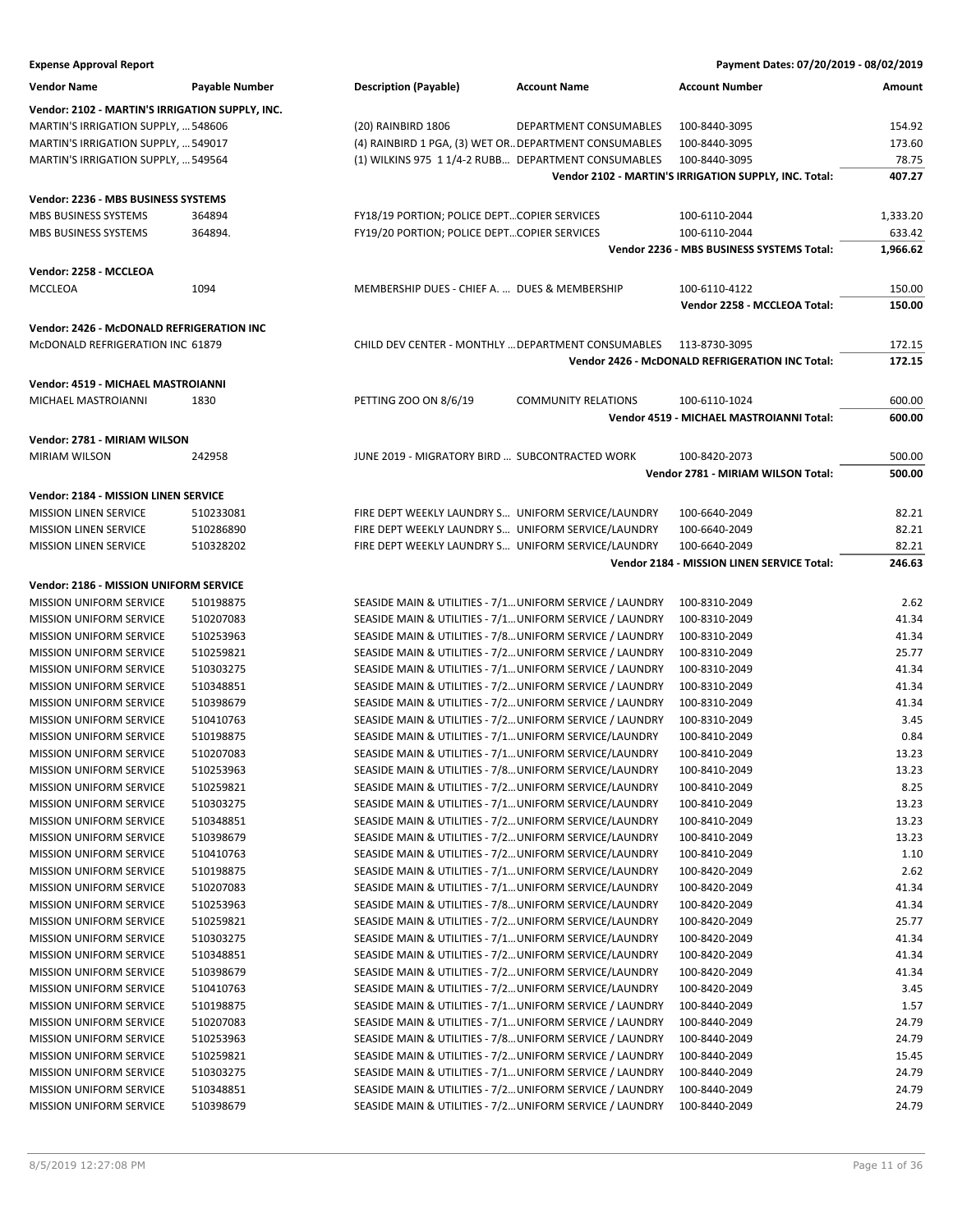| <b>Expense Approval Report</b>                  |                       |                                                          |                            | Payment Dates: 07/20/2019 - 08/02/2019                |          |
|-------------------------------------------------|-----------------------|----------------------------------------------------------|----------------------------|-------------------------------------------------------|----------|
| <b>Vendor Name</b>                              | <b>Payable Number</b> | <b>Description (Payable)</b>                             | <b>Account Name</b>        | <b>Account Number</b>                                 | Amount   |
| Vendor: 2102 - MARTIN'S IRRIGATION SUPPLY, INC. |                       |                                                          |                            |                                                       |          |
| MARTIN'S IRRIGATION SUPPLY,  548606             |                       | (20) RAINBIRD 1806                                       | DEPARTMENT CONSUMABLES     | 100-8440-3095                                         | 154.92   |
| MARTIN'S IRRIGATION SUPPLY,  549017             |                       | (4) RAINBIRD 1 PGA, (3) WET OR DEPARTMENT CONSUMABLES    |                            | 100-8440-3095                                         | 173.60   |
| MARTIN'S IRRIGATION SUPPLY,  549564             |                       | (1) WILKINS 975 1 1/4-2 RUBB DEPARTMENT CONSUMABLES      |                            | 100-8440-3095                                         | 78.75    |
|                                                 |                       |                                                          |                            | Vendor 2102 - MARTIN'S IRRIGATION SUPPLY, INC. Total: | 407.27   |
|                                                 |                       |                                                          |                            |                                                       |          |
| Vendor: 2236 - MBS BUSINESS SYSTEMS             |                       |                                                          |                            |                                                       |          |
| <b>MBS BUSINESS SYSTEMS</b>                     | 364894                | FY18/19 PORTION; POLICE DEPTCOPIER SERVICES              |                            | 100-6110-2044                                         | 1,333.20 |
| <b>MBS BUSINESS SYSTEMS</b>                     | 364894.               | FY19/20 PORTION; POLICE DEPTCOPIER SERVICES              |                            | 100-6110-2044                                         | 633.42   |
|                                                 |                       |                                                          |                            | Vendor 2236 - MBS BUSINESS SYSTEMS Total:             | 1,966.62 |
| Vendor: 2258 - MCCLEOA                          |                       |                                                          |                            |                                                       |          |
| <b>MCCLEOA</b>                                  | 1094                  | MEMBERSHIP DUES - CHIEF A.  DUES & MEMBERSHIP            |                            | 100-6110-4122                                         | 150.00   |
|                                                 |                       |                                                          |                            | Vendor 2258 - MCCLEOA Total:                          | 150.00   |
| Vendor: 2426 - McDONALD REFRIGERATION INC       |                       |                                                          |                            |                                                       |          |
| McDONALD REFRIGERATION INC 61879                |                       | CHILD DEV CENTER - MONTHLY  DEPARTMENT CONSUMABLES       |                            | 113-8730-3095                                         | 172.15   |
|                                                 |                       |                                                          |                            | Vendor 2426 - McDONALD REFRIGERATION INC Total:       | 172.15   |
|                                                 |                       |                                                          |                            |                                                       |          |
| Vendor: 4519 - MICHAEL MASTROIANNI              |                       |                                                          |                            |                                                       |          |
| MICHAEL MASTROIANNI                             | 1830                  | PETTING ZOO ON 8/6/19                                    | <b>COMMUNITY RELATIONS</b> | 100-6110-1024                                         | 600.00   |
|                                                 |                       |                                                          |                            | Vendor 4519 - MICHAEL MASTROIANNI Total:              | 600.00   |
| Vendor: 2781 - MIRIAM WILSON                    |                       |                                                          |                            |                                                       |          |
| <b>MIRIAM WILSON</b>                            | 242958                | JUNE 2019 - MIGRATORY BIRD  SUBCONTRACTED WORK           |                            | 100-8420-2073                                         | 500.00   |
|                                                 |                       |                                                          |                            | Vendor 2781 - MIRIAM WILSON Total:                    | 500.00   |
|                                                 |                       |                                                          |                            |                                                       |          |
| Vendor: 2184 - MISSION LINEN SERVICE            |                       |                                                          |                            |                                                       |          |
| <b>MISSION LINEN SERVICE</b>                    | 510233081             | FIRE DEPT WEEKLY LAUNDRY S UNIFORM SERVICE/LAUNDRY       |                            | 100-6640-2049                                         | 82.21    |
| <b>MISSION LINEN SERVICE</b>                    | 510286890             | FIRE DEPT WEEKLY LAUNDRY S UNIFORM SERVICE/LAUNDRY       |                            | 100-6640-2049                                         | 82.21    |
| <b>MISSION LINEN SERVICE</b>                    | 510328202             | FIRE DEPT WEEKLY LAUNDRY S UNIFORM SERVICE/LAUNDRY       |                            | 100-6640-2049                                         | 82.21    |
|                                                 |                       |                                                          |                            | Vendor 2184 - MISSION LINEN SERVICE Total:            | 246.63   |
| Vendor: 2186 - MISSION UNIFORM SERVICE          |                       |                                                          |                            |                                                       |          |
| MISSION UNIFORM SERVICE                         | 510198875             | SEASIDE MAIN & UTILITIES - 7/1 UNIFORM SERVICE / LAUNDRY |                            | 100-8310-2049                                         | 2.62     |
| <b>MISSION UNIFORM SERVICE</b>                  | 510207083             | SEASIDE MAIN & UTILITIES - 7/1 UNIFORM SERVICE / LAUNDRY |                            | 100-8310-2049                                         | 41.34    |
| <b>MISSION UNIFORM SERVICE</b>                  | 510253963             | SEASIDE MAIN & UTILITIES - 7/8 UNIFORM SERVICE / LAUNDRY |                            | 100-8310-2049                                         | 41.34    |
| <b>MISSION UNIFORM SERVICE</b>                  | 510259821             | SEASIDE MAIN & UTILITIES - 7/2 UNIFORM SERVICE / LAUNDRY |                            | 100-8310-2049                                         | 25.77    |
| <b>MISSION UNIFORM SERVICE</b>                  | 510303275             | SEASIDE MAIN & UTILITIES - 7/1 UNIFORM SERVICE / LAUNDRY |                            | 100-8310-2049                                         | 41.34    |
| <b>MISSION UNIFORM SERVICE</b>                  | 510348851             | SEASIDE MAIN & UTILITIES - 7/2 UNIFORM SERVICE / LAUNDRY |                            | 100-8310-2049                                         | 41.34    |
| <b>MISSION UNIFORM SERVICE</b>                  | 510398679             | SEASIDE MAIN & UTILITIES - 7/2 UNIFORM SERVICE / LAUNDRY |                            | 100-8310-2049                                         | 41.34    |
| MISSION UNIFORM SERVICE                         | 510410763             | SEASIDE MAIN & UTILITIES - 7/2 UNIFORM SERVICE / LAUNDRY |                            | 100-8310-2049                                         | 3.45     |
| <b>MISSION UNIFORM SERVICE</b>                  | 510198875             | SEASIDE MAIN & UTILITIES - 7/1 UNIFORM SERVICE/LAUNDRY   |                            | 100-8410-2049                                         | 0.84     |
| MISSION UNIFORM SERVICE                         | 510207083             | SEASIDE MAIN & UTILITIES - 7/1 UNIFORM SERVICE/LAUNDRY   |                            | 100-8410-2049                                         | 13.23    |
| <b>MISSION UNIFORM SERVICE</b>                  | 510253963             | SEASIDE MAIN & UTILITIES - 7/8 UNIFORM SERVICE/LAUNDRY   |                            | 100-8410-2049                                         | 13.23    |
| <b>MISSION UNIFORM SERVICE</b>                  | 510259821             | SEASIDE MAIN & UTILITIES - 7/2 UNIFORM SERVICE/LAUNDRY   |                            | 100-8410-2049                                         | 8.25     |
| MISSION UNIFORM SERVICE                         | 510303275             | SEASIDE MAIN & UTILITIES - 7/1 UNIFORM SERVICE/LAUNDRY   |                            | 100-8410-2049                                         | 13.23    |
| MISSION UNIFORM SERVICE                         | 510348851             | SEASIDE MAIN & UTILITIES - 7/2 UNIFORM SERVICE/LAUNDRY   |                            | 100-8410-2049                                         | 13.23    |
| <b>MISSION UNIFORM SERVICE</b>                  | 510398679             | SEASIDE MAIN & UTILITIES - 7/2 UNIFORM SERVICE/LAUNDRY   |                            | 100-8410-2049                                         | 13.23    |
| <b>MISSION UNIFORM SERVICE</b>                  | 510410763             | SEASIDE MAIN & UTILITIES - 7/2 UNIFORM SERVICE/LAUNDRY   |                            | 100-8410-2049                                         | 1.10     |
| MISSION UNIFORM SERVICE                         | 510198875             | SEASIDE MAIN & UTILITIES - 7/1 UNIFORM SERVICE/LAUNDRY   |                            | 100-8420-2049                                         | 2.62     |
| MISSION UNIFORM SERVICE                         | 510207083             | SEASIDE MAIN & UTILITIES - 7/1 UNIFORM SERVICE/LAUNDRY   |                            | 100-8420-2049                                         | 41.34    |
| <b>MISSION UNIFORM SERVICE</b>                  | 510253963             | SEASIDE MAIN & UTILITIES - 7/8 UNIFORM SERVICE/LAUNDRY   |                            | 100-8420-2049                                         | 41.34    |
| <b>MISSION UNIFORM SERVICE</b>                  | 510259821             | SEASIDE MAIN & UTILITIES - 7/2 UNIFORM SERVICE/LAUNDRY   |                            | 100-8420-2049                                         | 25.77    |
| <b>MISSION UNIFORM SERVICE</b>                  | 510303275             | SEASIDE MAIN & UTILITIES - 7/1 UNIFORM SERVICE/LAUNDRY   |                            | 100-8420-2049                                         | 41.34    |
| MISSION UNIFORM SERVICE                         | 510348851             | SEASIDE MAIN & UTILITIES - 7/2 UNIFORM SERVICE/LAUNDRY   |                            | 100-8420-2049                                         | 41.34    |
| MISSION UNIFORM SERVICE                         | 510398679             | SEASIDE MAIN & UTILITIES - 7/2 UNIFORM SERVICE/LAUNDRY   |                            | 100-8420-2049                                         | 41.34    |
| <b>MISSION UNIFORM SERVICE</b>                  | 510410763             | SEASIDE MAIN & UTILITIES - 7/2 UNIFORM SERVICE/LAUNDRY   |                            | 100-8420-2049                                         | 3.45     |
| <b>MISSION UNIFORM SERVICE</b>                  | 510198875             | SEASIDE MAIN & UTILITIES - 7/1 UNIFORM SERVICE / LAUNDRY |                            | 100-8440-2049                                         | 1.57     |
| <b>MISSION UNIFORM SERVICE</b>                  | 510207083             | SEASIDE MAIN & UTILITIES - 7/1 UNIFORM SERVICE / LAUNDRY |                            | 100-8440-2049                                         | 24.79    |
| MISSION UNIFORM SERVICE                         | 510253963             | SEASIDE MAIN & UTILITIES - 7/8 UNIFORM SERVICE / LAUNDRY |                            | 100-8440-2049                                         | 24.79    |
| MISSION UNIFORM SERVICE                         | 510259821             | SEASIDE MAIN & UTILITIES - 7/2 UNIFORM SERVICE / LAUNDRY |                            | 100-8440-2049                                         | 15.45    |
| MISSION UNIFORM SERVICE                         | 510303275             | SEASIDE MAIN & UTILITIES - 7/1 UNIFORM SERVICE / LAUNDRY |                            | 100-8440-2049                                         | 24.79    |
| MISSION UNIFORM SERVICE                         | 510348851             | SEASIDE MAIN & UTILITIES - 7/2 UNIFORM SERVICE / LAUNDRY |                            | 100-8440-2049                                         | 24.79    |
| MISSION UNIFORM SERVICE                         | 510398679             | SEASIDE MAIN & UTILITIES - 7/2 UNIFORM SERVICE / LAUNDRY |                            | 100-8440-2049                                         | 24.79    |
|                                                 |                       |                                                          |                            |                                                       |          |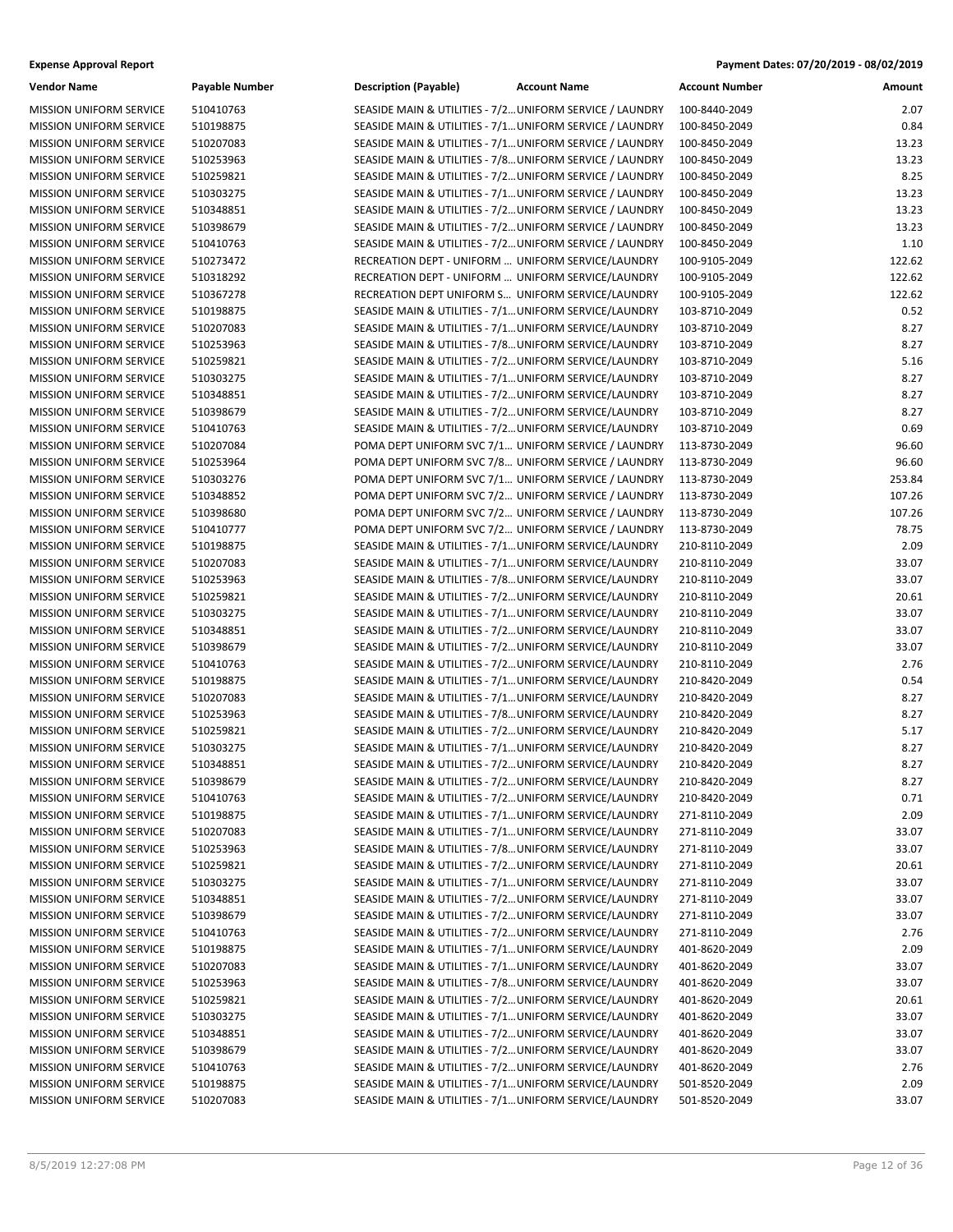| <b>Expense Approval Report</b>                                   |                        |                                                                                                                  |                     |                                | Payment Dates: 07/20/2019 - 08/02/2019 |
|------------------------------------------------------------------|------------------------|------------------------------------------------------------------------------------------------------------------|---------------------|--------------------------------|----------------------------------------|
| <b>Vendor Name</b>                                               | Payable Number         | <b>Description (Payable)</b>                                                                                     | <b>Account Name</b> | <b>Account Number</b>          | Amount                                 |
| <b>MISSION UNIFORM SERVICE</b>                                   | 510410763              | SEASIDE MAIN & UTILITIES - 7/2 UNIFORM SERVICE / LAUNDRY                                                         |                     | 100-8440-2049                  | 2.07                                   |
| <b>MISSION UNIFORM SERVICE</b>                                   | 510198875              | SEASIDE MAIN & UTILITIES - 7/1 UNIFORM SERVICE / LAUNDRY                                                         |                     | 100-8450-2049                  | 0.84                                   |
| <b>MISSION UNIFORM SERVICE</b>                                   | 510207083              | SEASIDE MAIN & UTILITIES - 7/1 UNIFORM SERVICE / LAUNDRY                                                         |                     | 100-8450-2049                  | 13.23                                  |
| MISSION UNIFORM SERVICE                                          | 510253963              | SEASIDE MAIN & UTILITIES - 7/8 UNIFORM SERVICE / LAUNDRY                                                         |                     | 100-8450-2049                  | 13.23                                  |
| <b>MISSION UNIFORM SERVICE</b>                                   | 510259821              | SEASIDE MAIN & UTILITIES - 7/2 UNIFORM SERVICE / LAUNDRY                                                         |                     | 100-8450-2049                  | 8.25                                   |
| MISSION UNIFORM SERVICE                                          | 510303275              | SEASIDE MAIN & UTILITIES - 7/1 UNIFORM SERVICE / LAUNDRY                                                         |                     | 100-8450-2049                  | 13.23                                  |
| <b>MISSION UNIFORM SERVICE</b>                                   | 510348851              | SEASIDE MAIN & UTILITIES - 7/2 UNIFORM SERVICE / LAUNDRY                                                         |                     | 100-8450-2049                  | 13.23                                  |
| <b>MISSION UNIFORM SERVICE</b>                                   | 510398679              | SEASIDE MAIN & UTILITIES - 7/2 UNIFORM SERVICE / LAUNDRY                                                         |                     | 100-8450-2049                  | 13.23                                  |
| MISSION UNIFORM SERVICE                                          | 510410763              | SEASIDE MAIN & UTILITIES - 7/2 UNIFORM SERVICE / LAUNDRY                                                         |                     | 100-8450-2049                  | 1.10                                   |
| <b>MISSION UNIFORM SERVICE</b>                                   | 510273472              | RECREATION DEPT - UNIFORM  UNIFORM SERVICE/LAUNDRY                                                               |                     | 100-9105-2049                  | 122.62                                 |
| MISSION UNIFORM SERVICE                                          | 510318292              | RECREATION DEPT - UNIFORM  UNIFORM SERVICE/LAUNDRY                                                               |                     | 100-9105-2049                  | 122.62                                 |
| MISSION UNIFORM SERVICE                                          | 510367278              | RECREATION DEPT UNIFORM S UNIFORM SERVICE/LAUNDRY                                                                |                     | 100-9105-2049                  | 122.62                                 |
| <b>MISSION UNIFORM SERVICE</b>                                   | 510198875              | SEASIDE MAIN & UTILITIES - 7/1 UNIFORM SERVICE/LAUNDRY                                                           |                     | 103-8710-2049                  | 0.52                                   |
| <b>MISSION UNIFORM SERVICE</b>                                   | 510207083              | SEASIDE MAIN & UTILITIES - 7/1 UNIFORM SERVICE/LAUNDRY                                                           |                     | 103-8710-2049                  | 8.27                                   |
| <b>MISSION UNIFORM SERVICE</b>                                   | 510253963              | SEASIDE MAIN & UTILITIES - 7/8 UNIFORM SERVICE/LAUNDRY                                                           |                     | 103-8710-2049                  | 8.27                                   |
| MISSION UNIFORM SERVICE                                          | 510259821              | SEASIDE MAIN & UTILITIES - 7/2 UNIFORM SERVICE/LAUNDRY                                                           |                     | 103-8710-2049                  | 5.16                                   |
| <b>MISSION UNIFORM SERVICE</b>                                   | 510303275              | SEASIDE MAIN & UTILITIES - 7/1 UNIFORM SERVICE/LAUNDRY                                                           |                     | 103-8710-2049                  | 8.27                                   |
| <b>MISSION UNIFORM SERVICE</b>                                   | 510348851              | SEASIDE MAIN & UTILITIES - 7/2 UNIFORM SERVICE/LAUNDRY                                                           |                     | 103-8710-2049                  | 8.27                                   |
| <b>MISSION UNIFORM SERVICE</b>                                   | 510398679              | SEASIDE MAIN & UTILITIES - 7/2 UNIFORM SERVICE/LAUNDRY                                                           |                     | 103-8710-2049                  | 8.27                                   |
| <b>MISSION UNIFORM SERVICE</b>                                   | 510410763              | SEASIDE MAIN & UTILITIES - 7/2 UNIFORM SERVICE/LAUNDRY                                                           |                     | 103-8710-2049                  | 0.69                                   |
| MISSION UNIFORM SERVICE                                          | 510207084              | POMA DEPT UNIFORM SVC 7/1 UNIFORM SERVICE / LAUNDRY                                                              |                     | 113-8730-2049                  | 96.60                                  |
| MISSION UNIFORM SERVICE                                          | 510253964              | POMA DEPT UNIFORM SVC 7/8 UNIFORM SERVICE / LAUNDRY                                                              |                     | 113-8730-2049                  | 96.60                                  |
| <b>MISSION UNIFORM SERVICE</b>                                   | 510303276              | POMA DEPT UNIFORM SVC 7/1 UNIFORM SERVICE / LAUNDRY                                                              |                     | 113-8730-2049                  | 253.84                                 |
| MISSION UNIFORM SERVICE                                          | 510348852              | POMA DEPT UNIFORM SVC 7/2 UNIFORM SERVICE / LAUNDRY                                                              |                     | 113-8730-2049                  | 107.26                                 |
| MISSION UNIFORM SERVICE                                          | 510398680              | POMA DEPT UNIFORM SVC 7/2 UNIFORM SERVICE / LAUNDRY                                                              |                     | 113-8730-2049                  | 107.26                                 |
| MISSION UNIFORM SERVICE                                          | 510410777              | POMA DEPT UNIFORM SVC 7/2 UNIFORM SERVICE / LAUNDRY                                                              |                     | 113-8730-2049                  | 78.75                                  |
| <b>MISSION UNIFORM SERVICE</b>                                   | 510198875              | SEASIDE MAIN & UTILITIES - 7/1 UNIFORM SERVICE/LAUNDRY                                                           |                     | 210-8110-2049                  | 2.09                                   |
| <b>MISSION UNIFORM SERVICE</b>                                   | 510207083              | SEASIDE MAIN & UTILITIES - 7/1 UNIFORM SERVICE/LAUNDRY                                                           |                     | 210-8110-2049                  | 33.07                                  |
| MISSION UNIFORM SERVICE                                          | 510253963              | SEASIDE MAIN & UTILITIES - 7/8 UNIFORM SERVICE/LAUNDRY                                                           |                     | 210-8110-2049                  | 33.07                                  |
| <b>MISSION UNIFORM SERVICE</b>                                   | 510259821              | SEASIDE MAIN & UTILITIES - 7/2 UNIFORM SERVICE/LAUNDRY                                                           |                     | 210-8110-2049                  | 20.61<br>33.07                         |
| <b>MISSION UNIFORM SERVICE</b><br><b>MISSION UNIFORM SERVICE</b> | 510303275<br>510348851 | SEASIDE MAIN & UTILITIES - 7/1 UNIFORM SERVICE/LAUNDRY<br>SEASIDE MAIN & UTILITIES - 7/2 UNIFORM SERVICE/LAUNDRY |                     | 210-8110-2049<br>210-8110-2049 | 33.07                                  |
| <b>MISSION UNIFORM SERVICE</b>                                   | 510398679              | SEASIDE MAIN & UTILITIES - 7/2 UNIFORM SERVICE/LAUNDRY                                                           |                     | 210-8110-2049                  | 33.07                                  |
| <b>MISSION UNIFORM SERVICE</b>                                   | 510410763              | SEASIDE MAIN & UTILITIES - 7/2 UNIFORM SERVICE/LAUNDRY                                                           |                     | 210-8110-2049                  | 2.76                                   |
| MISSION UNIFORM SERVICE                                          | 510198875              | SEASIDE MAIN & UTILITIES - 7/1 UNIFORM SERVICE/LAUNDRY                                                           |                     | 210-8420-2049                  | 0.54                                   |
| MISSION UNIFORM SERVICE                                          | 510207083              | SEASIDE MAIN & UTILITIES - 7/1 UNIFORM SERVICE/LAUNDRY                                                           |                     | 210-8420-2049                  | 8.27                                   |
| <b>MISSION UNIFORM SERVICE</b>                                   | 510253963              | SEASIDE MAIN & UTILITIES - 7/8 UNIFORM SERVICE/LAUNDRY                                                           |                     | 210-8420-2049                  | 8.27                                   |
| MISSION UNIFORM SERVICE                                          | 510259821              | SEASIDE MAIN & UTILITIES - 7/2 UNIFORM SERVICE/LAUNDRY                                                           |                     | 210-8420-2049                  | 5.17                                   |
| <b>MISSION UNIFORM SERVICE</b>                                   | 510303275              | SEASIDE MAIN & UTILITIES - 7/1 UNIFORM SERVICE/LAUNDRY                                                           |                     | 210-8420-2049                  | 8.27                                   |
| MISSION UNIFORM SERVICE                                          | 510348851              | SEASIDE MAIN & UTILITIES - 7/2 UNIFORM SERVICE/LAUNDRY                                                           |                     | 210-8420-2049                  | 8.27                                   |
| <b>MISSION UNIFORM SERVICE</b>                                   | 510398679              | SEASIDE MAIN & UTILITIES - 7/2 UNIFORM SERVICE/LAUNDRY                                                           |                     | 210-8420-2049                  | 8.27                                   |
| MISSION UNIFORM SERVICE                                          | 510410763              | SEASIDE MAIN & UTILITIES - 7/2 UNIFORM SERVICE/LAUNDRY                                                           |                     | 210-8420-2049                  | 0.71                                   |
| MISSION UNIFORM SERVICE                                          | 510198875              | SEASIDE MAIN & UTILITIES - 7/1 UNIFORM SERVICE/LAUNDRY                                                           |                     | 271-8110-2049                  | 2.09                                   |
| MISSION UNIFORM SERVICE                                          | 510207083              | SEASIDE MAIN & UTILITIES - 7/1 UNIFORM SERVICE/LAUNDRY                                                           |                     | 271-8110-2049                  | 33.07                                  |
| MISSION UNIFORM SERVICE                                          | 510253963              | SEASIDE MAIN & UTILITIES - 7/8 UNIFORM SERVICE/LAUNDRY                                                           |                     | 271-8110-2049                  | 33.07                                  |
| MISSION UNIFORM SERVICE                                          | 510259821              | SEASIDE MAIN & UTILITIES - 7/2 UNIFORM SERVICE/LAUNDRY                                                           |                     | 271-8110-2049                  | 20.61                                  |
| MISSION UNIFORM SERVICE                                          | 510303275              | SEASIDE MAIN & UTILITIES - 7/1 UNIFORM SERVICE/LAUNDRY                                                           |                     | 271-8110-2049                  | 33.07                                  |
| MISSION UNIFORM SERVICE                                          | 510348851              | SEASIDE MAIN & UTILITIES - 7/2 UNIFORM SERVICE/LAUNDRY                                                           |                     | 271-8110-2049                  | 33.07                                  |
| MISSION UNIFORM SERVICE                                          | 510398679              | SEASIDE MAIN & UTILITIES - 7/2 UNIFORM SERVICE/LAUNDRY                                                           |                     | 271-8110-2049                  | 33.07                                  |
| MISSION UNIFORM SERVICE                                          | 510410763              | SEASIDE MAIN & UTILITIES - 7/2 UNIFORM SERVICE/LAUNDRY                                                           |                     | 271-8110-2049                  | 2.76                                   |
| <b>MISSION UNIFORM SERVICE</b>                                   | 510198875              | SEASIDE MAIN & UTILITIES - 7/1 UNIFORM SERVICE/LAUNDRY                                                           |                     | 401-8620-2049                  | 2.09                                   |
| MISSION UNIFORM SERVICE                                          | 510207083              | SEASIDE MAIN & UTILITIES - 7/1 UNIFORM SERVICE/LAUNDRY                                                           |                     | 401-8620-2049                  | 33.07                                  |
| MISSION UNIFORM SERVICE                                          | 510253963              | SEASIDE MAIN & UTILITIES - 7/8 UNIFORM SERVICE/LAUNDRY                                                           |                     | 401-8620-2049                  | 33.07                                  |
| MISSION UNIFORM SERVICE                                          | 510259821              | SEASIDE MAIN & UTILITIES - 7/2 UNIFORM SERVICE/LAUNDRY                                                           |                     | 401-8620-2049                  | 20.61                                  |
| MISSION UNIFORM SERVICE                                          | 510303275              | SEASIDE MAIN & UTILITIES - 7/1 UNIFORM SERVICE/LAUNDRY                                                           |                     | 401-8620-2049                  | 33.07                                  |
| <b>MISSION UNIFORM SERVICE</b>                                   | 510348851              | SEASIDE MAIN & UTILITIES - 7/2 UNIFORM SERVICE/LAUNDRY                                                           |                     | 401-8620-2049                  | 33.07                                  |
| MISSION UNIFORM SERVICE                                          | 510398679              | SEASIDE MAIN & UTILITIES - 7/2 UNIFORM SERVICE/LAUNDRY                                                           |                     | 401-8620-2049                  | 33.07                                  |
| MISSION UNIFORM SERVICE                                          | 510410763              | SEASIDE MAIN & UTILITIES - 7/2 UNIFORM SERVICE/LAUNDRY                                                           |                     | 401-8620-2049                  | 2.76                                   |
| MISSION UNIFORM SERVICE                                          | 510198875              | SEASIDE MAIN & UTILITIES - 7/1 UNIFORM SERVICE/LAUNDRY                                                           |                     | 501-8520-2049                  | 2.09                                   |
| MISSION UNIFORM SERVICE                                          | 510207083              | SEASIDE MAIN & UTILITIES - 7/1 UNIFORM SERVICE/LAUNDRY                                                           |                     | 501-8520-2049                  | 33.07                                  |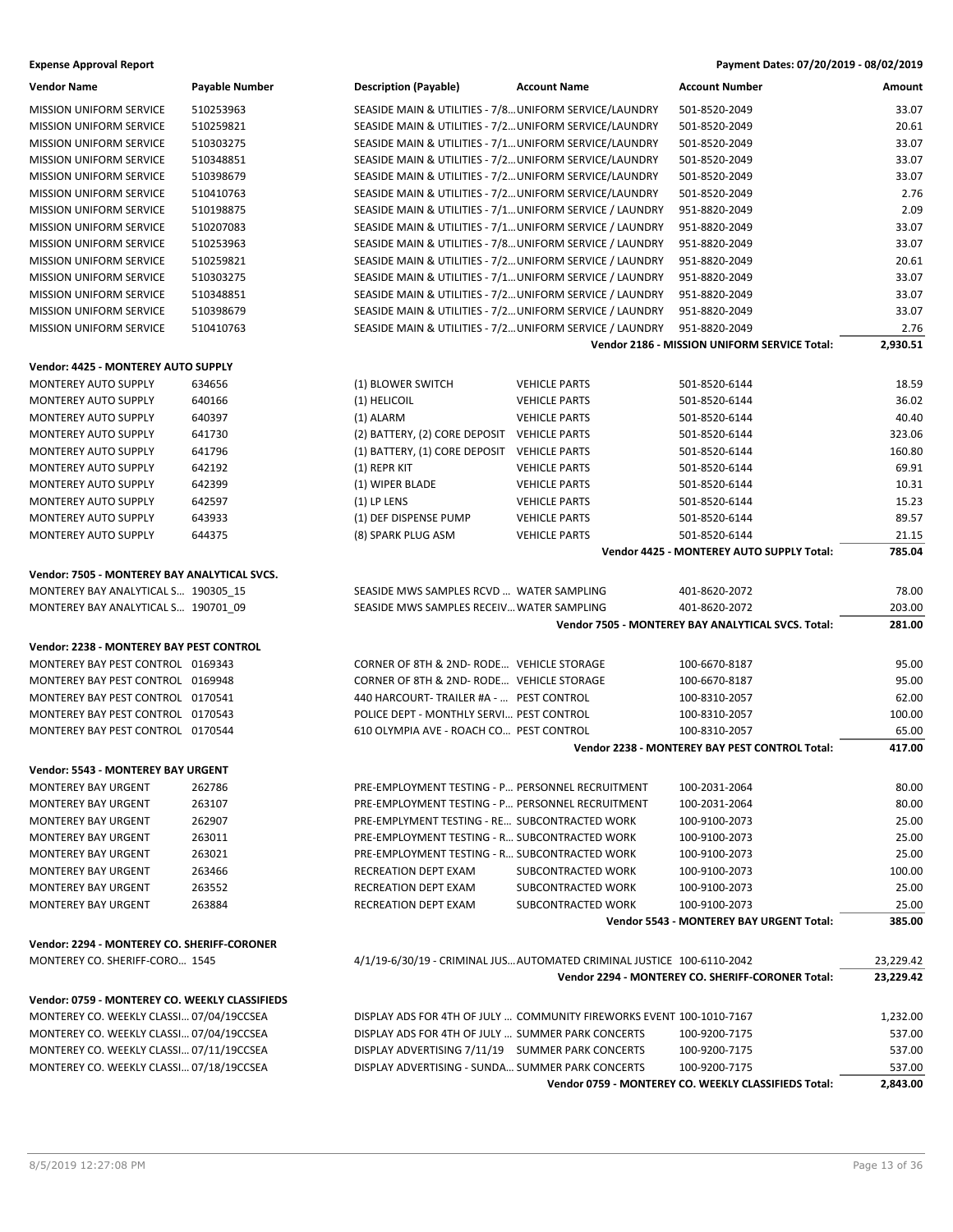| <b>Vendor Name</b>                             | Payable Number | <b>Description (Payable)</b>                             | <b>Account Name</b>                                                    | <b>Account Number</b>                                         | Amount           |
|------------------------------------------------|----------------|----------------------------------------------------------|------------------------------------------------------------------------|---------------------------------------------------------------|------------------|
| <b>MISSION UNIFORM SERVICE</b>                 | 510253963      | SEASIDE MAIN & UTILITIES - 7/8 UNIFORM SERVICE/LAUNDRY   |                                                                        | 501-8520-2049                                                 | 33.07            |
| <b>MISSION UNIFORM SERVICE</b>                 | 510259821      | SEASIDE MAIN & UTILITIES - 7/2 UNIFORM SERVICE/LAUNDRY   |                                                                        | 501-8520-2049                                                 | 20.61            |
| <b>MISSION UNIFORM SERVICE</b>                 | 510303275      | SEASIDE MAIN & UTILITIES - 7/1 UNIFORM SERVICE/LAUNDRY   |                                                                        | 501-8520-2049                                                 | 33.07            |
| <b>MISSION UNIFORM SERVICE</b>                 | 510348851      | SEASIDE MAIN & UTILITIES - 7/2 UNIFORM SERVICE/LAUNDRY   |                                                                        | 501-8520-2049                                                 | 33.07            |
| <b>MISSION UNIFORM SERVICE</b>                 | 510398679      | SEASIDE MAIN & UTILITIES - 7/2 UNIFORM SERVICE/LAUNDRY   |                                                                        | 501-8520-2049                                                 | 33.07            |
| <b>MISSION UNIFORM SERVICE</b>                 | 510410763      | SEASIDE MAIN & UTILITIES - 7/2 UNIFORM SERVICE/LAUNDRY   |                                                                        | 501-8520-2049                                                 | 2.76             |
| <b>MISSION UNIFORM SERVICE</b>                 | 510198875      | SEASIDE MAIN & UTILITIES - 7/1 UNIFORM SERVICE / LAUNDRY |                                                                        | 951-8820-2049                                                 | 2.09             |
| <b>MISSION UNIFORM SERVICE</b>                 | 510207083      | SEASIDE MAIN & UTILITIES - 7/1 UNIFORM SERVICE / LAUNDRY |                                                                        | 951-8820-2049                                                 | 33.07            |
| <b>MISSION UNIFORM SERVICE</b>                 | 510253963      | SEASIDE MAIN & UTILITIES - 7/8 UNIFORM SERVICE / LAUNDRY |                                                                        | 951-8820-2049                                                 | 33.07            |
| <b>MISSION UNIFORM SERVICE</b>                 | 510259821      | SEASIDE MAIN & UTILITIES - 7/2 UNIFORM SERVICE / LAUNDRY |                                                                        | 951-8820-2049                                                 | 20.61            |
| <b>MISSION UNIFORM SERVICE</b>                 | 510303275      | SEASIDE MAIN & UTILITIES - 7/1 UNIFORM SERVICE / LAUNDRY |                                                                        | 951-8820-2049                                                 | 33.07            |
| <b>MISSION UNIFORM SERVICE</b>                 | 510348851      | SEASIDE MAIN & UTILITIES - 7/2 UNIFORM SERVICE / LAUNDRY |                                                                        | 951-8820-2049                                                 | 33.07            |
| <b>MISSION UNIFORM SERVICE</b>                 | 510398679      | SEASIDE MAIN & UTILITIES - 7/2 UNIFORM SERVICE / LAUNDRY |                                                                        | 951-8820-2049                                                 | 33.07            |
| <b>MISSION UNIFORM SERVICE</b>                 | 510410763      | SEASIDE MAIN & UTILITIES - 7/2 UNIFORM SERVICE / LAUNDRY |                                                                        | 951-8820-2049<br>Vendor 2186 - MISSION UNIFORM SERVICE Total: | 2.76<br>2,930.51 |
|                                                |                |                                                          |                                                                        |                                                               |                  |
| Vendor: 4425 - MONTEREY AUTO SUPPLY            |                |                                                          |                                                                        |                                                               |                  |
| <b>MONTEREY AUTO SUPPLY</b>                    | 634656         | (1) BLOWER SWITCH                                        | <b>VEHICLE PARTS</b>                                                   | 501-8520-6144                                                 | 18.59            |
| <b>MONTEREY AUTO SUPPLY</b>                    | 640166         | (1) HELICOIL                                             | <b>VEHICLE PARTS</b>                                                   | 501-8520-6144                                                 | 36.02            |
| MONTEREY AUTO SUPPLY                           | 640397         | (1) ALARM                                                | <b>VEHICLE PARTS</b>                                                   | 501-8520-6144                                                 | 40.40            |
| MONTEREY AUTO SUPPLY                           | 641730         | (2) BATTERY, (2) CORE DEPOSIT VEHICLE PARTS              |                                                                        | 501-8520-6144                                                 | 323.06           |
| MONTEREY AUTO SUPPLY                           | 641796         | (1) BATTERY, (1) CORE DEPOSIT VEHICLE PARTS              |                                                                        | 501-8520-6144                                                 | 160.80           |
| MONTEREY AUTO SUPPLY                           | 642192         | (1) REPR KIT                                             | <b>VEHICLE PARTS</b>                                                   | 501-8520-6144                                                 | 69.91            |
| MONTEREY AUTO SUPPLY                           | 642399         | (1) WIPER BLADE                                          | <b>VEHICLE PARTS</b>                                                   | 501-8520-6144                                                 | 10.31            |
| MONTEREY AUTO SUPPLY                           | 642597         | $(1)$ LP LENS                                            | <b>VEHICLE PARTS</b>                                                   | 501-8520-6144                                                 | 15.23            |
| MONTEREY AUTO SUPPLY                           | 643933         | (1) DEF DISPENSE PUMP                                    | <b>VEHICLE PARTS</b>                                                   | 501-8520-6144                                                 | 89.57            |
| MONTEREY AUTO SUPPLY                           | 644375         | (8) SPARK PLUG ASM                                       | <b>VEHICLE PARTS</b>                                                   | 501-8520-6144                                                 | 21.15            |
|                                                |                |                                                          |                                                                        | Vendor 4425 - MONTEREY AUTO SUPPLY Total:                     | 785.04           |
| Vendor: 7505 - MONTEREY BAY ANALYTICAL SVCS.   |                |                                                          |                                                                        |                                                               |                  |
| MONTEREY BAY ANALYTICAL S 190305_15            |                | SEASIDE MWS SAMPLES RCVD  WATER SAMPLING                 |                                                                        | 401-8620-2072                                                 | 78.00            |
| MONTEREY BAY ANALYTICAL S 190701_09            |                | SEASIDE MWS SAMPLES RECEIV WATER SAMPLING                |                                                                        | 401-8620-2072                                                 | 203.00           |
|                                                |                |                                                          |                                                                        | Vendor 7505 - MONTEREY BAY ANALYTICAL SVCS. Total:            | 281.00           |
| Vendor: 2238 - MONTEREY BAY PEST CONTROL       |                |                                                          |                                                                        |                                                               |                  |
| MONTEREY BAY PEST CONTROL 0169343              |                | CORNER OF 8TH & 2ND-RODE VEHICLE STORAGE                 |                                                                        | 100-6670-8187                                                 | 95.00            |
| MONTEREY BAY PEST CONTROL 0169948              |                | CORNER OF 8TH & 2ND-RODE VEHICLE STORAGE                 |                                                                        | 100-6670-8187                                                 | 95.00            |
| MONTEREY BAY PEST CONTROL 0170541              |                | 440 HARCOURT- TRAILER #A -  PEST CONTROL                 |                                                                        | 100-8310-2057                                                 | 62.00            |
| MONTEREY BAY PEST CONTROL 0170543              |                | POLICE DEPT - MONTHLY SERVI PEST CONTROL                 |                                                                        | 100-8310-2057                                                 | 100.00           |
| MONTEREY BAY PEST CONTROL 0170544              |                | 610 OLYMPIA AVE - ROACH CO PEST CONTROL                  |                                                                        | 100-8310-2057                                                 | 65.00            |
|                                                |                |                                                          |                                                                        | Vendor 2238 - MONTEREY BAY PEST CONTROL Total:                | 417.00           |
| Vendor: 5543 - MONTEREY BAY URGENT             |                |                                                          |                                                                        |                                                               |                  |
| MONTEREY BAY URGENT                            | 262786         | PRE-EMPLOYMENT TESTING - P PERSONNEL RECRUITMENT         |                                                                        | 100-2031-2064                                                 | 80.00            |
| <b>MONTEREY BAY URGENT</b>                     | 263107         | PRE-EMPLOYMENT TESTING - P PERSONNEL RECRUITMENT         |                                                                        | 100-2031-2064                                                 | 80.00            |
| <b>MONTEREY BAY URGENT</b>                     | 262907         | PRE-EMPLYMENT TESTING - RE SUBCONTRACTED WORK            |                                                                        | 100-9100-2073                                                 | 25.00            |
| MONTEREY BAY URGENT                            | 263011         | PRE-EMPLOYMENT TESTING - R SUBCONTRACTED WORK            |                                                                        | 100-9100-2073                                                 | 25.00            |
| MONTEREY BAY URGENT                            | 263021         | PRE-EMPLOYMENT TESTING - R SUBCONTRACTED WORK            |                                                                        | 100-9100-2073                                                 | 25.00            |
| MONTEREY BAY URGENT                            | 263466         | RECREATION DEPT EXAM                                     | SUBCONTRACTED WORK                                                     | 100-9100-2073                                                 | 100.00           |
| <b>MONTEREY BAY URGENT</b>                     | 263552         | RECREATION DEPT EXAM                                     | SUBCONTRACTED WORK                                                     | 100-9100-2073                                                 | 25.00            |
| <b>MONTEREY BAY URGENT</b>                     | 263884         | RECREATION DEPT EXAM                                     | SUBCONTRACTED WORK                                                     | 100-9100-2073                                                 | 25.00            |
|                                                |                |                                                          |                                                                        | Vendor 5543 - MONTEREY BAY URGENT Total:                      | 385.00           |
| Vendor: 2294 - MONTEREY CO. SHERIFF-CORONER    |                |                                                          |                                                                        |                                                               |                  |
| MONTEREY CO. SHERIFF-CORO 1545                 |                |                                                          | 4/1/19-6/30/19 - CRIMINAL JUS AUTOMATED CRIMINAL JUSTICE 100-6110-2042 |                                                               | 23,229.42        |
|                                                |                |                                                          |                                                                        | Vendor 2294 - MONTEREY CO. SHERIFF-CORONER Total:             | 23,229.42        |
| Vendor: 0759 - MONTEREY CO. WEEKLY CLASSIFIEDS |                |                                                          |                                                                        |                                                               |                  |
| MONTEREY CO. WEEKLY CLASSI 07/04/19CCSEA       |                |                                                          | DISPLAY ADS FOR 4TH OF JULY  COMMUNITY FIREWORKS EVENT 100-1010-7167   |                                                               | 1,232.00         |
| MONTEREY CO. WEEKLY CLASSI 07/04/19CCSEA       |                | DISPLAY ADS FOR 4TH OF JULY  SUMMER PARK CONCERTS        |                                                                        | 100-9200-7175                                                 | 537.00           |
| MONTEREY CO. WEEKLY CLASSI 07/11/19CCSEA       |                | DISPLAY ADVERTISING 7/11/19 SUMMER PARK CONCERTS         |                                                                        | 100-9200-7175                                                 | 537.00           |
| MONTEREY CO. WEEKLY CLASSI 07/18/19CCSEA       |                | DISPLAY ADVERTISING - SUNDA SUMMER PARK CONCERTS         |                                                                        | 100-9200-7175                                                 | 537.00           |
|                                                |                |                                                          |                                                                        | Vendor 0759 - MONTEREY CO. WEEKLY CLASSIFIEDS Total:          | 2,843.00         |
|                                                |                |                                                          |                                                                        |                                                               |                  |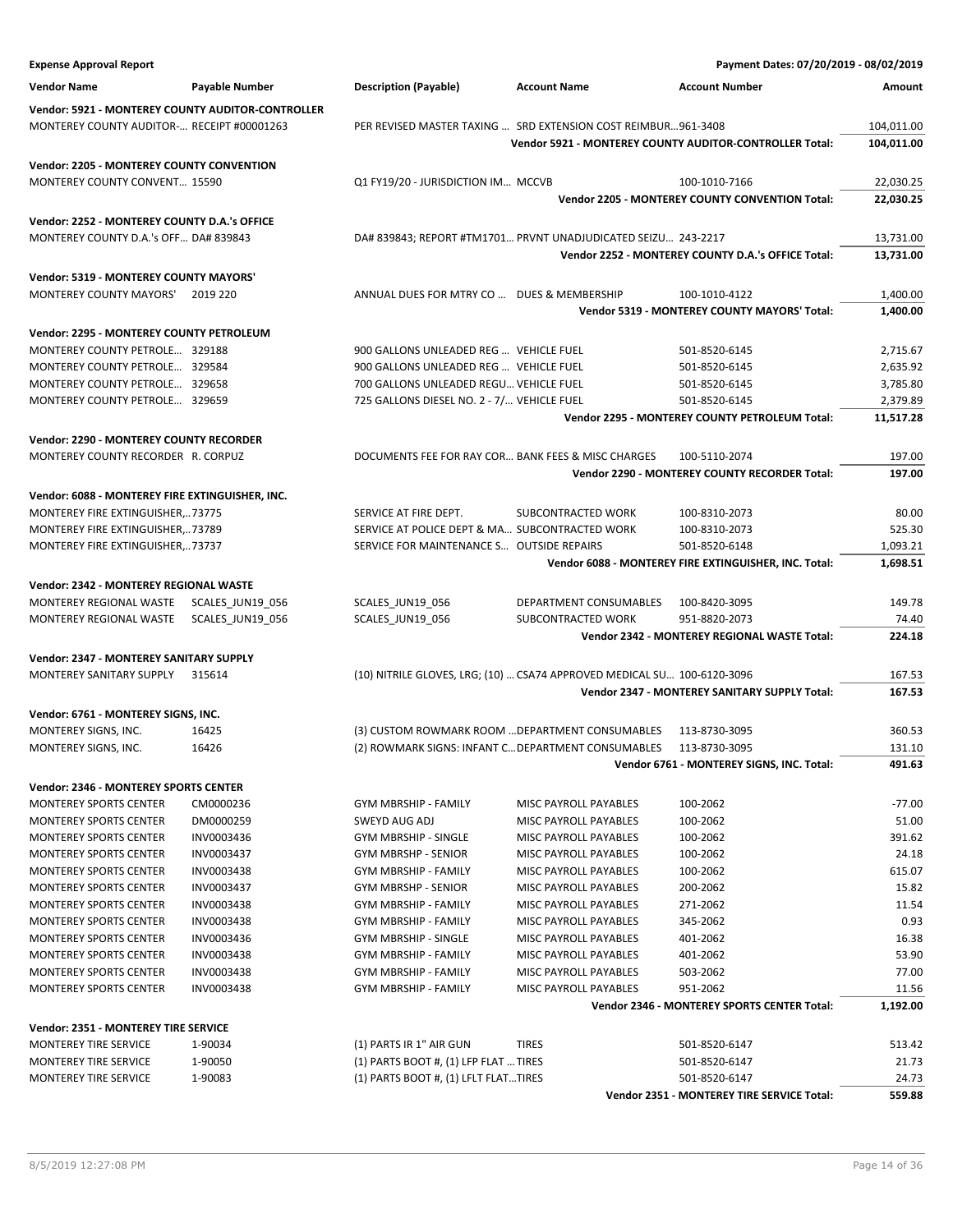| <b>Expense Approval Report</b>                                 |                         |                                                    |                                                                         | Payment Dates: 07/20/2019 - 08/02/2019                  |                 |
|----------------------------------------------------------------|-------------------------|----------------------------------------------------|-------------------------------------------------------------------------|---------------------------------------------------------|-----------------|
| <b>Vendor Name</b>                                             | Payable Number          | <b>Description (Payable)</b>                       | <b>Account Name</b>                                                     | <b>Account Number</b>                                   | Amount          |
| Vendor: 5921 - MONTEREY COUNTY AUDITOR-CONTROLLER              |                         |                                                    |                                                                         |                                                         |                 |
| MONTEREY COUNTY AUDITOR- RECEIPT #00001263                     |                         |                                                    | PER REVISED MASTER TAXING  SRD EXTENSION COST REIMBUR961-3408           |                                                         | 104,011.00      |
|                                                                |                         |                                                    |                                                                         | Vendor 5921 - MONTEREY COUNTY AUDITOR-CONTROLLER Total: | 104,011.00      |
| Vendor: 2205 - MONTEREY COUNTY CONVENTION                      |                         |                                                    |                                                                         |                                                         |                 |
| MONTEREY COUNTY CONVENT 15590                                  |                         | Q1 FY19/20 - JURISDICTION IM MCCVB                 |                                                                         | 100-1010-7166                                           | 22,030.25       |
|                                                                |                         |                                                    |                                                                         | Vendor 2205 - MONTEREY COUNTY CONVENTION Total:         | 22,030.25       |
| Vendor: 2252 - MONTEREY COUNTY D.A.'s OFFICE                   |                         |                                                    |                                                                         |                                                         |                 |
| MONTEREY COUNTY D.A.'s OFF DA# 839843                          |                         |                                                    | DA# 839843; REPORT #TM1701 PRVNT UNADJUDICATED SEIZU 243-2217           |                                                         | 13,731.00       |
|                                                                |                         |                                                    |                                                                         | Vendor 2252 - MONTEREY COUNTY D.A.'s OFFICE Total:      | 13,731.00       |
| Vendor: 5319 - MONTEREY COUNTY MAYORS'                         |                         |                                                    |                                                                         |                                                         |                 |
| <b>MONTEREY COUNTY MAYORS'</b>                                 | 2019 220                | ANNUAL DUES FOR MTRY CO  DUES & MEMBERSHIP         |                                                                         | 100-1010-4122                                           | 1,400.00        |
|                                                                |                         |                                                    |                                                                         | Vendor 5319 - MONTEREY COUNTY MAYORS' Total:            | 1,400.00        |
| Vendor: 2295 - MONTEREY COUNTY PETROLEUM                       |                         |                                                    |                                                                         |                                                         |                 |
| MONTEREY COUNTY PETROLE 329188                                 |                         | 900 GALLONS UNLEADED REG  VEHICLE FUEL             |                                                                         | 501-8520-6145                                           | 2,715.67        |
| MONTEREY COUNTY PETROLE 329584                                 |                         | 900 GALLONS UNLEADED REG  VEHICLE FUEL             |                                                                         | 501-8520-6145                                           | 2,635.92        |
| MONTEREY COUNTY PETROLE 329658                                 |                         | 700 GALLONS UNLEADED REGU VEHICLE FUEL             |                                                                         | 501-8520-6145                                           | 3,785.80        |
| MONTEREY COUNTY PETROLE 329659                                 |                         | 725 GALLONS DIESEL NO. 2 - 7/ VEHICLE FUEL         |                                                                         | 501-8520-6145                                           | 2,379.89        |
|                                                                |                         |                                                    |                                                                         | <b>Vendor 2295 - MONTEREY COUNTY PETROLEUM Total:</b>   | 11,517.28       |
| Vendor: 2290 - MONTEREY COUNTY RECORDER                        |                         |                                                    |                                                                         |                                                         |                 |
| MONTEREY COUNTY RECORDER R. CORPUZ                             |                         | DOCUMENTS FEE FOR RAY COR BANK FEES & MISC CHARGES |                                                                         | 100-5110-2074                                           | 197.00          |
|                                                                |                         |                                                    |                                                                         | Vendor 2290 - MONTEREY COUNTY RECORDER Total:           | 197.00          |
| Vendor: 6088 - MONTEREY FIRE EXTINGUISHER, INC.                |                         |                                                    |                                                                         |                                                         |                 |
| MONTEREY FIRE EXTINGUISHER,73775                               |                         | SERVICE AT FIRE DEPT.                              | SUBCONTRACTED WORK                                                      | 100-8310-2073                                           | 80.00           |
| MONTEREY FIRE EXTINGUISHER,73789                               |                         | SERVICE AT POLICE DEPT & MA SUBCONTRACTED WORK     |                                                                         | 100-8310-2073                                           | 525.30          |
| MONTEREY FIRE EXTINGUISHER,73737                               |                         | SERVICE FOR MAINTENANCE S OUTSIDE REPAIRS          |                                                                         | 501-8520-6148                                           | 1,093.21        |
|                                                                |                         |                                                    |                                                                         | Vendor 6088 - MONTEREY FIRE EXTINGUISHER, INC. Total:   | 1,698.51        |
| Vendor: 2342 - MONTEREY REGIONAL WASTE                         |                         |                                                    |                                                                         |                                                         |                 |
| MONTEREY REGIONAL WASTE                                        | SCALES_JUN19_056        | SCALES_JUN19_056                                   | DEPARTMENT CONSUMABLES                                                  | 100-8420-3095                                           | 149.78          |
| MONTEREY REGIONAL WASTE                                        | SCALES_JUN19_056        | SCALES_JUN19_056                                   | SUBCONTRACTED WORK                                                      | 951-8820-2073                                           | 74.40           |
|                                                                |                         |                                                    |                                                                         | Vendor 2342 - MONTEREY REGIONAL WASTE Total:            | 224.18          |
| Vendor: 2347 - MONTEREY SANITARY SUPPLY                        |                         |                                                    |                                                                         |                                                         |                 |
| MONTEREY SANITARY SUPPLY                                       | 315614                  |                                                    | (10) NITRILE GLOVES, LRG; (10)  CSA74 APPROVED MEDICAL SU 100-6120-3096 |                                                         | 167.53          |
|                                                                |                         |                                                    |                                                                         | Vendor 2347 - MONTEREY SANITARY SUPPLY Total:           | 167.53          |
| Vendor: 6761 - MONTEREY SIGNS, INC.                            |                         |                                                    |                                                                         |                                                         |                 |
| MONTEREY SIGNS, INC.                                           | 16425                   | (3) CUSTOM ROWMARK ROOM  DEPARTMENT CONSUMABLES    |                                                                         | 113-8730-3095                                           | 360.53          |
| MONTEREY SIGNS, INC.                                           | 16426                   | (2) ROWMARK SIGNS: INFANT C DEPARTMENT CONSUMABLES |                                                                         | 113-8730-3095                                           | 131.10          |
|                                                                |                         |                                                    |                                                                         | Vendor 6761 - MONTEREY SIGNS, INC. Total:               | 491.63          |
| <b>Vendor: 2346 - MONTEREY SPORTS CENTER</b>                   |                         |                                                    |                                                                         |                                                         |                 |
| <b>MONTEREY SPORTS CENTER</b>                                  | CM0000236               | <b>GYM MBRSHIP - FAMILY</b>                        | MISC PAYROLL PAYABLES                                                   | 100-2062                                                | $-77.00$        |
| <b>MONTEREY SPORTS CENTER</b>                                  | DM0000259<br>INV0003436 | SWEYD AUG ADJ                                      | MISC PAYROLL PAYABLES                                                   | 100-2062                                                | 51.00<br>391.62 |
| <b>MONTEREY SPORTS CENTER</b><br><b>MONTEREY SPORTS CENTER</b> | INV0003437              | <b>GYM MBRSHIP - SINGLE</b><br>GYM MBRSHP - SENIOR | MISC PAYROLL PAYABLES<br>MISC PAYROLL PAYABLES                          | 100-2062<br>100-2062                                    | 24.18           |
| <b>MONTEREY SPORTS CENTER</b>                                  | INV0003438              | <b>GYM MBRSHIP - FAMILY</b>                        | <b>MISC PAYROLL PAYABLES</b>                                            | 100-2062                                                | 615.07          |
| <b>MONTEREY SPORTS CENTER</b>                                  | INV0003437              | GYM MBRSHP - SENIOR                                | MISC PAYROLL PAYABLES                                                   | 200-2062                                                | 15.82           |
| <b>MONTEREY SPORTS CENTER</b>                                  | INV0003438              | GYM MBRSHIP - FAMILY                               | MISC PAYROLL PAYABLES                                                   | 271-2062                                                | 11.54           |
| <b>MONTEREY SPORTS CENTER</b>                                  | INV0003438              | <b>GYM MBRSHIP - FAMILY</b>                        | MISC PAYROLL PAYABLES                                                   | 345-2062                                                | 0.93            |
| <b>MONTEREY SPORTS CENTER</b>                                  | INV0003436              | <b>GYM MBRSHIP - SINGLE</b>                        | MISC PAYROLL PAYABLES                                                   | 401-2062                                                | 16.38           |
| <b>MONTEREY SPORTS CENTER</b>                                  | <b>INV0003438</b>       | <b>GYM MBRSHIP - FAMILY</b>                        | MISC PAYROLL PAYABLES                                                   | 401-2062                                                | 53.90           |
| <b>MONTEREY SPORTS CENTER</b>                                  | INV0003438              | GYM MBRSHIP - FAMILY                               | MISC PAYROLL PAYABLES                                                   | 503-2062                                                | 77.00           |
| <b>MONTEREY SPORTS CENTER</b>                                  | INV0003438              | GYM MBRSHIP - FAMILY                               | MISC PAYROLL PAYABLES                                                   | 951-2062                                                | 11.56           |
|                                                                |                         |                                                    |                                                                         | Vendor 2346 - MONTEREY SPORTS CENTER Total:             | 1,192.00        |
| Vendor: 2351 - MONTEREY TIRE SERVICE                           |                         |                                                    |                                                                         |                                                         |                 |
| MONTEREY TIRE SERVICE                                          | 1-90034                 | (1) PARTS IR 1" AIR GUN                            | <b>TIRES</b>                                                            | 501-8520-6147                                           | 513.42          |
| MONTEREY TIRE SERVICE                                          | 1-90050                 | $(1)$ PARTS BOOT #, $(1)$ LFP FLAT  TIRES          |                                                                         | 501-8520-6147                                           | 21.73           |
| <b>MONTEREY TIRE SERVICE</b>                                   | 1-90083                 | $(1)$ PARTS BOOT #, $(1)$ LFLT FLATTIRES           |                                                                         | 501-8520-6147                                           | 24.73           |
|                                                                |                         |                                                    |                                                                         | Vendor 2351 - MONTEREY TIRE SERVICE Total:              | 559.88          |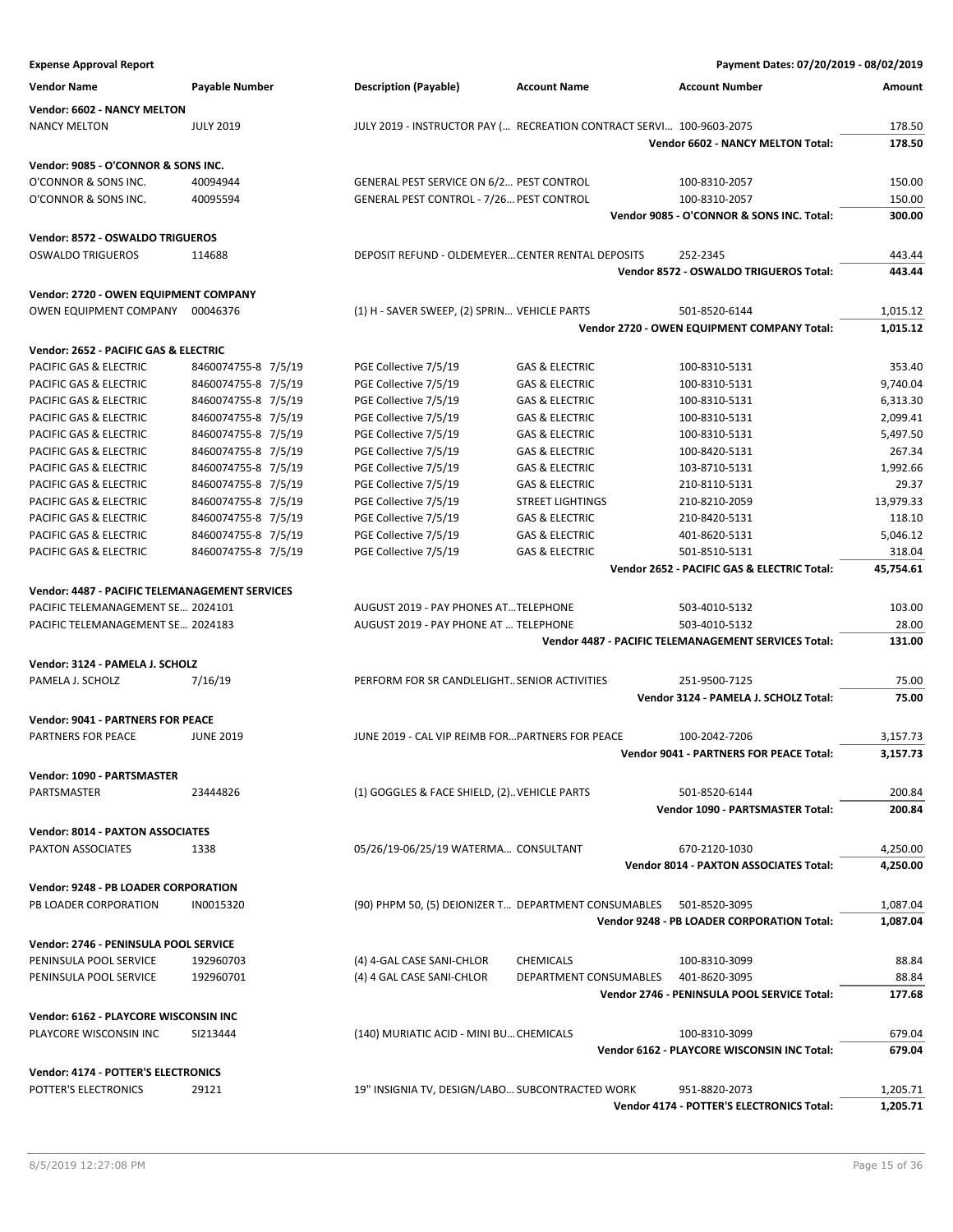| <b>Expense Approval Report</b>                                  |                     |                                                                      |                           | Payment Dates: 07/20/2019 - 08/02/2019               |           |
|-----------------------------------------------------------------|---------------------|----------------------------------------------------------------------|---------------------------|------------------------------------------------------|-----------|
| <b>Vendor Name</b>                                              | Payable Number      | <b>Description (Payable)</b>                                         | <b>Account Name</b>       | <b>Account Number</b>                                | Amount    |
| Vendor: 6602 - NANCY MELTON                                     |                     |                                                                      |                           |                                                      |           |
| <b>NANCY MELTON</b>                                             | <b>JULY 2019</b>    | JULY 2019 - INSTRUCTOR PAY ( RECREATION CONTRACT SERVI 100-9603-2075 |                           |                                                      | 178.50    |
|                                                                 |                     |                                                                      |                           | Vendor 6602 - NANCY MELTON Total:                    | 178.50    |
| Vendor: 9085 - O'CONNOR & SONS INC.                             |                     |                                                                      |                           |                                                      |           |
| O'CONNOR & SONS INC.                                            | 40094944            | GENERAL PEST SERVICE ON 6/2 PEST CONTROL                             |                           | 100-8310-2057                                        | 150.00    |
| O'CONNOR & SONS INC.                                            | 40095594            | GENERAL PEST CONTROL - 7/26 PEST CONTROL                             |                           | 100-8310-2057                                        | 150.00    |
|                                                                 |                     |                                                                      |                           | Vendor 9085 - O'CONNOR & SONS INC. Total:            | 300.00    |
| Vendor: 8572 - OSWALDO TRIGUEROS                                |                     |                                                                      |                           |                                                      |           |
| <b>OSWALDO TRIGUEROS</b>                                        | 114688              | DEPOSIT REFUND - OLDEMEYER CENTER RENTAL DEPOSITS                    |                           | 252-2345                                             | 443.44    |
|                                                                 |                     |                                                                      |                           | Vendor 8572 - OSWALDO TRIGUEROS Total:               | 443.44    |
| Vendor: 2720 - OWEN EQUIPMENT COMPANY                           |                     |                                                                      |                           |                                                      |           |
| OWEN EQUIPMENT COMPANY 00046376                                 |                     | (1) H - SAVER SWEEP, (2) SPRIN VEHICLE PARTS                         |                           | 501-8520-6144                                        | 1,015.12  |
|                                                                 |                     |                                                                      |                           | Vendor 2720 - OWEN EQUIPMENT COMPANY Total:          | 1,015.12  |
|                                                                 |                     |                                                                      |                           |                                                      |           |
| Vendor: 2652 - PACIFIC GAS & ELECTRIC<br>PACIFIC GAS & ELECTRIC | 8460074755-8 7/5/19 | PGE Collective 7/5/19                                                | <b>GAS &amp; ELECTRIC</b> | 100-8310-5131                                        | 353.40    |
| PACIFIC GAS & ELECTRIC                                          | 8460074755-8 7/5/19 | PGE Collective 7/5/19                                                | <b>GAS &amp; ELECTRIC</b> | 100-8310-5131                                        | 9,740.04  |
| PACIFIC GAS & ELECTRIC                                          | 8460074755-8 7/5/19 | PGE Collective 7/5/19                                                | <b>GAS &amp; ELECTRIC</b> | 100-8310-5131                                        | 6,313.30  |
| <b>PACIFIC GAS &amp; ELECTRIC</b>                               | 8460074755-8 7/5/19 | PGE Collective 7/5/19                                                | <b>GAS &amp; ELECTRIC</b> | 100-8310-5131                                        | 2,099.41  |
| PACIFIC GAS & ELECTRIC                                          | 8460074755-8 7/5/19 | PGE Collective 7/5/19                                                | <b>GAS &amp; ELECTRIC</b> | 100-8310-5131                                        | 5,497.50  |
| PACIFIC GAS & ELECTRIC                                          | 8460074755-8 7/5/19 | PGE Collective 7/5/19                                                | <b>GAS &amp; ELECTRIC</b> | 100-8420-5131                                        | 267.34    |
| PACIFIC GAS & ELECTRIC                                          | 8460074755-8 7/5/19 | PGE Collective 7/5/19                                                | <b>GAS &amp; ELECTRIC</b> | 103-8710-5131                                        | 1,992.66  |
| PACIFIC GAS & ELECTRIC                                          | 8460074755-8 7/5/19 | PGE Collective 7/5/19                                                | <b>GAS &amp; ELECTRIC</b> |                                                      | 29.37     |
| PACIFIC GAS & ELECTRIC                                          | 8460074755-8 7/5/19 | PGE Collective 7/5/19                                                | <b>STREET LIGHTINGS</b>   | 210-8110-5131<br>210-8210-2059                       | 13,979.33 |
| PACIFIC GAS & ELECTRIC                                          | 8460074755-8 7/5/19 | PGE Collective 7/5/19                                                | <b>GAS &amp; ELECTRIC</b> | 210-8420-5131                                        | 118.10    |
| PACIFIC GAS & ELECTRIC                                          | 8460074755-8 7/5/19 | PGE Collective 7/5/19                                                | <b>GAS &amp; ELECTRIC</b> | 401-8620-5131                                        | 5,046.12  |
| PACIFIC GAS & ELECTRIC                                          | 8460074755-8 7/5/19 | PGE Collective 7/5/19                                                | <b>GAS &amp; ELECTRIC</b> | 501-8510-5131                                        | 318.04    |
|                                                                 |                     |                                                                      |                           | Vendor 2652 - PACIFIC GAS & ELECTRIC Total:          | 45,754.61 |
|                                                                 |                     |                                                                      |                           |                                                      |           |
| Vendor: 4487 - PACIFIC TELEMANAGEMENT SERVICES                  |                     |                                                                      |                           |                                                      |           |
| PACIFIC TELEMANAGEMENT SE 2024101                               |                     | AUGUST 2019 - PAY PHONES ATTELEPHONE                                 |                           | 503-4010-5132                                        | 103.00    |
| PACIFIC TELEMANAGEMENT SE 2024183                               |                     | AUGUST 2019 - PAY PHONE AT  TELEPHONE                                |                           | 503-4010-5132                                        | 28.00     |
|                                                                 |                     |                                                                      |                           | Vendor 4487 - PACIFIC TELEMANAGEMENT SERVICES Total: | 131.00    |
| Vendor: 3124 - PAMELA J. SCHOLZ                                 |                     |                                                                      |                           |                                                      |           |
| PAMELA J. SCHOLZ                                                | 7/16/19             | PERFORM FOR SR CANDLELIGHT SENIOR ACTIVITIES                         |                           | 251-9500-7125                                        | 75.00     |
|                                                                 |                     |                                                                      |                           | Vendor 3124 - PAMELA J. SCHOLZ Total:                | 75.00     |
| Vendor: 9041 - PARTNERS FOR PEACE                               |                     |                                                                      |                           |                                                      |           |
| <b>PARTNERS FOR PEACE</b>                                       | <b>JUNE 2019</b>    | JUNE 2019 - CAL VIP REIMB FOR PARTNERS FOR PEACE                     |                           | 100-2042-7206                                        | 3,157.73  |
|                                                                 |                     |                                                                      |                           | Vendor 9041 - PARTNERS FOR PEACE Total:              | 3,157.73  |
| Vendor: 1090 - PARTSMASTER                                      |                     |                                                                      |                           |                                                      |           |
| PARTSMASTER                                                     | 23444826            | (1) GOGGLES & FACE SHIELD, (2). VEHICLE PARTS                        |                           | 501-8520-6144                                        | 200.84    |
|                                                                 |                     |                                                                      |                           | Vendor 1090 - PARTSMASTER Total:                     | 200.84    |
|                                                                 |                     |                                                                      |                           |                                                      |           |
| <b>Vendor: 8014 - PAXTON ASSOCIATES</b>                         |                     |                                                                      |                           |                                                      |           |
| PAXTON ASSOCIATES                                               | 1338                | 05/26/19-06/25/19 WATERMA CONSULTANT                                 |                           | 670-2120-1030                                        | 4,250.00  |
|                                                                 |                     |                                                                      |                           | <b>Vendor 8014 - PAXTON ASSOCIATES Total:</b>        | 4,250.00  |
| Vendor: 9248 - PB LOADER CORPORATION                            |                     |                                                                      |                           |                                                      |           |
| PB LOADER CORPORATION                                           | IN0015320           | (90) PHPM 50, (5) DEIONIZER T DEPARTMENT CONSUMABLES                 |                           | 501-8520-3095                                        | 1,087.04  |
|                                                                 |                     |                                                                      |                           | Vendor 9248 - PB LOADER CORPORATION Total:           | 1,087.04  |
| Vendor: 2746 - PENINSULA POOL SERVICE                           |                     |                                                                      |                           |                                                      |           |
| PENINSULA POOL SERVICE                                          | 192960703           | (4) 4-GAL CASE SANI-CHLOR                                            | <b>CHEMICALS</b>          | 100-8310-3099                                        | 88.84     |
| PENINSULA POOL SERVICE                                          | 192960701           | (4) 4 GAL CASE SANI-CHLOR                                            | DEPARTMENT CONSUMABLES    | 401-8620-3095                                        | 88.84     |
|                                                                 |                     |                                                                      |                           | Vendor 2746 - PENINSULA POOL SERVICE Total:          | 177.68    |
| Vendor: 6162 - PLAYCORE WISCONSIN INC                           |                     |                                                                      |                           |                                                      |           |
| PLAYCORE WISCONSIN INC                                          | SI213444            | (140) MURIATIC ACID - MINI BU CHEMICALS                              |                           | 100-8310-3099                                        | 679.04    |
|                                                                 |                     |                                                                      |                           | Vendor 6162 - PLAYCORE WISCONSIN INC Total:          | 679.04    |
|                                                                 |                     |                                                                      |                           |                                                      |           |
| Vendor: 4174 - POTTER'S ELECTRONICS                             |                     |                                                                      |                           |                                                      |           |
| POTTER'S ELECTRONICS                                            | 29121               | 19" INSIGNIA TV, DESIGN/LABO SUBCONTRACTED WORK                      |                           | 951-8820-2073                                        | 1,205.71  |
|                                                                 |                     |                                                                      |                           | Vendor 4174 - POTTER'S ELECTRONICS Total:            | 1,205.71  |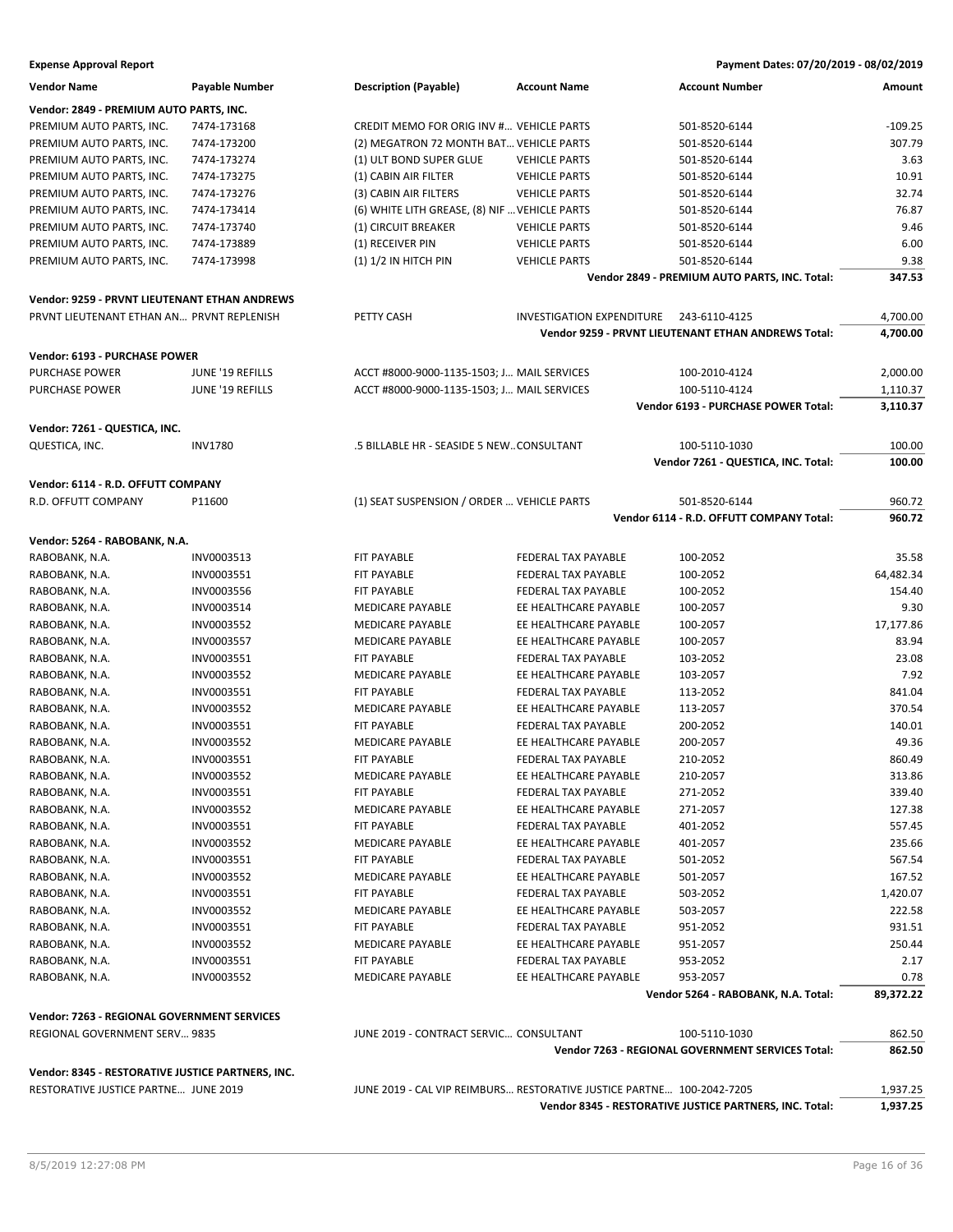| <b>Vendor Name</b>                                | <b>Payable Number</b> | <b>Description (Payable)</b>                                          | <b>Account Name</b>                     | <b>Account Number</b>                                   | Amount    |
|---------------------------------------------------|-----------------------|-----------------------------------------------------------------------|-----------------------------------------|---------------------------------------------------------|-----------|
| Vendor: 2849 - PREMIUM AUTO PARTS, INC.           |                       |                                                                       |                                         |                                                         |           |
| PREMIUM AUTO PARTS, INC.                          | 7474-173168           | CREDIT MEMO FOR ORIG INV # VEHICLE PARTS                              |                                         | 501-8520-6144                                           | $-109.25$ |
| PREMIUM AUTO PARTS, INC.                          | 7474-173200           | (2) MEGATRON 72 MONTH BAT VEHICLE PARTS                               |                                         | 501-8520-6144                                           | 307.79    |
| PREMIUM AUTO PARTS, INC.                          | 7474-173274           | (1) ULT BOND SUPER GLUE                                               | <b>VEHICLE PARTS</b>                    | 501-8520-6144                                           | 3.63      |
| PREMIUM AUTO PARTS, INC.                          | 7474-173275           | (1) CABIN AIR FILTER                                                  | <b>VEHICLE PARTS</b>                    | 501-8520-6144                                           | 10.91     |
| PREMIUM AUTO PARTS, INC.                          | 7474-173276           | (3) CABIN AIR FILTERS                                                 | <b>VEHICLE PARTS</b>                    | 501-8520-6144                                           | 32.74     |
| PREMIUM AUTO PARTS, INC.                          | 7474-173414           | (6) WHITE LITH GREASE, (8) NIF  VEHICLE PARTS                         |                                         | 501-8520-6144                                           | 76.87     |
| PREMIUM AUTO PARTS, INC.                          | 7474-173740           | (1) CIRCUIT BREAKER                                                   | <b>VEHICLE PARTS</b>                    | 501-8520-6144                                           | 9.46      |
| PREMIUM AUTO PARTS, INC.                          | 7474-173889           | (1) RECEIVER PIN                                                      | <b>VEHICLE PARTS</b>                    | 501-8520-6144                                           | 6.00      |
| PREMIUM AUTO PARTS, INC.                          | 7474-173998           | $(1) 1/2$ IN HITCH PIN                                                | <b>VEHICLE PARTS</b>                    | 501-8520-6144                                           | 9.38      |
|                                                   |                       |                                                                       |                                         | Vendor 2849 - PREMIUM AUTO PARTS, INC. Total:           | 347.53    |
| Vendor: 9259 - PRVNT LIEUTENANT ETHAN ANDREWS     |                       |                                                                       |                                         |                                                         |           |
| PRVNT LIEUTENANT ETHAN AN PRVNT REPLENISH         |                       | PETTY CASH                                                            | INVESTIGATION EXPENDITURE 243-6110-4125 |                                                         | 4,700.00  |
|                                                   |                       |                                                                       |                                         | Vendor 9259 - PRVNT LIEUTENANT ETHAN ANDREWS Total:     | 4,700.00  |
|                                                   |                       |                                                                       |                                         |                                                         |           |
| Vendor: 6193 - PURCHASE POWER                     |                       |                                                                       |                                         |                                                         |           |
| <b>PURCHASE POWER</b>                             | JUNE '19 REFILLS      | ACCT #8000-9000-1135-1503; J MAIL SERVICES                            |                                         | 100-2010-4124                                           | 2,000.00  |
| <b>PURCHASE POWER</b>                             | JUNE '19 REFILLS      | ACCT #8000-9000-1135-1503; J MAIL SERVICES                            |                                         | 100-5110-4124                                           | 1,110.37  |
|                                                   |                       |                                                                       |                                         | Vendor 6193 - PURCHASE POWER Total:                     | 3,110.37  |
| Vendor: 7261 - QUESTICA, INC.                     |                       |                                                                       |                                         |                                                         |           |
| QUESTICA, INC.                                    | <b>INV1780</b>        | .5 BILLABLE HR - SEASIDE 5 NEWCONSULTANT                              |                                         | 100-5110-1030                                           | 100.00    |
|                                                   |                       |                                                                       |                                         | Vendor 7261 - QUESTICA, INC. Total:                     | 100.00    |
|                                                   |                       |                                                                       |                                         |                                                         |           |
| Vendor: 6114 - R.D. OFFUTT COMPANY                |                       |                                                                       |                                         |                                                         |           |
| R.D. OFFUTT COMPANY                               | P11600                | (1) SEAT SUSPENSION / ORDER  VEHICLE PARTS                            |                                         | 501-8520-6144                                           | 960.72    |
|                                                   |                       |                                                                       |                                         | Vendor 6114 - R.D. OFFUTT COMPANY Total:                | 960.72    |
| Vendor: 5264 - RABOBANK, N.A.                     |                       |                                                                       |                                         |                                                         |           |
| RABOBANK, N.A.                                    | INV0003513            | FIT PAYABLE                                                           | FEDERAL TAX PAYABLE                     | 100-2052                                                | 35.58     |
| RABOBANK, N.A.                                    | INV0003551            | FIT PAYABLE                                                           | FEDERAL TAX PAYABLE                     | 100-2052                                                | 64,482.34 |
| RABOBANK, N.A.                                    | INV0003556            | FIT PAYABLE                                                           | FEDERAL TAX PAYABLE                     | 100-2052                                                | 154.40    |
| RABOBANK, N.A.                                    | INV0003514            | <b>MEDICARE PAYABLE</b>                                               | EE HEALTHCARE PAYABLE                   | 100-2057                                                | 9.30      |
| RABOBANK, N.A.                                    | INV0003552            | <b>MEDICARE PAYABLE</b>                                               | EE HEALTHCARE PAYABLE                   | 100-2057                                                | 17,177.86 |
| RABOBANK, N.A.                                    | INV0003557            | MEDICARE PAYABLE                                                      | EE HEALTHCARE PAYABLE                   | 100-2057                                                | 83.94     |
| RABOBANK, N.A.                                    | INV0003551            | FIT PAYABLE                                                           | FEDERAL TAX PAYABLE                     | 103-2052                                                | 23.08     |
| RABOBANK, N.A.                                    | INV0003552            | <b>MEDICARE PAYABLE</b>                                               | EE HEALTHCARE PAYABLE                   | 103-2057                                                | 7.92      |
| RABOBANK, N.A.                                    | INV0003551            | FIT PAYABLE                                                           | FEDERAL TAX PAYABLE                     | 113-2052                                                | 841.04    |
| RABOBANK, N.A.                                    | INV0003552            | <b>MEDICARE PAYABLE</b>                                               | EE HEALTHCARE PAYABLE                   | 113-2057                                                | 370.54    |
| RABOBANK, N.A.                                    | INV0003551            | FIT PAYABLE                                                           | FEDERAL TAX PAYABLE                     | 200-2052                                                | 140.01    |
| RABOBANK, N.A.                                    | INV0003552            | <b>MEDICARE PAYABLE</b>                                               | EE HEALTHCARE PAYABLE                   | 200-2057                                                | 49.36     |
| RABOBANK, N.A.                                    | INV0003551            | <b>FIT PAYABLE</b>                                                    | <b>FEDERAL TAX PAYABLE</b>              | 210-2052                                                | 860.49    |
| RABOBANK, N.A.                                    | INV0003552            | MEDICARE PAYABLE                                                      | EE HEALTHCARE PAYABLE                   | 210-2057                                                | 313.86    |
| RABOBANK, N.A.                                    | INV0003551            | FIT PAYABLE                                                           | FEDERAL TAX PAYABLE                     | 271-2052                                                | 339.40    |
| RABOBANK, N.A.                                    | INV0003552            | <b>MEDICARE PAYABLE</b>                                               | EE HEALTHCARE PAYABLE                   | 271-2057                                                | 127.38    |
| RABOBANK, N.A.                                    | INV0003551            | FIT PAYABLE                                                           | FEDERAL TAX PAYABLE                     | 401-2052                                                | 557.45    |
| RABOBANK, N.A.                                    | INV0003552            | <b>MEDICARE PAYABLE</b>                                               | EE HEALTHCARE PAYABLE                   | 401-2057                                                | 235.66    |
| RABOBANK, N.A.                                    | INV0003551            | <b>FIT PAYABLE</b>                                                    | FEDERAL TAX PAYABLE                     | 501-2052                                                | 567.54    |
|                                                   | INV0003552            |                                                                       | EE HEALTHCARE PAYABLE                   |                                                         |           |
| RABOBANK, N.A.                                    |                       | MEDICARE PAYABLE                                                      |                                         | 501-2057<br>503-2052                                    | 167.52    |
| RABOBANK, N.A.                                    | INV0003551            | FIT PAYABLE                                                           | FEDERAL TAX PAYABLE                     |                                                         | 1,420.07  |
| RABOBANK, N.A.                                    | INV0003552            | <b>MEDICARE PAYABLE</b>                                               | EE HEALTHCARE PAYABLE                   | 503-2057                                                | 222.58    |
| RABOBANK, N.A.                                    | INV0003551            | FIT PAYABLE                                                           | FEDERAL TAX PAYABLE                     | 951-2052                                                | 931.51    |
| RABOBANK, N.A.                                    | INV0003552            | <b>MEDICARE PAYABLE</b>                                               | EE HEALTHCARE PAYABLE                   | 951-2057                                                | 250.44    |
| RABOBANK, N.A.                                    | INV0003551            | FIT PAYABLE                                                           | FEDERAL TAX PAYABLE                     | 953-2052                                                | 2.17      |
| RABOBANK, N.A.                                    | INV0003552            | MEDICARE PAYABLE                                                      | EE HEALTHCARE PAYABLE                   | 953-2057                                                | 0.78      |
|                                                   |                       |                                                                       |                                         | Vendor 5264 - RABOBANK, N.A. Total:                     | 89,372.22 |
| Vendor: 7263 - REGIONAL GOVERNMENT SERVICES       |                       |                                                                       |                                         |                                                         |           |
| REGIONAL GOVERNMENT SERV 9835                     |                       | JUNE 2019 - CONTRACT SERVIC CONSULTANT                                |                                         | 100-5110-1030                                           | 862.50    |
|                                                   |                       |                                                                       |                                         | Vendor 7263 - REGIONAL GOVERNMENT SERVICES Total:       | 862.50    |
| Vendor: 8345 - RESTORATIVE JUSTICE PARTNERS, INC. |                       |                                                                       |                                         |                                                         |           |
| RESTORATIVE JUSTICE PARTNE JUNE 2019              |                       | JUNE 2019 - CAL VIP REIMBURS RESTORATIVE JUSTICE PARTNE 100-2042-7205 |                                         |                                                         | 1,937.25  |
|                                                   |                       |                                                                       |                                         | Vendor 8345 - RESTORATIVE JUSTICE PARTNERS, INC. Total: | 1,937.25  |
|                                                   |                       |                                                                       |                                         |                                                         |           |
|                                                   |                       |                                                                       |                                         |                                                         |           |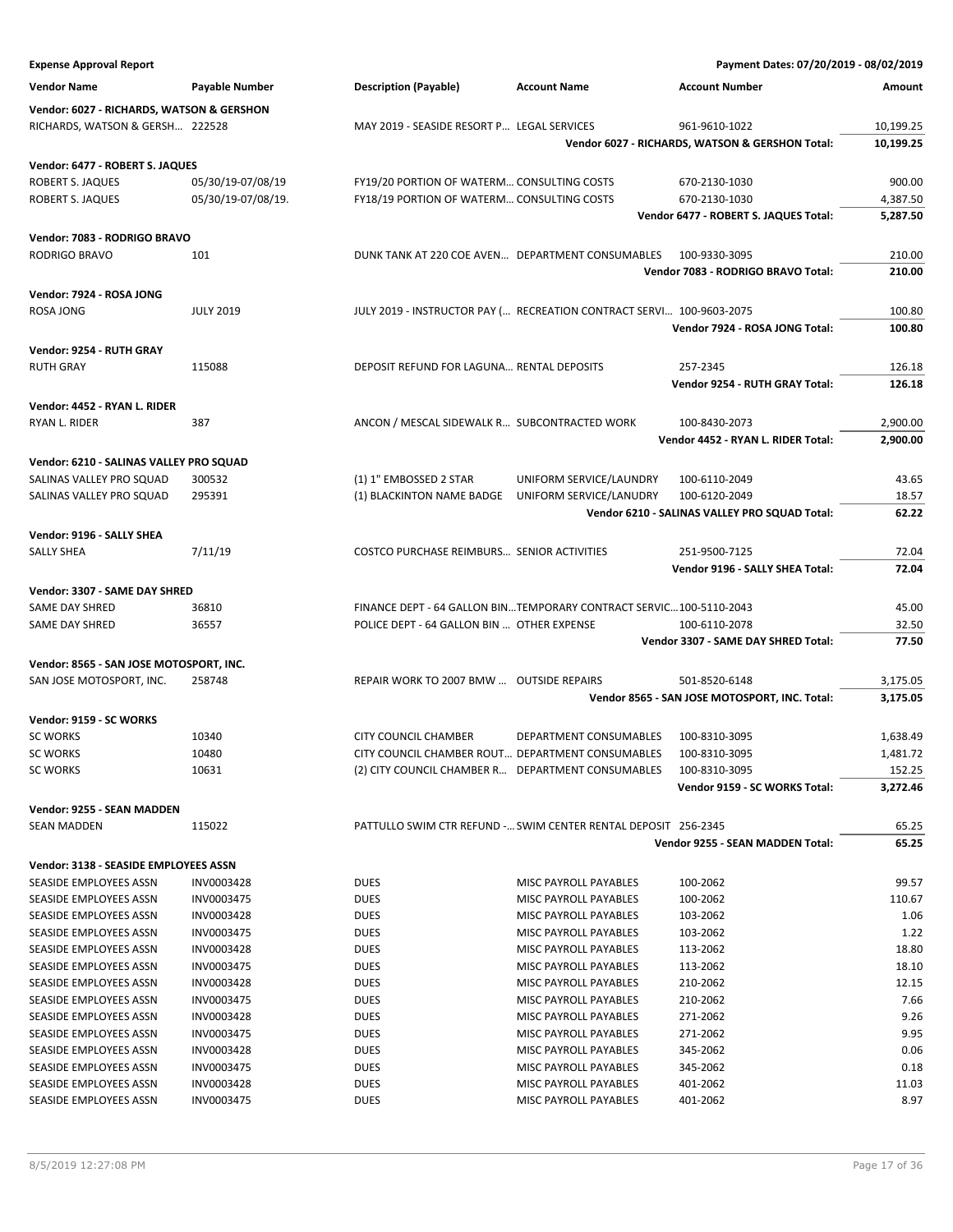| <b>Expense Approval Report</b>                   |                          |                                              |                                                                      | Payment Dates: 07/20/2019 - 08/02/2019          |              |
|--------------------------------------------------|--------------------------|----------------------------------------------|----------------------------------------------------------------------|-------------------------------------------------|--------------|
| <b>Vendor Name</b>                               | Payable Number           | <b>Description (Payable)</b>                 | <b>Account Name</b>                                                  | <b>Account Number</b>                           | Amount       |
| Vendor: 6027 - RICHARDS, WATSON & GERSHON        |                          |                                              |                                                                      |                                                 |              |
| RICHARDS, WATSON & GERSH 222528                  |                          | MAY 2019 - SEASIDE RESORT P LEGAL SERVICES   |                                                                      | 961-9610-1022                                   | 10,199.25    |
|                                                  |                          |                                              |                                                                      | Vendor 6027 - RICHARDS, WATSON & GERSHON Total: | 10,199.25    |
|                                                  |                          |                                              |                                                                      |                                                 |              |
| Vendor: 6477 - ROBERT S. JAQUES                  |                          |                                              |                                                                      |                                                 |              |
| ROBERT S. JAQUES                                 | 05/30/19-07/08/19        | FY19/20 PORTION OF WATERM CONSULTING COSTS   |                                                                      | 670-2130-1030                                   | 900.00       |
| ROBERT S. JAQUES                                 | 05/30/19-07/08/19.       | FY18/19 PORTION OF WATERM CONSULTING COSTS   |                                                                      | 670-2130-1030                                   | 4,387.50     |
|                                                  |                          |                                              |                                                                      | Vendor 6477 - ROBERT S. JAQUES Total:           | 5,287.50     |
| Vendor: 7083 - RODRIGO BRAVO                     |                          |                                              |                                                                      |                                                 |              |
| <b>RODRIGO BRAVO</b>                             | 101                      |                                              | DUNK TANK AT 220 COE AVEN DEPARTMENT CONSUMABLES                     | 100-9330-3095                                   | 210.00       |
|                                                  |                          |                                              |                                                                      | Vendor 7083 - RODRIGO BRAVO Total:              | 210.00       |
| Vendor: 7924 - ROSA JONG                         |                          |                                              |                                                                      |                                                 |              |
| <b>ROSA JONG</b>                                 | <b>JULY 2019</b>         |                                              | JULY 2019 - INSTRUCTOR PAY ( RECREATION CONTRACT SERVI 100-9603-2075 |                                                 | 100.80       |
|                                                  |                          |                                              |                                                                      | Vendor 7924 - ROSA JONG Total:                  | 100.80       |
| Vendor: 9254 - RUTH GRAY                         |                          |                                              |                                                                      |                                                 |              |
| <b>RUTH GRAY</b>                                 | 115088                   | DEPOSIT REFUND FOR LAGUNA RENTAL DEPOSITS    |                                                                      | 257-2345                                        | 126.18       |
|                                                  |                          |                                              |                                                                      | Vendor 9254 - RUTH GRAY Total:                  | 126.18       |
|                                                  |                          |                                              |                                                                      |                                                 |              |
| Vendor: 4452 - RYAN L. RIDER                     |                          |                                              |                                                                      |                                                 |              |
| RYAN L. RIDER                                    | 387                      | ANCON / MESCAL SIDEWALK R SUBCONTRACTED WORK |                                                                      | 100-8430-2073                                   | 2,900.00     |
|                                                  |                          |                                              |                                                                      | Vendor 4452 - RYAN L. RIDER Total:              | 2,900.00     |
| Vendor: 6210 - SALINAS VALLEY PRO SQUAD          |                          |                                              |                                                                      |                                                 |              |
| SALINAS VALLEY PRO SQUAD                         | 300532                   | (1) 1" EMBOSSED 2 STAR                       | UNIFORM SERVICE/LAUNDRY                                              | 100-6110-2049                                   | 43.65        |
| SALINAS VALLEY PRO SQUAD                         | 295391                   | (1) BLACKINTON NAME BADGE                    | UNIFORM SERVICE/LANUDRY                                              | 100-6120-2049                                   | 18.57        |
|                                                  |                          |                                              |                                                                      | Vendor 6210 - SALINAS VALLEY PRO SQUAD Total:   | 62.22        |
| Vendor: 9196 - SALLY SHEA                        |                          |                                              |                                                                      |                                                 |              |
| <b>SALLY SHEA</b>                                | 7/11/19                  | COSTCO PURCHASE REIMBURS SENIOR ACTIVITIES   |                                                                      | 251-9500-7125                                   | 72.04        |
|                                                  |                          |                                              |                                                                      | Vendor 9196 - SALLY SHEA Total:                 | 72.04        |
|                                                  |                          |                                              |                                                                      |                                                 |              |
| Vendor: 3307 - SAME DAY SHRED                    |                          |                                              |                                                                      |                                                 |              |
| SAME DAY SHRED                                   | 36810                    |                                              | FINANCE DEPT - 64 GALLON BINTEMPORARY CONTRACT SERVIC100-5110-2043   |                                                 | 45.00        |
| SAME DAY SHRED                                   | 36557                    | POLICE DEPT - 64 GALLON BIN  OTHER EXPENSE   |                                                                      | 100-6110-2078                                   | 32.50        |
|                                                  |                          |                                              |                                                                      | Vendor 3307 - SAME DAY SHRED Total:             | 77.50        |
| Vendor: 8565 - SAN JOSE MOTOSPORT, INC.          |                          |                                              |                                                                      |                                                 |              |
| SAN JOSE MOTOSPORT, INC.                         | 258748                   | REPAIR WORK TO 2007 BMW  OUTSIDE REPAIRS     |                                                                      | 501-8520-6148                                   | 3,175.05     |
|                                                  |                          |                                              |                                                                      | Vendor 8565 - SAN JOSE MOTOSPORT, INC. Total:   | 3,175.05     |
| Vendor: 9159 - SC WORKS                          |                          |                                              |                                                                      |                                                 |              |
| <b>SC WORKS</b>                                  | 10340                    | <b>CITY COUNCIL CHAMBER</b>                  | DEPARTMENT CONSUMABLES                                               | 100-8310-3095                                   | 1,638.49     |
| <b>SC WORKS</b>                                  | 10480                    |                                              | CITY COUNCIL CHAMBER ROUT DEPARTMENT CONSUMABLES                     | 100-8310-3095                                   | 1,481.72     |
| <b>SC WORKS</b>                                  | 10631                    |                                              | (2) CITY COUNCIL CHAMBER R DEPARTMENT CONSUMABLES                    | 100-8310-3095                                   | 152.25       |
|                                                  |                          |                                              |                                                                      | Vendor 9159 - SC WORKS Total:                   | 3,272.46     |
| Vendor: 9255 - SEAN MADDEN                       |                          |                                              |                                                                      |                                                 |              |
| <b>SEAN MADDEN</b>                               | 115022                   |                                              | PATTULLO SWIM CTR REFUND - SWIM CENTER RENTAL DEPOSIT 256-2345       |                                                 | 65.25        |
|                                                  |                          |                                              |                                                                      | Vendor 9255 - SEAN MADDEN Total:                | 65.25        |
|                                                  |                          |                                              |                                                                      |                                                 |              |
| Vendor: 3138 - SEASIDE EMPLOYEES ASSN            |                          |                                              |                                                                      |                                                 |              |
| SEASIDE EMPLOYEES ASSN                           | INV0003428               | <b>DUES</b>                                  | MISC PAYROLL PAYABLES                                                | 100-2062                                        | 99.57        |
| SEASIDE EMPLOYEES ASSN                           | INV0003475               | DUES                                         | MISC PAYROLL PAYABLES                                                | 100-2062                                        | 110.67       |
| SEASIDE EMPLOYEES ASSN                           | INV0003428               | <b>DUES</b>                                  | MISC PAYROLL PAYABLES                                                | 103-2062                                        | 1.06         |
| SEASIDE EMPLOYEES ASSN                           | INV0003475               | <b>DUES</b>                                  | <b>MISC PAYROLL PAYABLES</b>                                         | 103-2062                                        | 1.22         |
| SEASIDE EMPLOYEES ASSN                           | INV0003428               | DUES                                         | MISC PAYROLL PAYABLES                                                | 113-2062                                        | 18.80        |
| SEASIDE EMPLOYEES ASSN                           | INV0003475               | DUES                                         | MISC PAYROLL PAYABLES                                                | 113-2062                                        | 18.10        |
| SEASIDE EMPLOYEES ASSN                           | INV0003428               | DUES                                         | MISC PAYROLL PAYABLES                                                | 210-2062                                        | 12.15        |
| SEASIDE EMPLOYEES ASSN                           | INV0003475               | <b>DUES</b>                                  | MISC PAYROLL PAYABLES                                                | 210-2062                                        | 7.66         |
| SEASIDE EMPLOYEES ASSN<br>SEASIDE EMPLOYEES ASSN | INV0003428<br>INV0003475 | <b>DUES</b>                                  | MISC PAYROLL PAYABLES<br>MISC PAYROLL PAYABLES                       | 271-2062<br>271-2062                            | 9.26<br>9.95 |
| SEASIDE EMPLOYEES ASSN                           | INV0003428               | DUES<br><b>DUES</b>                          | MISC PAYROLL PAYABLES                                                | 345-2062                                        | 0.06         |
| SEASIDE EMPLOYEES ASSN                           | INV0003475               | DUES                                         | MISC PAYROLL PAYABLES                                                | 345-2062                                        | 0.18         |
| SEASIDE EMPLOYEES ASSN                           | INV0003428               | <b>DUES</b>                                  | MISC PAYROLL PAYABLES                                                | 401-2062                                        | 11.03        |
| SEASIDE EMPLOYEES ASSN                           | INV0003475               | <b>DUES</b>                                  | MISC PAYROLL PAYABLES                                                | 401-2062                                        | 8.97         |
|                                                  |                          |                                              |                                                                      |                                                 |              |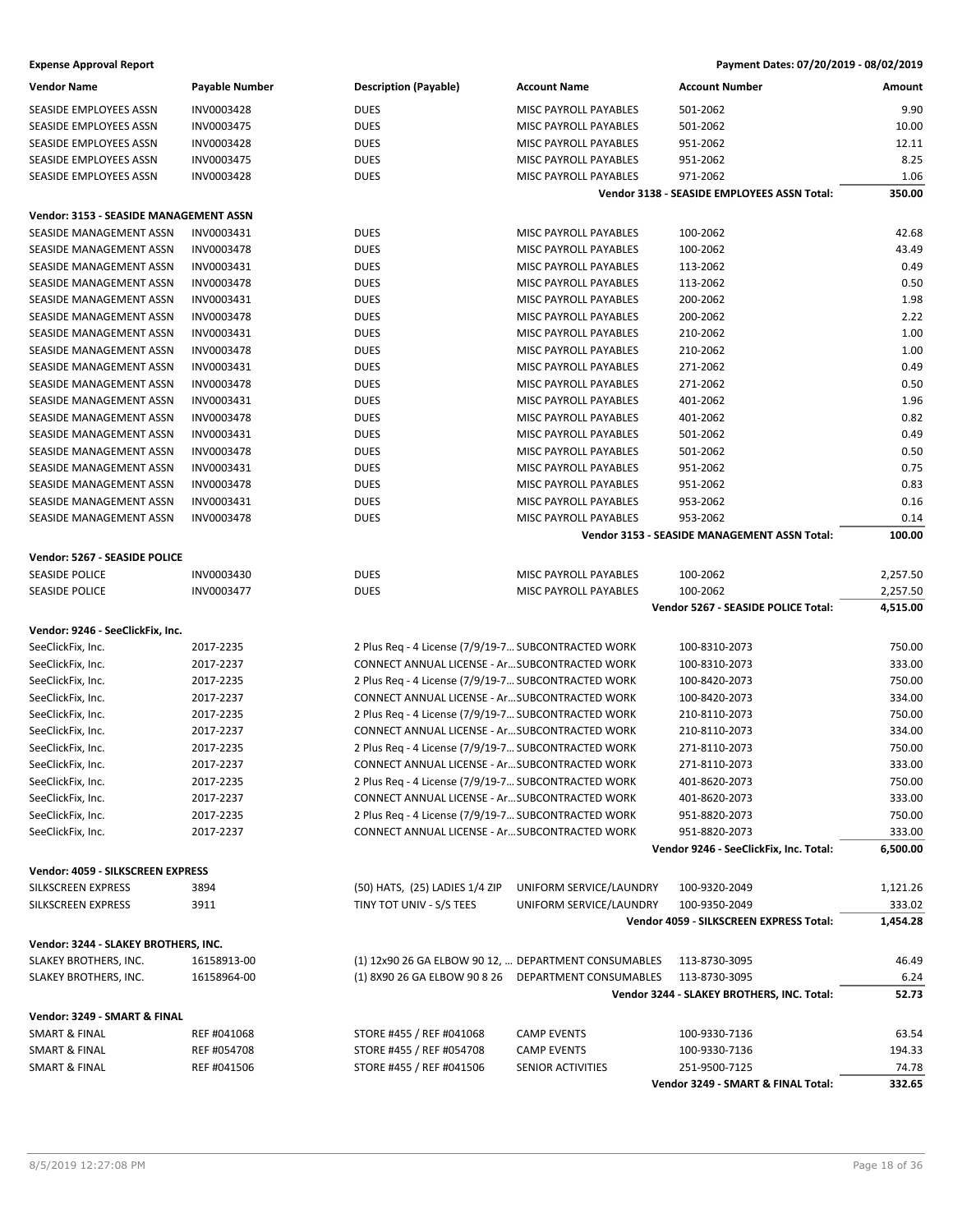| <b>Vendor Name</b>                     | Payable Number | Description (Payable)                                | <b>Account Name</b>          | <b>Account Number</b>                        | Amount   |
|----------------------------------------|----------------|------------------------------------------------------|------------------------------|----------------------------------------------|----------|
| <b>SEASIDE EMPLOYEES ASSN</b>          | INV0003428     | <b>DUES</b>                                          | MISC PAYROLL PAYABLES        | 501-2062                                     | 9.90     |
| SEASIDE EMPLOYEES ASSN                 | INV0003475     | <b>DUES</b>                                          | MISC PAYROLL PAYABLES        | 501-2062                                     | 10.00    |
| SEASIDE EMPLOYEES ASSN                 | INV0003428     | <b>DUES</b>                                          | MISC PAYROLL PAYABLES        | 951-2062                                     | 12.11    |
| SEASIDE EMPLOYEES ASSN                 | INV0003475     | <b>DUES</b>                                          | MISC PAYROLL PAYABLES        | 951-2062                                     | 8.25     |
| <b>SEASIDE EMPLOYEES ASSN</b>          | INV0003428     | <b>DUES</b>                                          | <b>MISC PAYROLL PAYABLES</b> | 971-2062                                     | 1.06     |
|                                        |                |                                                      |                              | Vendor 3138 - SEASIDE EMPLOYEES ASSN Total:  | 350.00   |
|                                        |                |                                                      |                              |                                              |          |
| Vendor: 3153 - SEASIDE MANAGEMENT ASSN |                |                                                      |                              |                                              |          |
| SEASIDE MANAGEMENT ASSN                | INV0003431     | <b>DUES</b>                                          | MISC PAYROLL PAYABLES        | 100-2062                                     | 42.68    |
| SEASIDE MANAGEMENT ASSN                | INV0003478     | DUES                                                 | MISC PAYROLL PAYABLES        | 100-2062                                     | 43.49    |
| SEASIDE MANAGEMENT ASSN                | INV0003431     | <b>DUES</b>                                          | MISC PAYROLL PAYABLES        | 113-2062                                     | 0.49     |
| SEASIDE MANAGEMENT ASSN                | INV0003478     | <b>DUES</b>                                          | MISC PAYROLL PAYABLES        | 113-2062                                     | 0.50     |
| SEASIDE MANAGEMENT ASSN                | INV0003431     | <b>DUES</b>                                          | MISC PAYROLL PAYABLES        | 200-2062                                     | 1.98     |
| SEASIDE MANAGEMENT ASSN                | INV0003478     | <b>DUES</b>                                          | MISC PAYROLL PAYABLES        | 200-2062                                     | 2.22     |
| SEASIDE MANAGEMENT ASSN                | INV0003431     | DUES                                                 | MISC PAYROLL PAYABLES        | 210-2062                                     | 1.00     |
| SEASIDE MANAGEMENT ASSN                | INV0003478     | <b>DUES</b>                                          | MISC PAYROLL PAYABLES        | 210-2062                                     | 1.00     |
| SEASIDE MANAGEMENT ASSN                | INV0003431     | <b>DUES</b>                                          | MISC PAYROLL PAYABLES        | 271-2062                                     | 0.49     |
| SEASIDE MANAGEMENT ASSN                | INV0003478     | <b>DUES</b>                                          | MISC PAYROLL PAYABLES        | 271-2062                                     | 0.50     |
| SEASIDE MANAGEMENT ASSN                | INV0003431     | <b>DUES</b>                                          | MISC PAYROLL PAYABLES        | 401-2062                                     | 1.96     |
| SEASIDE MANAGEMENT ASSN                | INV0003478     | DUES                                                 | <b>MISC PAYROLL PAYABLES</b> | 401-2062                                     | 0.82     |
| SEASIDE MANAGEMENT ASSN                | INV0003431     | <b>DUES</b>                                          | MISC PAYROLL PAYABLES        | 501-2062                                     | 0.49     |
| SEASIDE MANAGEMENT ASSN                | INV0003478     | <b>DUES</b>                                          | MISC PAYROLL PAYABLES        | 501-2062                                     | 0.50     |
| SEASIDE MANAGEMENT ASSN                | INV0003431     | <b>DUES</b>                                          | MISC PAYROLL PAYABLES        | 951-2062                                     | 0.75     |
| <b>SEASIDE MANAGEMENT ASSN</b>         | INV0003478     | <b>DUES</b>                                          | MISC PAYROLL PAYABLES        | 951-2062                                     | 0.83     |
| <b>SEASIDE MANAGEMENT ASSN</b>         | INV0003431     | <b>DUES</b>                                          | MISC PAYROLL PAYABLES        | 953-2062                                     | 0.16     |
| SEASIDE MANAGEMENT ASSN                | INV0003478     | <b>DUES</b>                                          | MISC PAYROLL PAYABLES        | 953-2062                                     | 0.14     |
|                                        |                |                                                      |                              | Vendor 3153 - SEASIDE MANAGEMENT ASSN Total: | 100.00   |
| Vendor: 5267 - SEASIDE POLICE          |                |                                                      |                              |                                              |          |
| <b>SEASIDE POLICE</b>                  | INV0003430     | <b>DUES</b>                                          | MISC PAYROLL PAYABLES        | 100-2062                                     | 2,257.50 |
| <b>SEASIDE POLICE</b>                  | INV0003477     | <b>DUES</b>                                          | MISC PAYROLL PAYABLES        | 100-2062                                     | 2,257.50 |
|                                        |                |                                                      |                              | Vendor 5267 - SEASIDE POLICE Total:          | 4,515.00 |
|                                        |                |                                                      |                              |                                              |          |
| Vendor: 9246 - SeeClickFix, Inc.       |                |                                                      |                              |                                              |          |
| SeeClickFix, Inc.                      | 2017-2235      | 2 Plus Req - 4 License (7/9/19-7 SUBCONTRACTED WORK  |                              | 100-8310-2073                                | 750.00   |
| SeeClickFix, Inc.                      | 2017-2237      | CONNECT ANNUAL LICENSE - Ar SUBCONTRACTED WORK       |                              | 100-8310-2073                                | 333.00   |
| SeeClickFix, Inc.                      | 2017-2235      | 2 Plus Req - 4 License (7/9/19-7 SUBCONTRACTED WORK  |                              | 100-8420-2073                                | 750.00   |
| SeeClickFix, Inc.                      | 2017-2237      | CONNECT ANNUAL LICENSE - Ar SUBCONTRACTED WORK       |                              | 100-8420-2073                                | 334.00   |
| SeeClickFix, Inc.                      | 2017-2235      | 2 Plus Req - 4 License (7/9/19-7 SUBCONTRACTED WORK  |                              | 210-8110-2073                                | 750.00   |
| SeeClickFix, Inc.                      | 2017-2237      | CONNECT ANNUAL LICENSE - Ar SUBCONTRACTED WORK       |                              | 210-8110-2073                                | 334.00   |
| SeeClickFix, Inc.                      | 2017-2235      | 2 Plus Req - 4 License (7/9/19-7 SUBCONTRACTED WORK  |                              | 271-8110-2073                                | 750.00   |
| SeeClickFix, Inc.                      | 2017-2237      | CONNECT ANNUAL LICENSE - ArSUBCONTRACTED WORK        |                              | 271-8110-2073                                | 333.00   |
| SeeClickFix, Inc.                      | 2017-2235      | 2 Plus Req - 4 License (7/9/19-7 SUBCONTRACTED WORK  |                              | 401-8620-2073                                | 750.00   |
| SeeClickFix, Inc.                      | 2017-2237      | CONNECT ANNUAL LICENSE - Ar SUBCONTRACTED WORK       |                              | 401-8620-2073                                | 333.00   |
| SeeClickFix, Inc.                      | 2017-2235      | 2 Plus Req - 4 License (7/9/19-7 SUBCONTRACTED WORK  |                              | 951-8820-2073                                | 750.00   |
| SeeClickFix, Inc.                      | 2017-2237      | CONNECT ANNUAL LICENSE - Ar SUBCONTRACTED WORK       |                              | 951-8820-2073                                | 333.00   |
|                                        |                |                                                      |                              | Vendor 9246 - SeeClickFix, Inc. Total:       | 6,500.00 |
| Vendor: 4059 - SILKSCREEN EXPRESS      |                |                                                      |                              |                                              |          |
| SILKSCREEN EXPRESS                     | 3894           | (50) HATS, (25) LADIES 1/4 ZIP                       | UNIFORM SERVICE/LAUNDRY      | 100-9320-2049                                | 1,121.26 |
| SILKSCREEN EXPRESS                     | 3911           | TINY TOT UNIV - S/S TEES                             | UNIFORM SERVICE/LAUNDRY      | 100-9350-2049                                | 333.02   |
|                                        |                |                                                      |                              | Vendor 4059 - SILKSCREEN EXPRESS Total:      | 1,454.28 |
| Vendor: 3244 - SLAKEY BROTHERS, INC.   |                |                                                      |                              |                                              |          |
| SLAKEY BROTHERS, INC.                  | 16158913-00    | (1) 12x90 26 GA ELBOW 90 12,  DEPARTMENT CONSUMABLES |                              | 113-8730-3095                                | 46.49    |
| SLAKEY BROTHERS, INC.                  | 16158964-00    | (1) 8X90 26 GA ELBOW 90 8 26                         | DEPARTMENT CONSUMABLES       | 113-8730-3095                                | 6.24     |
|                                        |                |                                                      |                              | Vendor 3244 - SLAKEY BROTHERS, INC. Total:   | 52.73    |
|                                        |                |                                                      |                              |                                              |          |
| Vendor: 3249 - SMART & FINAL           |                |                                                      |                              |                                              |          |
| SMART & FINAL                          | REF #041068    | STORE #455 / REF #041068                             | <b>CAMP EVENTS</b>           | 100-9330-7136                                | 63.54    |
| SMART & FINAL                          | REF #054708    | STORE #455 / REF #054708                             | <b>CAMP EVENTS</b>           | 100-9330-7136                                | 194.33   |
| <b>SMART &amp; FINAL</b>               | REF #041506    | STORE #455 / REF #041506                             | SENIOR ACTIVITIES            | 251-9500-7125                                | 74.78    |
|                                        |                |                                                      |                              | Vendor 3249 - SMART & FINAL Total:           | 332.65   |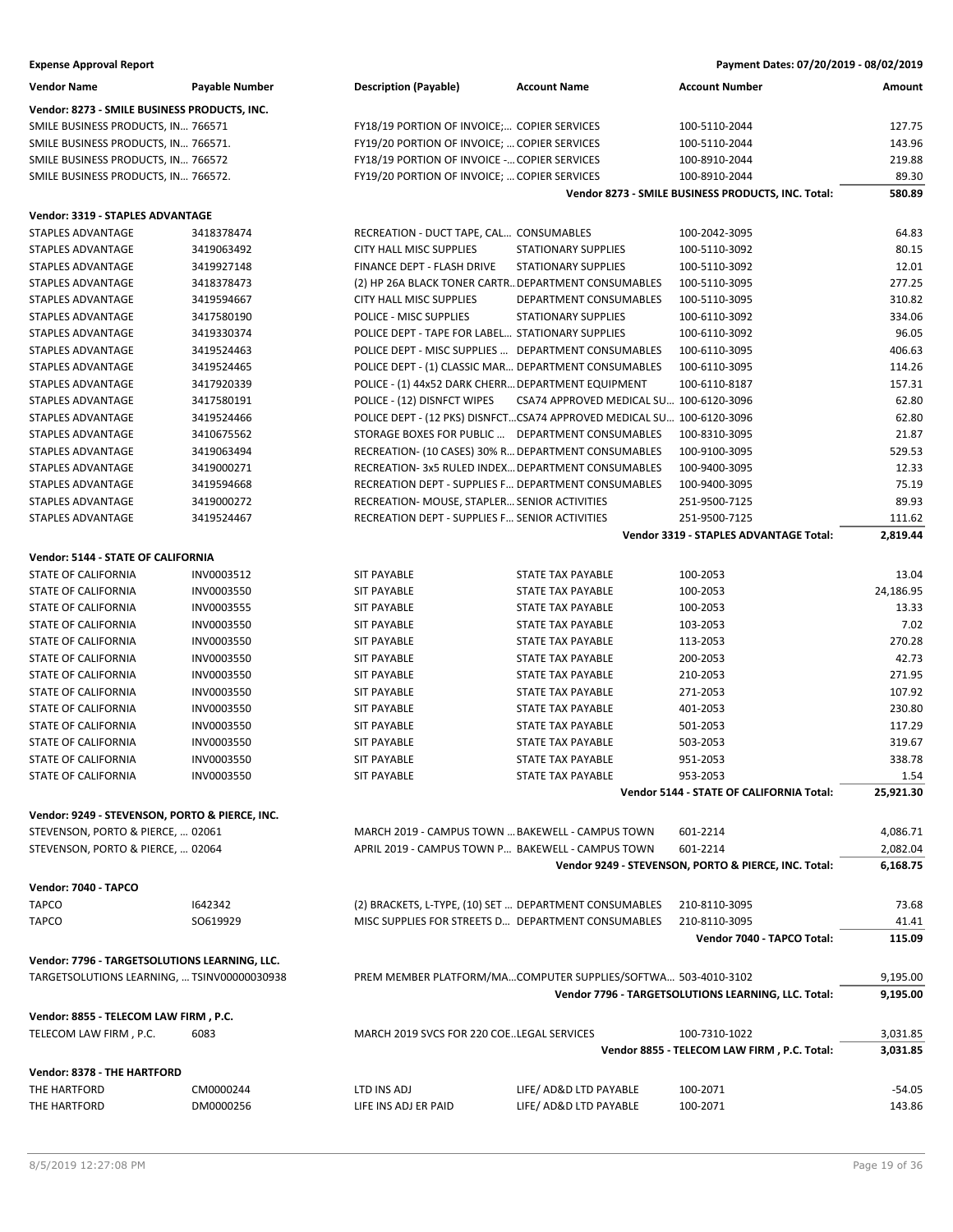| <b>Expense Approval Report</b> | Payment Dates: 07/20/2019 - 08/02/2019 |
|--------------------------------|----------------------------------------|
|--------------------------------|----------------------------------------|

| <b>Vendor Name</b>                             | <b>Payable Number</b> | <b>Description (Payable)</b>                           | <b>Account Name</b>                                                   | <b>Account Number</b>                                | Amount    |
|------------------------------------------------|-----------------------|--------------------------------------------------------|-----------------------------------------------------------------------|------------------------------------------------------|-----------|
| Vendor: 8273 - SMILE BUSINESS PRODUCTS, INC.   |                       |                                                        |                                                                       |                                                      |           |
| SMILE BUSINESS PRODUCTS, IN 766571             |                       | FY18/19 PORTION OF INVOICE; COPIER SERVICES            |                                                                       | 100-5110-2044                                        | 127.75    |
| SMILE BUSINESS PRODUCTS, IN 766571.            |                       | FY19/20 PORTION OF INVOICE;  COPIER SERVICES           |                                                                       | 100-5110-2044                                        | 143.96    |
| SMILE BUSINESS PRODUCTS, IN 766572             |                       | FY18/19 PORTION OF INVOICE - COPIER SERVICES           |                                                                       | 100-8910-2044                                        | 219.88    |
| SMILE BUSINESS PRODUCTS, IN 766572.            |                       | FY19/20 PORTION OF INVOICE;  COPIER SERVICES           |                                                                       | 100-8910-2044                                        | 89.30     |
|                                                |                       |                                                        |                                                                       | Vendor 8273 - SMILE BUSINESS PRODUCTS, INC. Total:   | 580.89    |
| Vendor: 3319 - STAPLES ADVANTAGE               |                       |                                                        |                                                                       |                                                      |           |
| <b>STAPLES ADVANTAGE</b>                       | 3418378474            | RECREATION - DUCT TAPE, CAL CONSUMABLES                |                                                                       | 100-2042-3095                                        | 64.83     |
| STAPLES ADVANTAGE                              | 3419063492            | CITY HALL MISC SUPPLIES                                | <b>STATIONARY SUPPLIES</b>                                            | 100-5110-3092                                        | 80.15     |
| <b>STAPLES ADVANTAGE</b>                       | 3419927148            | FINANCE DEPT - FLASH DRIVE                             | <b>STATIONARY SUPPLIES</b>                                            | 100-5110-3092                                        | 12.01     |
| <b>STAPLES ADVANTAGE</b>                       | 3418378473            | (2) HP 26A BLACK TONER CARTR DEPARTMENT CONSUMABLES    |                                                                       | 100-5110-3095                                        | 277.25    |
| <b>STAPLES ADVANTAGE</b>                       | 3419594667            | <b>CITY HALL MISC SUPPLIES</b>                         | DEPARTMENT CONSUMABLES                                                | 100-5110-3095                                        | 310.82    |
| STAPLES ADVANTAGE                              | 3417580190            | POLICE - MISC SUPPLIES                                 | <b>STATIONARY SUPPLIES</b>                                            | 100-6110-3092                                        | 334.06    |
| STAPLES ADVANTAGE                              | 3419330374            | POLICE DEPT - TAPE FOR LABEL STATIONARY SUPPLIES       |                                                                       | 100-6110-3092                                        | 96.05     |
| STAPLES ADVANTAGE                              | 3419524463            | POLICE DEPT - MISC SUPPLIES  DEPARTMENT CONSUMABLES    |                                                                       | 100-6110-3095                                        | 406.63    |
| STAPLES ADVANTAGE                              | 3419524465            | POLICE DEPT - (1) CLASSIC MAR DEPARTMENT CONSUMABLES   |                                                                       | 100-6110-3095                                        | 114.26    |
| STAPLES ADVANTAGE                              | 3417920339            | POLICE - (1) 44x52 DARK CHERR DEPARTMENT EQUIPMENT     |                                                                       | 100-6110-8187                                        | 157.31    |
| STAPLES ADVANTAGE                              | 3417580191            | POLICE - (12) DISNFCT WIPES                            | CSA74 APPROVED MEDICAL SU 100-6120-3096                               |                                                      | 62.80     |
| STAPLES ADVANTAGE                              | 3419524466            |                                                        | POLICE DEPT - (12 PKS) DISNFCTCSA74 APPROVED MEDICAL SU 100-6120-3096 |                                                      | 62.80     |
| STAPLES ADVANTAGE                              | 3410675562            | STORAGE BOXES FOR PUBLIC  DEPARTMENT CONSUMABLES       |                                                                       | 100-8310-3095                                        | 21.87     |
| <b>STAPLES ADVANTAGE</b>                       | 3419063494            | RECREATION- (10 CASES) 30% R DEPARTMENT CONSUMABLES    |                                                                       | 100-9100-3095                                        | 529.53    |
| <b>STAPLES ADVANTAGE</b>                       | 3419000271            | RECREATION- 3x5 RULED INDEX DEPARTMENT CONSUMABLES     |                                                                       | 100-9400-3095                                        | 12.33     |
| <b>STAPLES ADVANTAGE</b>                       | 3419594668            | RECREATION DEPT - SUPPLIES F DEPARTMENT CONSUMABLES    |                                                                       | 100-9400-3095                                        | 75.19     |
| STAPLES ADVANTAGE                              | 3419000272            | RECREATION- MOUSE, STAPLER SENIOR ACTIVITIES           |                                                                       | 251-9500-7125                                        | 89.93     |
| STAPLES ADVANTAGE                              | 3419524467            | RECREATION DEPT - SUPPLIES F SENIOR ACTIVITIES         |                                                                       | 251-9500-7125                                        | 111.62    |
|                                                |                       |                                                        |                                                                       | Vendor 3319 - STAPLES ADVANTAGE Total:               | 2,819.44  |
| Vendor: 5144 - STATE OF CALIFORNIA             |                       |                                                        |                                                                       |                                                      |           |
| <b>STATE OF CALIFORNIA</b>                     | INV0003512            | <b>SIT PAYABLE</b>                                     | <b>STATE TAX PAYABLE</b>                                              | 100-2053                                             | 13.04     |
| <b>STATE OF CALIFORNIA</b>                     | INV0003550            | <b>SIT PAYABLE</b>                                     | <b>STATE TAX PAYABLE</b>                                              | 100-2053                                             | 24,186.95 |
| STATE OF CALIFORNIA                            | INV0003555            | <b>SIT PAYABLE</b>                                     | <b>STATE TAX PAYABLE</b>                                              | 100-2053                                             | 13.33     |
| STATE OF CALIFORNIA                            | INV0003550            | <b>SIT PAYABLE</b>                                     | <b>STATE TAX PAYABLE</b>                                              | 103-2053                                             | 7.02      |
| STATE OF CALIFORNIA                            | INV0003550            | <b>SIT PAYABLE</b>                                     | STATE TAX PAYABLE                                                     | 113-2053                                             | 270.28    |
| STATE OF CALIFORNIA                            | INV0003550            | <b>SIT PAYABLE</b>                                     | STATE TAX PAYABLE                                                     | 200-2053                                             | 42.73     |
| <b>STATE OF CALIFORNIA</b>                     | INV0003550            | <b>SIT PAYABLE</b>                                     | <b>STATE TAX PAYABLE</b>                                              | 210-2053                                             | 271.95    |
| STATE OF CALIFORNIA                            | INV0003550            | <b>SIT PAYABLE</b>                                     | <b>STATE TAX PAYABLE</b>                                              | 271-2053                                             | 107.92    |
| <b>STATE OF CALIFORNIA</b>                     | INV0003550            | <b>SIT PAYABLE</b>                                     | <b>STATE TAX PAYABLE</b>                                              | 401-2053                                             | 230.80    |
| STATE OF CALIFORNIA                            | INV0003550            | <b>SIT PAYABLE</b>                                     | <b>STATE TAX PAYABLE</b>                                              | 501-2053                                             | 117.29    |
| STATE OF CALIFORNIA                            | INV0003550            | <b>SIT PAYABLE</b>                                     | <b>STATE TAX PAYABLE</b>                                              | 503-2053                                             | 319.67    |
| <b>STATE OF CALIFORNIA</b>                     | INV0003550            | <b>SIT PAYABLE</b>                                     | <b>STATE TAX PAYABLE</b>                                              | 951-2053                                             | 338.78    |
| STATE OF CALIFORNIA                            | INV0003550            | SIT PAYABLE                                            | STATE TAX PAYABLE                                                     | 953-2053                                             | 1.54      |
|                                                |                       |                                                        |                                                                       | Vendor 5144 - STATE OF CALIFORNIA Total:             | 25,921.30 |
| Vendor: 9249 - STEVENSON, PORTO & PIERCE, INC. |                       |                                                        |                                                                       |                                                      |           |
| STEVENSON, PORTO & PIERCE,  02061              |                       | MARCH 2019 - CAMPUS TOWN  BAKEWELL - CAMPUS TOWN       |                                                                       | 601-2214                                             | 4,086.71  |
| STEVENSON, PORTO & PIERCE,  02064              |                       | APRIL 2019 - CAMPUS TOWN P BAKEWELL - CAMPUS TOWN      |                                                                       | 601-2214                                             | 2,082.04  |
|                                                |                       |                                                        |                                                                       | Vendor 9249 - STEVENSON, PORTO & PIERCE, INC. Total: | 6,168.75  |
| Vendor: 7040 - TAPCO                           |                       |                                                        |                                                                       |                                                      |           |
| <b>TAPCO</b>                                   | 1642342               | (2) BRACKETS, L-TYPE, (10) SET  DEPARTMENT CONSUMABLES |                                                                       | 210-8110-3095                                        | 73.68     |
| <b>TAPCO</b>                                   | SO619929              | MISC SUPPLIES FOR STREETS D DEPARTMENT CONSUMABLES     |                                                                       | 210-8110-3095                                        | 41.41     |
|                                                |                       |                                                        |                                                                       | Vendor 7040 - TAPCO Total:                           | 115.09    |
| Vendor: 7796 - TARGETSOLUTIONS LEARNING, LLC.  |                       |                                                        |                                                                       |                                                      |           |
| TARGETSOLUTIONS LEARNING,  TSINV00000030938    |                       |                                                        | PREM MEMBER PLATFORM/MACOMPUTER SUPPLIES/SOFTWA 503-4010-3102         |                                                      | 9,195.00  |
|                                                |                       |                                                        |                                                                       | Vendor 7796 - TARGETSOLUTIONS LEARNING, LLC. Total:  | 9,195.00  |
| Vendor: 8855 - TELECOM LAW FIRM, P.C.          |                       |                                                        |                                                                       |                                                      |           |
| TELECOM LAW FIRM, P.C.                         | 6083                  | MARCH 2019 SVCS FOR 220 COE. LEGAL SERVICES            |                                                                       | 100-7310-1022                                        | 3,031.85  |
|                                                |                       |                                                        |                                                                       | Vendor 8855 - TELECOM LAW FIRM, P.C. Total:          | 3,031.85  |
| <b>Vendor: 8378 - THE HARTFORD</b>             |                       |                                                        |                                                                       |                                                      |           |
| THE HARTFORD                                   | CM0000244             | LTD INS ADJ                                            | LIFE/ AD&D LTD PAYABLE                                                | 100-2071                                             | $-54.05$  |
| THE HARTFORD                                   | DM0000256             | LIFE INS ADJ ER PAID                                   | LIFE/ AD&D LTD PAYABLE                                                | 100-2071                                             | 143.86    |
|                                                |                       |                                                        |                                                                       |                                                      |           |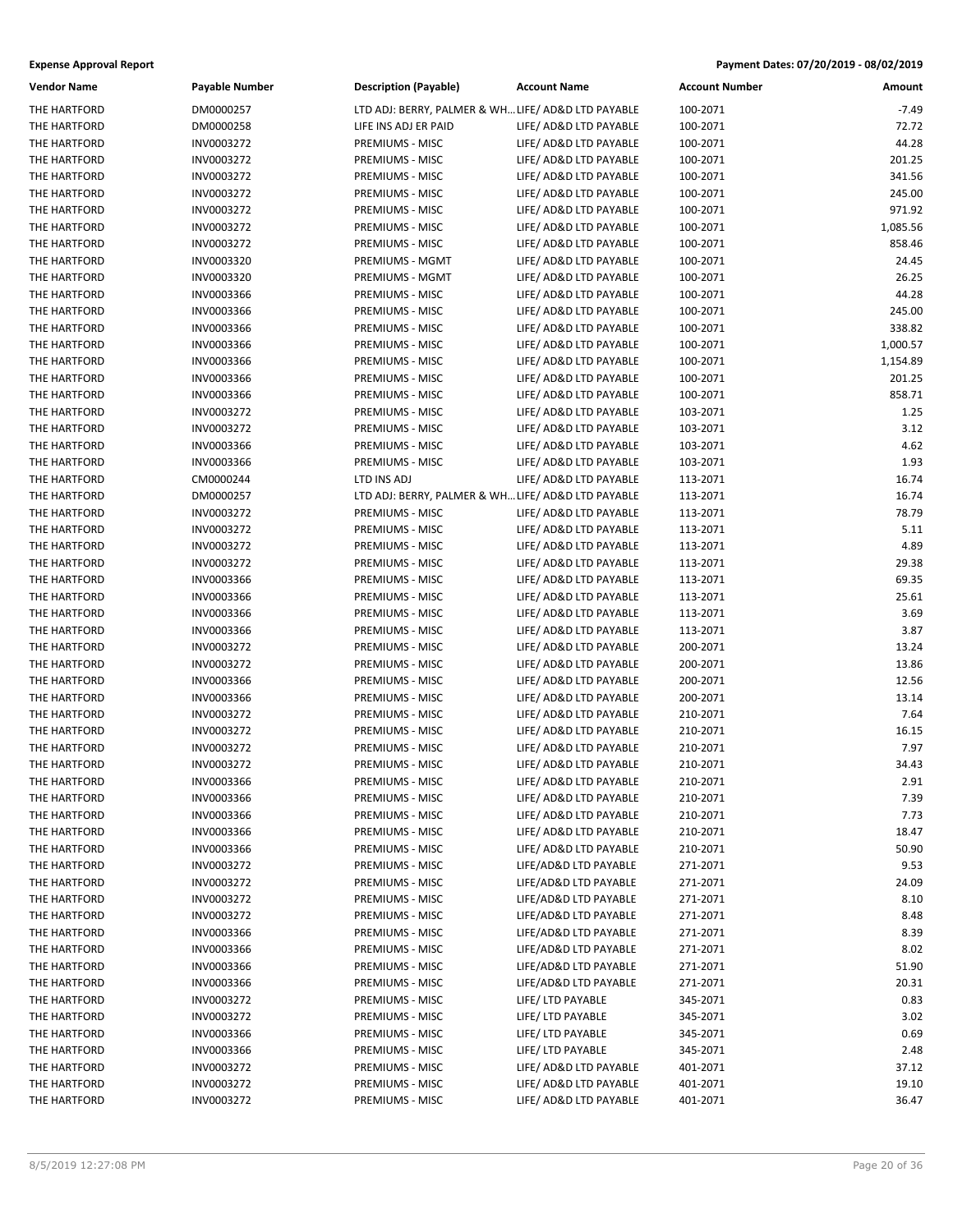| Vendor Name                  | Payable Number | <b>Description (Payable)</b>                       | <b>Account Name</b>    | <b>Account Number</b> | Amount   |
|------------------------------|----------------|----------------------------------------------------|------------------------|-----------------------|----------|
| THE HARTFORD                 | DM0000257      | LTD ADJ: BERRY, PALMER & WH LIFE/ AD&D LTD PAYABLE |                        | 100-2071              | $-7.49$  |
| THE HARTFORD                 | DM0000258      | LIFE INS ADJ ER PAID                               | LIFE/ AD&D LTD PAYABLE | 100-2071              | 72.72    |
| THE HARTFORD                 | INV0003272     | PREMIUMS - MISC                                    | LIFE/ AD&D LTD PAYABLE | 100-2071              | 44.28    |
| THE HARTFORD                 | INV0003272     | PREMIUMS - MISC                                    | LIFE/ AD&D LTD PAYABLE | 100-2071              | 201.25   |
| THE HARTFORD                 | INV0003272     | PREMIUMS - MISC                                    | LIFE/ AD&D LTD PAYABLE | 100-2071              | 341.56   |
| THE HARTFORD                 | INV0003272     | PREMIUMS - MISC                                    | LIFE/ AD&D LTD PAYABLE | 100-2071              | 245.00   |
| THE HARTFORD                 | INV0003272     | PREMIUMS - MISC                                    | LIFE/ AD&D LTD PAYABLE | 100-2071              | 971.92   |
| THE HARTFORD                 | INV0003272     | PREMIUMS - MISC                                    | LIFE/ AD&D LTD PAYABLE | 100-2071              | 1,085.56 |
| THE HARTFORD                 | INV0003272     | PREMIUMS - MISC                                    | LIFE/ AD&D LTD PAYABLE | 100-2071              | 858.46   |
| THE HARTFORD                 | INV0003320     | PREMIUMS - MGMT                                    | LIFE/ AD&D LTD PAYABLE | 100-2071              | 24.45    |
| THE HARTFORD                 | INV0003320     | PREMIUMS - MGMT                                    | LIFE/ AD&D LTD PAYABLE | 100-2071              | 26.25    |
| THE HARTFORD                 | INV0003366     | PREMIUMS - MISC                                    | LIFE/ AD&D LTD PAYABLE | 100-2071              | 44.28    |
| THE HARTFORD                 | INV0003366     | PREMIUMS - MISC                                    | LIFE/ AD&D LTD PAYABLE | 100-2071              | 245.00   |
| THE HARTFORD                 | INV0003366     | PREMIUMS - MISC                                    | LIFE/ AD&D LTD PAYABLE | 100-2071              | 338.82   |
| THE HARTFORD                 | INV0003366     | PREMIUMS - MISC                                    | LIFE/ AD&D LTD PAYABLE | 100-2071              | 1,000.57 |
| THE HARTFORD                 | INV0003366     | PREMIUMS - MISC                                    | LIFE/ AD&D LTD PAYABLE | 100-2071              | 1,154.89 |
| THE HARTFORD                 | INV0003366     | PREMIUMS - MISC                                    | LIFE/ AD&D LTD PAYABLE | 100-2071              | 201.25   |
| THE HARTFORD                 | INV0003366     | PREMIUMS - MISC                                    | LIFE/ AD&D LTD PAYABLE | 100-2071              | 858.71   |
| THE HARTFORD                 | INV0003272     | PREMIUMS - MISC                                    | LIFE/ AD&D LTD PAYABLE | 103-2071              | 1.25     |
| THE HARTFORD                 | INV0003272     | PREMIUMS - MISC                                    | LIFE/ AD&D LTD PAYABLE | 103-2071              | 3.12     |
| THE HARTFORD                 | INV0003366     | PREMIUMS - MISC                                    | LIFE/ AD&D LTD PAYABLE | 103-2071              | 4.62     |
|                              |                | PREMIUMS - MISC                                    |                        |                       | 1.93     |
| THE HARTFORD<br>THE HARTFORD | INV0003366     |                                                    | LIFE/ AD&D LTD PAYABLE | 103-2071              |          |
|                              | CM0000244      | LTD INS ADJ                                        | LIFE/ AD&D LTD PAYABLE | 113-2071              | 16.74    |
| THE HARTFORD                 | DM0000257      | LTD ADJ: BERRY, PALMER & WH LIFE/ AD&D LTD PAYABLE |                        | 113-2071              | 16.74    |
| THE HARTFORD                 | INV0003272     | PREMIUMS - MISC                                    | LIFE/ AD&D LTD PAYABLE | 113-2071              | 78.79    |
| THE HARTFORD                 | INV0003272     | PREMIUMS - MISC                                    | LIFE/ AD&D LTD PAYABLE | 113-2071              | 5.11     |
| THE HARTFORD                 | INV0003272     | PREMIUMS - MISC                                    | LIFE/ AD&D LTD PAYABLE | 113-2071              | 4.89     |
| THE HARTFORD                 | INV0003272     | PREMIUMS - MISC                                    | LIFE/ AD&D LTD PAYABLE | 113-2071              | 29.38    |
| THE HARTFORD                 | INV0003366     | PREMIUMS - MISC                                    | LIFE/ AD&D LTD PAYABLE | 113-2071              | 69.35    |
| THE HARTFORD                 | INV0003366     | PREMIUMS - MISC                                    | LIFE/ AD&D LTD PAYABLE | 113-2071              | 25.61    |
| THE HARTFORD                 | INV0003366     | PREMIUMS - MISC                                    | LIFE/ AD&D LTD PAYABLE | 113-2071              | 3.69     |
| THE HARTFORD                 | INV0003366     | PREMIUMS - MISC                                    | LIFE/ AD&D LTD PAYABLE | 113-2071              | 3.87     |
| THE HARTFORD                 | INV0003272     | PREMIUMS - MISC                                    | LIFE/ AD&D LTD PAYABLE | 200-2071              | 13.24    |
| THE HARTFORD                 | INV0003272     | PREMIUMS - MISC                                    | LIFE/ AD&D LTD PAYABLE | 200-2071              | 13.86    |
| THE HARTFORD                 | INV0003366     | PREMIUMS - MISC                                    | LIFE/ AD&D LTD PAYABLE | 200-2071              | 12.56    |
| THE HARTFORD                 | INV0003366     | PREMIUMS - MISC                                    | LIFE/ AD&D LTD PAYABLE | 200-2071              | 13.14    |
| THE HARTFORD                 | INV0003272     | PREMIUMS - MISC                                    | LIFE/ AD&D LTD PAYABLE | 210-2071              | 7.64     |
| THE HARTFORD                 | INV0003272     | PREMIUMS - MISC                                    | LIFE/ AD&D LTD PAYABLE | 210-2071              | 16.15    |
| THE HARTFORD                 | INV0003272     | PREMIUMS - MISC                                    | LIFE/ AD&D LTD PAYABLE | 210-2071              | 7.97     |
| THE HARTFORD                 | INV0003272     | PREMIUMS - MISC                                    | LIFE/ AD&D LTD PAYABLE | 210-2071              | 34.43    |
| THE HARTFORD                 | INV0003366     | PREMIUMS - MISC                                    | LIFE/ AD&D LTD PAYABLE | 210-2071              | 2.91     |
| THE HARTFORD                 | INV0003366     | PREMIUMS - MISC                                    | LIFE/ AD&D LTD PAYABLE | 210-2071              | 7.39     |
| THE HARTFORD                 | INV0003366     | PREMIUMS - MISC                                    | LIFE/ AD&D LTD PAYABLE | 210-2071              | 7.73     |
| THE HARTFORD                 | INV0003366     | PREMIUMS - MISC                                    | LIFE/ AD&D LTD PAYABLE | 210-2071              | 18.47    |
| THE HARTFORD                 | INV0003366     | PREMIUMS - MISC                                    | LIFE/ AD&D LTD PAYABLE | 210-2071              | 50.90    |
| THE HARTFORD                 | INV0003272     | PREMIUMS - MISC                                    | LIFE/AD&D LTD PAYABLE  | 271-2071              | 9.53     |
| THE HARTFORD                 | INV0003272     | PREMIUMS - MISC                                    | LIFE/AD&D LTD PAYABLE  | 271-2071              | 24.09    |
| THE HARTFORD                 | INV0003272     | PREMIUMS - MISC                                    | LIFE/AD&D LTD PAYABLE  | 271-2071              | 8.10     |
| THE HARTFORD                 | INV0003272     | PREMIUMS - MISC                                    | LIFE/AD&D LTD PAYABLE  | 271-2071              | 8.48     |
| THE HARTFORD                 | INV0003366     | PREMIUMS - MISC                                    | LIFE/AD&D LTD PAYABLE  | 271-2071              | 8.39     |
| THE HARTFORD                 | INV0003366     | PREMIUMS - MISC                                    | LIFE/AD&D LTD PAYABLE  | 271-2071              | 8.02     |
| THE HARTFORD                 | INV0003366     | PREMIUMS - MISC                                    | LIFE/AD&D LTD PAYABLE  | 271-2071              | 51.90    |
| THE HARTFORD                 | INV0003366     | PREMIUMS - MISC                                    | LIFE/AD&D LTD PAYABLE  | 271-2071              | 20.31    |
| THE HARTFORD                 | INV0003272     | PREMIUMS - MISC                                    | LIFE/ LTD PAYABLE      | 345-2071              | 0.83     |
| THE HARTFORD                 | INV0003272     | PREMIUMS - MISC                                    | LIFE/ LTD PAYABLE      | 345-2071              | 3.02     |
| THE HARTFORD                 | INV0003366     | PREMIUMS - MISC                                    | LIFE/ LTD PAYABLE      | 345-2071              | 0.69     |
| THE HARTFORD                 | INV0003366     | PREMIUMS - MISC                                    | LIFE/ LTD PAYABLE      | 345-2071              | 2.48     |
| THE HARTFORD                 | INV0003272     | PREMIUMS - MISC                                    | LIFE/ AD&D LTD PAYABLE | 401-2071              | 37.12    |
| THE HARTFORD                 | INV0003272     | PREMIUMS - MISC                                    | LIFE/ AD&D LTD PAYABLE | 401-2071              | 19.10    |
| THE HARTFORD                 | INV0003272     | PREMIUMS - MISC                                    | LIFE/ AD&D LTD PAYABLE | 401-2071              | 36.47    |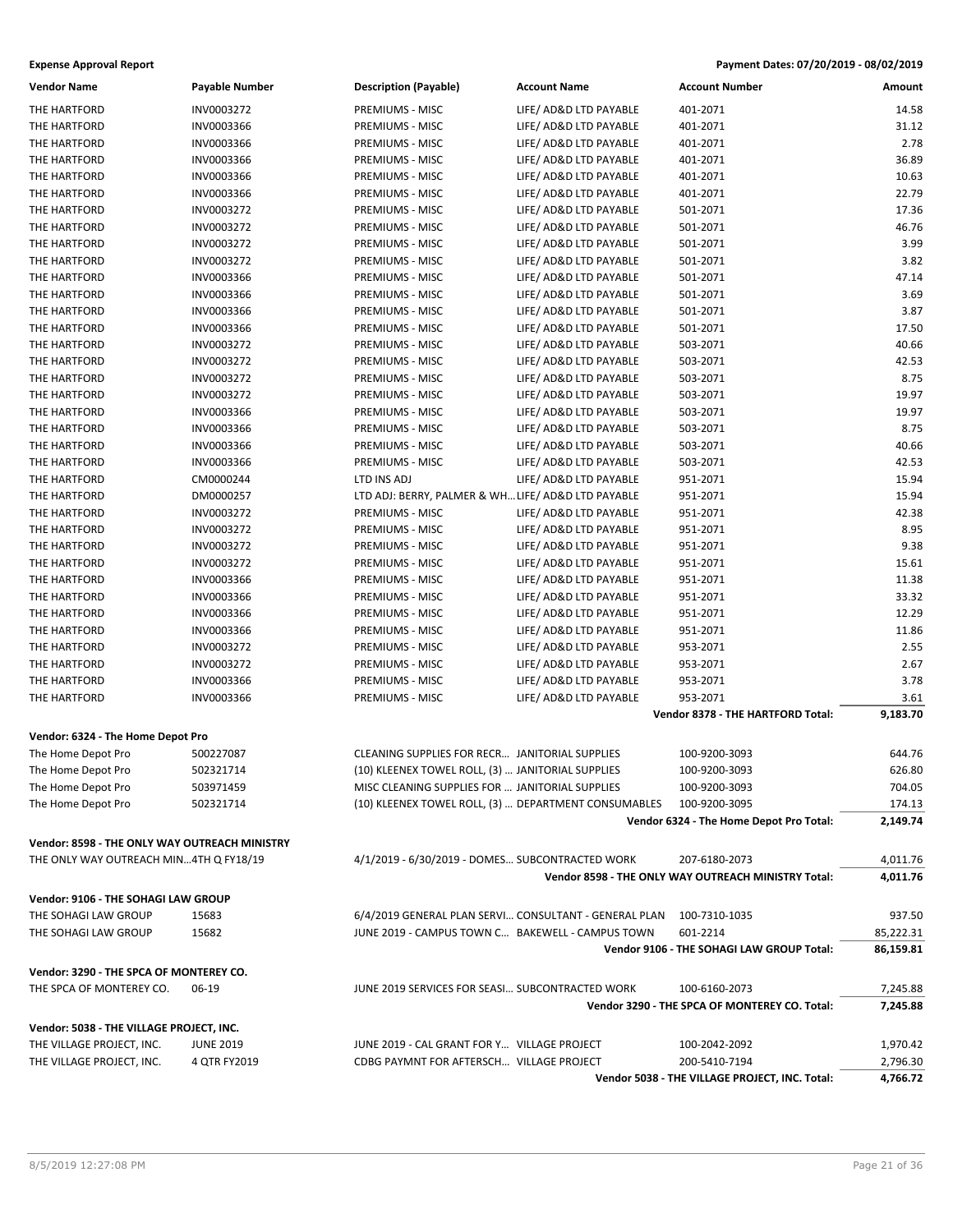| <b>Expense Approval Report</b>                |                       |                                                   |                                                       | Payment Dates: 07/20/2019 - 08/02/2019              |           |
|-----------------------------------------------|-----------------------|---------------------------------------------------|-------------------------------------------------------|-----------------------------------------------------|-----------|
| <b>Vendor Name</b>                            | <b>Payable Number</b> | <b>Description (Payable)</b>                      | <b>Account Name</b>                                   | <b>Account Number</b>                               | Amount    |
| THE HARTFORD                                  | INV0003272            | PREMIUMS - MISC                                   | LIFE/ AD&D LTD PAYABLE                                | 401-2071                                            | 14.58     |
| THE HARTFORD                                  | INV0003366            | PREMIUMS - MISC                                   | LIFE/ AD&D LTD PAYABLE                                | 401-2071                                            | 31.12     |
| THE HARTFORD                                  | INV0003366            | PREMIUMS - MISC                                   | LIFE/ AD&D LTD PAYABLE                                | 401-2071                                            | 2.78      |
| THE HARTFORD                                  | INV0003366            | PREMIUMS - MISC                                   | LIFE/ AD&D LTD PAYABLE                                | 401-2071                                            | 36.89     |
| THE HARTFORD                                  | INV0003366            | PREMIUMS - MISC                                   | LIFE/ AD&D LTD PAYABLE                                | 401-2071                                            | 10.63     |
| THE HARTFORD                                  | INV0003366            | PREMIUMS - MISC                                   | LIFE/ AD&D LTD PAYABLE                                | 401-2071                                            | 22.79     |
| THE HARTFORD                                  | INV0003272            | PREMIUMS - MISC                                   | LIFE/ AD&D LTD PAYABLE                                | 501-2071                                            | 17.36     |
| THE HARTFORD                                  | INV0003272            | PREMIUMS - MISC                                   | LIFE/ AD&D LTD PAYABLE                                | 501-2071                                            | 46.76     |
| THE HARTFORD                                  | INV0003272            | PREMIUMS - MISC                                   | LIFE/ AD&D LTD PAYABLE                                | 501-2071                                            | 3.99      |
| THE HARTFORD                                  | INV0003272            | PREMIUMS - MISC                                   | LIFE/ AD&D LTD PAYABLE                                | 501-2071                                            | 3.82      |
| THE HARTFORD                                  | INV0003366            | PREMIUMS - MISC                                   | LIFE/ AD&D LTD PAYABLE                                | 501-2071                                            | 47.14     |
| THE HARTFORD                                  | INV0003366            | PREMIUMS - MISC                                   | LIFE/ AD&D LTD PAYABLE                                | 501-2071                                            | 3.69      |
| THE HARTFORD                                  | INV0003366            | PREMIUMS - MISC                                   | LIFE/ AD&D LTD PAYABLE                                | 501-2071                                            | 3.87      |
| THE HARTFORD                                  | INV0003366            | PREMIUMS - MISC                                   | LIFE/ AD&D LTD PAYABLE                                | 501-2071                                            | 17.50     |
| THE HARTFORD                                  | INV0003272            | PREMIUMS - MISC                                   | LIFE/ AD&D LTD PAYABLE                                | 503-2071                                            | 40.66     |
| THE HARTFORD                                  | INV0003272            | PREMIUMS - MISC                                   | LIFE/ AD&D LTD PAYABLE                                | 503-2071                                            | 42.53     |
| THE HARTFORD                                  | INV0003272            | PREMIUMS - MISC                                   | LIFE/ AD&D LTD PAYABLE                                | 503-2071                                            | 8.75      |
| THE HARTFORD                                  | INV0003272            | PREMIUMS - MISC                                   | LIFE/ AD&D LTD PAYABLE                                | 503-2071                                            | 19.97     |
| THE HARTFORD                                  | INV0003366            | PREMIUMS - MISC                                   | LIFE/ AD&D LTD PAYABLE                                | 503-2071                                            | 19.97     |
| THE HARTFORD                                  | INV0003366            | PREMIUMS - MISC                                   | LIFE/ AD&D LTD PAYABLE                                | 503-2071                                            | 8.75      |
| THE HARTFORD                                  | INV0003366            | PREMIUMS - MISC                                   | LIFE/ AD&D LTD PAYABLE                                | 503-2071                                            | 40.66     |
| THE HARTFORD                                  | INV0003366            | PREMIUMS - MISC                                   | LIFE/ AD&D LTD PAYABLE                                | 503-2071                                            | 42.53     |
| THE HARTFORD                                  | CM0000244             | LTD INS ADJ                                       | LIFE/ AD&D LTD PAYABLE                                | 951-2071                                            | 15.94     |
| THE HARTFORD                                  | DM0000257             |                                                   | LTD ADJ: BERRY, PALMER & WH LIFE/ AD&D LTD PAYABLE    | 951-2071                                            | 15.94     |
| THE HARTFORD                                  | INV0003272            | PREMIUMS - MISC                                   | LIFE/ AD&D LTD PAYABLE                                | 951-2071                                            | 42.38     |
| THE HARTFORD                                  | INV0003272            | PREMIUMS - MISC                                   | LIFE/ AD&D LTD PAYABLE                                | 951-2071                                            | 8.95      |
| THE HARTFORD                                  | INV0003272            | PREMIUMS - MISC                                   | LIFE/ AD&D LTD PAYABLE                                | 951-2071                                            | 9.38      |
| THE HARTFORD                                  | INV0003272            | PREMIUMS - MISC                                   | LIFE/ AD&D LTD PAYABLE                                | 951-2071                                            | 15.61     |
| THE HARTFORD                                  | INV0003366            | PREMIUMS - MISC                                   | LIFE/ AD&D LTD PAYABLE                                | 951-2071                                            | 11.38     |
| THE HARTFORD                                  | INV0003366            | PREMIUMS - MISC                                   | LIFE/ AD&D LTD PAYABLE                                | 951-2071                                            | 33.32     |
| THE HARTFORD                                  | INV0003366            | PREMIUMS - MISC                                   | LIFE/ AD&D LTD PAYABLE                                | 951-2071                                            | 12.29     |
| THE HARTFORD                                  | INV0003366            | PREMIUMS - MISC                                   | LIFE/ AD&D LTD PAYABLE                                | 951-2071                                            | 11.86     |
| THE HARTFORD                                  | INV0003272            | PREMIUMS - MISC                                   | LIFE/ AD&D LTD PAYABLE                                | 953-2071                                            | 2.55      |
| THE HARTFORD                                  | INV0003272            | PREMIUMS - MISC                                   | LIFE/ AD&D LTD PAYABLE                                | 953-2071                                            | 2.67      |
| THE HARTFORD                                  | INV0003366            | PREMIUMS - MISC                                   | LIFE/ AD&D LTD PAYABLE                                | 953-2071                                            | 3.78      |
| THE HARTFORD                                  | INV0003366            | PREMIUMS - MISC                                   | LIFE/ AD&D LTD PAYABLE                                | 953-2071                                            | 3.61      |
|                                               |                       |                                                   |                                                       | Vendor 8378 - THE HARTFORD Total:                   | 9,183.70  |
| Vendor: 6324 - The Home Depot Pro             |                       |                                                   |                                                       |                                                     |           |
| The Home Depot Pro                            | 500227087             | CLEANING SUPPLIES FOR RECR JANITORIAL SUPPLIES    |                                                       | 100-9200-3093                                       | 644.76    |
| The Home Depot Pro                            | 502321714             | (10) KLEENEX TOWEL ROLL, (3)  JANITORIAL SUPPLIES |                                                       | 100-9200-3093                                       | 626.80    |
| The Home Depot Pro                            | 503971459             | MISC CLEANING SUPPLIES FOR  JANITORIAL SUPPLIES   |                                                       | 100-9200-3093                                       | 704.05    |
| The Home Depot Pro                            | 502321714             |                                                   | (10) KLEENEX TOWEL ROLL, (3)  DEPARTMENT CONSUMABLES  | 100-9200-3095                                       | 174.13    |
|                                               |                       |                                                   |                                                       | Vendor 6324 - The Home Depot Pro Total:             | 2,149.74  |
| Vendor: 8598 - THE ONLY WAY OUTREACH MINISTRY |                       |                                                   |                                                       |                                                     |           |
| THE ONLY WAY OUTREACH MIN4TH Q FY18/19        |                       |                                                   | 4/1/2019 - 6/30/2019 - DOMES SUBCONTRACTED WORK       | 207-6180-2073                                       | 4,011.76  |
|                                               |                       |                                                   |                                                       | Vendor 8598 - THE ONLY WAY OUTREACH MINISTRY Total: | 4,011.76  |
| Vendor: 9106 - THE SOHAGI LAW GROUP           |                       |                                                   |                                                       |                                                     |           |
| THE SOHAGI LAW GROUP                          | 15683                 |                                                   | 6/4/2019 GENERAL PLAN SERVI CONSULTANT - GENERAL PLAN | 100-7310-1035                                       | 937.50    |
| THE SOHAGI LAW GROUP                          | 15682                 |                                                   | JUNE 2019 - CAMPUS TOWN C BAKEWELL - CAMPUS TOWN      | 601-2214                                            | 85,222.31 |
|                                               |                       |                                                   |                                                       | Vendor 9106 - THE SOHAGI LAW GROUP Total:           | 86,159.81 |
| Vendor: 3290 - THE SPCA OF MONTEREY CO.       |                       |                                                   |                                                       |                                                     |           |
| THE SPCA OF MONTEREY CO.                      | 06-19                 |                                                   | JUNE 2019 SERVICES FOR SEASI SUBCONTRACTED WORK       | 100-6160-2073                                       | 7,245.88  |
|                                               |                       |                                                   |                                                       | Vendor 3290 - THE SPCA OF MONTEREY CO. Total:       | 7,245.88  |
| Vendor: 5038 - THE VILLAGE PROJECT, INC.      |                       |                                                   |                                                       |                                                     |           |
| THE VILLAGE PROJECT, INC.                     | <b>JUNE 2019</b>      | JUNE 2019 - CAL GRANT FOR Y VILLAGE PROJECT       |                                                       | 100-2042-2092                                       | 1,970.42  |
| THE VILLAGE PROJECT, INC.                     | 4 QTR FY2019          | CDBG PAYMNT FOR AFTERSCH VILLAGE PROJECT          |                                                       | 200-5410-7194                                       | 2,796.30  |
|                                               |                       |                                                   |                                                       | Vendor 5038 - THE VILLAGE PROJECT, INC. Total:      | 4,766.72  |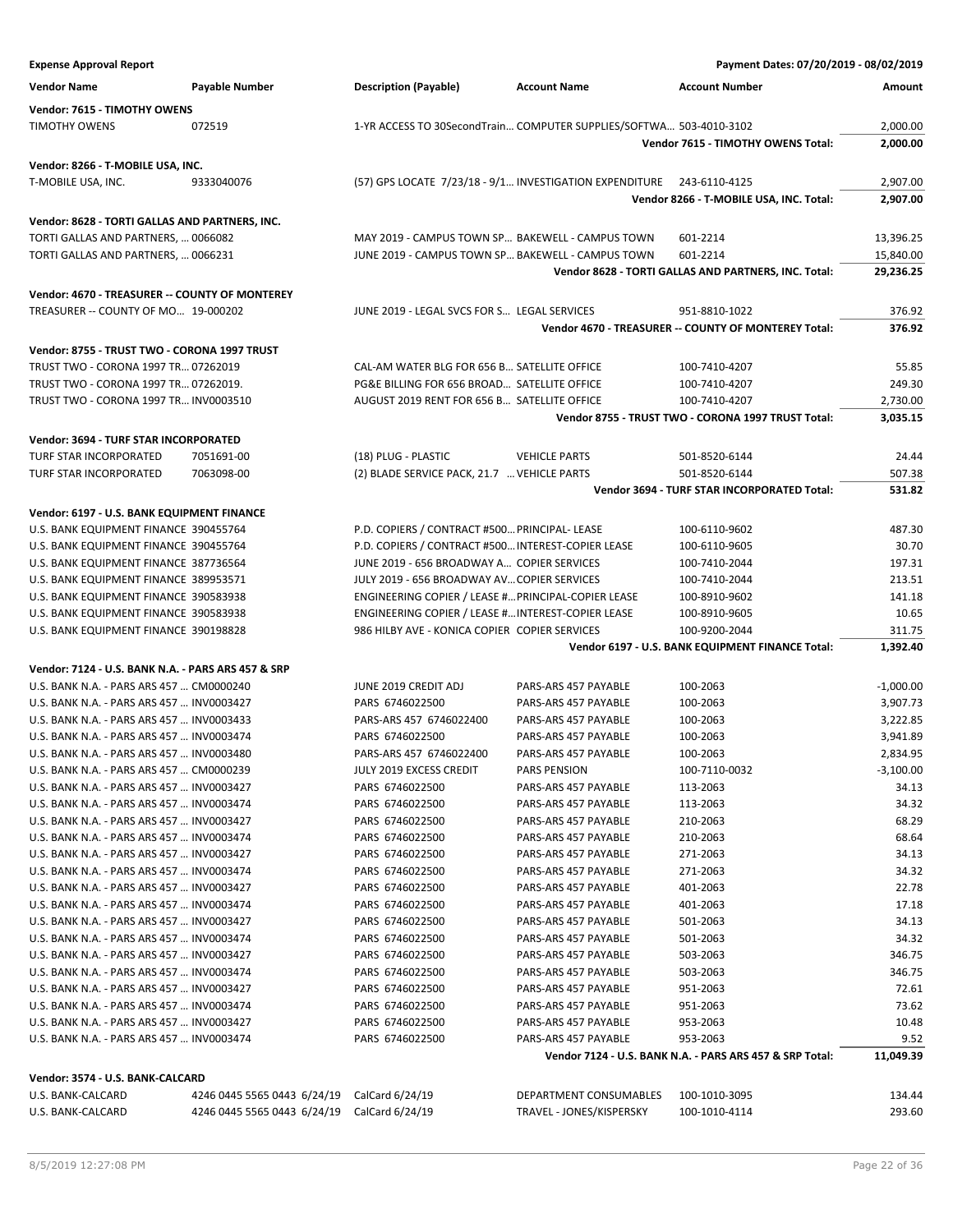**Expense Approval Report Payment Dates: 07/20/2019 - 08/02/2019 Vendor Name Payable Number Description (Payable) Account Name Account Number Amount Vendor: 7615 - TIMOTHY OWENS** TIMOTHY OWENS 072519 1-YR ACCESS TO 30SecondTrain… COMPUTER SUPPLIES/SOFTWA… 503-4010-3102 2,000.00 **Vendor 7615 - TIMOTHY OWENS Total: 2,000.00 Vendor: 8266 - T-MOBILE USA, INC.** T-MOBILE USA, INC. 9333040076 (57) GPS LOCATE 7/23/18 - 9/1… INVESTIGATION EXPENDITURE 243-6110-4125 2,907.00 **Vendor 8266 - T-MOBILE USA, INC. Total: 2,907.00 Vendor: 8628 - TORTI GALLAS AND PARTNERS, INC.** TORTI GALLAS AND PARTNERS, ... 0066082 MAY 2019 - CAMPUS TOWN SP... BAKEWELL - CAMPUS TOWN 601-2214 13,396.25 TORTI GALLAS AND PARTNERS, ... 0066231 JUNE 2019 - CAMPUS TOWN SP... BAKEWELL - CAMPUS TOWN 601-2214 15,840.00 **Vendor 8628 - TORTI GALLAS AND PARTNERS, INC. Total: 29,236.25 Vendor: 4670 - TREASURER -- COUNTY OF MONTEREY** TREASURER -- COUNTY OF MO... 19-000202 JUNE 2019 - LEGAL SVCS FOR S... LEGAL SERVICES 951-8810-1022 376.92 **Vendor 4670 - TREASURER -- COUNTY OF MONTEREY Total: 376.92 Vendor: 8755 - TRUST TWO - CORONA 1997 TRUST** TRUST TWO - CORONA 1997 TR… 07262019 CAL-AM WATER BLG FOR 656 B… SATELLITE OFFICE 100-7410-4207 55.85 TRUST TWO - CORONA 1997 TR... 07262019. PG&E BILLING FOR 656 BROAD... SATELLITE OFFICE 100-7410-4207 249.30 TRUST TWO - CORONA 1997 TR… INV0003510 AUGUST 2019 RENT FOR 656 B… SATELLITE OFFICE 100-7410-4207 2,730.00 **Vendor 8755 - TRUST TWO - CORONA 1997 TRUST Total: 3,035.15 Vendor: 3694 - TURF STAR INCORPORATED** TURF STAR INCORPORATED 7051691-00 (18) PLUG - PLASTIC VEHICLE PARTS 501-8520-6144 24.44 TURF STAR INCORPORATED 7063098-00 (2) BLADE SERVICE PACK, 21.7 …VEHICLE PARTS 501-8520-6144 507.38 **Vendor 3694 - TURF STAR INCORPORATED Total: 531.82 Vendor: 6197 - U.S. BANK EQUIPMENT FINANCE** U.S. BANK EQUIPMENT FINANCE 390455764 P.D. COPIERS / CONTRACT #500... PRINCIPAL- LEASE 100-6110-9602 487.30 U.S. BANK EQUIPMENT FINANCE 390455764 P.D. COPIERS / CONTRACT #500... INTEREST-COPIER LEASE 100-6110-9605 30.70 U.S. BANK EQUIPMENT FINANCE 387736564 JUNE 2019 - 656 BROADWAY A... COPIER SERVICES 100-7410-2044 197.31 U.S. BANK EQUIPMENT FINANCE 389953571 JULY 2019 - 656 BROADWAY AV... COPIER SERVICES 100-7410-2044 213.51 U.S. BANK EQUIPMENT FINANCE 390583938 ENGINEERING COPIER / LEASE #…PRINCIPAL-COPIER LEASE 100-8910-9602 141.18 U.S. BANK EQUIPMENT FINANCE 390583938 ENGINEERING COPIER / LEASE #…INTEREST-COPIER LEASE 100-8910-9605 10.65 U.S. BANK EQUIPMENT FINANCE 390198828 986 HILBY AVE - KONICA COPIER COPIER SERVICES 100-9200-2044 311.75 **Vendor 6197 - U.S. BANK EQUIPMENT FINANCE Total: 1,392.40 Vendor: 7124 - U.S. BANK N.A. - PARS ARS 457 & SRP** U.S. BANK N.A. - PARS ARS 457 … CM0000240 JUNE 2019 CREDIT ADJ PARS-ARS 457 PAYABLE 100-2063 -1,000.00 U.S. BANK N.A. - PARS ARS 457 … INV0003427 PARS 6746022500 PARS-ARS 457 PAYABLE 100-2063 3,907.73 U.S. BANK N.A. - PARS ARS 457 … INV0003433 PARS-ARS 457 6746022400 PARS-ARS 457 PAYABLE 100-2063 3,222.85 U.S. BANK N.A. - PARS ARS 457 … INV0003474 PARS 6746022500 PARS-ARS 457 PAYABLE 100-2063 3,941.89 U.S. BANK N.A. - PARS ARS 457 … INV0003480 PARS-ARS 457 6746022400 PARS-ARS 457 PAYABLE 100-2063 2,834.95 U.S. BANK N.A. - PARS ARS 457 … CM0000239 JULY 2019 EXCESS CREDIT PARS PENSION 100-7110-0032 -3,100.00 U.S. BANK N.A. - PARS ARS 457 … INV0003427 PARS 6746022500 PARS-ARS 457 PAYABLE 113-2063 34.13 U.S. BANK N.A. - PARS ARS 457 … INV0003474 PARS 6746022500 PARS-ARS 457 PAYABLE 113-2063 34.32 U.S. BANK N.A. - PARS ARS 457 … INV0003427 PARS 6746022500 PARS-ARS 457 PAYABLE 210-2063 68.29 U.S. BANK N.A. - PARS ARS 457 … INV0003474 PARS 6746022500 PARS-ARS 457 PAYABLE 210-2063 68.64 U.S. BANK N.A. - PARS ARS 457 … INV0003427 PARS 6746022500 PARS-ARS 457 PAYABLE 271-2063 34.13 U.S. BANK N.A. - PARS ARS 457 … INV0003474 PARS 6746022500 PARS-ARS 457 PAYABLE 271-2063 34.32 U.S. BANK N.A. - PARS ARS 457 … INV0003427 PARS 6746022500 PARS-ARS 457 PAYABLE 401-2063 22.78 U.S. BANK N.A. - PARS ARS 457 … INV0003474 PARS 6746022500 PARS-ARS 457 PAYABLE 401-2063 17.18 U.S. BANK N.A. - PARS ARS 457 … INV0003427 PARS 6746022500 PARS-ARS 457 PAYABLE 501-2063 34.13 U.S. BANK N.A. - PARS ARS 457 … INV0003474 PARS 6746022500 PARS-ARS 457 PAYABLE 501-2063 34.32 U.S. BANK N.A. - PARS ARS 457 … INV0003427 PARS 6746022500 PARS-ARS 457 PAYABLE 503-2063 346.75 U.S. BANK N.A. - PARS ARS 457 … INV0003474 PARS 6746022500 PARS-ARS 457 PAYABLE 503-2063 346.75 U.S. BANK N.A. - PARS ARS 457 … INV0003427 PARS 6746022500 PARS-ARS 457 PAYABLE 951-2063 72.61 U.S. BANK N.A. - PARS ARS 457 … INV0003474 PARS 6746022500 PARS-ARS 457 PAYABLE 951-2063 73.62 U.S. BANK N.A. - PARS ARS 457 … INV0003427 PARS 6746022500 PARS-ARS 457 PAYABLE 953-2063 10.48 U.S. BANK N.A. - PARS ARS 457 … INV0003474 PARS 6746022500 PARS-ARS 457 PAYABLE 953-2063 9.52 **Vendor 7124 - U.S. BANK N.A. - PARS ARS 457 & SRP Total: 11,049.39**

## U.S. BANK-CALCARD 4246 0445 5565 0443 6/24/19 CalCard 6/24/19 DEPARTMENT CONSUMABLES 100-1010-3095 134.44 U.S. BANK-CALCARD 4246 0445 5565 0443 6/24/19 CalCard 6/24/19 TRAVEL - JONES/KISPERSKY 100-1010-4114 293.60

**Vendor: 3574 - U.S. BANK-CALCARD**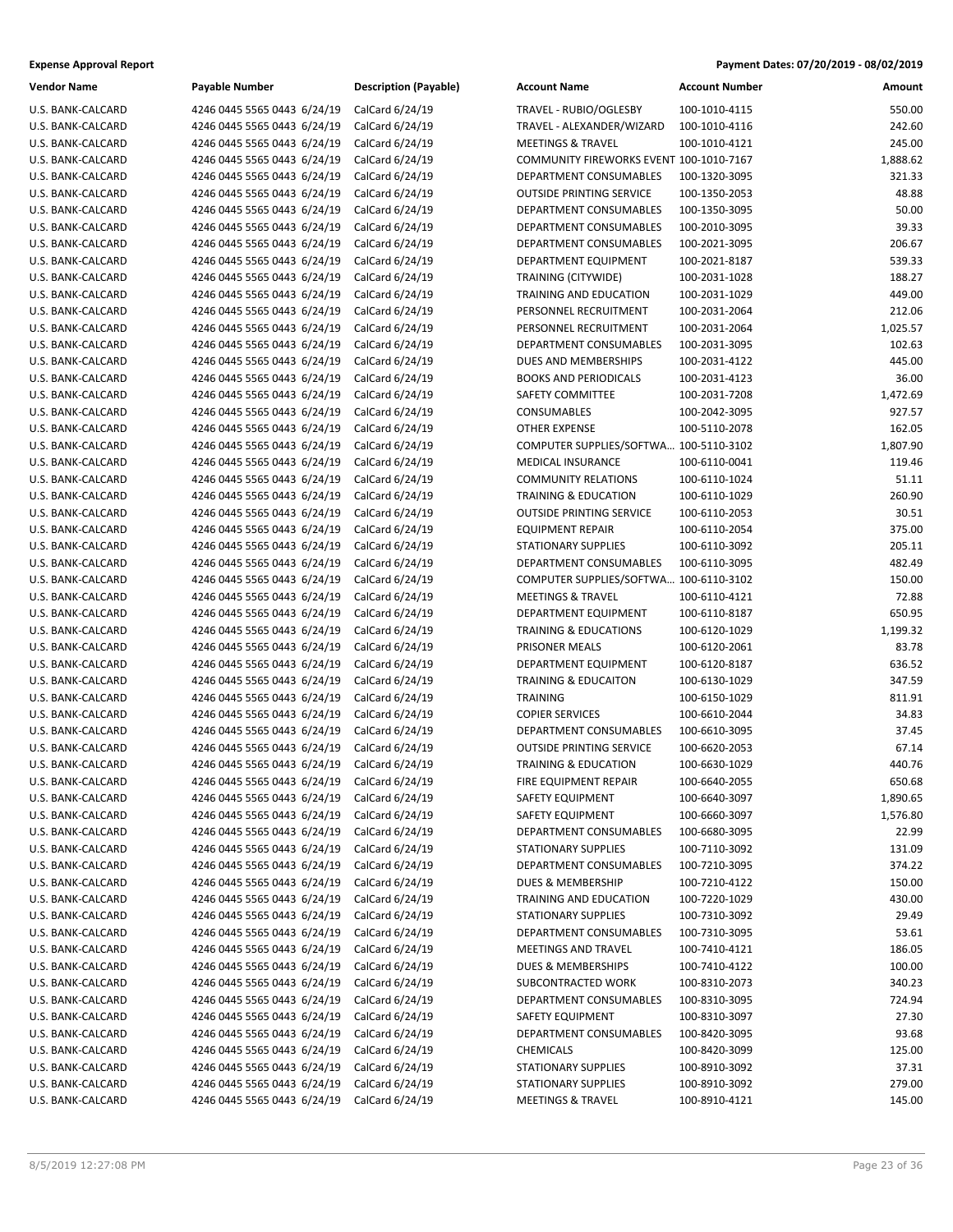| <b>Vendor Name</b> | <b>Payable Number</b>       | <b>Description (Payable)</b> | <b>Account Name</b>                     | <b>Account Number</b> | Amount   |
|--------------------|-----------------------------|------------------------------|-----------------------------------------|-----------------------|----------|
| U.S. BANK-CALCARD  | 4246 0445 5565 0443 6/24/19 | CalCard 6/24/19              | TRAVEL - RUBIO/OGLESBY                  | 100-1010-4115         | 550.00   |
| U.S. BANK-CALCARD  | 4246 0445 5565 0443 6/24/19 | CalCard 6/24/19              | TRAVEL - ALEXANDER/WIZARD               | 100-1010-4116         | 242.60   |
| U.S. BANK-CALCARD  | 4246 0445 5565 0443 6/24/19 | CalCard 6/24/19              | <b>MEETINGS &amp; TRAVEL</b>            | 100-1010-4121         | 245.00   |
| U.S. BANK-CALCARD  | 4246 0445 5565 0443 6/24/19 | CalCard 6/24/19              | COMMUNITY FIREWORKS EVENT 100-1010-7167 |                       | 1,888.62 |
| U.S. BANK-CALCARD  | 4246 0445 5565 0443 6/24/19 | CalCard 6/24/19              | DEPARTMENT CONSUMABLES                  | 100-1320-3095         | 321.33   |
| U.S. BANK-CALCARD  | 4246 0445 5565 0443 6/24/19 | CalCard 6/24/19              | <b>OUTSIDE PRINTING SERVICE</b>         | 100-1350-2053         | 48.88    |
| U.S. BANK-CALCARD  | 4246 0445 5565 0443 6/24/19 | CalCard 6/24/19              | DEPARTMENT CONSUMABLES                  | 100-1350-3095         | 50.00    |
| U.S. BANK-CALCARD  | 4246 0445 5565 0443 6/24/19 | CalCard 6/24/19              | DEPARTMENT CONSUMABLES                  | 100-2010-3095         | 39.33    |
| U.S. BANK-CALCARD  | 4246 0445 5565 0443 6/24/19 | CalCard 6/24/19              | DEPARTMENT CONSUMABLES                  | 100-2021-3095         | 206.67   |
| U.S. BANK-CALCARD  | 4246 0445 5565 0443 6/24/19 | CalCard 6/24/19              | DEPARTMENT EQUIPMENT                    | 100-2021-8187         | 539.33   |
| U.S. BANK-CALCARD  | 4246 0445 5565 0443 6/24/19 | CalCard 6/24/19              | TRAINING (CITYWIDE)                     | 100-2031-1028         | 188.27   |
| U.S. BANK-CALCARD  | 4246 0445 5565 0443 6/24/19 | CalCard 6/24/19              | TRAINING AND EDUCATION                  | 100-2031-1029         | 449.00   |
| U.S. BANK-CALCARD  | 4246 0445 5565 0443 6/24/19 | CalCard 6/24/19              | PERSONNEL RECRUITMENT                   | 100-2031-2064         | 212.06   |
| U.S. BANK-CALCARD  | 4246 0445 5565 0443 6/24/19 | CalCard 6/24/19              | PERSONNEL RECRUITMENT                   | 100-2031-2064         | 1,025.57 |
| U.S. BANK-CALCARD  | 4246 0445 5565 0443 6/24/19 | CalCard 6/24/19              | DEPARTMENT CONSUMABLES                  | 100-2031-3095         | 102.63   |
| U.S. BANK-CALCARD  | 4246 0445 5565 0443 6/24/19 | CalCard 6/24/19              | DUES AND MEMBERSHIPS                    | 100-2031-4122         | 445.00   |
| U.S. BANK-CALCARD  | 4246 0445 5565 0443 6/24/19 | CalCard 6/24/19              | <b>BOOKS AND PERIODICALS</b>            | 100-2031-4123         | 36.00    |
| U.S. BANK-CALCARD  | 4246 0445 5565 0443 6/24/19 | CalCard 6/24/19              | SAFETY COMMITTEE                        | 100-2031-7208         | 1,472.69 |
| U.S. BANK-CALCARD  | 4246 0445 5565 0443 6/24/19 | CalCard 6/24/19              | CONSUMABLES                             | 100-2042-3095         | 927.57   |
| U.S. BANK-CALCARD  | 4246 0445 5565 0443 6/24/19 | CalCard 6/24/19              | <b>OTHER EXPENSE</b>                    | 100-5110-2078         | 162.05   |
| U.S. BANK-CALCARD  | 4246 0445 5565 0443 6/24/19 | CalCard 6/24/19              | COMPUTER SUPPLIES/SOFTWA 100-5110-3102  |                       | 1,807.90 |
| U.S. BANK-CALCARD  | 4246 0445 5565 0443 6/24/19 | CalCard 6/24/19              | MEDICAL INSURANCE                       | 100-6110-0041         | 119.46   |
| U.S. BANK-CALCARD  | 4246 0445 5565 0443 6/24/19 | CalCard 6/24/19              | <b>COMMUNITY RELATIONS</b>              | 100-6110-1024         | 51.11    |
| U.S. BANK-CALCARD  | 4246 0445 5565 0443 6/24/19 | CalCard 6/24/19              | <b>TRAINING &amp; EDUCATION</b>         | 100-6110-1029         | 260.90   |
| U.S. BANK-CALCARD  | 4246 0445 5565 0443 6/24/19 | CalCard 6/24/19              | <b>OUTSIDE PRINTING SERVICE</b>         | 100-6110-2053         | 30.51    |
| U.S. BANK-CALCARD  | 4246 0445 5565 0443 6/24/19 | CalCard 6/24/19              | <b>EQUIPMENT REPAIR</b>                 | 100-6110-2054         | 375.00   |
| U.S. BANK-CALCARD  | 4246 0445 5565 0443 6/24/19 | CalCard 6/24/19              | <b>STATIONARY SUPPLIES</b>              | 100-6110-3092         | 205.11   |
| U.S. BANK-CALCARD  | 4246 0445 5565 0443 6/24/19 | CalCard 6/24/19              | DEPARTMENT CONSUMABLES                  | 100-6110-3095         | 482.49   |
| U.S. BANK-CALCARD  | 4246 0445 5565 0443 6/24/19 | CalCard 6/24/19              | COMPUTER SUPPLIES/SOFTWA 100-6110-3102  |                       | 150.00   |
| U.S. BANK-CALCARD  | 4246 0445 5565 0443 6/24/19 | CalCard 6/24/19              | <b>MEETINGS &amp; TRAVEL</b>            | 100-6110-4121         | 72.88    |
| U.S. BANK-CALCARD  | 4246 0445 5565 0443 6/24/19 | CalCard 6/24/19              | DEPARTMENT EQUIPMENT                    | 100-6110-8187         | 650.95   |
| U.S. BANK-CALCARD  | 4246 0445 5565 0443 6/24/19 | CalCard 6/24/19              | <b>TRAINING &amp; EDUCATIONS</b>        | 100-6120-1029         | 1,199.32 |
| U.S. BANK-CALCARD  | 4246 0445 5565 0443 6/24/19 | CalCard 6/24/19              | PRISONER MEALS                          | 100-6120-2061         | 83.78    |
| U.S. BANK-CALCARD  | 4246 0445 5565 0443 6/24/19 | CalCard 6/24/19              | DEPARTMENT EQUIPMENT                    | 100-6120-8187         | 636.52   |
| U.S. BANK-CALCARD  | 4246 0445 5565 0443 6/24/19 | CalCard 6/24/19              | <b>TRAINING &amp; EDUCAITON</b>         | 100-6130-1029         | 347.59   |
| U.S. BANK-CALCARD  | 4246 0445 5565 0443 6/24/19 | CalCard 6/24/19              | <b>TRAINING</b>                         | 100-6150-1029         | 811.91   |
| U.S. BANK-CALCARD  | 4246 0445 5565 0443 6/24/19 | CalCard 6/24/19              | <b>COPIER SERVICES</b>                  | 100-6610-2044         | 34.83    |
| U.S. BANK-CALCARD  | 4246 0445 5565 0443 6/24/19 | CalCard 6/24/19              | DEPARTMENT CONSUMABLES                  | 100-6610-3095         | 37.45    |
| U.S. BANK-CALCARD  | 4246 0445 5565 0443 6/24/19 | CalCard 6/24/19              | <b>OUTSIDE PRINTING SERVICE</b>         | 100-6620-2053         | 67.14    |
| U.S. BANK-CALCARD  | 4246 0445 5565 0443 6/24/19 | CalCard 6/24/19              | <b>TRAINING &amp; EDUCATION</b>         | 100-6630-1029         | 440.76   |
| U.S. BANK-CALCARD  | 4246 0445 5565 0443 6/24/19 | CalCard 6/24/19              | FIRE EQUIPMENT REPAIR                   | 100-6640-2055         | 650.68   |
| U.S. BANK-CALCARD  | 4246 0445 5565 0443 6/24/19 | CalCard 6/24/19              | <b>SAFETY EQUIPMENT</b>                 | 100-6640-3097         | 1,890.65 |
| U.S. BANK-CALCARD  | 4246 0445 5565 0443 6/24/19 | CalCard 6/24/19              | SAFETY EQUIPMENT                        | 100-6660-3097         | 1,576.80 |
| U.S. BANK-CALCARD  | 4246 0445 5565 0443 6/24/19 | CalCard 6/24/19              | DEPARTMENT CONSUMABLES                  | 100-6680-3095         | 22.99    |
| U.S. BANK-CALCARD  | 4246 0445 5565 0443 6/24/19 | CalCard 6/24/19              | <b>STATIONARY SUPPLIES</b>              | 100-7110-3092         | 131.09   |
| U.S. BANK-CALCARD  | 4246 0445 5565 0443 6/24/19 | CalCard 6/24/19              | DEPARTMENT CONSUMABLES                  | 100-7210-3095         | 374.22   |
| U.S. BANK-CALCARD  | 4246 0445 5565 0443 6/24/19 | CalCard 6/24/19              | <b>DUES &amp; MEMBERSHIP</b>            | 100-7210-4122         | 150.00   |
| U.S. BANK-CALCARD  | 4246 0445 5565 0443 6/24/19 | CalCard 6/24/19              | TRAINING AND EDUCATION                  | 100-7220-1029         | 430.00   |
| U.S. BANK-CALCARD  | 4246 0445 5565 0443 6/24/19 | CalCard 6/24/19              | <b>STATIONARY SUPPLIES</b>              | 100-7310-3092         | 29.49    |
| U.S. BANK-CALCARD  | 4246 0445 5565 0443 6/24/19 | CalCard 6/24/19              | DEPARTMENT CONSUMABLES                  | 100-7310-3095         | 53.61    |
| U.S. BANK-CALCARD  | 4246 0445 5565 0443 6/24/19 | CalCard 6/24/19              | MEETINGS AND TRAVEL                     | 100-7410-4121         | 186.05   |
| U.S. BANK-CALCARD  | 4246 0445 5565 0443 6/24/19 | CalCard 6/24/19              | DUES & MEMBERSHIPS                      | 100-7410-4122         | 100.00   |
| U.S. BANK-CALCARD  | 4246 0445 5565 0443 6/24/19 | CalCard 6/24/19              | SUBCONTRACTED WORK                      | 100-8310-2073         | 340.23   |
| U.S. BANK-CALCARD  | 4246 0445 5565 0443 6/24/19 | CalCard 6/24/19              | DEPARTMENT CONSUMABLES                  | 100-8310-3095         | 724.94   |
| U.S. BANK-CALCARD  | 4246 0445 5565 0443 6/24/19 | CalCard 6/24/19              | SAFETY EQUIPMENT                        | 100-8310-3097         | 27.30    |
| U.S. BANK-CALCARD  | 4246 0445 5565 0443 6/24/19 | CalCard 6/24/19              | DEPARTMENT CONSUMABLES                  | 100-8420-3095         | 93.68    |
| U.S. BANK-CALCARD  | 4246 0445 5565 0443 6/24/19 | CalCard 6/24/19              | <b>CHEMICALS</b>                        | 100-8420-3099         | 125.00   |
| U.S. BANK-CALCARD  | 4246 0445 5565 0443 6/24/19 | CalCard 6/24/19              | STATIONARY SUPPLIES                     | 100-8910-3092         | 37.31    |
| U.S. BANK-CALCARD  | 4246 0445 5565 0443 6/24/19 | CalCard 6/24/19              | STATIONARY SUPPLIES                     | 100-8910-3092         | 279.00   |
| U.S. BANK-CALCARD  | 4246 0445 5565 0443 6/24/19 | CalCard 6/24/19              | <b>MEETINGS &amp; TRAVEL</b>            | 100-8910-4121         | 145.00   |

| Vendor Name       | <b>Payable Number</b>                       | <b>Description (Payable)</b> | <b>Account Name</b>                     | <b>Account Number</b> | Amount   |
|-------------------|---------------------------------------------|------------------------------|-----------------------------------------|-----------------------|----------|
| U.S. BANK-CALCARD | 4246 0445 5565 0443 6/24/19                 | CalCard 6/24/19              | TRAVEL - RUBIO/OGLESBY                  | 100-1010-4115         | 550.00   |
| U.S. BANK-CALCARD | 4246 0445 5565 0443 6/24/19                 | CalCard 6/24/19              | TRAVEL - ALEXANDER/WIZARD               | 100-1010-4116         | 242.60   |
| U.S. BANK-CALCARD | 4246 0445 5565 0443 6/24/19                 | CalCard 6/24/19              | <b>MEETINGS &amp; TRAVEL</b>            | 100-1010-4121         | 245.00   |
| U.S. BANK-CALCARD | 4246 0445 5565 0443 6/24/19                 | CalCard 6/24/19              | COMMUNITY FIREWORKS EVENT 100-1010-7167 |                       | 1,888.62 |
| U.S. BANK-CALCARD | 4246 0445 5565 0443 6/24/19                 | CalCard 6/24/19              | DEPARTMENT CONSUMABLES                  | 100-1320-3095         | 321.33   |
| U.S. BANK-CALCARD | 4246 0445 5565 0443 6/24/19                 | CalCard 6/24/19              | <b>OUTSIDE PRINTING SERVICE</b>         | 100-1350-2053         | 48.88    |
| U.S. BANK-CALCARD | 4246 0445 5565 0443 6/24/19                 | CalCard 6/24/19              | DEPARTMENT CONSUMABLES                  | 100-1350-3095         | 50.00    |
| U.S. BANK-CALCARD | 4246 0445 5565 0443 6/24/19                 | CalCard 6/24/19              | DEPARTMENT CONSUMABLES                  | 100-2010-3095         | 39.33    |
| U.S. BANK-CALCARD | 4246 0445 5565 0443 6/24/19                 | CalCard 6/24/19              | <b>DEPARTMENT CONSUMABLES</b>           | 100-2021-3095         | 206.67   |
| U.S. BANK-CALCARD | 4246 0445 5565 0443 6/24/19                 | CalCard 6/24/19              | DEPARTMENT EQUIPMENT                    | 100-2021-8187         | 539.33   |
| U.S. BANK-CALCARD | 4246 0445 5565 0443 6/24/19                 | CalCard 6/24/19              | <b>TRAINING (CITYWIDE)</b>              | 100-2031-1028         | 188.27   |
| U.S. BANK-CALCARD | 4246 0445 5565 0443 6/24/19                 | CalCard 6/24/19              | TRAINING AND EDUCATION                  | 100-2031-1029         | 449.00   |
| U.S. BANK-CALCARD | 4246 0445 5565 0443 6/24/19                 | CalCard 6/24/19              | PERSONNEL RECRUITMENT                   | 100-2031-2064         | 212.06   |
| U.S. BANK-CALCARD | 4246 0445 5565 0443 6/24/19                 | CalCard 6/24/19              | PERSONNEL RECRUITMENT                   | 100-2031-2064         | 1,025.57 |
| U.S. BANK-CALCARD | 4246 0445 5565 0443 6/24/19                 | CalCard 6/24/19              | DEPARTMENT CONSUMABLES                  | 100-2031-3095         | 102.63   |
| U.S. BANK-CALCARD | 4246 0445 5565 0443 6/24/19                 | CalCard 6/24/19              | DUES AND MEMBERSHIPS                    | 100-2031-4122         | 445.00   |
| U.S. BANK-CALCARD | 4246 0445 5565 0443 6/24/19                 | CalCard 6/24/19              | <b>BOOKS AND PERIODICALS</b>            | 100-2031-4123         | 36.00    |
| U.S. BANK-CALCARD | 4246 0445 5565 0443 6/24/19                 | CalCard 6/24/19              | SAFETY COMMITTEE                        | 100-2031-7208         | 1,472.69 |
| U.S. BANK-CALCARD | 4246 0445 5565 0443 6/24/19                 | CalCard 6/24/19              | CONSUMABLES                             | 100-2042-3095         | 927.57   |
| U.S. BANK-CALCARD | 4246 0445 5565 0443 6/24/19                 | CalCard 6/24/19              | <b>OTHER EXPENSE</b>                    | 100-5110-2078         | 162.05   |
| U.S. BANK-CALCARD | 4246 0445 5565 0443 6/24/19                 | CalCard 6/24/19              | COMPUTER SUPPLIES/SOFTWA 100-5110-3102  |                       | 1,807.90 |
| U.S. BANK-CALCARD | 4246 0445 5565 0443 6/24/19                 | CalCard 6/24/19              | <b>MEDICAL INSURANCE</b>                | 100-6110-0041         | 119.46   |
| U.S. BANK-CALCARD | 4246 0445 5565 0443 6/24/19                 | CalCard 6/24/19              | <b>COMMUNITY RELATIONS</b>              | 100-6110-1024         | 51.11    |
| U.S. BANK-CALCARD | 4246 0445 5565 0443 6/24/19                 | CalCard 6/24/19              | <b>TRAINING &amp; EDUCATION</b>         | 100-6110-1029         | 260.90   |
| U.S. BANK-CALCARD | 4246 0445 5565 0443 6/24/19                 | CalCard 6/24/19              | <b>OUTSIDE PRINTING SERVICE</b>         | 100-6110-2053         | 30.51    |
| U.S. BANK-CALCARD | 4246 0445 5565 0443 6/24/19                 | CalCard 6/24/19              | <b>EQUIPMENT REPAIR</b>                 | 100-6110-2054         | 375.00   |
| U.S. BANK-CALCARD | 4246 0445 5565 0443 6/24/19                 | CalCard 6/24/19              | <b>STATIONARY SUPPLIES</b>              | 100-6110-3092         | 205.11   |
| U.S. BANK-CALCARD | 4246 0445 5565 0443 6/24/19                 | CalCard 6/24/19              | DEPARTMENT CONSUMABLES                  | 100-6110-3095         | 482.49   |
| U.S. BANK-CALCARD | 4246 0445 5565 0443 6/24/19                 | CalCard 6/24/19              | COMPUTER SUPPLIES/SOFTWA 100-6110-3102  |                       | 150.00   |
| U.S. BANK-CALCARD | 4246 0445 5565 0443 6/24/19                 | CalCard 6/24/19              | <b>MEETINGS &amp; TRAVEL</b>            | 100-6110-4121         | 72.88    |
| U.S. BANK-CALCARD | 4246 0445 5565 0443 6/24/19                 | CalCard 6/24/19              | DEPARTMENT EQUIPMENT                    | 100-6110-8187         | 650.95   |
| U.S. BANK-CALCARD | 4246 0445 5565 0443 6/24/19                 | CalCard 6/24/19              | <b>TRAINING &amp; EDUCATIONS</b>        | 100-6120-1029         | 1,199.32 |
| U.S. BANK-CALCARD | 4246 0445 5565 0443 6/24/19                 | CalCard 6/24/19              | PRISONER MEALS                          | 100-6120-2061         | 83.78    |
| U.S. BANK-CALCARD | 4246 0445 5565 0443 6/24/19                 | CalCard 6/24/19              | DEPARTMENT EQUIPMENT                    | 100-6120-8187         | 636.52   |
| U.S. BANK-CALCARD | 4246 0445 5565 0443 6/24/19                 | CalCard 6/24/19              | TRAINING & EDUCAITON                    | 100-6130-1029         | 347.59   |
| U.S. BANK-CALCARD | 4246 0445 5565 0443 6/24/19                 | CalCard 6/24/19              | <b>TRAINING</b>                         | 100-6150-1029         | 811.91   |
| U.S. BANK-CALCARD | 4246 0445 5565 0443 6/24/19                 | CalCard 6/24/19              | <b>COPIER SERVICES</b>                  | 100-6610-2044         | 34.83    |
| U.S. BANK-CALCARD | 4246 0445 5565 0443 6/24/19                 | CalCard 6/24/19              | DEPARTMENT CONSUMABLES                  | 100-6610-3095         | 37.45    |
| U.S. BANK-CALCARD | 4246 0445 5565 0443 6/24/19                 | CalCard 6/24/19              | <b>OUTSIDE PRINTING SERVICE</b>         | 100-6620-2053         | 67.14    |
| U.S. BANK-CALCARD | 4246 0445 5565 0443 6/24/19                 | CalCard 6/24/19              | <b>TRAINING &amp; EDUCATION</b>         | 100-6630-1029         | 440.76   |
| U.S. BANK-CALCARD | 4246 0445 5565 0443 6/24/19 CalCard 6/24/19 |                              | FIRE EQUIPMENT REPAIR                   | 100-6640-2055         | 650.68   |
| U.S. BANK-CALCARD | 4246 0445 5565 0443 6/24/19                 | CalCard 6/24/19              | SAFETY EQUIPMENT                        | 100-6640-3097         | 1,890.65 |
| U.S. BANK-CALCARD | 4246 0445 5565 0443 6/24/19                 | CalCard 6/24/19              | SAFETY EQUIPMENT                        | 100-6660-3097         | 1,576.80 |
| U.S. BANK-CALCARD | 4246 0445 5565 0443 6/24/19                 | CalCard 6/24/19              | DEPARTMENT CONSUMABLES                  | 100-6680-3095         | 22.99    |
| U.S. BANK-CALCARD | 4246 0445 5565 0443 6/24/19                 | CalCard 6/24/19              | <b>STATIONARY SUPPLIES</b>              | 100-7110-3092         | 131.09   |
| U.S. BANK-CALCARD | 4246 0445 5565 0443 6/24/19                 | CalCard 6/24/19              | DEPARTMENT CONSUMABLES                  | 100-7210-3095         | 374.22   |
| U.S. BANK-CALCARD | 4246 0445 5565 0443 6/24/19                 | CalCard 6/24/19              | DUES & MEMBERSHIP                       | 100-7210-4122         | 150.00   |
| U.S. BANK-CALCARD | 4246 0445 5565 0443 6/24/19                 | CalCard 6/24/19              | TRAINING AND EDUCATION                  | 100-7220-1029         | 430.00   |
| U.S. BANK-CALCARD | 4246 0445 5565 0443 6/24/19                 | CalCard 6/24/19              | <b>STATIONARY SUPPLIES</b>              | 100-7310-3092         | 29.49    |
| U.S. BANK-CALCARD | 4246 0445 5565 0443 6/24/19                 | CalCard 6/24/19              | DEPARTMENT CONSUMABLES                  | 100-7310-3095         | 53.61    |
| U.S. BANK-CALCARD | 4246 0445 5565 0443 6/24/19                 | CalCard 6/24/19              | <b>MEETINGS AND TRAVEL</b>              | 100-7410-4121         | 186.05   |
| U.S. BANK-CALCARD | 4246 0445 5565 0443 6/24/19                 | CalCard 6/24/19              | DUES & MEMBERSHIPS                      | 100-7410-4122         | 100.00   |
| U.S. BANK-CALCARD | 4246 0445 5565 0443 6/24/19                 | CalCard 6/24/19              | SUBCONTRACTED WORK                      | 100-8310-2073         | 340.23   |
| U.S. BANK-CALCARD | 4246 0445 5565 0443 6/24/19                 | CalCard 6/24/19              | DEPARTMENT CONSUMABLES                  | 100-8310-3095         | 724.94   |
| U.S. BANK-CALCARD | 4246 0445 5565 0443 6/24/19                 | CalCard 6/24/19              | SAFETY EQUIPMENT                        | 100-8310-3097         | 27.30    |
| U.S. BANK-CALCARD | 4246 0445 5565 0443 6/24/19                 | CalCard 6/24/19              | DEPARTMENT CONSUMABLES                  | 100-8420-3095         | 93.68    |
| U.S. BANK-CALCARD | 4246 0445 5565 0443 6/24/19                 | CalCard 6/24/19              | <b>CHEMICALS</b>                        | 100-8420-3099         | 125.00   |
| U.S. BANK-CALCARD | 4246 0445 5565 0443 6/24/19                 | CalCard 6/24/19              | <b>STATIONARY SUPPLIES</b>              | 100-8910-3092         | 37.31    |
| U.S. BANK-CALCARD | 4246 0445 5565 0443 6/24/19                 | CalCard 6/24/19              | <b>STATIONARY SUPPLIES</b>              | 100-8910-3092         | 279.00   |
| U.S. BANK-CALCARD | 4246 0445 5565 0443 6/24/19                 | CalCard 6/24/19              | <b>MEETINGS &amp; TRAVEL</b>            | 100-8910-4121         | 145.00   |
|                   |                                             |                              |                                         |                       |          |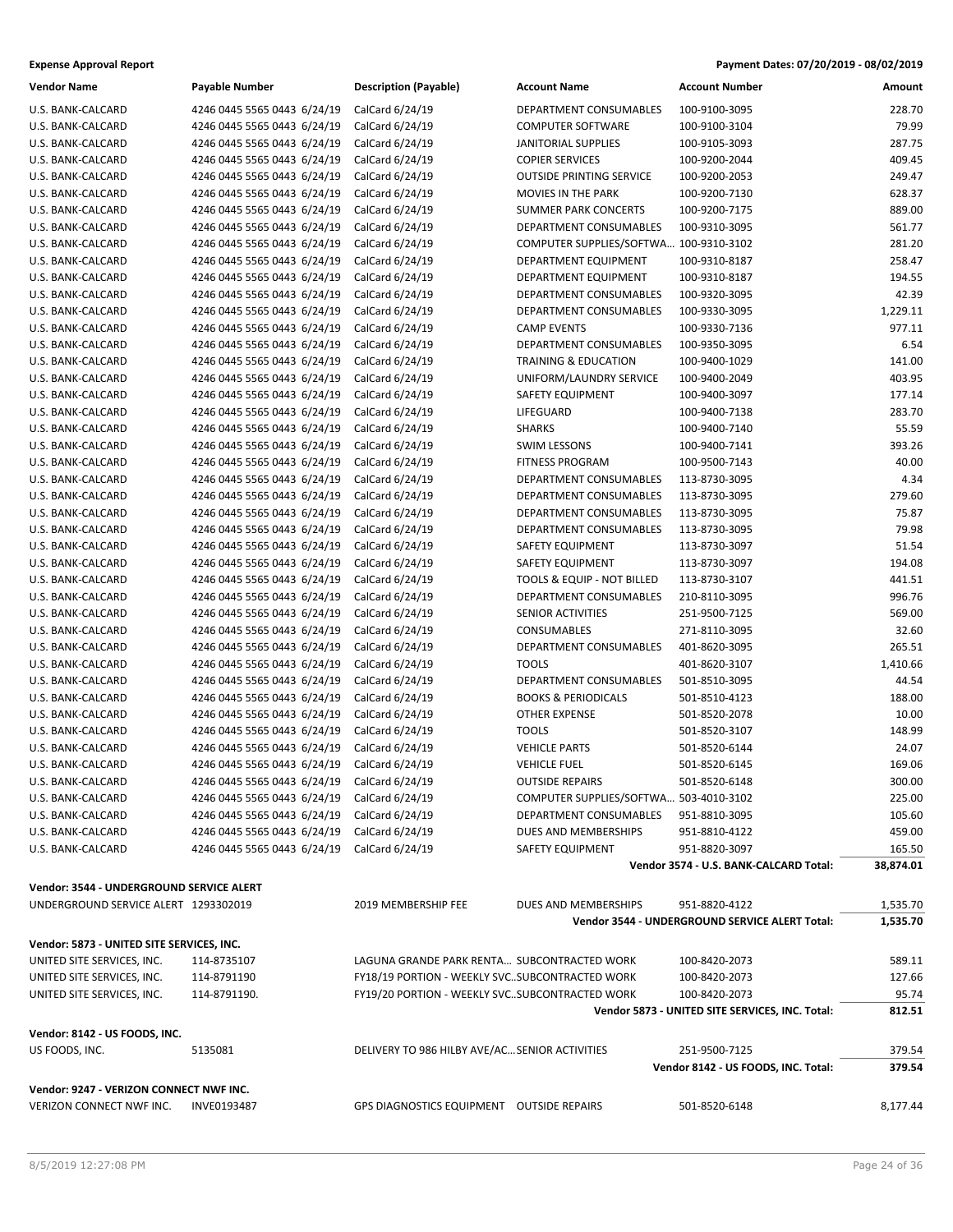| <b>Expense Approval Report</b> | Payment Dates: 07/20/2019 - 08/02/2019 |
|--------------------------------|----------------------------------------|
|--------------------------------|----------------------------------------|

| <b>Vendor Name</b>                        | Payable Number              | <b>Description (Payable)</b>                     | <b>Account Name</b>                    | <b>Account Number</b>                           | Amount    |
|-------------------------------------------|-----------------------------|--------------------------------------------------|----------------------------------------|-------------------------------------------------|-----------|
| U.S. BANK-CALCARD                         | 4246 0445 5565 0443 6/24/19 | CalCard 6/24/19                                  | DEPARTMENT CONSUMABLES                 | 100-9100-3095                                   | 228.70    |
| U.S. BANK-CALCARD                         | 4246 0445 5565 0443 6/24/19 | CalCard 6/24/19                                  | <b>COMPUTER SOFTWARE</b>               | 100-9100-3104                                   | 79.99     |
| U.S. BANK-CALCARD                         | 4246 0445 5565 0443 6/24/19 | CalCard 6/24/19                                  | JANITORIAL SUPPLIES                    | 100-9105-3093                                   | 287.75    |
| U.S. BANK-CALCARD                         | 4246 0445 5565 0443 6/24/19 | CalCard 6/24/19                                  | <b>COPIER SERVICES</b>                 | 100-9200-2044                                   | 409.45    |
| U.S. BANK-CALCARD                         | 4246 0445 5565 0443 6/24/19 | CalCard 6/24/19                                  | <b>OUTSIDE PRINTING SERVICE</b>        | 100-9200-2053                                   | 249.47    |
| U.S. BANK-CALCARD                         | 4246 0445 5565 0443 6/24/19 | CalCard 6/24/19                                  | MOVIES IN THE PARK                     | 100-9200-7130                                   | 628.37    |
| U.S. BANK-CALCARD                         | 4246 0445 5565 0443 6/24/19 | CalCard 6/24/19                                  | <b>SUMMER PARK CONCERTS</b>            | 100-9200-7175                                   | 889.00    |
| U.S. BANK-CALCARD                         | 4246 0445 5565 0443 6/24/19 | CalCard 6/24/19                                  | DEPARTMENT CONSUMABLES                 | 100-9310-3095                                   | 561.77    |
| U.S. BANK-CALCARD                         | 4246 0445 5565 0443 6/24/19 | CalCard 6/24/19                                  | COMPUTER SUPPLIES/SOFTWA 100-9310-3102 |                                                 | 281.20    |
| U.S. BANK-CALCARD                         | 4246 0445 5565 0443 6/24/19 | CalCard 6/24/19                                  | DEPARTMENT EQUIPMENT                   | 100-9310-8187                                   | 258.47    |
| U.S. BANK-CALCARD                         | 4246 0445 5565 0443 6/24/19 | CalCard 6/24/19                                  | DEPARTMENT EQUIPMENT                   | 100-9310-8187                                   | 194.55    |
| U.S. BANK-CALCARD                         | 4246 0445 5565 0443 6/24/19 | CalCard 6/24/19                                  | DEPARTMENT CONSUMABLES                 | 100-9320-3095                                   | 42.39     |
| U.S. BANK-CALCARD                         | 4246 0445 5565 0443 6/24/19 | CalCard 6/24/19                                  | DEPARTMENT CONSUMABLES                 | 100-9330-3095                                   | 1,229.11  |
| U.S. BANK-CALCARD                         | 4246 0445 5565 0443 6/24/19 | CalCard 6/24/19                                  | <b>CAMP EVENTS</b>                     | 100-9330-7136                                   | 977.11    |
| U.S. BANK-CALCARD                         | 4246 0445 5565 0443 6/24/19 | CalCard 6/24/19                                  | DEPARTMENT CONSUMABLES                 | 100-9350-3095                                   | 6.54      |
| U.S. BANK-CALCARD                         | 4246 0445 5565 0443 6/24/19 | CalCard 6/24/19                                  | TRAINING & EDUCATION                   | 100-9400-1029                                   | 141.00    |
| U.S. BANK-CALCARD                         | 4246 0445 5565 0443 6/24/19 | CalCard 6/24/19                                  | UNIFORM/LAUNDRY SERVICE                | 100-9400-2049                                   | 403.95    |
| U.S. BANK-CALCARD                         | 4246 0445 5565 0443 6/24/19 | CalCard 6/24/19                                  | <b>SAFETY EQUIPMENT</b>                | 100-9400-3097                                   | 177.14    |
| U.S. BANK-CALCARD                         | 4246 0445 5565 0443 6/24/19 | CalCard 6/24/19                                  | LIFEGUARD                              | 100-9400-7138                                   | 283.70    |
| U.S. BANK-CALCARD                         | 4246 0445 5565 0443 6/24/19 | CalCard 6/24/19                                  | <b>SHARKS</b>                          | 100-9400-7140                                   | 55.59     |
| U.S. BANK-CALCARD                         | 4246 0445 5565 0443 6/24/19 | CalCard 6/24/19                                  | <b>SWIM LESSONS</b>                    | 100-9400-7141                                   | 393.26    |
| U.S. BANK-CALCARD                         | 4246 0445 5565 0443 6/24/19 | CalCard 6/24/19                                  | <b>FITNESS PROGRAM</b>                 | 100-9500-7143                                   | 40.00     |
| U.S. BANK-CALCARD                         | 4246 0445 5565 0443 6/24/19 | CalCard 6/24/19                                  | <b>DEPARTMENT CONSUMABLES</b>          | 113-8730-3095                                   | 4.34      |
| U.S. BANK-CALCARD                         | 4246 0445 5565 0443 6/24/19 | CalCard 6/24/19                                  | <b>DEPARTMENT CONSUMABLES</b>          | 113-8730-3095                                   | 279.60    |
| U.S. BANK-CALCARD                         | 4246 0445 5565 0443 6/24/19 | CalCard 6/24/19                                  | DEPARTMENT CONSUMABLES                 | 113-8730-3095                                   | 75.87     |
| U.S. BANK-CALCARD                         | 4246 0445 5565 0443 6/24/19 | CalCard 6/24/19                                  | DEPARTMENT CONSUMABLES                 | 113-8730-3095                                   | 79.98     |
| U.S. BANK-CALCARD                         | 4246 0445 5565 0443 6/24/19 | CalCard 6/24/19                                  | SAFETY EQUIPMENT                       | 113-8730-3097                                   | 51.54     |
| U.S. BANK-CALCARD                         | 4246 0445 5565 0443 6/24/19 | CalCard 6/24/19                                  | SAFETY EQUIPMENT                       | 113-8730-3097                                   | 194.08    |
| U.S. BANK-CALCARD                         | 4246 0445 5565 0443 6/24/19 | CalCard 6/24/19                                  | TOOLS & EQUIP - NOT BILLED             | 113-8730-3107                                   | 441.51    |
| U.S. BANK-CALCARD                         | 4246 0445 5565 0443 6/24/19 | CalCard 6/24/19                                  | DEPARTMENT CONSUMABLES                 | 210-8110-3095                                   | 996.76    |
| U.S. BANK-CALCARD                         | 4246 0445 5565 0443 6/24/19 | CalCard 6/24/19                                  | SENIOR ACTIVITIES                      | 251-9500-7125                                   | 569.00    |
| U.S. BANK-CALCARD                         | 4246 0445 5565 0443 6/24/19 | CalCard 6/24/19                                  | CONSUMABLES                            | 271-8110-3095                                   | 32.60     |
| U.S. BANK-CALCARD                         | 4246 0445 5565 0443 6/24/19 | CalCard 6/24/19                                  | DEPARTMENT CONSUMABLES                 | 401-8620-3095                                   | 265.51    |
| U.S. BANK-CALCARD                         | 4246 0445 5565 0443 6/24/19 | CalCard 6/24/19                                  | <b>TOOLS</b>                           | 401-8620-3107                                   | 1,410.66  |
| U.S. BANK-CALCARD                         | 4246 0445 5565 0443 6/24/19 | CalCard 6/24/19                                  | DEPARTMENT CONSUMABLES                 | 501-8510-3095                                   | 44.54     |
| U.S. BANK-CALCARD                         | 4246 0445 5565 0443 6/24/19 | CalCard 6/24/19                                  | <b>BOOKS &amp; PERIODICALS</b>         | 501-8510-4123                                   | 188.00    |
| U.S. BANK-CALCARD                         | 4246 0445 5565 0443 6/24/19 | CalCard 6/24/19                                  | <b>OTHER EXPENSE</b>                   | 501-8520-2078                                   | 10.00     |
| U.S. BANK-CALCARD                         | 4246 0445 5565 0443 6/24/19 | CalCard 6/24/19                                  | <b>TOOLS</b>                           | 501-8520-3107                                   | 148.99    |
| U.S. BANK-CALCARD                         | 4246 0445 5565 0443 6/24/19 | CalCard 6/24/19                                  | <b>VEHICLE PARTS</b>                   | 501-8520-6144                                   | 24.07     |
| U.S. BANK-CALCARD                         | 4246 0445 5565 0443 6/24/19 | CalCard 6/24/19                                  | <b>VEHICLE FUEL</b>                    | 501-8520-6145                                   | 169.06    |
| U.S. BANK-CALCARD                         | 4246 0445 5565 0443 6/24/19 | CalCard 6/24/19                                  | <b>OUTSIDE REPAIRS</b>                 | 501-8520-6148                                   | 300.00    |
| U.S. BANK-CALCARD                         | 4246 0445 5565 0443 6/24/19 | CalCard 6/24/19                                  | COMPUTER SUPPLIES/SOFTWA 503-4010-3102 |                                                 | 225.00    |
| U.S. BANK-CALCARD                         | 4246 0445 5565 0443 6/24/19 | CalCard 6/24/19                                  | DEPARTMENT CONSUMABLES                 | 951-8810-3095                                   | 105.60    |
| U.S. BANK-CALCARD                         | 4246 0445 5565 0443 6/24/19 | CalCard 6/24/19                                  | DUES AND MEMBERSHIPS                   | 951-8810-4122                                   | 459.00    |
| U.S. BANK-CALCARD                         | 4246 0445 5565 0443 6/24/19 | CalCard 6/24/19                                  | SAFETY EQUIPMENT                       | 951-8820-3097                                   | 165.50    |
|                                           |                             |                                                  |                                        | Vendor 3574 - U.S. BANK-CALCARD Total:          | 38,874.01 |
| Vendor: 3544 - UNDERGROUND SERVICE ALERT  |                             |                                                  |                                        |                                                 |           |
| UNDERGROUND SERVICE ALERT 1293302019      |                             | 2019 MEMBERSHIP FEE                              | DUES AND MEMBERSHIPS                   | 951-8820-4122                                   | 1,535.70  |
|                                           |                             |                                                  |                                        | Vendor 3544 - UNDERGROUND SERVICE ALERT Total:  | 1,535.70  |
| Vendor: 5873 - UNITED SITE SERVICES, INC. |                             |                                                  |                                        |                                                 |           |
| UNITED SITE SERVICES, INC.                | 114-8735107                 | LAGUNA GRANDE PARK RENTA SUBCONTRACTED WORK      |                                        | 100-8420-2073                                   | 589.11    |
| UNITED SITE SERVICES, INC.                | 114-8791190                 | FY18/19 PORTION - WEEKLY SVCSUBCONTRACTED WORK   |                                        | 100-8420-2073                                   | 127.66    |
| UNITED SITE SERVICES, INC.                | 114-8791190.                | FY19/20 PORTION - WEEKLY SVCSUBCONTRACTED WORK   |                                        | 100-8420-2073                                   | 95.74     |
|                                           |                             |                                                  |                                        | Vendor 5873 - UNITED SITE SERVICES, INC. Total: | 812.51    |
| Vendor: 8142 - US FOODS, INC.             |                             |                                                  |                                        |                                                 |           |
| US FOODS, INC.                            | 5135081                     | DELIVERY TO 986 HILBY AVE/AC SENIOR ACTIVITIES   |                                        | 251-9500-7125                                   | 379.54    |
|                                           |                             |                                                  |                                        | Vendor 8142 - US FOODS, INC. Total:             | 379.54    |
|                                           |                             |                                                  |                                        |                                                 |           |
| Vendor: 9247 - VERIZON CONNECT NWF INC.   |                             |                                                  |                                        |                                                 |           |
| VERIZON CONNECT NWF INC.                  | <b>INVE0193487</b>          | <b>GPS DIAGNOSTICS EQUIPMENT OUTSIDE REPAIRS</b> |                                        | 501-8520-6148                                   | 8,177.44  |
|                                           |                             |                                                  |                                        |                                                 |           |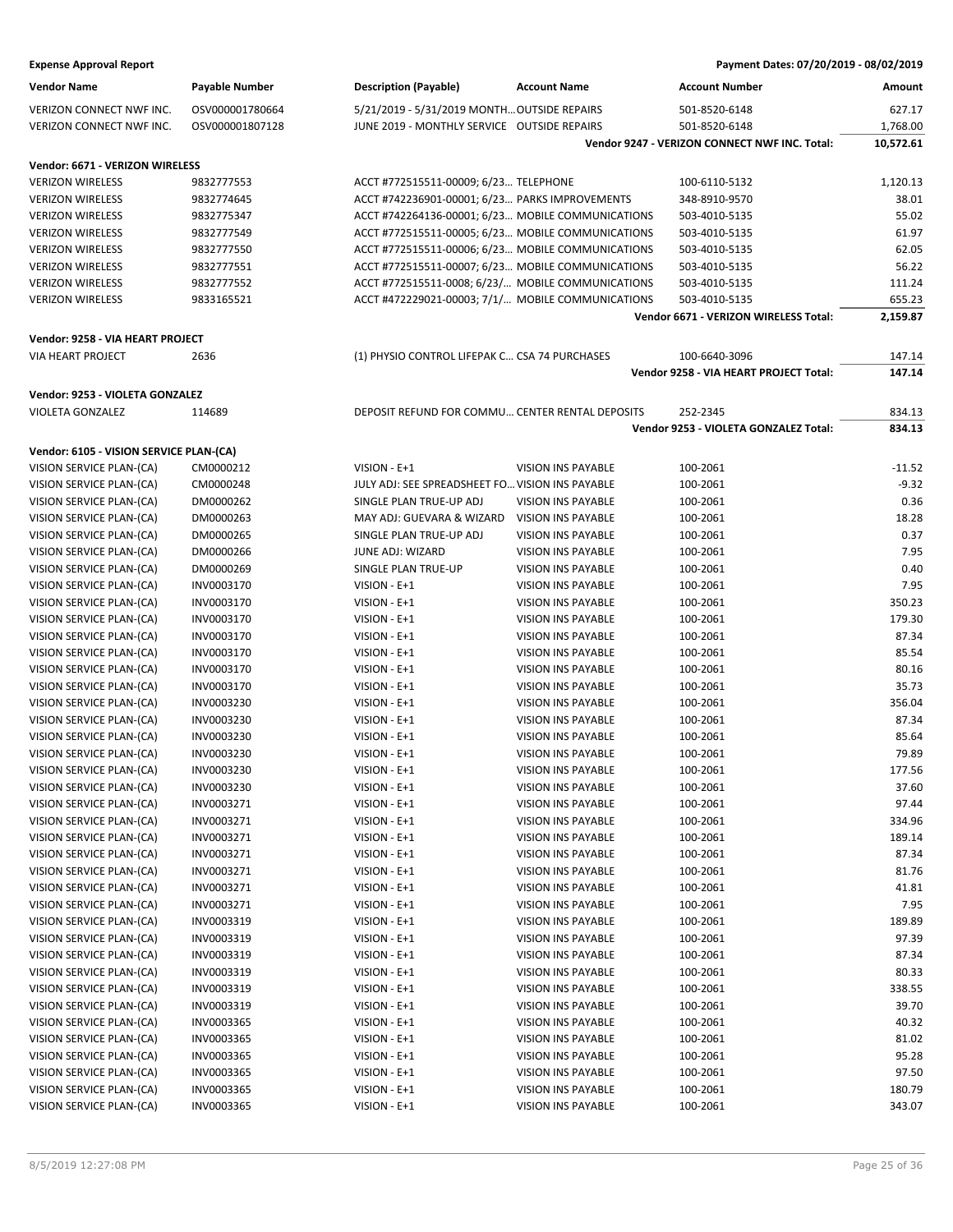| <b>Expense Approval Report</b>                      |                       |                                                   |                           | Payment Dates: 07/20/2019 - 08/02/2019        |           |
|-----------------------------------------------------|-----------------------|---------------------------------------------------|---------------------------|-----------------------------------------------|-----------|
| <b>Vendor Name</b>                                  | <b>Payable Number</b> | <b>Description (Payable)</b>                      | <b>Account Name</b>       | <b>Account Number</b>                         | Amount    |
| VERIZON CONNECT NWF INC.                            | OSV000001780664       | 5/21/2019 - 5/31/2019 MONTH OUTSIDE REPAIRS       |                           | 501-8520-6148                                 | 627.17    |
| VERIZON CONNECT NWF INC.                            | OSV000001807128       | JUNE 2019 - MONTHLY SERVICE OUTSIDE REPAIRS       |                           | 501-8520-6148                                 | 1,768.00  |
|                                                     |                       |                                                   |                           | Vendor 9247 - VERIZON CONNECT NWF INC. Total: | 10,572.61 |
| Vendor: 6671 - VERIZON WIRELESS                     |                       |                                                   |                           |                                               |           |
| <b>VERIZON WIRELESS</b>                             | 9832777553            | ACCT #772515511-00009; 6/23 TELEPHONE             |                           | 100-6110-5132                                 | 1,120.13  |
| <b>VERIZON WIRELESS</b>                             | 9832774645            | ACCT #742236901-00001; 6/23 PARKS IMPROVEMENTS    |                           | 348-8910-9570                                 | 38.01     |
| <b>VERIZON WIRELESS</b>                             | 9832775347            | ACCT #742264136-00001; 6/23 MOBILE COMMUNICATIONS |                           | 503-4010-5135                                 | 55.02     |
| <b>VERIZON WIRELESS</b>                             | 9832777549            | ACCT #772515511-00005; 6/23 MOBILE COMMUNICATIONS |                           | 503-4010-5135                                 | 61.97     |
| <b>VERIZON WIRELESS</b>                             | 9832777550            | ACCT #772515511-00006; 6/23 MOBILE COMMUNICATIONS |                           | 503-4010-5135                                 | 62.05     |
| <b>VERIZON WIRELESS</b>                             | 9832777551            | ACCT #772515511-00007; 6/23 MOBILE COMMUNICATIONS |                           | 503-4010-5135                                 | 56.22     |
| <b>VERIZON WIRELESS</b>                             | 9832777552            | ACCT #772515511-0008; 6/23/ MOBILE COMMUNICATIONS |                           | 503-4010-5135                                 | 111.24    |
| <b>VERIZON WIRELESS</b>                             | 9833165521            | ACCT #472229021-00003; 7/1/ MOBILE COMMUNICATIONS |                           | 503-4010-5135                                 | 655.23    |
|                                                     |                       |                                                   |                           | Vendor 6671 - VERIZON WIRELESS Total:         | 2,159.87  |
| Vendor: 9258 - VIA HEART PROJECT                    |                       |                                                   |                           |                                               |           |
| <b>VIA HEART PROJECT</b>                            | 2636                  | (1) PHYSIO CONTROL LIFEPAK C CSA 74 PURCHASES     |                           | 100-6640-3096                                 | 147.14    |
|                                                     |                       |                                                   |                           | Vendor 9258 - VIA HEART PROJECT Total:        | 147.14    |
|                                                     |                       |                                                   |                           |                                               |           |
| Vendor: 9253 - VIOLETA GONZALEZ<br>VIOLETA GONZALEZ | 114689                | DEPOSIT REFUND FOR COMMU CENTER RENTAL DEPOSITS   |                           | 252-2345                                      | 834.13    |
|                                                     |                       |                                                   |                           | Vendor 9253 - VIOLETA GONZALEZ Total:         | 834.13    |
|                                                     |                       |                                                   |                           |                                               |           |
| Vendor: 6105 - VISION SERVICE PLAN-(CA)             |                       |                                                   |                           |                                               |           |
| VISION SERVICE PLAN-(CA)                            | CM0000212             | VISION - E+1                                      | VISION INS PAYABLE        | 100-2061                                      | $-11.52$  |
| VISION SERVICE PLAN-(CA)                            | CM0000248             | JULY ADJ: SEE SPREADSHEET FO VISION INS PAYABLE   |                           | 100-2061                                      | $-9.32$   |
| VISION SERVICE PLAN-(CA)                            | DM0000262             | SINGLE PLAN TRUE-UP ADJ                           | VISION INS PAYABLE        | 100-2061                                      | 0.36      |
| VISION SERVICE PLAN-(CA)                            | DM0000263             | MAY ADJ: GUEVARA & WIZARD                         | <b>VISION INS PAYABLE</b> | 100-2061                                      | 18.28     |
| VISION SERVICE PLAN-(CA)                            | DM0000265             | SINGLE PLAN TRUE-UP ADJ                           | <b>VISION INS PAYABLE</b> | 100-2061                                      | 0.37      |
| VISION SERVICE PLAN-(CA)                            | DM0000266             | JUNE ADJ: WIZARD                                  | VISION INS PAYABLE        | 100-2061                                      | 7.95      |
| VISION SERVICE PLAN-(CA)                            | DM0000269             | SINGLE PLAN TRUE-UP                               | VISION INS PAYABLE        | 100-2061                                      | 0.40      |
| VISION SERVICE PLAN-(CA)                            | INV0003170            | VISION - E+1                                      | VISION INS PAYABLE        | 100-2061                                      | 7.95      |
| VISION SERVICE PLAN-(CA)                            | INV0003170            | VISION - E+1                                      | VISION INS PAYABLE        | 100-2061                                      | 350.23    |
| VISION SERVICE PLAN-(CA)                            | INV0003170            | VISION - E+1                                      | <b>VISION INS PAYABLE</b> | 100-2061                                      | 179.30    |
| VISION SERVICE PLAN-(CA)                            | INV0003170            | VISION - E+1                                      | VISION INS PAYABLE        | 100-2061                                      | 87.34     |
| VISION SERVICE PLAN-(CA)                            | INV0003170            | VISION - E+1                                      | VISION INS PAYABLE        | 100-2061                                      | 85.54     |
| VISION SERVICE PLAN-(CA)                            | INV0003170            | VISION - E+1                                      | VISION INS PAYABLE        | 100-2061                                      | 80.16     |
| VISION SERVICE PLAN-(CA)                            | INV0003170            | VISION - E+1                                      | VISION INS PAYABLE        | 100-2061                                      | 35.73     |
| VISION SERVICE PLAN-(CA)                            | INV0003230            | VISION - E+1                                      | VISION INS PAYABLE        | 100-2061                                      | 356.04    |
| VISION SERVICE PLAN-(CA)                            | INV0003230            | VISION - E+1                                      | VISION INS PAYABLE        | 100-2061                                      | 87.34     |
| VISION SERVICE PLAN-(CA)                            | INV0003230            | VISION - E+1                                      | <b>VISION INS PAYABLE</b> | 100-2061                                      | 85.64     |
| VISION SERVICE PLAN-(CA)                            | INV0003230            | VISION - E+1                                      | VISION INS PAYABLE        | 100-2061                                      | 79.89     |
| VISION SERVICE PLAN-(CA)                            | INV0003230            | VISION - E+1                                      | VISION INS PAYABLE        | 100-2061                                      | 177.56    |
| VISION SERVICE PLAN-(CA)                            | INV0003230            | VISION - E+1                                      | <b>VISION INS PAYABLE</b> | 100-2061                                      | 37.60     |
| VISION SERVICE PLAN-(CA)                            | INV0003271            | VISION - E+1                                      | VISION INS PAYABLE        | 100-2061                                      | 97.44     |
| VISION SERVICE PLAN-(CA)                            | INV0003271            | VISION - E+1                                      | VISION INS PAYABLE        | 100-2061                                      | 334.96    |
| VISION SERVICE PLAN-(CA)                            | INV0003271            | VISION - E+1                                      | VISION INS PAYABLE        | 100-2061                                      | 189.14    |
| VISION SERVICE PLAN-(CA)                            | INV0003271            | VISION - E+1                                      | VISION INS PAYABLE        | 100-2061                                      | 87.34     |
| VISION SERVICE PLAN-(CA)                            | INV0003271            | VISION - E+1                                      | VISION INS PAYABLE        | 100-2061                                      | 81.76     |
| VISION SERVICE PLAN-(CA)                            | INV0003271            | VISION - E+1                                      | VISION INS PAYABLE        | 100-2061                                      | 41.81     |
| VISION SERVICE PLAN-(CA)                            | INV0003271            | VISION - E+1                                      | <b>VISION INS PAYABLE</b> | 100-2061                                      | 7.95      |
| VISION SERVICE PLAN-(CA)                            | INV0003319            | VISION - E+1                                      | VISION INS PAYABLE        | 100-2061                                      | 189.89    |
| VISION SERVICE PLAN-(CA)                            | INV0003319            | VISION - E+1                                      | VISION INS PAYABLE        | 100-2061                                      | 97.39     |
| VISION SERVICE PLAN-(CA)                            | INV0003319            | VISION - E+1                                      | VISION INS PAYABLE        | 100-2061                                      | 87.34     |
| VISION SERVICE PLAN-(CA)                            | INV0003319            | VISION - E+1                                      | VISION INS PAYABLE        | 100-2061                                      | 80.33     |
| VISION SERVICE PLAN-(CA)                            | INV0003319            | VISION - E+1                                      | VISION INS PAYABLE        | 100-2061                                      | 338.55    |
| VISION SERVICE PLAN-(CA)                            | INV0003319            | VISION - E+1                                      | VISION INS PAYABLE        | 100-2061                                      | 39.70     |
| VISION SERVICE PLAN-(CA)                            | INV0003365            | VISION - E+1                                      | VISION INS PAYABLE        | 100-2061                                      | 40.32     |
| VISION SERVICE PLAN-(CA)                            | INV0003365            | VISION - E+1                                      | VISION INS PAYABLE        | 100-2061                                      | 81.02     |
| VISION SERVICE PLAN-(CA)                            | INV0003365            | $VISION - E + 1$                                  | VISION INS PAYABLE        | 100-2061                                      | 95.28     |
| VISION SERVICE PLAN-(CA)                            | INV0003365            | VISION - E+1                                      | VISION INS PAYABLE        | 100-2061                                      | 97.50     |
| VISION SERVICE PLAN-(CA)                            | INV0003365            | VISION - E+1                                      | VISION INS PAYABLE        | 100-2061                                      | 180.79    |

VISION SERVICE PLAN-(CA) INV0003365 VISION - E+1 VISION INS PAYABLE 100-2061 343.07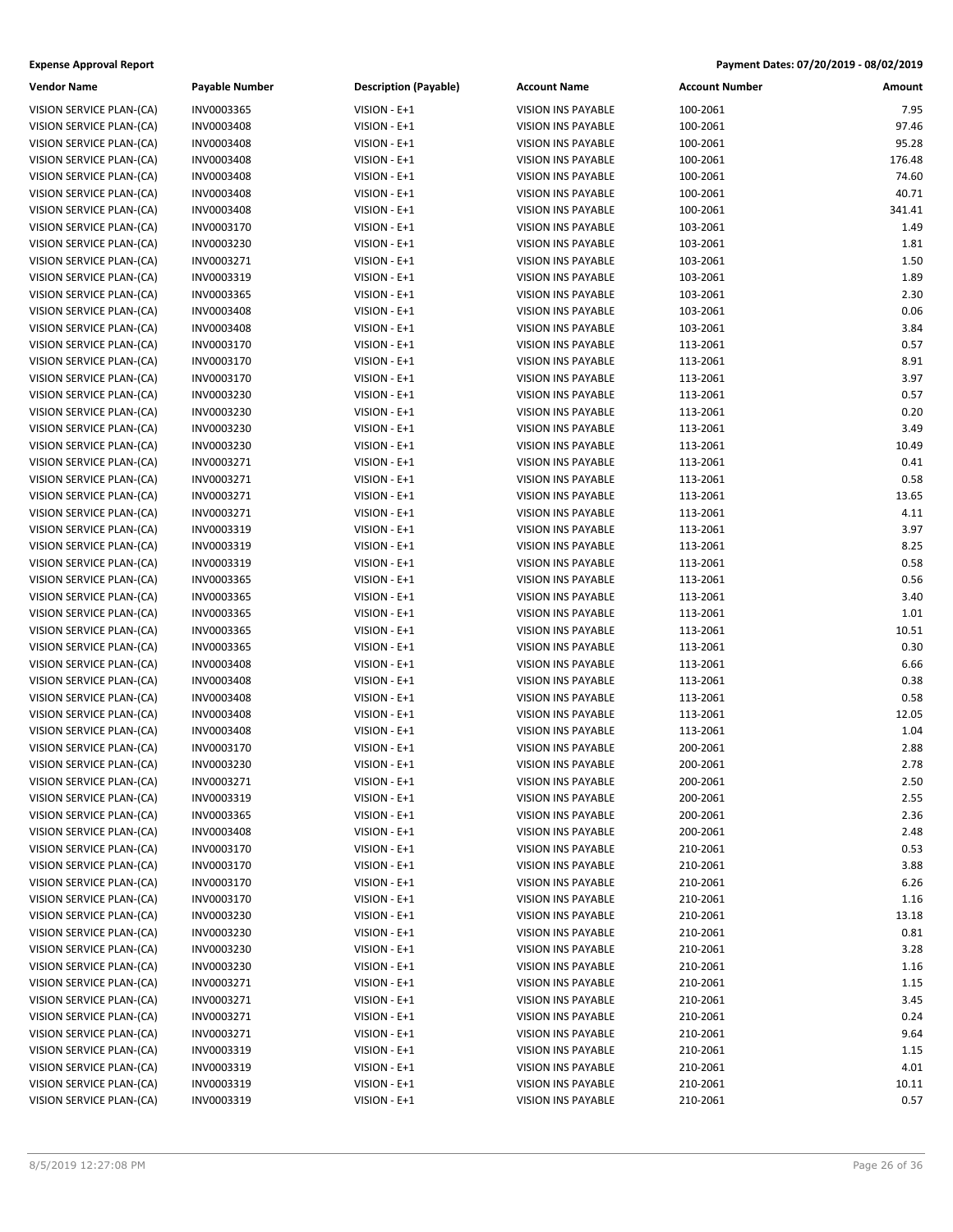| Payable Number           | <b>Description (Payable)</b> | <b>Account Name</b>                                    |
|--------------------------|------------------------------|--------------------------------------------------------|
| INV0003365               | VISION - E+1                 | <b>VISION INS PAYABLE</b>                              |
| INV0003408               | VISION - E+1                 | <b>VISION INS PAYABLE</b>                              |
| INV0003408               | VISION - E+1                 | <b>VISION INS PAYABLE</b>                              |
| INV0003408               | VISION - E+1                 | <b>VISION INS PAYABLE</b>                              |
| INV0003408               | VISION - E+1                 | <b>VISION INS PAYABLE</b>                              |
| INV0003408               | VISION - E+1                 | <b>VISION INS PAYABLE</b>                              |
| INV0003408               | $VISION - E + 1$             | <b>VISION INS PAYABLE</b>                              |
| INV0003170               | VISION - E+1                 | <b>VISION INS PAYABLE</b>                              |
| INV0003230               | VISION - E+1                 | <b>VISION INS PAYABLE</b>                              |
| INV0003271               | VISION - E+1                 | <b>VISION INS PAYABLE</b>                              |
| INV0003319               | VISION - E+1                 | <b>VISION INS PAYABLE</b>                              |
| INV0003365               | $VISION - E + 1$             | <b>VISION INS PAYABLE</b>                              |
| INV0003408               | VISION - E+1                 | <b>VISION INS PAYABLE</b>                              |
| INV0003408               | VISION - E+1                 | <b>VISION INS PAYABLE</b>                              |
| INV0003170               | VISION - E+1                 | <b>VISION INS PAYABLE</b>                              |
| INV0003170               | $VISION - E + 1$             | <b>VISION INS PAYABLE</b>                              |
| INV0003170               | $VISION - E + 1$             | <b>VISION INS PAYABLE</b>                              |
| INV0003230               | VISION - E+1                 | <b>VISION INS PAYABLE</b>                              |
| INV0003230               | VISION - E+1                 | <b>VISION INS PAYABLE</b>                              |
| INV0003230               | VISION - E+1                 | <b>VISION INS PAYABLE</b>                              |
| INV0003230               | VISION - E+1                 | <b>VISION INS PAYABLE</b>                              |
| INV0003271               | $VISION - E + 1$             | <b>VISION INS PAYABLE</b>                              |
| INV0003271<br>INV0003271 | VISION - E+1                 | <b>VISION INS PAYABLE</b>                              |
| INV0003271               | VISION - E+1<br>VISION - E+1 | <b>VISION INS PAYABLE</b><br><b>VISION INS PAYABLE</b> |
| INV0003319               | $VISION - E + 1$             | <b>VISION INS PAYABLE</b>                              |
| INV0003319               | VISION - E+1                 | <b>VISION INS PAYABLE</b>                              |
| INV0003319               | VISION - E+1                 | <b>VISION INS PAYABLE</b>                              |
| INV0003365               | VISION - E+1                 | <b>VISION INS PAYABLE</b>                              |
| INV0003365               | VISION - E+1                 | <b>VISION INS PAYABLE</b>                              |
| INV0003365               | VISION - E+1                 | <b>VISION INS PAYABLE</b>                              |
| INV0003365               | $VISION - E + 1$             | <b>VISION INS PAYABLE</b>                              |
| INV0003365               | VISION - E+1                 | <b>VISION INS PAYABLE</b>                              |
| INV0003408               | VISION - E+1                 | <b>VISION INS PAYABLE</b>                              |
| INV0003408               | VISION - E+1                 | <b>VISION INS PAYABLE</b>                              |
| INV0003408               | VISION - E+1                 | <b>VISION INS PAYABLE</b>                              |
| INV0003408               | VISION - E+1                 | <b>VISION INS PAYABLE</b>                              |
| INV0003408               | VISION - E+1                 | <b>VISION INS PAYABLE</b>                              |
| INV0003170               | VISION - E+1                 | <b>VISION INS PAYABLE</b>                              |
| INV0003230               | VISION - E+1                 | <b>VISION INS PAYABLE</b>                              |
| INV0003271               | VISION - E+1                 | <b>VISION INS PAYABLE</b>                              |
| INV0003319               | VISION - E+1                 | <b>VISION INS PAYABLE</b>                              |
| INV0003365               | VISION - E+1                 | <b>VISION INS PAYABLE</b>                              |
| <b>INV0003408</b>        | VISION - E+1<br>VISION - E+1 | <b>VISION INS PAYABLE</b>                              |
| INV0003170<br>INV0003170 | $VISION - E + 1$             | <b>VISION INS PAYABLE</b><br><b>VISION INS PAYABLE</b> |
| INV0003170               | $VISION - E + 1$             | <b>VISION INS PAYABLE</b>                              |
| INV0003170               | VISION - E+1                 | <b>VISION INS PAYABLE</b>                              |
| INV0003230               | VISION - E+1                 | <b>VISION INS PAYABLE</b>                              |
| INV0003230               | VISION - E+1                 | <b>VISION INS PAYABLE</b>                              |
| INV0003230               | VISION - E+1                 | <b>VISION INS PAYABLE</b>                              |
| INV0003230               | $VISION - E + 1$             | <b>VISION INS PAYABLE</b>                              |
| INV0003271               | VISION - E+1                 | <b>VISION INS PAYABLE</b>                              |
| INV0003271               | VISION - E+1                 | <b>VISION INS PAYABLE</b>                              |
| INV0003271               | VISION - E+1                 | <b>VISION INS PAYABLE</b>                              |
| INV0003271               | VISION - E+1                 | <b>VISION INS PAYABLE</b>                              |
| INV0003319               | $VISION - E + 1$             | <b>VISION INS PAYABLE</b>                              |
| INV0003319               | VISION - E+1                 | <b>VISION INS PAYABLE</b>                              |
| INV0003319               | VISION - E+1                 | <b>VISION INS PAYABLE</b>                              |
| INV0003319               | $VISION - E + 1$             | <b>VISION INS PAYABLE</b>                              |

| Vendor Name              | <b>Payable Number</b> | <b>Description (Payable)</b> | <b>Account Name</b>       | <b>Account Number</b> | Amount |
|--------------------------|-----------------------|------------------------------|---------------------------|-----------------------|--------|
| VISION SERVICE PLAN-(CA) | INV0003365            | VISION - E+1                 | VISION INS PAYABLE        | 100-2061              | 7.95   |
| VISION SERVICE PLAN-(CA) | INV0003408            | VISION - E+1                 | VISION INS PAYABLE        | 100-2061              | 97.46  |
| VISION SERVICE PLAN-(CA) | INV0003408            | VISION - E+1                 | VISION INS PAYABLE        | 100-2061              | 95.28  |
| VISION SERVICE PLAN-(CA) | INV0003408            | VISION - E+1                 | VISION INS PAYABLE        | 100-2061              | 176.48 |
| VISION SERVICE PLAN-(CA) | INV0003408            | VISION - E+1                 | VISION INS PAYABLE        | 100-2061              | 74.60  |
| VISION SERVICE PLAN-(CA) | INV0003408            | VISION - E+1                 | VISION INS PAYABLE        | 100-2061              | 40.71  |
| VISION SERVICE PLAN-(CA) | INV0003408            | VISION - E+1                 | VISION INS PAYABLE        | 100-2061              | 341.41 |
| VISION SERVICE PLAN-(CA) | INV0003170            | VISION - E+1                 | VISION INS PAYABLE        | 103-2061              | 1.49   |
| VISION SERVICE PLAN-(CA) | INV0003230            | VISION - E+1                 | VISION INS PAYABLE        | 103-2061              | 1.81   |
| VISION SERVICE PLAN-(CA) | INV0003271            | VISION - E+1                 | VISION INS PAYABLE        | 103-2061              | 1.50   |
| VISION SERVICE PLAN-(CA) | INV0003319            | VISION - E+1                 | VISION INS PAYABLE        | 103-2061              | 1.89   |
| VISION SERVICE PLAN-(CA) | INV0003365            | VISION - E+1                 | VISION INS PAYABLE        | 103-2061              | 2.30   |
| VISION SERVICE PLAN-(CA) | INV0003408            | VISION - E+1                 | VISION INS PAYABLE        | 103-2061              | 0.06   |
| VISION SERVICE PLAN-(CA) | INV0003408            | VISION - E+1                 | VISION INS PAYABLE        | 103-2061              | 3.84   |
| VISION SERVICE PLAN-(CA) | INV0003170            | VISION - E+1                 | VISION INS PAYABLE        | 113-2061              | 0.57   |
| VISION SERVICE PLAN-(CA) | INV0003170            | VISION - E+1                 | VISION INS PAYABLE        | 113-2061              | 8.91   |
| VISION SERVICE PLAN-(CA) | INV0003170            | VISION - E+1                 | VISION INS PAYABLE        | 113-2061              | 3.97   |
| VISION SERVICE PLAN-(CA) | INV0003230            | VISION - E+1                 | VISION INS PAYABLE        | 113-2061              | 0.57   |
| VISION SERVICE PLAN-(CA) | INV0003230            | VISION - E+1                 | VISION INS PAYABLE        | 113-2061              | 0.20   |
| VISION SERVICE PLAN-(CA) | INV0003230            | VISION - E+1                 | <b>VISION INS PAYABLE</b> | 113-2061              | 3.49   |
| VISION SERVICE PLAN-(CA) | INV0003230            | VISION - E+1                 | VISION INS PAYABLE        | 113-2061              | 10.49  |
| VISION SERVICE PLAN-(CA) | INV0003271            | VISION - E+1                 | VISION INS PAYABLE        | 113-2061              | 0.41   |
| VISION SERVICE PLAN-(CA) | INV0003271            | VISION - E+1                 | VISION INS PAYABLE        | 113-2061              | 0.58   |
| VISION SERVICE PLAN-(CA) | INV0003271            | VISION - E+1                 | VISION INS PAYABLE        | 113-2061              | 13.65  |
| VISION SERVICE PLAN-(CA) | INV0003271            | VISION - E+1                 | VISION INS PAYABLE        | 113-2061              | 4.11   |
| VISION SERVICE PLAN-(CA) | INV0003319            | VISION - E+1                 | VISION INS PAYABLE        | 113-2061              | 3.97   |
| VISION SERVICE PLAN-(CA) | INV0003319            | VISION - E+1                 | VISION INS PAYABLE        | 113-2061              | 8.25   |
| VISION SERVICE PLAN-(CA) | INV0003319            | VISION - E+1                 | VISION INS PAYABLE        | 113-2061              | 0.58   |
| VISION SERVICE PLAN-(CA) | INV0003365            | VISION - E+1                 | VISION INS PAYABLE        | 113-2061              | 0.56   |
| VISION SERVICE PLAN-(CA) | INV0003365            | VISION - E+1                 | VISION INS PAYABLE        | 113-2061              | 3.40   |
| VISION SERVICE PLAN-(CA) | INV0003365            | VISION - E+1                 | VISION INS PAYABLE        | 113-2061              | 1.01   |
| VISION SERVICE PLAN-(CA) | INV0003365            | VISION - E+1                 | VISION INS PAYABLE        | 113-2061              | 10.51  |
| VISION SERVICE PLAN-(CA) | INV0003365            | VISION - E+1                 | VISION INS PAYABLE        | 113-2061              | 0.30   |
| VISION SERVICE PLAN-(CA) | INV0003408            | VISION - E+1                 | VISION INS PAYABLE        | 113-2061              | 6.66   |
| VISION SERVICE PLAN-(CA) | INV0003408            | VISION - E+1                 | VISION INS PAYABLE        | 113-2061              | 0.38   |
| VISION SERVICE PLAN-(CA) | INV0003408            | VISION - E+1                 | <b>VISION INS PAYABLE</b> | 113-2061              | 0.58   |
| VISION SERVICE PLAN-(CA) | INV0003408            | VISION - E+1                 | VISION INS PAYABLE        | 113-2061              | 12.05  |
| VISION SERVICE PLAN-(CA) | INV0003408            | VISION - E+1                 | VISION INS PAYABLE        | 113-2061              | 1.04   |
| VISION SERVICE PLAN-(CA) | INV0003170            | VISION - E+1                 | VISION INS PAYABLE        | 200-2061              | 2.88   |
| VISION SERVICE PLAN-(CA) | INV0003230            | VISION - E+1                 | VISION INS PAYABLE        | 200-2061              | 2.78   |
| VISION SERVICE PLAN-(CA) | INV0003271            | VISION - E+1                 | VISION INS PAYABLE        | 200-2061              | 2.50   |
| VISION SERVICE PLAN-(CA) | INV0003319            | VISION - E+1                 | VISION INS PAYABLE        | 200-2061              | 2.55   |
| VISION SERVICE PLAN-(CA) | INV0003365            | VISION - E+1                 | VISION INS PAYABLE        | 200-2061              | 2.36   |
| VISION SERVICE PLAN-(CA) | INV0003408            | VISION - E+1                 | VISION INS PAYABLE        | 200-2061              | 2.48   |
| VISION SERVICE PLAN-(CA) | INV0003170            | VISION - E+1                 | VISION INS PAYABLE        | 210-2061              | 0.53   |
| VISION SERVICE PLAN-(CA) | INV0003170            | VISION - E+1                 | VISION INS PAYABLE        | 210-2061              | 3.88   |
| VISION SERVICE PLAN-(CA) | INV0003170            | $VISION - E + 1$             | VISION INS PAYABLE        | 210-2061              | 6.26   |
| VISION SERVICE PLAN-(CA) | INV0003170            | VISION - E+1                 | VISION INS PAYABLE        | 210-2061              | 1.16   |
| VISION SERVICE PLAN-(CA) | INV0003230            | VISION - E+1                 | VISION INS PAYABLE        | 210-2061              | 13.18  |
| VISION SERVICE PLAN-(CA) | INV0003230            | VISION - E+1                 | VISION INS PAYABLE        | 210-2061              | 0.81   |
| VISION SERVICE PLAN-(CA) | INV0003230            | VISION - E+1                 | VISION INS PAYABLE        | 210-2061              | 3.28   |
| VISION SERVICE PLAN-(CA) | INV0003230            | VISION - E+1                 | VISION INS PAYABLE        | 210-2061              | 1.16   |
| VISION SERVICE PLAN-(CA) | INV0003271            | VISION - E+1                 | VISION INS PAYABLE        | 210-2061              | 1.15   |
| VISION SERVICE PLAN-(CA) | INV0003271            | VISION - E+1                 | VISION INS PAYABLE        | 210-2061              | 3.45   |
| VISION SERVICE PLAN-(CA) | INV0003271            | VISION - E+1                 | VISION INS PAYABLE        | 210-2061              | 0.24   |
| VISION SERVICE PLAN-(CA) | INV0003271            | VISION - E+1                 | VISION INS PAYABLE        | 210-2061              | 9.64   |
| VISION SERVICE PLAN-(CA) | INV0003319            | $VISION - E + 1$             | VISION INS PAYABLE        | 210-2061              | 1.15   |
| VISION SERVICE PLAN-(CA) | INV0003319            | VISION - E+1                 | VISION INS PAYABLE        | 210-2061              | 4.01   |
| VISION SERVICE PLAN-(CA) | INV0003319            | VISION - E+1                 | VISION INS PAYABLE        | 210-2061              | 10.11  |
| VISION SERVICE PLAN-(CA) | INV0003319            | VISION - E+1                 | VISION INS PAYABLE        | 210-2061              | 0.57   |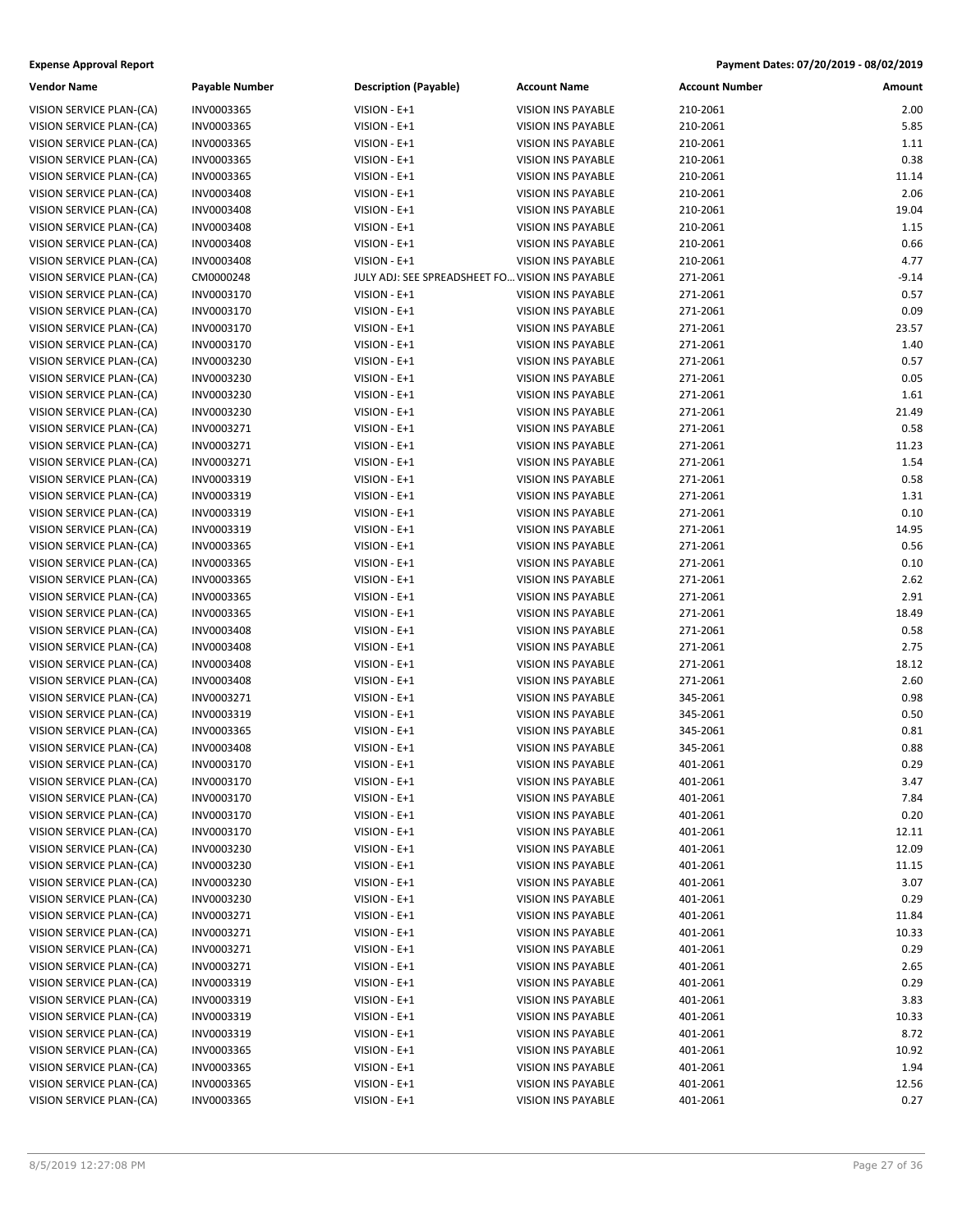| Vendor Name              | Payable Number | <b>Description (Payable)</b>                    | <b>Account Name</b>       | <b>Account Number</b> | Amount  |
|--------------------------|----------------|-------------------------------------------------|---------------------------|-----------------------|---------|
| VISION SERVICE PLAN-(CA) | INV0003365     | VISION - E+1                                    | <b>VISION INS PAYABLE</b> | 210-2061              | 2.00    |
| VISION SERVICE PLAN-(CA) | INV0003365     | VISION - E+1                                    | <b>VISION INS PAYABLE</b> | 210-2061              | 5.85    |
| VISION SERVICE PLAN-(CA) | INV0003365     | VISION - E+1                                    | VISION INS PAYABLE        | 210-2061              | 1.11    |
| VISION SERVICE PLAN-(CA) | INV0003365     | VISION - E+1                                    | <b>VISION INS PAYABLE</b> | 210-2061              | 0.38    |
| VISION SERVICE PLAN-(CA) | INV0003365     | VISION - E+1                                    | <b>VISION INS PAYABLE</b> | 210-2061              | 11.14   |
| VISION SERVICE PLAN-(CA) | INV0003408     | VISION - E+1                                    | VISION INS PAYABLE        | 210-2061              | 2.06    |
| VISION SERVICE PLAN-(CA) | INV0003408     | VISION - E+1                                    | VISION INS PAYABLE        | 210-2061              | 19.04   |
| VISION SERVICE PLAN-(CA) | INV0003408     | VISION - E+1                                    | VISION INS PAYABLE        | 210-2061              | 1.15    |
| VISION SERVICE PLAN-(CA) | INV0003408     | VISION - E+1                                    | <b>VISION INS PAYABLE</b> | 210-2061              | 0.66    |
| VISION SERVICE PLAN-(CA) | INV0003408     | VISION - E+1                                    | <b>VISION INS PAYABLE</b> | 210-2061              | 4.77    |
| VISION SERVICE PLAN-(CA) | CM0000248      | JULY ADJ: SEE SPREADSHEET FO VISION INS PAYABLE |                           | 271-2061              | $-9.14$ |
| VISION SERVICE PLAN-(CA) | INV0003170     | VISION - E+1                                    | VISION INS PAYABLE        | 271-2061              | 0.57    |
| VISION SERVICE PLAN-(CA) | INV0003170     | VISION - E+1                                    | VISION INS PAYABLE        | 271-2061              | 0.09    |
| VISION SERVICE PLAN-(CA) | INV0003170     | VISION - E+1                                    | <b>VISION INS PAYABLE</b> | 271-2061              | 23.57   |
| VISION SERVICE PLAN-(CA) | INV0003170     | VISION - E+1                                    | VISION INS PAYABLE        | 271-2061              | 1.40    |
| VISION SERVICE PLAN-(CA) | INV0003230     | VISION - E+1                                    | VISION INS PAYABLE        | 271-2061              | 0.57    |
| VISION SERVICE PLAN-(CA) | INV0003230     | VISION - E+1                                    | VISION INS PAYABLE        | 271-2061              | 0.05    |
| VISION SERVICE PLAN-(CA) | INV0003230     | VISION - E+1                                    | VISION INS PAYABLE        | 271-2061              | 1.61    |
| VISION SERVICE PLAN-(CA) | INV0003230     | VISION - E+1                                    | <b>VISION INS PAYABLE</b> | 271-2061              | 21.49   |
| VISION SERVICE PLAN-(CA) | INV0003271     | VISION - E+1                                    | VISION INS PAYABLE        | 271-2061              | 0.58    |
| VISION SERVICE PLAN-(CA) | INV0003271     | VISION - E+1                                    | VISION INS PAYABLE        | 271-2061              | 11.23   |
| VISION SERVICE PLAN-(CA) | INV0003271     | VISION - E+1                                    | <b>VISION INS PAYABLE</b> | 271-2061              | 1.54    |
| VISION SERVICE PLAN-(CA) | INV0003319     | VISION - E+1                                    | VISION INS PAYABLE        | 271-2061              | 0.58    |
| VISION SERVICE PLAN-(CA) | INV0003319     | VISION - E+1                                    | VISION INS PAYABLE        | 271-2061              | 1.31    |
| VISION SERVICE PLAN-(CA) | INV0003319     | VISION - E+1                                    | VISION INS PAYABLE        | 271-2061              | 0.10    |
| VISION SERVICE PLAN-(CA) | INV0003319     | VISION - E+1                                    | VISION INS PAYABLE        | 271-2061              | 14.95   |
| VISION SERVICE PLAN-(CA) | INV0003365     | VISION - E+1                                    | VISION INS PAYABLE        | 271-2061              | 0.56    |
| VISION SERVICE PLAN-(CA) | INV0003365     | VISION - E+1                                    | VISION INS PAYABLE        | 271-2061              | 0.10    |
| VISION SERVICE PLAN-(CA) | INV0003365     | VISION - E+1                                    | <b>VISION INS PAYABLE</b> | 271-2061              | 2.62    |
| VISION SERVICE PLAN-(CA) | INV0003365     | VISION - E+1                                    | <b>VISION INS PAYABLE</b> | 271-2061              | 2.91    |
| VISION SERVICE PLAN-(CA) | INV0003365     | VISION - E+1                                    | VISION INS PAYABLE        | 271-2061              | 18.49   |
| VISION SERVICE PLAN-(CA) | INV0003408     | VISION - E+1                                    | VISION INS PAYABLE        | 271-2061              | 0.58    |
| VISION SERVICE PLAN-(CA) | INV0003408     | VISION - E+1                                    | VISION INS PAYABLE        | 271-2061              | 2.75    |
| VISION SERVICE PLAN-(CA) | INV0003408     | VISION - E+1                                    | VISION INS PAYABLE        | 271-2061              | 18.12   |
| VISION SERVICE PLAN-(CA) | INV0003408     | VISION - E+1                                    | VISION INS PAYABLE        | 271-2061              | 2.60    |
| VISION SERVICE PLAN-(CA) | INV0003271     | VISION - E+1                                    | <b>VISION INS PAYABLE</b> | 345-2061              | 0.98    |
| VISION SERVICE PLAN-(CA) | INV0003319     | VISION - E+1                                    | VISION INS PAYABLE        | 345-2061              | 0.50    |
| VISION SERVICE PLAN-(CA) | INV0003365     | VISION - E+1                                    | VISION INS PAYABLE        | 345-2061              | 0.81    |
| VISION SERVICE PLAN-(CA) | INV0003408     | VISION - E+1                                    | <b>VISION INS PAYABLE</b> | 345-2061              | 0.88    |
| VISION SERVICE PLAN-(CA) | INV0003170     | VISION - E+1                                    | VISION INS PAYABLE        | 401-2061              | 0.29    |
| VISION SERVICE PLAN-(CA) | INV0003170     | VISION - E+1                                    | VISION INS PAYABLE        | 401-2061              | 3.47    |
| VISION SERVICE PLAN-(CA) | INV0003170     | VISION - E+1                                    | VISION INS PAYABLE        | 401-2061              | 7.84    |
| VISION SERVICE PLAN-(CA) | INV0003170     | VISION - E+1                                    | <b>VISION INS PAYABLE</b> | 401-2061              | 0.20    |
| VISION SERVICE PLAN-(CA) | INV0003170     | VISION - E+1                                    | <b>VISION INS PAYABLE</b> | 401-2061              | 12.11   |
| VISION SERVICE PLAN-(CA) | INV0003230     | VISION - E+1                                    | VISION INS PAYABLE        | 401-2061              | 12.09   |
| VISION SERVICE PLAN-(CA) | INV0003230     | VISION - E+1                                    | VISION INS PAYABLE        | 401-2061              | 11.15   |
| VISION SERVICE PLAN-(CA) | INV0003230     | VISION - E+1                                    | <b>VISION INS PAYABLE</b> | 401-2061              | 3.07    |
| VISION SERVICE PLAN-(CA) | INV0003230     | VISION - E+1                                    | VISION INS PAYABLE        | 401-2061              | 0.29    |
| VISION SERVICE PLAN-(CA) | INV0003271     | VISION - E+1                                    | VISION INS PAYABLE        | 401-2061              | 11.84   |
| VISION SERVICE PLAN-(CA) | INV0003271     | VISION - E+1                                    | VISION INS PAYABLE        | 401-2061              | 10.33   |
| VISION SERVICE PLAN-(CA) | INV0003271     | VISION - E+1                                    | VISION INS PAYABLE        | 401-2061              | 0.29    |
| VISION SERVICE PLAN-(CA) | INV0003271     | VISION - E+1                                    | VISION INS PAYABLE        | 401-2061              | 2.65    |
| VISION SERVICE PLAN-(CA) | INV0003319     | VISION - E+1                                    | VISION INS PAYABLE        | 401-2061              | 0.29    |
| VISION SERVICE PLAN-(CA) | INV0003319     | VISION - E+1                                    | VISION INS PAYABLE        | 401-2061              | 3.83    |
| VISION SERVICE PLAN-(CA) | INV0003319     | VISION - E+1                                    | VISION INS PAYABLE        | 401-2061              | 10.33   |
| VISION SERVICE PLAN-(CA) | INV0003319     | VISION - E+1                                    | VISION INS PAYABLE        | 401-2061              | 8.72    |
| VISION SERVICE PLAN-(CA) | INV0003365     | VISION - E+1                                    | VISION INS PAYABLE        | 401-2061              | 10.92   |
| VISION SERVICE PLAN-(CA) | INV0003365     | VISION - E+1                                    | VISION INS PAYABLE        | 401-2061              | 1.94    |
| VISION SERVICE PLAN-(CA) | INV0003365     | VISION - E+1                                    | VISION INS PAYABLE        | 401-2061              | 12.56   |
| VISION SERVICE PLAN-(CA) | INV0003365     | VISION - E+1                                    | VISION INS PAYABLE        | 401-2061              | 0.27    |
|                          |                |                                                 |                           |                       |         |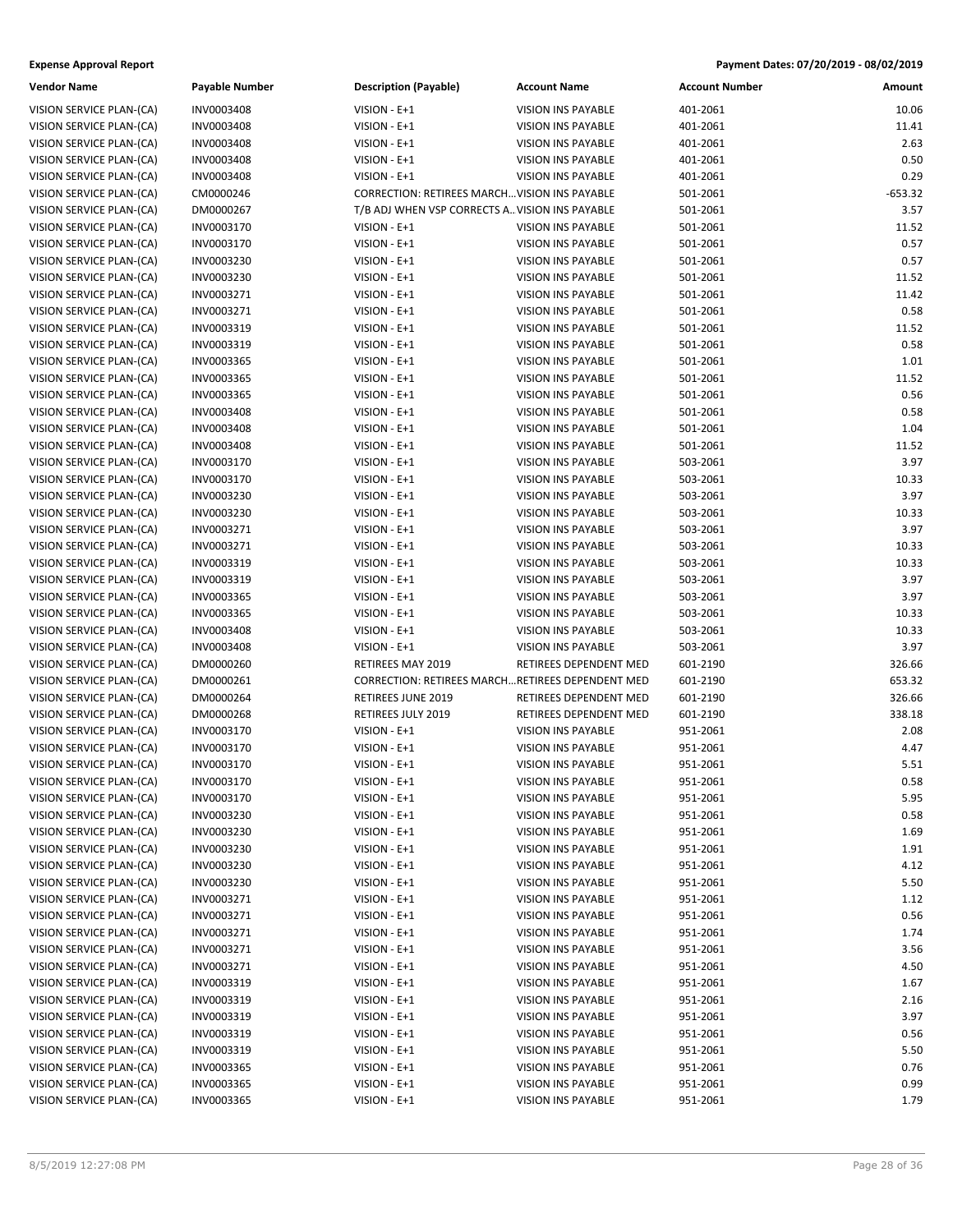| Vendor Name              | <b>Payable Number</b> | <b>Description (Payable)</b>                   | <b>Account Name</b>                                     | <b>Account Number</b> | Amount    |
|--------------------------|-----------------------|------------------------------------------------|---------------------------------------------------------|-----------------------|-----------|
| VISION SERVICE PLAN-(CA) | INV0003408            | VISION - E+1                                   | <b>VISION INS PAYABLE</b>                               | 401-2061              | 10.06     |
| VISION SERVICE PLAN-(CA) | INV0003408            | VISION - E+1                                   | VISION INS PAYABLE                                      | 401-2061              | 11.41     |
| VISION SERVICE PLAN-(CA) | INV0003408            | VISION - E+1                                   | <b>VISION INS PAYABLE</b>                               | 401-2061              | 2.63      |
| VISION SERVICE PLAN-(CA) | INV0003408            | VISION - E+1                                   | <b>VISION INS PAYABLE</b>                               | 401-2061              | 0.50      |
| VISION SERVICE PLAN-(CA) | INV0003408            | VISION - E+1                                   | <b>VISION INS PAYABLE</b>                               | 401-2061              | 0.29      |
| VISION SERVICE PLAN-(CA) | CM0000246             | CORRECTION: RETIREES MARCH VISION INS PAYABLE  |                                                         | 501-2061              | $-653.32$ |
| VISION SERVICE PLAN-(CA) | DM0000267             | T/B ADJ WHEN VSP CORRECTS A VISION INS PAYABLE |                                                         | 501-2061              | 3.57      |
| VISION SERVICE PLAN-(CA) | INV0003170            | VISION - E+1                                   | <b>VISION INS PAYABLE</b>                               | 501-2061              | 11.52     |
| VISION SERVICE PLAN-(CA) | INV0003170            | VISION - E+1                                   | <b>VISION INS PAYABLE</b>                               | 501-2061              | 0.57      |
| VISION SERVICE PLAN-(CA) | INV0003230            | VISION - E+1                                   | <b>VISION INS PAYABLE</b>                               | 501-2061              | 0.57      |
| VISION SERVICE PLAN-(CA) | INV0003230            | VISION - E+1                                   | <b>VISION INS PAYABLE</b>                               | 501-2061              | 11.52     |
| VISION SERVICE PLAN-(CA) | INV0003271            | VISION - E+1                                   | <b>VISION INS PAYABLE</b>                               | 501-2061              | 11.42     |
| VISION SERVICE PLAN-(CA) | INV0003271            | VISION - E+1                                   | <b>VISION INS PAYABLE</b>                               | 501-2061              | 0.58      |
| VISION SERVICE PLAN-(CA) | INV0003319            | VISION - E+1                                   | <b>VISION INS PAYABLE</b>                               | 501-2061              | 11.52     |
| VISION SERVICE PLAN-(CA) | INV0003319            | VISION - E+1                                   | <b>VISION INS PAYABLE</b>                               | 501-2061              | 0.58      |
| VISION SERVICE PLAN-(CA) | INV0003365            | VISION - E+1                                   | VISION INS PAYABLE                                      | 501-2061              | 1.01      |
| VISION SERVICE PLAN-(CA) | INV0003365            | VISION - E+1                                   | <b>VISION INS PAYABLE</b>                               | 501-2061              | 11.52     |
| VISION SERVICE PLAN-(CA) | INV0003365            | VISION - E+1                                   | VISION INS PAYABLE                                      | 501-2061              | 0.56      |
| VISION SERVICE PLAN-(CA) | INV0003408            | VISION - E+1                                   | <b>VISION INS PAYABLE</b>                               | 501-2061              | 0.58      |
| VISION SERVICE PLAN-(CA) | INV0003408            | VISION - E+1                                   | <b>VISION INS PAYABLE</b>                               | 501-2061              | 1.04      |
| VISION SERVICE PLAN-(CA) | INV0003408            | VISION - E+1                                   | <b>VISION INS PAYABLE</b>                               | 501-2061              | 11.52     |
| VISION SERVICE PLAN-(CA) | INV0003170            | VISION - E+1                                   | <b>VISION INS PAYABLE</b>                               | 503-2061              | 3.97      |
| VISION SERVICE PLAN-(CA) | INV0003170            | VISION - E+1                                   | <b>VISION INS PAYABLE</b>                               | 503-2061              | 10.33     |
| VISION SERVICE PLAN-(CA) | INV0003230            | VISION - E+1                                   | <b>VISION INS PAYABLE</b>                               | 503-2061              | 3.97      |
| VISION SERVICE PLAN-(CA) | INV0003230            | VISION - E+1                                   | <b>VISION INS PAYABLE</b>                               | 503-2061              | 10.33     |
| VISION SERVICE PLAN-(CA) | INV0003271            | VISION - E+1                                   | VISION INS PAYABLE                                      | 503-2061              | 3.97      |
| VISION SERVICE PLAN-(CA) | INV0003271            | VISION - E+1                                   | <b>VISION INS PAYABLE</b>                               | 503-2061              | 10.33     |
| VISION SERVICE PLAN-(CA) | INV0003319            | VISION - E+1                                   | <b>VISION INS PAYABLE</b>                               | 503-2061              | 10.33     |
| VISION SERVICE PLAN-(CA) | INV0003319            | VISION - E+1                                   | <b>VISION INS PAYABLE</b>                               | 503-2061              | 3.97      |
| VISION SERVICE PLAN-(CA) | INV0003365            | VISION - E+1                                   | <b>VISION INS PAYABLE</b>                               | 503-2061              | 3.97      |
| VISION SERVICE PLAN-(CA) | INV0003365            | VISION - E+1                                   | <b>VISION INS PAYABLE</b>                               | 503-2061              | 10.33     |
| VISION SERVICE PLAN-(CA) | INV0003408            | VISION - E+1                                   | VISION INS PAYABLE                                      | 503-2061              | 10.33     |
| VISION SERVICE PLAN-(CA) | INV0003408            | VISION - E+1                                   | VISION INS PAYABLE                                      | 503-2061              | 3.97      |
| VISION SERVICE PLAN-(CA) | DM0000260             | RETIREES MAY 2019                              | RETIREES DEPENDENT MED                                  | 601-2190              | 326.66    |
| VISION SERVICE PLAN-(CA) | DM0000261             |                                                | <b>CORRECTION: RETIREES MARCHRETIREES DEPENDENT MED</b> | 601-2190              | 653.32    |
| VISION SERVICE PLAN-(CA) | DM0000264             | RETIREES JUNE 2019                             | RETIREES DEPENDENT MED                                  | 601-2190              | 326.66    |
| VISION SERVICE PLAN-(CA) | DM0000268             | RETIREES JULY 2019                             | RETIREES DEPENDENT MED                                  | 601-2190              | 338.18    |
| VISION SERVICE PLAN-(CA) | INV0003170            | VISION - E+1                                   | VISION INS PAYABLE                                      | 951-2061              | 2.08      |
| VISION SERVICE PLAN-(CA) | INV0003170            | VISION - E+1                                   | <b>VISION INS PAYABLE</b>                               | 951-2061              | 4.47      |
| VISION SERVICE PLAN-(CA) | INV0003170            | VISION - E+1                                   | <b>VISION INS PAYABLE</b>                               | 951-2061              | 5.51      |
| VISION SERVICE PLAN-(CA) | INV0003170            | VISION - E+1                                   | <b>VISION INS PAYABLE</b>                               | 951-2061              | 0.58      |
| VISION SERVICE PLAN-(CA) | INV0003170            | VISION - E+1                                   | VISION INS PAYABLE                                      | 951-2061              | 5.95      |
| VISION SERVICE PLAN-(CA) | INV0003230            | VISION - E+1                                   | VISION INS PAYABLE                                      | 951-2061              | 0.58      |
| VISION SERVICE PLAN-(CA) | INV0003230            | VISION - E+1                                   | <b>VISION INS PAYABLE</b>                               | 951-2061              | 1.69      |
| VISION SERVICE PLAN-(CA) | INV0003230            | VISION - E+1                                   | VISION INS PAYABLE                                      | 951-2061              | 1.91      |
| VISION SERVICE PLAN-(CA) | INV0003230            | VISION - E+1                                   | VISION INS PAYABLE                                      | 951-2061              | 4.12      |
| VISION SERVICE PLAN-(CA) | INV0003230            | $VISION - E + 1$                               | VISION INS PAYABLE                                      | 951-2061              | 5.50      |
| VISION SERVICE PLAN-(CA) | INV0003271            | VISION - E+1                                   | VISION INS PAYABLE                                      | 951-2061              | 1.12      |
| VISION SERVICE PLAN-(CA) | INV0003271            | VISION - E+1                                   | VISION INS PAYABLE                                      | 951-2061              | 0.56      |
| VISION SERVICE PLAN-(CA) | INV0003271            | VISION - E+1                                   | VISION INS PAYABLE                                      | 951-2061              | 1.74      |
| VISION SERVICE PLAN-(CA) | INV0003271            | VISION - E+1                                   | VISION INS PAYABLE                                      | 951-2061              | 3.56      |
| VISION SERVICE PLAN-(CA) | INV0003271            | VISION - E+1                                   | VISION INS PAYABLE                                      | 951-2061              | 4.50      |
| VISION SERVICE PLAN-(CA) | INV0003319            | VISION - E+1                                   | VISION INS PAYABLE                                      | 951-2061              | 1.67      |
| VISION SERVICE PLAN-(CA) | INV0003319            | VISION - E+1                                   | VISION INS PAYABLE                                      | 951-2061              | 2.16      |
| VISION SERVICE PLAN-(CA) | INV0003319            | VISION - E+1                                   | VISION INS PAYABLE                                      | 951-2061              | 3.97      |
| VISION SERVICE PLAN-(CA) | INV0003319            | VISION - E+1                                   | VISION INS PAYABLE                                      | 951-2061              | 0.56      |
| VISION SERVICE PLAN-(CA) | INV0003319            | $VISION - E + 1$                               | VISION INS PAYABLE                                      | 951-2061              | 5.50      |
| VISION SERVICE PLAN-(CA) | INV0003365            | VISION - E+1                                   | VISION INS PAYABLE                                      | 951-2061              | 0.76      |
| VISION SERVICE PLAN-(CA) | INV0003365            | $VISION - E + 1$                               | VISION INS PAYABLE                                      | 951-2061              | 0.99      |
| VISION SERVICE PLAN-(CA) | INV0003365            | $VISION - E + 1$                               | <b>VISION INS PAYABLE</b>                               | 951-2061              | 1.79      |

|                | VISION INS PAYABLE                              | 401-2061             | 10.06         |
|----------------|-------------------------------------------------|----------------------|---------------|
|                | VISION INS PAYABLE                              | 401-2061             | 11.41         |
|                | <b>VISION INS PAYABLE</b>                       | 401-2061             | 2.63          |
|                | <b>VISION INS PAYABLE</b>                       | 401-2061             | 0.50          |
|                | <b>VISION INS PAYABLE</b>                       | 401-2061             | 0.29          |
|                | N: RETIREES MARCHVISION INS PAYABLE             | 501-2061             | $-653.32$     |
|                | EN VSP CORRECTS A VISION INS PAYABLE            | 501-2061             | 3.57          |
|                | VISION INS PAYABLE                              | 501-2061             | 11.52         |
|                | <b>VISION INS PAYABLE</b>                       | 501-2061             | 0.57          |
|                | VISION INS PAYABLE                              | 501-2061             | 0.57          |
|                | <b>VISION INS PAYABLE</b>                       | 501-2061             | 11.52         |
|                | <b>VISION INS PAYABLE</b>                       | 501-2061             | 11.42         |
|                | VISION INS PAYABLE                              | 501-2061             | 0.58          |
|                | <b>VISION INS PAYABLE</b>                       | 501-2061             | 11.52         |
|                | VISION INS PAYABLE                              | 501-2061             | 0.58          |
|                | VISION INS PAYABLE                              | 501-2061             | 1.01          |
|                | VISION INS PAYABLE                              | 501-2061             | 11.52         |
|                | VISION INS PAYABLE                              | 501-2061             | 0.56          |
|                | <b>VISION INS PAYABLE</b>                       | 501-2061             | 0.58          |
|                | VISION INS PAYABLE                              | 501-2061             | 1.04          |
|                | VISION INS PAYABLE                              | 501-2061             | 11.52         |
|                | VISION INS PAYABLE                              | 503-2061             | 3.97          |
|                | VISION INS PAYABLE                              | 503-2061             | 10.33         |
|                | <b>VISION INS PAYABLE</b>                       | 503-2061             | 3.97          |
|                | VISION INS PAYABLE<br><b>VISION INS PAYABLE</b> | 503-2061             | 10.33         |
|                |                                                 | 503-2061             | 3.97          |
|                | VISION INS PAYABLE                              | 503-2061             | 10.33         |
|                | VISION INS PAYABLE<br><b>VISION INS PAYABLE</b> | 503-2061             | 10.33         |
|                |                                                 | 503-2061             | 3.97          |
|                | VISION INS PAYABLE<br>VISION INS PAYABLE        | 503-2061<br>503-2061 | 3.97<br>10.33 |
|                | VISION INS PAYABLE                              | 503-2061             | 10.33         |
|                | <b>VISION INS PAYABLE</b>                       | 503-2061             | 3.97          |
| AY 2019        | RETIREES DEPENDENT MED                          | 601-2190             | 326.66        |
|                | N: RETIREES MARCHRETIREES DEPENDENT MED         | 601-2190             | 653.32        |
| <b>NE 2019</b> | RETIREES DEPENDENT MED                          | 601-2190             | 326.66        |
| LY 2019        | RETIREES DEPENDENT MED                          | 601-2190             | 338.18        |
|                | VISION INS PAYABLE                              | 951-2061             | 2.08          |
|                | <b>VISION INS PAYABLE</b>                       | 951-2061             | 4.47          |
|                | VISION INS PAYABLE                              | 951-2061             | 5.51          |
|                | <b>VISION INS PAYABLE</b>                       | 951-2061             | 0.58          |
|                | VISION INS PAYABLE                              | 951-2061             | 5.95          |
|                | VISION INS PAYABLE                              | 951-2061             | 0.58          |
|                | <b>VISION INS PAYABLE</b>                       | 951-2061             | 1.69          |
|                | <b>VISION INS PAYABLE</b>                       | 951-2061             | 1.91          |
|                | <b>VISION INS PAYABLE</b>                       | 951-2061             | 4.12          |
|                | VISION INS PAYABLE                              | 951-2061             | 5.50          |
|                | <b>VISION INS PAYABLE</b>                       | 951-2061             | 1.12          |
|                | <b>VISION INS PAYABLE</b>                       | 951-2061             | 0.56          |
|                | <b>VISION INS PAYABLE</b>                       | 951-2061             | 1.74          |
|                | <b>VISION INS PAYABLE</b>                       | 951-2061             | 3.56          |
|                | VISION INS PAYABLE                              | 951-2061             | 4.50          |
|                | <b>VISION INS PAYABLE</b>                       | 951-2061             | 1.67          |
|                | <b>VISION INS PAYABLE</b>                       | 951-2061             | 2.16          |
|                | <b>VISION INS PAYABLE</b>                       | 951-2061             | 3.97          |
|                | VISION INS PAYABLE                              | 951-2061             | 0.56          |
|                | VISION INS PAYABLE                              | 951-2061             | 5.50          |
|                | <b>VISION INS PAYABLE</b>                       | 951-2061             | 0.76          |
|                | <b>VISION INS PAYABLE</b>                       | 951-2061             | 0.99          |
|                | <b>VISION INS PAYABLE</b>                       | 951-2061             | 1.79          |
|                |                                                 |                      |               |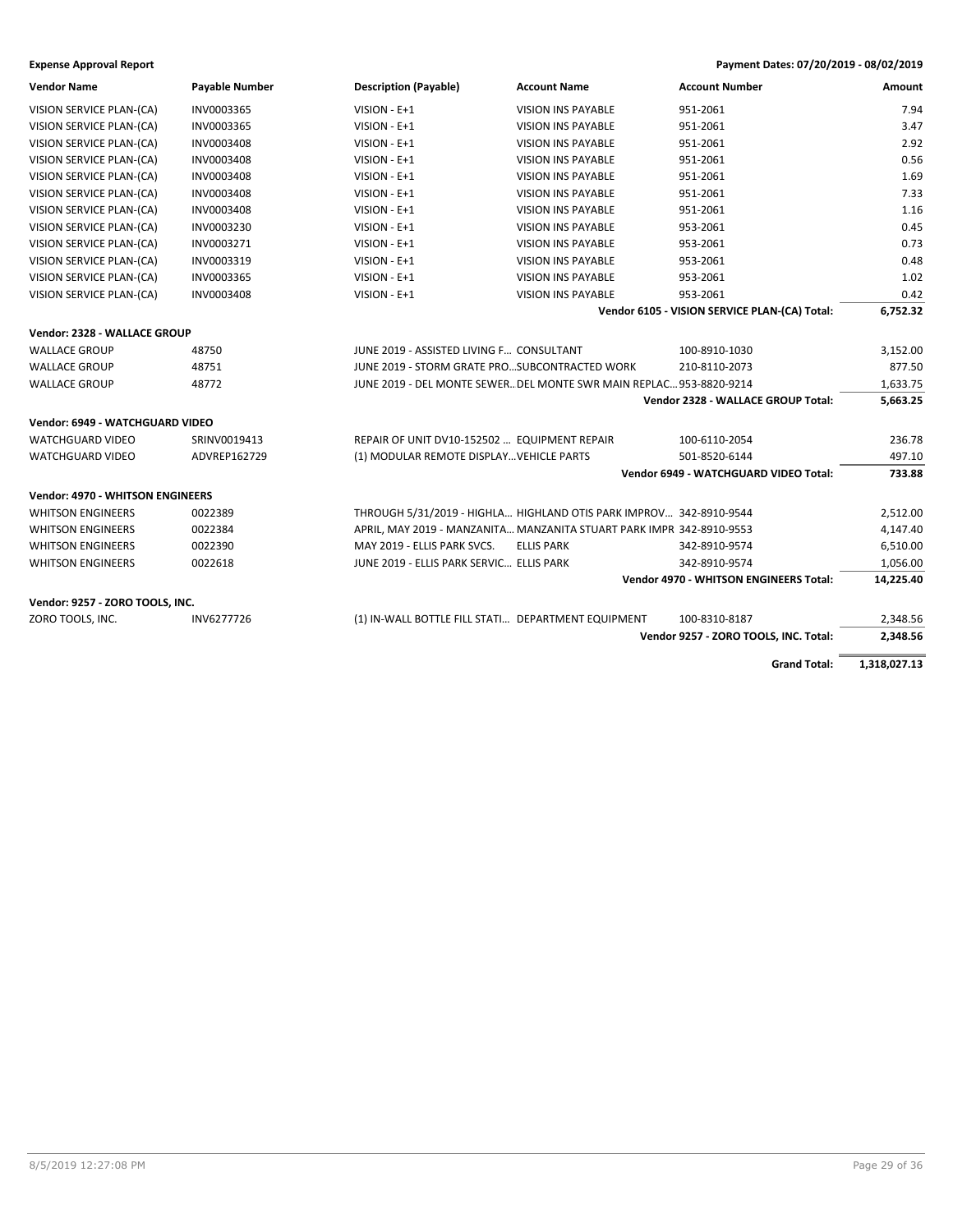| <b>Vendor Name</b>                      | <b>Payable Number</b> | <b>Description (Payable)</b>                                        | <b>Account Name</b>                                                  | <b>Account Number</b>                         | Amount    |
|-----------------------------------------|-----------------------|---------------------------------------------------------------------|----------------------------------------------------------------------|-----------------------------------------------|-----------|
| VISION SERVICE PLAN-(CA)                | INV0003365            | VISION - E+1                                                        | <b>VISION INS PAYABLE</b>                                            | 951-2061                                      | 7.94      |
| VISION SERVICE PLAN-(CA)                | INV0003365            | VISION - E+1                                                        | <b>VISION INS PAYABLE</b>                                            | 951-2061                                      | 3.47      |
| VISION SERVICE PLAN-(CA)                | INV0003408            | VISION - E+1                                                        | <b>VISION INS PAYABLE</b>                                            | 951-2061                                      | 2.92      |
| VISION SERVICE PLAN-(CA)                | INV0003408            | $VISION - E + 1$                                                    | <b>VISION INS PAYABLE</b>                                            | 951-2061                                      | 0.56      |
| VISION SERVICE PLAN-(CA)                | INV0003408            | VISION - E+1                                                        | <b>VISION INS PAYABLE</b>                                            | 951-2061                                      | 1.69      |
| VISION SERVICE PLAN-(CA)                | INV0003408            | VISION - E+1                                                        | <b>VISION INS PAYABLE</b>                                            | 951-2061                                      | 7.33      |
| VISION SERVICE PLAN-(CA)                | INV0003408            | VISION - E+1                                                        | <b>VISION INS PAYABLE</b>                                            | 951-2061                                      | 1.16      |
| VISION SERVICE PLAN-(CA)                | INV0003230            | VISION - E+1                                                        | <b>VISION INS PAYABLE</b>                                            | 953-2061                                      | 0.45      |
| VISION SERVICE PLAN-(CA)                | INV0003271            | VISION - E+1                                                        | <b>VISION INS PAYABLE</b>                                            | 953-2061                                      | 0.73      |
| VISION SERVICE PLAN-(CA)                | INV0003319            | $VISION - E + 1$                                                    | <b>VISION INS PAYABLE</b>                                            | 953-2061                                      | 0.48      |
| VISION SERVICE PLAN-(CA)                | INV0003365            | VISION - E+1                                                        | <b>VISION INS PAYABLE</b>                                            | 953-2061                                      | 1.02      |
| VISION SERVICE PLAN-(CA)                | INV0003408            | VISION - E+1                                                        | <b>VISION INS PAYABLE</b>                                            | 953-2061                                      | 0.42      |
|                                         |                       |                                                                     |                                                                      | Vendor 6105 - VISION SERVICE PLAN-(CA) Total: | 6,752.32  |
| Vendor: 2328 - WALLACE GROUP            |                       |                                                                     |                                                                      |                                               |           |
| <b>WALLACE GROUP</b>                    | 48750                 | JUNE 2019 - ASSISTED LIVING F CONSULTANT                            |                                                                      | 100-8910-1030                                 | 3,152.00  |
| <b>WALLACE GROUP</b>                    | 48751                 | JUNE 2019 - STORM GRATE PROSUBCONTRACTED WORK                       |                                                                      | 210-8110-2073                                 | 877.50    |
| <b>WALLACE GROUP</b>                    | 48772                 | JUNE 2019 - DEL MONTE SEWER DEL MONTE SWR MAIN REPLAC 953-8820-9214 |                                                                      |                                               | 1,633.75  |
|                                         |                       |                                                                     |                                                                      | Vendor 2328 - WALLACE GROUP Total:            | 5,663.25  |
| Vendor: 6949 - WATCHGUARD VIDEO         |                       |                                                                     |                                                                      |                                               |           |
| <b>WATCHGUARD VIDEO</b>                 | SRINV0019413          | REPAIR OF UNIT DV10-152502  EQUIPMENT REPAIR                        |                                                                      | 100-6110-2054                                 | 236.78    |
| <b>WATCHGUARD VIDEO</b>                 | ADVREP162729          | (1) MODULAR REMOTE DISPLAY VEHICLE PARTS                            |                                                                      | 501-8520-6144                                 | 497.10    |
|                                         |                       |                                                                     |                                                                      | Vendor 6949 - WATCHGUARD VIDEO Total:         | 733.88    |
| <b>Vendor: 4970 - WHITSON ENGINEERS</b> |                       |                                                                     |                                                                      |                                               |           |
| <b>WHITSON ENGINEERS</b>                | 0022389               | THROUGH 5/31/2019 - HIGHLA HIGHLAND OTIS PARK IMPROV 342-8910-9544  |                                                                      |                                               | 2,512.00  |
| <b>WHITSON ENGINEERS</b>                | 0022384               |                                                                     | APRIL, MAY 2019 - MANZANITA MANZANITA STUART PARK IMPR 342-8910-9553 |                                               | 4,147.40  |
| <b>WHITSON ENGINEERS</b>                | 0022390               | MAY 2019 - ELLIS PARK SVCS.                                         | <b>ELLIS PARK</b>                                                    | 342-8910-9574                                 | 6,510.00  |
| <b>WHITSON ENGINEERS</b>                | 0022618               | JUNE 2019 - ELLIS PARK SERVIC ELLIS PARK                            |                                                                      | 342-8910-9574                                 | 1,056.00  |
|                                         |                       |                                                                     |                                                                      | Vendor 4970 - WHITSON ENGINEERS Total:        | 14,225.40 |
|                                         |                       |                                                                     |                                                                      |                                               |           |
| Vendor: 9257 - ZORO TOOLS, INC.         |                       |                                                                     |                                                                      |                                               |           |
| ZORO TOOLS, INC.                        | INV6277726            | (1) IN-WALL BOTTLE FILL STATI DEPARTMENT EQUIPMENT                  |                                                                      | 100-8310-8187                                 | 2,348.56  |
|                                         |                       |                                                                     |                                                                      | Vendor 9257 - ZORO TOOLS, INC. Total:         | 2,348.56  |
|                                         |                       |                                                                     |                                                                      |                                               |           |

**Grand Total: 1,318,027.13**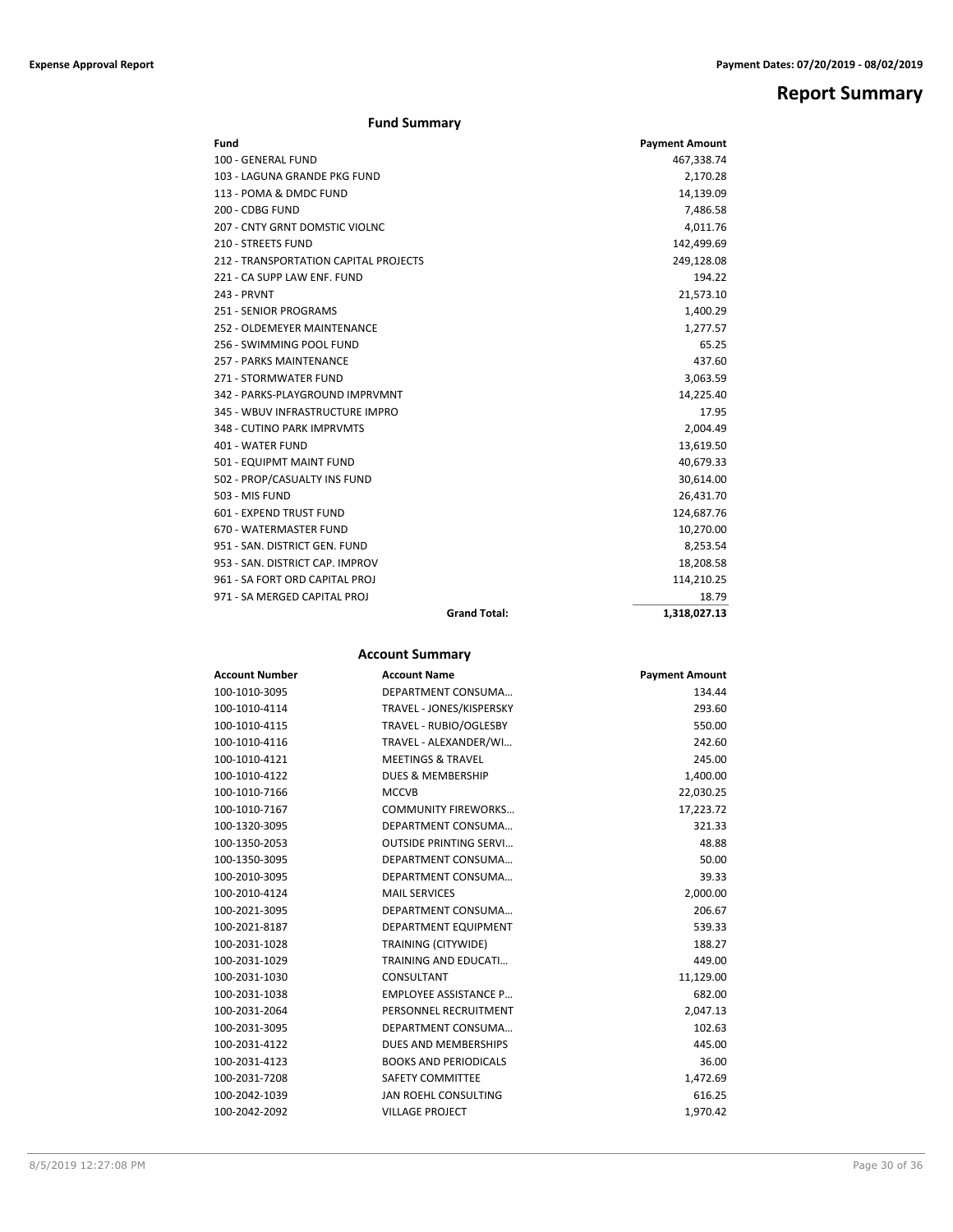## **Report Summary**

## **Fund Summary**

| Fund                                  | <b>Payment Amount</b> |
|---------------------------------------|-----------------------|
| 100 - GENERAL FUND                    | 467,338.74            |
| 103 - LAGUNA GRANDE PKG FUND          | 2,170.28              |
| 113 - POMA & DMDC FUND                | 14,139.09             |
| 200 - CDBG FUND                       | 7,486.58              |
| 207 - CNTY GRNT DOMSTIC VIOLNC        | 4,011.76              |
| <b>210 - STREETS FUND</b>             | 142,499.69            |
| 212 - TRANSPORTATION CAPITAL PROJECTS | 249,128.08            |
| 221 - CA SUPP LAW ENF. FUND           | 194.22                |
| 243 - PRVNT                           | 21,573.10             |
| 251 - SENIOR PROGRAMS                 | 1,400.29              |
| 252 - OLDEMEYER MAINTENANCE           | 1,277.57              |
| 256 - SWIMMING POOL FUND              | 65.25                 |
| 257 - PARKS MAINTENANCE               | 437.60                |
| 271 - STORMWATER FUND                 | 3,063.59              |
| 342 - PARKS-PLAYGROUND IMPRVMNT       | 14,225.40             |
| 345 - WBUV INFRASTRUCTURE IMPRO       | 17.95                 |
| 348 - CUTINO PARK IMPRVMTS            | 2,004.49              |
| 401 - WATER FUND                      | 13,619.50             |
| 501 - EQUIPMT MAINT FUND              | 40,679.33             |
| 502 - PROP/CASUALTY INS FUND          | 30,614.00             |
| 503 - MIS FUND                        | 26,431.70             |
| 601 - EXPEND TRUST FUND               | 124,687.76            |
| 670 - WATERMASTER FUND                | 10,270.00             |
| 951 - SAN, DISTRICT GEN, FUND         | 8,253.54              |
| 953 - SAN, DISTRICT CAP, IMPROV       | 18,208.58             |
| 961 - SA FORT ORD CAPITAL PROJ        | 114,210.25            |
| 971 - SA MERGED CAPITAL PROJ          | 18.79                 |
| <b>Grand Total:</b>                   | 1,318,027.13          |

## **Account Summary**

| <b>Account Number</b> | <b>Account Name</b>           | <b>Payment Amount</b> |
|-----------------------|-------------------------------|-----------------------|
| 100-1010-3095         | DEPARTMENT CONSUMA            | 134.44                |
| 100-1010-4114         | TRAVEL - JONES/KISPERSKY      | 293.60                |
| 100-1010-4115         | TRAVEL - RUBIO/OGLESBY        | 550.00                |
| 100-1010-4116         | TRAVEL - ALEXANDER/WI         | 242.60                |
| 100-1010-4121         | <b>MEETINGS &amp; TRAVEL</b>  | 245.00                |
| 100-1010-4122         | <b>DUES &amp; MEMBERSHIP</b>  | 1,400.00              |
| 100-1010-7166         | <b>MCCVB</b>                  | 22,030.25             |
| 100-1010-7167         | <b>COMMUNITY FIREWORKS</b>    | 17,223.72             |
| 100-1320-3095         | DEPARTMENT CONSUMA            | 321.33                |
| 100-1350-2053         | <b>OUTSIDE PRINTING SERVI</b> | 48.88                 |
| 100-1350-3095         | DEPARTMENT CONSUMA            | 50.00                 |
| 100-2010-3095         | DEPARTMENT CONSUMA            | 39.33                 |
| 100-2010-4124         | <b>MAIL SERVICES</b>          | 2,000.00              |
| 100-2021-3095         | DEPARTMENT CONSUMA            | 206.67                |
| 100-2021-8187         | DEPARTMENT EQUIPMENT          | 539.33                |
| 100-2031-1028         | TRAINING (CITYWIDE)           | 188.27                |
| 100-2031-1029         | <b>TRAINING AND EDUCATI</b>   | 449.00                |
| 100-2031-1030         | <b>CONSULTANT</b>             | 11,129.00             |
| 100-2031-1038         | <b>EMPLOYEE ASSISTANCE P</b>  | 682.00                |
| 100-2031-2064         | PERSONNEL RECRUITMENT         | 2,047.13              |
| 100-2031-3095         | DEPARTMENT CONSUMA            | 102.63                |
| 100-2031-4122         | DUES AND MEMBERSHIPS          | 445.00                |
| 100-2031-4123         | <b>BOOKS AND PERIODICALS</b>  | 36.00                 |
| 100-2031-7208         | <b>SAFETY COMMITTEE</b>       | 1,472.69              |
| 100-2042-1039         | <b>JAN ROEHL CONSULTING</b>   | 616.25                |
| 100-2042-2092         | <b>VILLAGE PROJECT</b>        | 1,970.42              |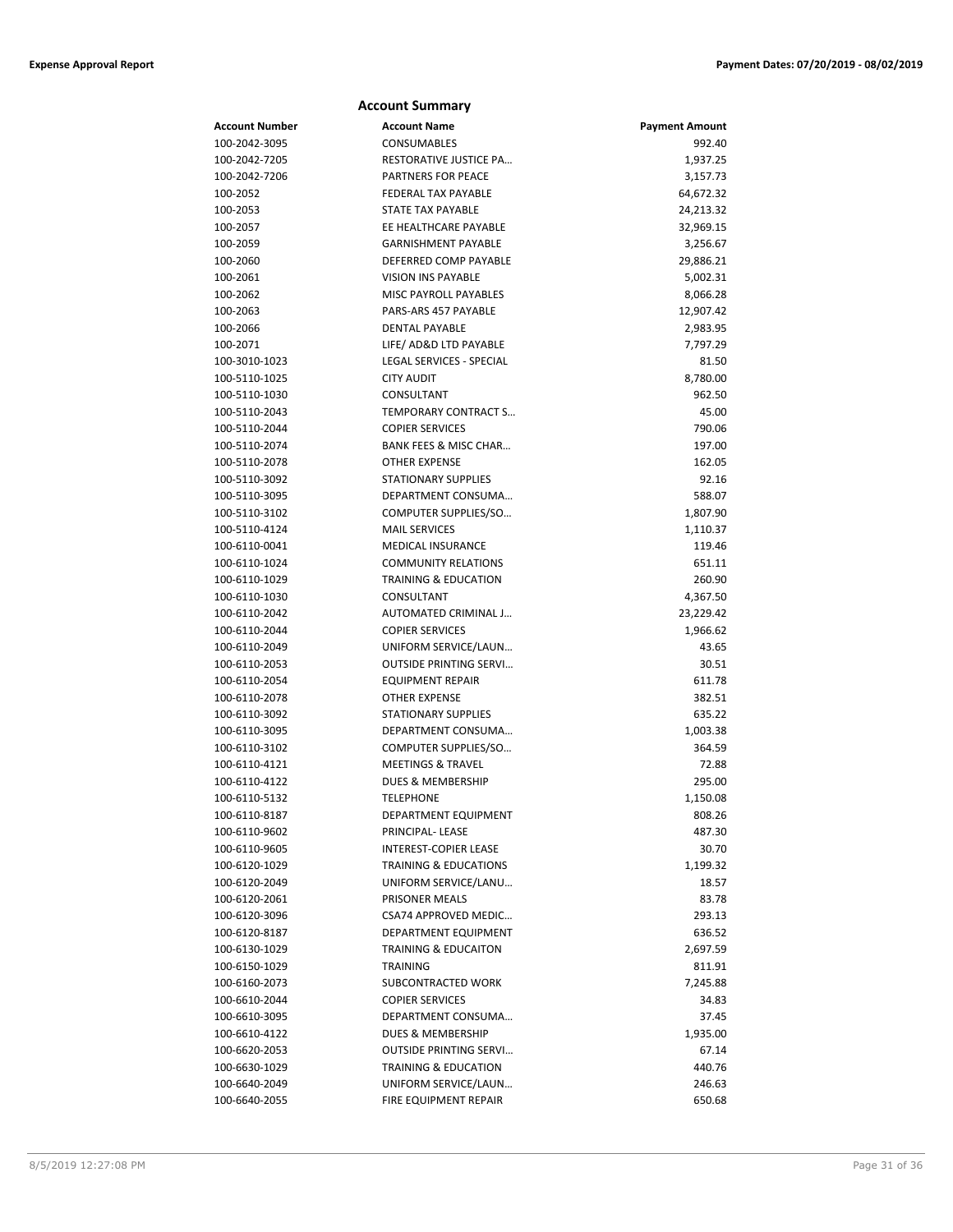| <b>Account Summary</b> |                                 |                       |  |
|------------------------|---------------------------------|-----------------------|--|
| <b>Account Number</b>  | <b>Account Name</b>             | <b>Payment Amount</b> |  |
| 100-2042-3095          | CONSUMABLES                     | 992.40                |  |
| 100-2042-7205          | RESTORATIVE JUSTICE PA          | 1,937.25              |  |
| 100-2042-7206          | <b>PARTNERS FOR PEACE</b>       | 3,157.73              |  |
| 100-2052               | <b>FEDERAL TAX PAYABLE</b>      | 64,672.32             |  |
| 100-2053               | <b>STATE TAX PAYABLE</b>        | 24,213.32             |  |
| 100-2057               | EE HEALTHCARE PAYABLE           | 32,969.15             |  |
| 100-2059               | <b>GARNISHMENT PAYABLE</b>      | 3,256.67              |  |
| 100-2060               | DEFERRED COMP PAYABLE           | 29,886.21             |  |
| 100-2061               | <b>VISION INS PAYABLE</b>       | 5,002.31              |  |
| 100-2062               | <b>MISC PAYROLL PAYABLES</b>    | 8,066.28              |  |
| 100-2063               | PARS-ARS 457 PAYABLE            | 12,907.42             |  |
| 100-2066               | <b>DENTAL PAYABLE</b>           | 2,983.95              |  |
| 100-2071               | LIFE/ AD&D LTD PAYABLE          | 7,797.29              |  |
| 100-3010-1023          | <b>LEGAL SERVICES - SPECIAL</b> | 81.50                 |  |
| 100-5110-1025          | <b>CITY AUDIT</b>               | 8,780.00              |  |
| 100-5110-1030          | CONSULTANT                      | 962.50                |  |
| 100-5110-2043          | <b>TEMPORARY CONTRACT S</b>     | 45.00                 |  |
| 100-5110-2044          | <b>COPIER SERVICES</b>          | 790.06                |  |
| 100-5110-2074          | BANK FEES & MISC CHAR           | 197.00                |  |
| 100-5110-2078          | <b>OTHER EXPENSE</b>            | 162.05                |  |
| 100-5110-3092          | <b>STATIONARY SUPPLIES</b>      | 92.16                 |  |
| 100-5110-3095          | DEPARTMENT CONSUMA              | 588.07                |  |
| 100-5110-3102          | COMPUTER SUPPLIES/SO            | 1,807.90              |  |
| 100-5110-4124          | <b>MAIL SERVICES</b>            | 1,110.37              |  |
| 100-6110-0041          | <b>MEDICAL INSURANCE</b>        | 119.46                |  |
| 100-6110-1024          | <b>COMMUNITY RELATIONS</b>      | 651.11                |  |
| 100-6110-1029          | <b>TRAINING &amp; EDUCATION</b> | 260.90                |  |
| 100-6110-1030          | CONSULTANT                      | 4,367.50              |  |
| 100-6110-2042          | AUTOMATED CRIMINAL J            | 23,229.42             |  |
| 100-6110-2044          | <b>COPIER SERVICES</b>          | 1,966.62              |  |
| 100-6110-2049          | UNIFORM SERVICE/LAUN            | 43.65                 |  |
| 100-6110-2053          | <b>OUTSIDE PRINTING SERVI</b>   | 30.51                 |  |
| 100-6110-2054          | <b>EQUIPMENT REPAIR</b>         | 611.78                |  |
| 100-6110-2078          | <b>OTHER EXPENSE</b>            | 382.51                |  |
| 100-6110-3092          | <b>STATIONARY SUPPLIES</b>      | 635.22                |  |
| 100-6110-3095          | DEPARTMENT CONSUMA              | 1,003.38              |  |
| 100-6110-3102          | COMPUTER SUPPLIES/SO            | 364.59                |  |
| 100-6110-4121          | <b>MEETINGS &amp; TRAVEL</b>    | 72.88                 |  |
| 100-6110-4122          | DUES & MEMBERSHIP               | 295.00                |  |
| 100-6110-5132          | TELEPHONE                       | 1,150.08              |  |
| 100-6110-8187          | DEPARTMENT EQUIPMENT            | 808.26                |  |
| 100-6110-9602          | PRINCIPAL-LEASE                 | 487.30                |  |
| 100-6110-9605          | INTEREST-COPIER LEASE           | 30.70                 |  |
| 100-6120-1029          | TRAINING & EDUCATIONS           | 1,199.32              |  |
| 100-6120-2049          | UNIFORM SERVICE/LANU            | 18.57                 |  |
| 100-6120-2061          | PRISONER MEALS                  | 83.78                 |  |
| 100-6120-3096          | CSA74 APPROVED MEDIC            | 293.13                |  |
| 100-6120-8187          | DEPARTMENT EQUIPMENT            | 636.52                |  |
| 100-6130-1029          | <b>TRAINING &amp; EDUCAITON</b> | 2,697.59              |  |
| 100-6150-1029          | TRAINING                        | 811.91                |  |
| 100-6160-2073          | SUBCONTRACTED WORK              | 7,245.88              |  |
| 100-6610-2044          | <b>COPIER SERVICES</b>          | 34.83                 |  |
| 100-6610-3095          | DEPARTMENT CONSUMA              | 37.45                 |  |
| 100-6610-4122          | DUES & MEMBERSHIP               | 1,935.00              |  |
| 100-6620-2053          | <b>OUTSIDE PRINTING SERVI</b>   | 67.14                 |  |
| 100-6630-1029          | <b>TRAINING &amp; EDUCATION</b> | 440.76                |  |
| 100-6640-2049          | UNIFORM SERVICE/LAUN            | 246.63                |  |
| 100-6640-2055          | FIRE EQUIPMENT REPAIR           | 650.68                |  |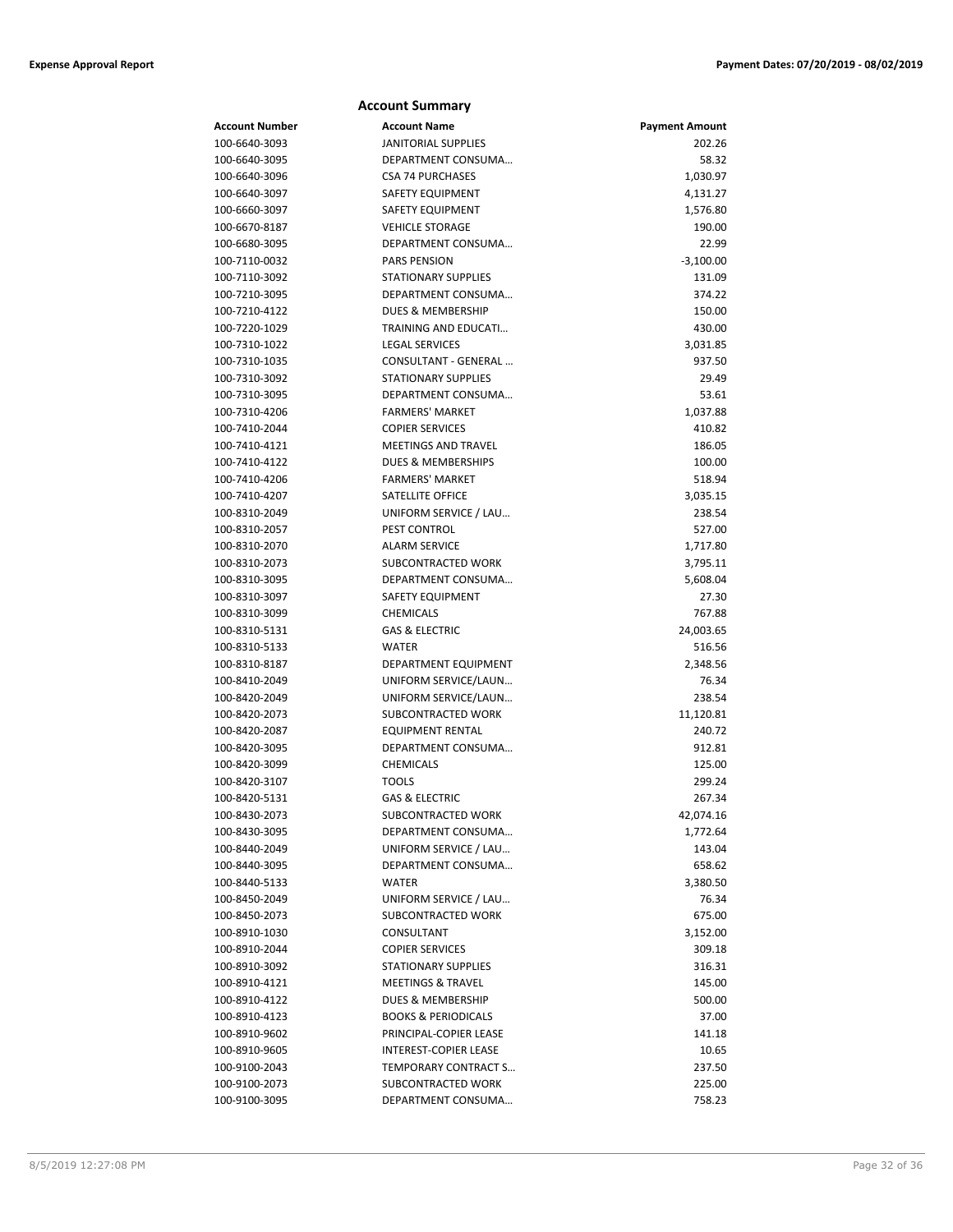## **Account Summary**

| Account Number | <b>Account Name</b>            | <b>Payment Amount</b> |
|----------------|--------------------------------|-----------------------|
| 100-6640-3093  | <b>JANITORIAL SUPPLIES</b>     | 202.26                |
| 100-6640-3095  | DEPARTMENT CONSUMA             | 58.32                 |
| 100-6640-3096  | <b>CSA 74 PURCHASES</b>        | 1,030.97              |
| 100-6640-3097  | SAFETY EQUIPMENT               | 4,131.27              |
| 100-6660-3097  | SAFETY EQUIPMENT               | 1,576.80              |
| 100-6670-8187  | <b>VEHICLE STORAGE</b>         | 190.00                |
| 100-6680-3095  | DEPARTMENT CONSUMA             | 22.99                 |
| 100-7110-0032  | <b>PARS PENSION</b>            | $-3,100.00$           |
| 100-7110-3092  | <b>STATIONARY SUPPLIES</b>     | 131.09                |
| 100-7210-3095  | DEPARTMENT CONSUMA             | 374.22                |
| 100-7210-4122  | <b>DUES &amp; MEMBERSHIP</b>   | 150.00                |
| 100-7220-1029  | <b>TRAINING AND EDUCATI</b>    | 430.00                |
| 100-7310-1022  | <b>LEGAL SERVICES</b>          | 3,031.85              |
| 100-7310-1035  | CONSULTANT - GENERAL           | 937.50                |
| 100-7310-3092  | <b>STATIONARY SUPPLIES</b>     | 29.49                 |
| 100-7310-3095  | DEPARTMENT CONSUMA             | 53.61                 |
| 100-7310-4206  | <b>FARMERS' MARKET</b>         | 1,037.88              |
| 100-7410-2044  | <b>COPIER SERVICES</b>         | 410.82                |
| 100-7410-4121  | <b>MEETINGS AND TRAVEL</b>     | 186.05                |
| 100-7410-4122  | <b>DUES &amp; MEMBERSHIPS</b>  | 100.00                |
| 100-7410-4206  | <b>FARMERS' MARKET</b>         | 518.94                |
| 100-7410-4207  | SATELLITE OFFICE               | 3,035.15              |
| 100-8310-2049  | UNIFORM SERVICE / LAU          | 238.54                |
| 100-8310-2057  | PEST CONTROL                   | 527.00                |
| 100-8310-2070  | <b>ALARM SERVICE</b>           | 1,717.80              |
| 100-8310-2073  | SUBCONTRACTED WORK             | 3,795.11              |
| 100-8310-3095  | DEPARTMENT CONSUMA             | 5,608.04              |
| 100-8310-3097  | SAFETY EQUIPMENT               | 27.30                 |
| 100-8310-3099  | <b>CHEMICALS</b>               | 767.88                |
| 100-8310-5131  | <b>GAS &amp; ELECTRIC</b>      | 24,003.65             |
| 100-8310-5133  | <b>WATER</b>                   | 516.56                |
| 100-8310-8187  | DEPARTMENT EQUIPMENT           | 2,348.56              |
| 100-8410-2049  | UNIFORM SERVICE/LAUN           | 76.34                 |
| 100-8420-2049  | UNIFORM SERVICE/LAUN           | 238.54                |
| 100-8420-2073  | SUBCONTRACTED WORK             | 11,120.81             |
| 100-8420-2087  | <b>EQUIPMENT RENTAL</b>        | 240.72                |
| 100-8420-3095  | DEPARTMENT CONSUMA             | 912.81                |
| 100-8420-3099  | <b>CHEMICALS</b>               | 125.00                |
| 100-8420-3107  | <b>TOOLS</b>                   | 299.24                |
| 100-8420-5131  | GAS & ELECTRIC                 | 267.34                |
| 100-8430-2073  | SUBCONTRACTED WORK             | 42,074.16             |
| 100-8430-3095  | DEPARTMENT CONSUMA             | 1,772.64              |
| 100-8440-2049  | UNIFORM SERVICE / LAU          | 143.04                |
| 100-8440-3095  | DEPARTMENT CONSUMA             | 658.62                |
| 100-8440-5133  | WATER                          | 3,380.50              |
| 100-8450-2049  | UNIFORM SERVICE / LAU          | 76.34                 |
| 100-8450-2073  | SUBCONTRACTED WORK             | 675.00                |
| 100-8910-1030  | CONSULTANT                     | 3,152.00              |
| 100-8910-2044  | <b>COPIER SERVICES</b>         | 309.18                |
| 100-8910-3092  | <b>STATIONARY SUPPLIES</b>     | 316.31                |
| 100-8910-4121  | <b>MEETINGS &amp; TRAVEL</b>   | 145.00                |
| 100-8910-4122  | <b>DUES &amp; MEMBERSHIP</b>   | 500.00                |
| 100-8910-4123  | <b>BOOKS &amp; PERIODICALS</b> | 37.00                 |
| 100-8910-9602  | PRINCIPAL-COPIER LEASE         | 141.18                |
| 100-8910-9605  | INTEREST-COPIER LEASE          | 10.65                 |
| 100-9100-2043  | TEMPORARY CONTRACT S           | 237.50                |
| 100-9100-2073  | SUBCONTRACTED WORK             | 225.00                |
| 100-9100-3095  | DEPARTMENT CONSUMA             | 758.23                |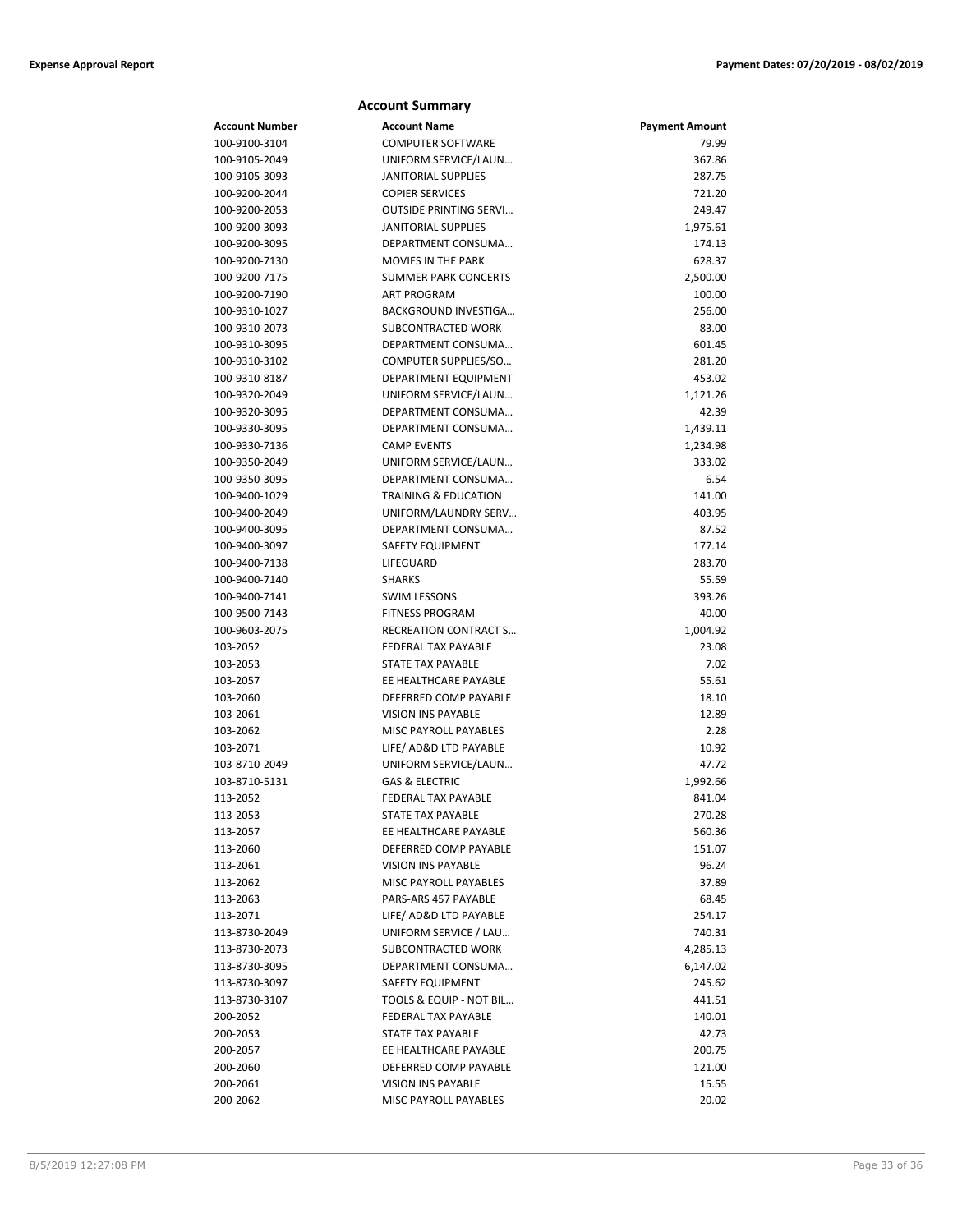| <b>Account Summary</b> |                                                     |                       |  |
|------------------------|-----------------------------------------------------|-----------------------|--|
| <b>Account Number</b>  | <b>Account Name</b>                                 | <b>Payment Amount</b> |  |
| 100-9100-3104          | <b>COMPUTER SOFTWARE</b>                            | 79.99                 |  |
| 100-9105-2049          | UNIFORM SERVICE/LAUN                                | 367.86                |  |
| 100-9105-3093          | <b>JANITORIAL SUPPLIES</b>                          | 287.75                |  |
| 100-9200-2044          | <b>COPIER SERVICES</b>                              | 721.20                |  |
| 100-9200-2053          | <b>OUTSIDE PRINTING SERVI</b>                       | 249.47                |  |
| 100-9200-3093          | <b>JANITORIAL SUPPLIES</b>                          | 1,975.61              |  |
| 100-9200-3095          | DEPARTMENT CONSUMA                                  | 174.13                |  |
| 100-9200-7130          | MOVIES IN THE PARK                                  | 628.37                |  |
| 100-9200-7175          | <b>SUMMER PARK CONCERTS</b>                         | 2,500.00              |  |
| 100-9200-7190          | <b>ART PROGRAM</b>                                  | 100.00                |  |
| 100-9310-1027          | BACKGROUND INVESTIGA                                | 256.00                |  |
| 100-9310-2073          | SUBCONTRACTED WORK                                  | 83.00                 |  |
| 100-9310-3095          | DEPARTMENT CONSUMA                                  | 601.45                |  |
| 100-9310-3102          | COMPUTER SUPPLIES/SO                                | 281.20                |  |
| 100-9310-8187          | DEPARTMENT EQUIPMENT                                | 453.02                |  |
| 100-9320-2049          | UNIFORM SERVICE/LAUN                                | 1,121.26              |  |
| 100-9320-3095          | DEPARTMENT CONSUMA                                  | 42.39                 |  |
| 100-9330-3095          | DEPARTMENT CONSUMA                                  | 1,439.11              |  |
| 100-9330-7136          | <b>CAMP EVENTS</b>                                  | 1,234.98              |  |
| 100-9350-2049          | UNIFORM SERVICE/LAUN                                | 333.02                |  |
| 100-9350-3095          | DEPARTMENT CONSUMA                                  | 6.54                  |  |
| 100-9400-1029          | <b>TRAINING &amp; EDUCATION</b>                     | 141.00                |  |
| 100-9400-2049          | UNIFORM/LAUNDRY SERV                                | 403.95                |  |
| 100-9400-3095          | DEPARTMENT CONSUMA                                  | 87.52                 |  |
| 100-9400-3097          | SAFETY EQUIPMENT                                    | 177.14                |  |
| 100-9400-7138          | LIFEGUARD                                           | 283.70                |  |
| 100-9400-7140          | <b>SHARKS</b>                                       | 55.59                 |  |
| 100-9400-7141          | <b>SWIM LESSONS</b>                                 | 393.26                |  |
| 100-9500-7143          | <b>FITNESS PROGRAM</b>                              | 40.00                 |  |
| 100-9603-2075          | RECREATION CONTRACT S<br><b>FEDERAL TAX PAYABLE</b> | 1,004.92<br>23.08     |  |
| 103-2052               | STATE TAX PAYABLE                                   | 7.02                  |  |
| 103-2053<br>103-2057   | EE HEALTHCARE PAYABLE                               | 55.61                 |  |
| 103-2060               | DEFERRED COMP PAYABLE                               | 18.10                 |  |
| 103-2061               | <b>VISION INS PAYABLE</b>                           | 12.89                 |  |
| 103-2062               | MISC PAYROLL PAYABLES                               | 2.28                  |  |
| 103-2071               | LIFE/ AD&D LTD PAYABLE                              | 10.92                 |  |
| 103-8710-2049          | UNIFORM SERVICE/LAUN                                | 47.72                 |  |
| 103-8710-5131          | <b>GAS &amp; ELECTRIC</b>                           | 1,992.66              |  |
| 113-2052               | FEDERAL TAX PAYABLE                                 | 841.04                |  |
| 113-2053               | <b>STATE TAX PAYABLE</b>                            | 270.28                |  |
| 113-2057               | EE HEALTHCARE PAYABLE                               | 560.36                |  |
| 113-2060               | DEFERRED COMP PAYABLE                               | 151.07                |  |
| 113-2061               | <b>VISION INS PAYABLE</b>                           | 96.24                 |  |
| 113-2062               | <b>MISC PAYROLL PAYABLES</b>                        | 37.89                 |  |
| 113-2063               | PARS-ARS 457 PAYABLE                                | 68.45                 |  |
| 113-2071               | LIFE/ AD&D LTD PAYABLE                              | 254.17                |  |
| 113-8730-2049          | UNIFORM SERVICE / LAU                               | 740.31                |  |
| 113-8730-2073          | SUBCONTRACTED WORK                                  | 4,285.13              |  |
| 113-8730-3095          | DEPARTMENT CONSUMA                                  | 6,147.02              |  |
| 113-8730-3097          | SAFETY EQUIPMENT                                    | 245.62                |  |
| 113-8730-3107          | TOOLS & EQUIP - NOT BIL                             | 441.51                |  |
| 200-2052               | FEDERAL TAX PAYABLE                                 | 140.01                |  |
| 200-2053               | STATE TAX PAYABLE                                   | 42.73                 |  |
| 200-2057               | EE HEALTHCARE PAYABLE                               | 200.75                |  |
| 200-2060               | DEFERRED COMP PAYABLE                               | 121.00                |  |
| 200-2061               | <b>VISION INS PAYABLE</b>                           | 15.55                 |  |
| 200-2062               | MISC PAYROLL PAYABLES                               | 20.02                 |  |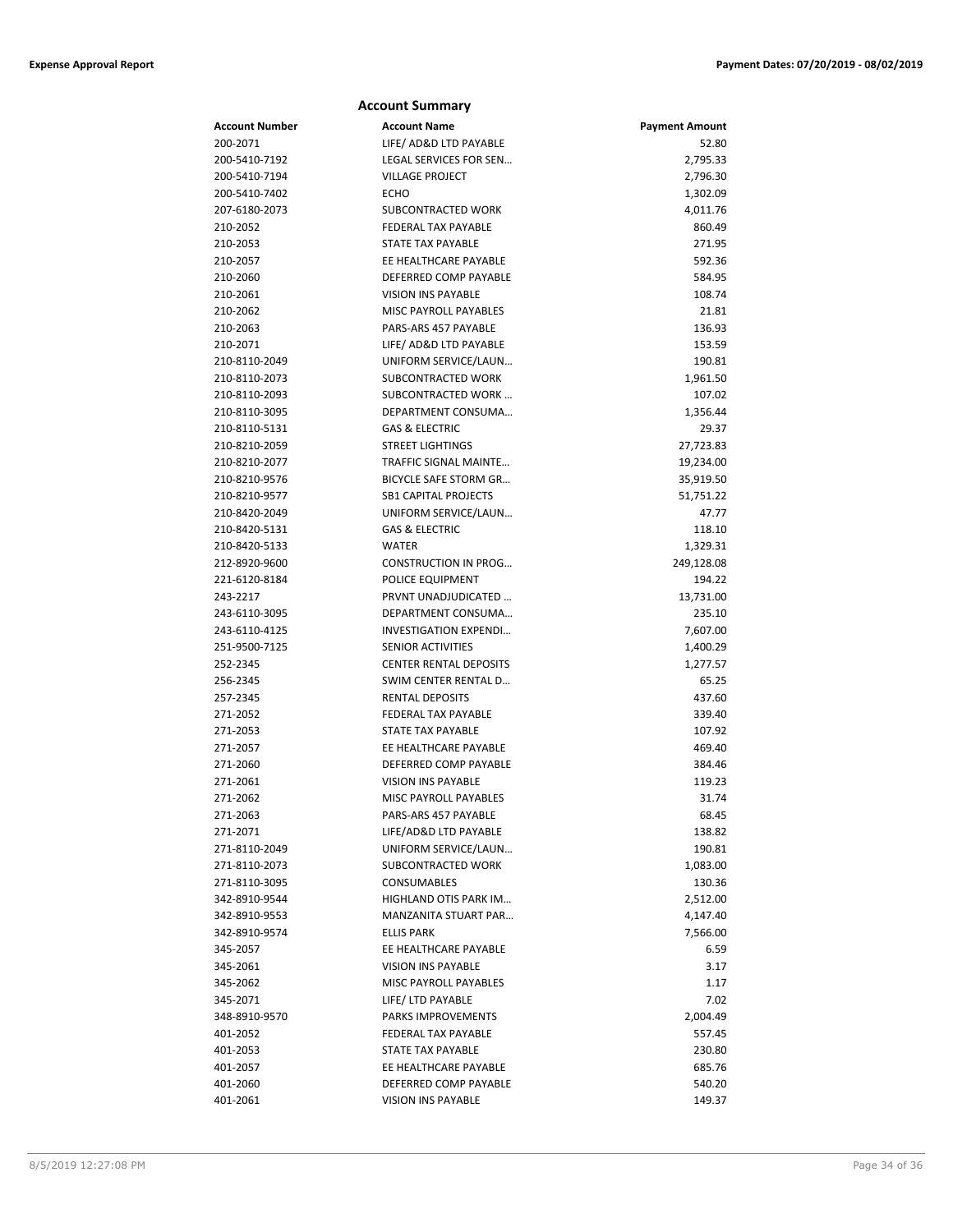| <b>Account Summary</b> |                                                      |                       |  |
|------------------------|------------------------------------------------------|-----------------------|--|
| <b>Account Number</b>  | <b>Account Name</b>                                  | <b>Payment Amount</b> |  |
| 200-2071               | LIFE/ AD&D LTD PAYABLE                               | 52.80                 |  |
| 200-5410-7192          | LEGAL SERVICES FOR SEN                               | 2,795.33              |  |
| 200-5410-7194          | <b>VILLAGE PROJECT</b>                               | 2,796.30              |  |
| 200-5410-7402          | ECHO                                                 | 1,302.09              |  |
| 207-6180-2073          | SUBCONTRACTED WORK                                   | 4,011.76              |  |
| 210-2052               | <b>FEDERAL TAX PAYABLE</b>                           | 860.49                |  |
| 210-2053               | <b>STATE TAX PAYABLE</b>                             | 271.95                |  |
| 210-2057               | EE HEALTHCARE PAYABLE                                | 592.36                |  |
| 210-2060               | DEFERRED COMP PAYABLE                                | 584.95                |  |
| 210-2061               | <b>VISION INS PAYABLE</b>                            | 108.74                |  |
| 210-2062               | MISC PAYROLL PAYABLES                                | 21.81                 |  |
| 210-2063               | PARS-ARS 457 PAYABLE                                 | 136.93                |  |
| 210-2071               | LIFE/ AD&D LTD PAYABLE                               | 153.59                |  |
| 210-8110-2049          | UNIFORM SERVICE/LAUN                                 | 190.81                |  |
| 210-8110-2073          | SUBCONTRACTED WORK                                   | 1,961.50              |  |
| 210-8110-2093          | SUBCONTRACTED WORK                                   | 107.02                |  |
| 210-8110-3095          | DEPARTMENT CONSUMA                                   | 1,356.44              |  |
| 210-8110-5131          | <b>GAS &amp; ELECTRIC</b>                            | 29.37                 |  |
| 210-8210-2059          | <b>STREET LIGHTINGS</b>                              | 27,723.83             |  |
| 210-8210-2077          | TRAFFIC SIGNAL MAINTE                                | 19,234.00             |  |
| 210-8210-9576          | <b>BICYCLE SAFE STORM GR</b>                         | 35,919.50             |  |
| 210-8210-9577          | <b>SB1 CAPITAL PROJECTS</b>                          | 51,751.22             |  |
| 210-8420-2049          | UNIFORM SERVICE/LAUN                                 | 47.77                 |  |
| 210-8420-5131          | <b>GAS &amp; ELECTRIC</b>                            | 118.10                |  |
| 210-8420-5133          | <b>WATER</b>                                         | 1,329.31              |  |
| 212-8920-9600          | <b>CONSTRUCTION IN PROG</b>                          | 249,128.08            |  |
| 221-6120-8184          | POLICE EQUIPMENT                                     | 194.22                |  |
| 243-2217               | PRVNT UNADJUDICATED                                  | 13,731.00             |  |
| 243-6110-3095          | DEPARTMENT CONSUMA                                   | 235.10                |  |
| 243-6110-4125          | <b>INVESTIGATION EXPENDI</b>                         | 7,607.00              |  |
| 251-9500-7125          | <b>SENIOR ACTIVITIES</b>                             | 1,400.29              |  |
| 252-2345               | <b>CENTER RENTAL DEPOSITS</b>                        | 1,277.57              |  |
| 256-2345               | SWIM CENTER RENTAL D                                 | 65.25                 |  |
| 257-2345               | <b>RENTAL DEPOSITS</b><br><b>FEDERAL TAX PAYABLE</b> | 437.60                |  |
| 271-2052               | <b>STATE TAX PAYABLE</b>                             | 339.40                |  |
| 271-2053<br>271-2057   | EE HEALTHCARE PAYABLE                                | 107.92<br>469.40      |  |
| 271-2060               | DEFERRED COMP PAYABLE                                | 384.46                |  |
| 271-2061               | <b>VISION INS PAYABLE</b>                            | 119.23                |  |
| 271-2062               | MISC PAYROLL PAYABLES                                | 31.74                 |  |
| 271-2063               | PARS-ARS 457 PAYABLE                                 | 68.45                 |  |
| 271-2071               | LIFE/AD&D LTD PAYABLE                                | 138.82                |  |
| 271-8110-2049          | UNIFORM SERVICE/LAUN                                 | 190.81                |  |
| 271-8110-2073          | SUBCONTRACTED WORK                                   | 1,083.00              |  |
| 271-8110-3095          | <b>CONSUMABLES</b>                                   | 130.36                |  |
| 342-8910-9544          | HIGHLAND OTIS PARK IM                                | 2,512.00              |  |
| 342-8910-9553          | MANZANITA STUART PAR                                 | 4,147.40              |  |
| 342-8910-9574          | <b>ELLIS PARK</b>                                    | 7,566.00              |  |
| 345-2057               | EE HEALTHCARE PAYABLE                                | 6.59                  |  |
| 345-2061               | <b>VISION INS PAYABLE</b>                            | 3.17                  |  |
| 345-2062               | MISC PAYROLL PAYABLES                                | 1.17                  |  |
| 345-2071               | LIFE/ LTD PAYABLE                                    | 7.02                  |  |
| 348-8910-9570          | PARKS IMPROVEMENTS                                   | 2,004.49              |  |
| 401-2052               | FEDERAL TAX PAYABLE                                  | 557.45                |  |
| 401-2053               | STATE TAX PAYABLE                                    | 230.80                |  |
| 401-2057               | EE HEALTHCARE PAYABLE                                | 685.76                |  |
| 401-2060               | DEFERRED COMP PAYABLE                                | 540.20                |  |
| 401-2061               | <b>VISION INS PAYABLE</b>                            | 149.37                |  |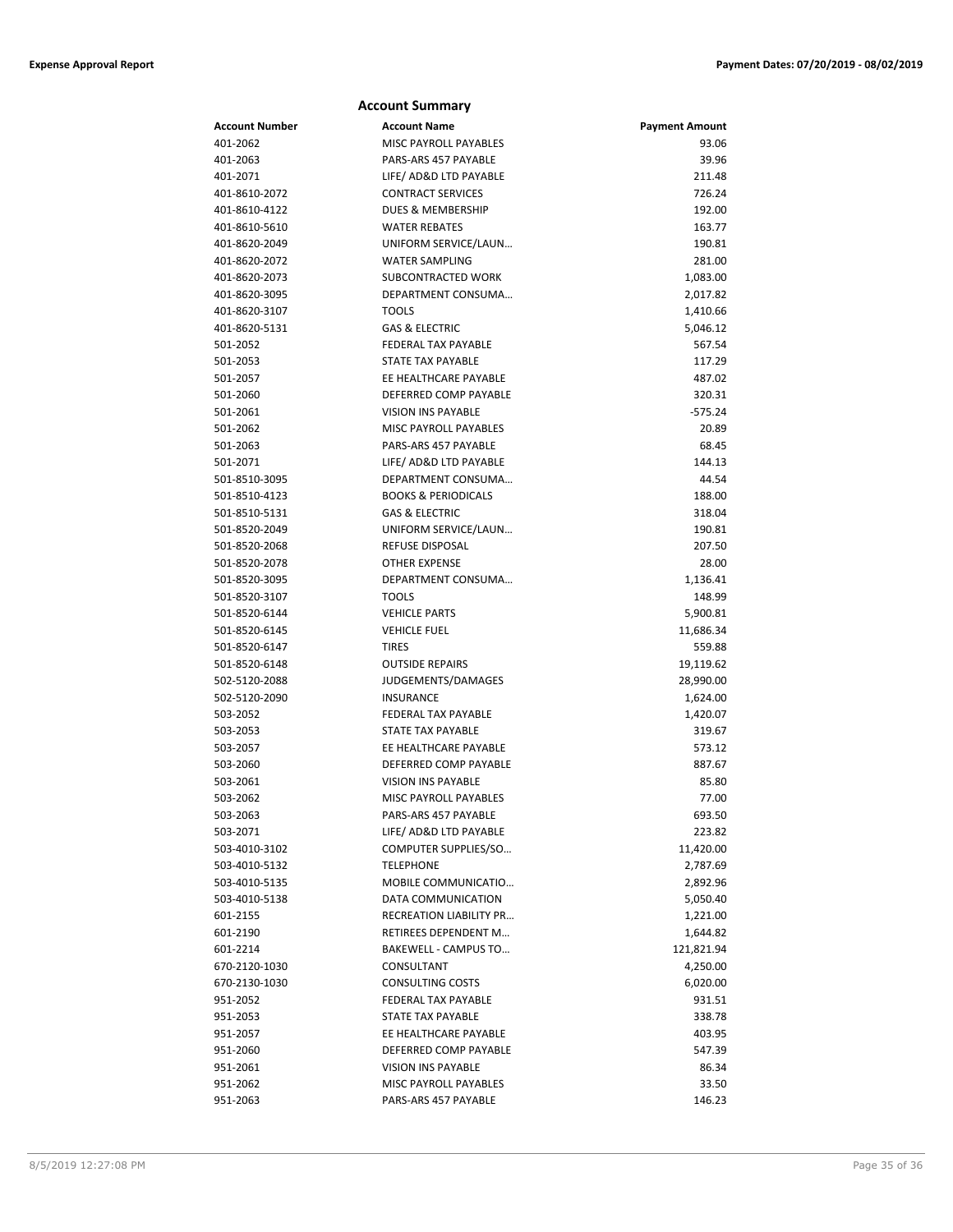| <b>Account Summary</b>         |                                         |                       |  |
|--------------------------------|-----------------------------------------|-----------------------|--|
| <b>Account Number</b>          | <b>Account Name</b>                     | <b>Payment Amount</b> |  |
| 401-2062                       | MISC PAYROLL PAYABLES                   | 93.06                 |  |
| 401-2063                       | PARS-ARS 457 PAYABLE                    | 39.96                 |  |
| 401-2071                       | LIFE/ AD&D LTD PAYABLE                  | 211.48                |  |
| 401-8610-2072                  | <b>CONTRACT SERVICES</b>                | 726.24                |  |
| 401-8610-4122                  | DUES & MEMBERSHIP                       | 192.00                |  |
| 401-8610-5610                  | <b>WATER REBATES</b>                    | 163.77                |  |
| 401-8620-2049                  | UNIFORM SERVICE/LAUN                    | 190.81                |  |
| 401-8620-2072                  | <b>WATER SAMPLING</b>                   | 281.00                |  |
| 401-8620-2073                  | SUBCONTRACTED WORK                      | 1,083.00              |  |
| 401-8620-3095                  | DEPARTMENT CONSUMA                      | 2,017.82              |  |
| 401-8620-3107                  | <b>TOOLS</b>                            | 1,410.66              |  |
| 401-8620-5131                  | <b>GAS &amp; ELECTRIC</b>               | 5,046.12              |  |
| 501-2052                       | <b>FEDERAL TAX PAYABLE</b>              | 567.54                |  |
| 501-2053                       | <b>STATE TAX PAYABLE</b>                | 117.29                |  |
| 501-2057                       | EE HEALTHCARE PAYABLE                   | 487.02                |  |
| 501-2060                       | DEFERRED COMP PAYABLE                   | 320.31                |  |
| 501-2061                       | <b>VISION INS PAYABLE</b>               | $-575.24$             |  |
| 501-2062                       | <b>MISC PAYROLL PAYABLES</b>            | 20.89                 |  |
| 501-2063                       | PARS-ARS 457 PAYABLE                    | 68.45                 |  |
| 501-2071                       | LIFE/ AD&D LTD PAYABLE                  | 144.13                |  |
| 501-8510-3095                  | DEPARTMENT CONSUMA                      | 44.54                 |  |
| 501-8510-4123                  | <b>BOOKS &amp; PERIODICALS</b>          | 188.00                |  |
| 501-8510-5131                  | <b>GAS &amp; ELECTRIC</b>               | 318.04                |  |
| 501-8520-2049                  | UNIFORM SERVICE/LAUN                    | 190.81                |  |
| 501-8520-2068                  | REFUSE DISPOSAL<br><b>OTHER EXPENSE</b> | 207.50                |  |
| 501-8520-2078<br>501-8520-3095 | DEPARTMENT CONSUMA                      | 28.00                 |  |
| 501-8520-3107                  | <b>TOOLS</b>                            | 1,136.41<br>148.99    |  |
| 501-8520-6144                  | <b>VEHICLE PARTS</b>                    | 5,900.81              |  |
| 501-8520-6145                  | <b>VEHICLE FUEL</b>                     | 11,686.34             |  |
| 501-8520-6147                  | <b>TIRES</b>                            | 559.88                |  |
| 501-8520-6148                  | <b>OUTSIDE REPAIRS</b>                  | 19,119.62             |  |
| 502-5120-2088                  | JUDGEMENTS/DAMAGES                      | 28,990.00             |  |
| 502-5120-2090                  | <b>INSURANCE</b>                        | 1,624.00              |  |
| 503-2052                       | <b>FEDERAL TAX PAYABLE</b>              | 1,420.07              |  |
| 503-2053                       | STATE TAX PAYABLE                       | 319.67                |  |
| 503-2057                       | EE HEALTHCARE PAYABLE                   | 573.12                |  |
| 503-2060                       | DEFERRED COMP PAYABLE                   | 887.67                |  |
| 503-2061                       | <b>VISION INS PAYABLE</b>               | 85.80                 |  |
| 503-2062                       | MISC PAYROLL PAYABLES                   | 77.00                 |  |
| 503-2063                       | PARS-ARS 457 PAYABLE                    | 693.50                |  |
| 503-2071                       | LIFE/ AD&D LTD PAYABLE                  | 223.82                |  |
| 503-4010-3102                  | COMPUTER SUPPLIES/SO                    | 11,420.00             |  |
| 503-4010-5132                  | <b>TELEPHONE</b>                        | 2,787.69              |  |
| 503-4010-5135                  | MOBILE COMMUNICATIO                     | 2,892.96              |  |
| 503-4010-5138                  | DATA COMMUNICATION                      | 5,050.40              |  |
| 601-2155                       | RECREATION LIABILITY PR                 | 1,221.00              |  |
| 601-2190                       | RETIREES DEPENDENT M                    | 1,644.82              |  |
| 601-2214                       | <b>BAKEWELL - CAMPUS TO</b>             | 121,821.94            |  |
| 670-2120-1030                  | CONSULTANT                              | 4,250.00              |  |
| 670-2130-1030                  | <b>CONSULTING COSTS</b>                 | 6,020.00              |  |
| 951-2052                       | FEDERAL TAX PAYABLE                     | 931.51                |  |
| 951-2053                       | STATE TAX PAYABLE                       | 338.78                |  |
| 951-2057                       | EE HEALTHCARE PAYABLE                   | 403.95                |  |
| 951-2060                       | DEFERRED COMP PAYABLE                   | 547.39                |  |
| 951-2061                       | <b>VISION INS PAYABLE</b>               | 86.34                 |  |
| 951-2062                       | MISC PAYROLL PAYABLES                   | 33.50                 |  |
| 951-2063                       | PARS-ARS 457 PAYABLE                    | 146.23                |  |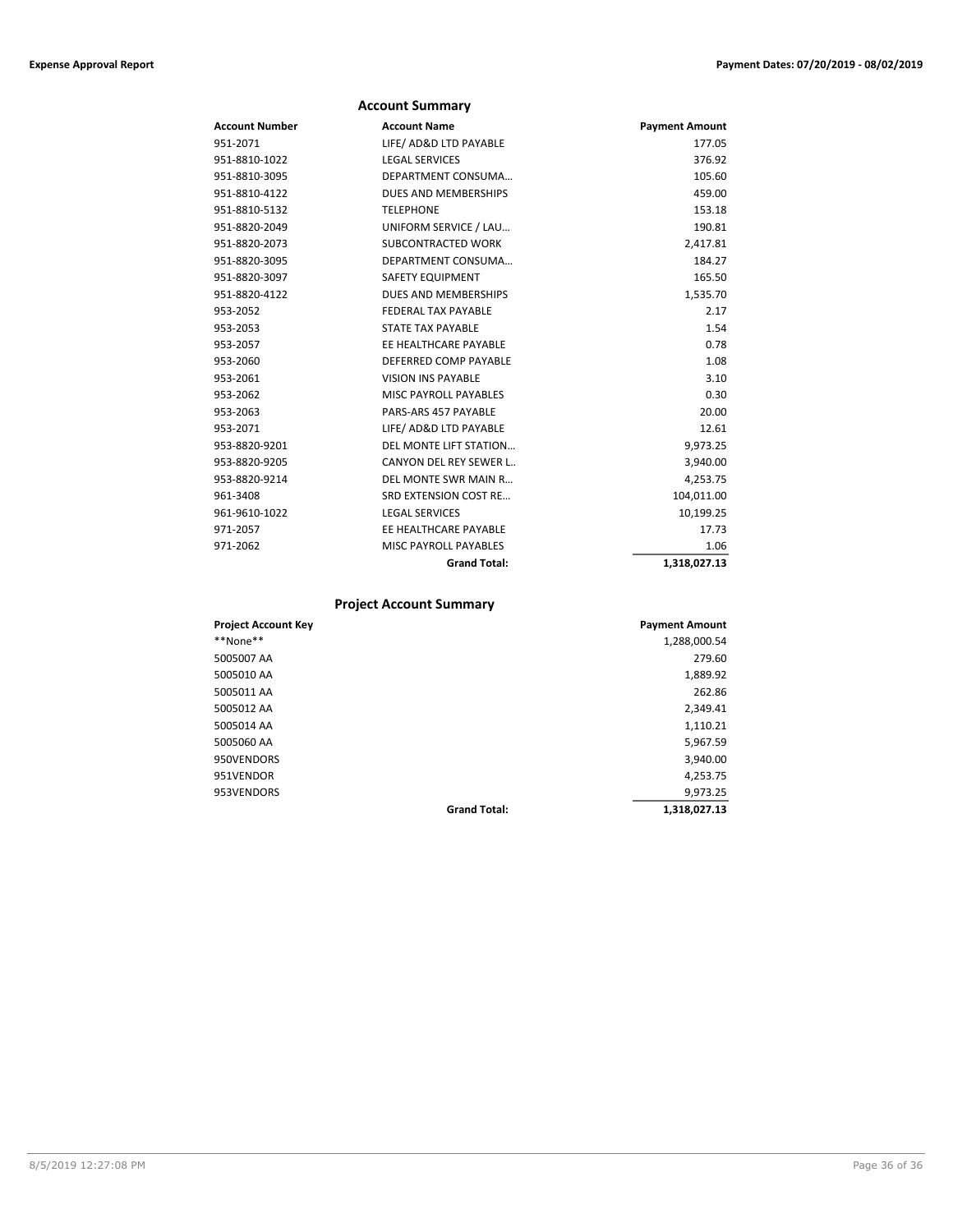|                       | <b>Account Summary</b>       |                       |
|-----------------------|------------------------------|-----------------------|
| <b>Account Number</b> | <b>Account Name</b>          | <b>Payment Amount</b> |
| 951-2071              | LIFE/ AD&D LTD PAYABLE       | 177.05                |
| 951-8810-1022         | <b>LEGAL SERVICES</b>        | 376.92                |
| 951-8810-3095         | DEPARTMENT CONSUMA           | 105.60                |
| 951-8810-4122         | <b>DUES AND MEMBERSHIPS</b>  | 459.00                |
| 951-8810-5132         | <b>TELEPHONE</b>             | 153.18                |
| 951-8820-2049         | UNIFORM SERVICE / LAU        | 190.81                |
| 951-8820-2073         | <b>SUBCONTRACTED WORK</b>    | 2,417.81              |
| 951-8820-3095         | DEPARTMENT CONSUMA           | 184.27                |
| 951-8820-3097         | SAFETY EQUIPMENT             | 165.50                |
| 951-8820-4122         | <b>DUES AND MEMBERSHIPS</b>  | 1,535.70              |
| 953-2052              | <b>FEDERAL TAX PAYABLE</b>   | 2.17                  |
| 953-2053              | <b>STATE TAX PAYABLE</b>     | 1.54                  |
| 953-2057              | EE HEALTHCARE PAYABLE        | 0.78                  |
| 953-2060              | DEFERRED COMP PAYABLE        | 1.08                  |
| 953-2061              | <b>VISION INS PAYABLE</b>    | 3.10                  |
| 953-2062              | MISC PAYROLL PAYABLES        | 0.30                  |
| 953-2063              | PARS-ARS 457 PAYABLE         | 20.00                 |
| 953-2071              | LIFE/ AD&D LTD PAYABLE       | 12.61                 |
| 953-8820-9201         | DEL MONTE LIFT STATION       | 9,973.25              |
| 953-8820-9205         | CANYON DEL REY SEWER L       | 3,940.00              |
| 953-8820-9214         | DEL MONTE SWR MAIN R         | 4,253.75              |
| 961-3408              | SRD EXTENSION COST RE        | 104,011.00            |
| 961-9610-1022         | <b>LEGAL SERVICES</b>        | 10,199.25             |
| 971-2057              | EE HEALTHCARE PAYABLE        | 17.73                 |
| 971-2062              | <b>MISC PAYROLL PAYABLES</b> | 1.06                  |
|                       | <b>Grand Total:</b>          | 1,318,027.13          |

## **Project Account Summary**

| <b>Project Account Key</b> |                     | <b>Payment Amount</b> |
|----------------------------|---------------------|-----------------------|
| **None**                   |                     | 1,288,000.54          |
| 5005007 AA                 |                     | 279.60                |
| 5005010 AA                 |                     | 1,889.92              |
| 5005011 AA                 |                     | 262.86                |
| 5005012 AA                 |                     | 2,349.41              |
| 5005014 AA                 |                     | 1,110.21              |
| 5005060 AA                 |                     | 5,967.59              |
| 950VENDORS                 |                     | 3,940.00              |
| 951VENDOR                  |                     | 4,253.75              |
| 953VENDORS                 |                     | 9,973.25              |
|                            | <b>Grand Total:</b> | 1,318,027.13          |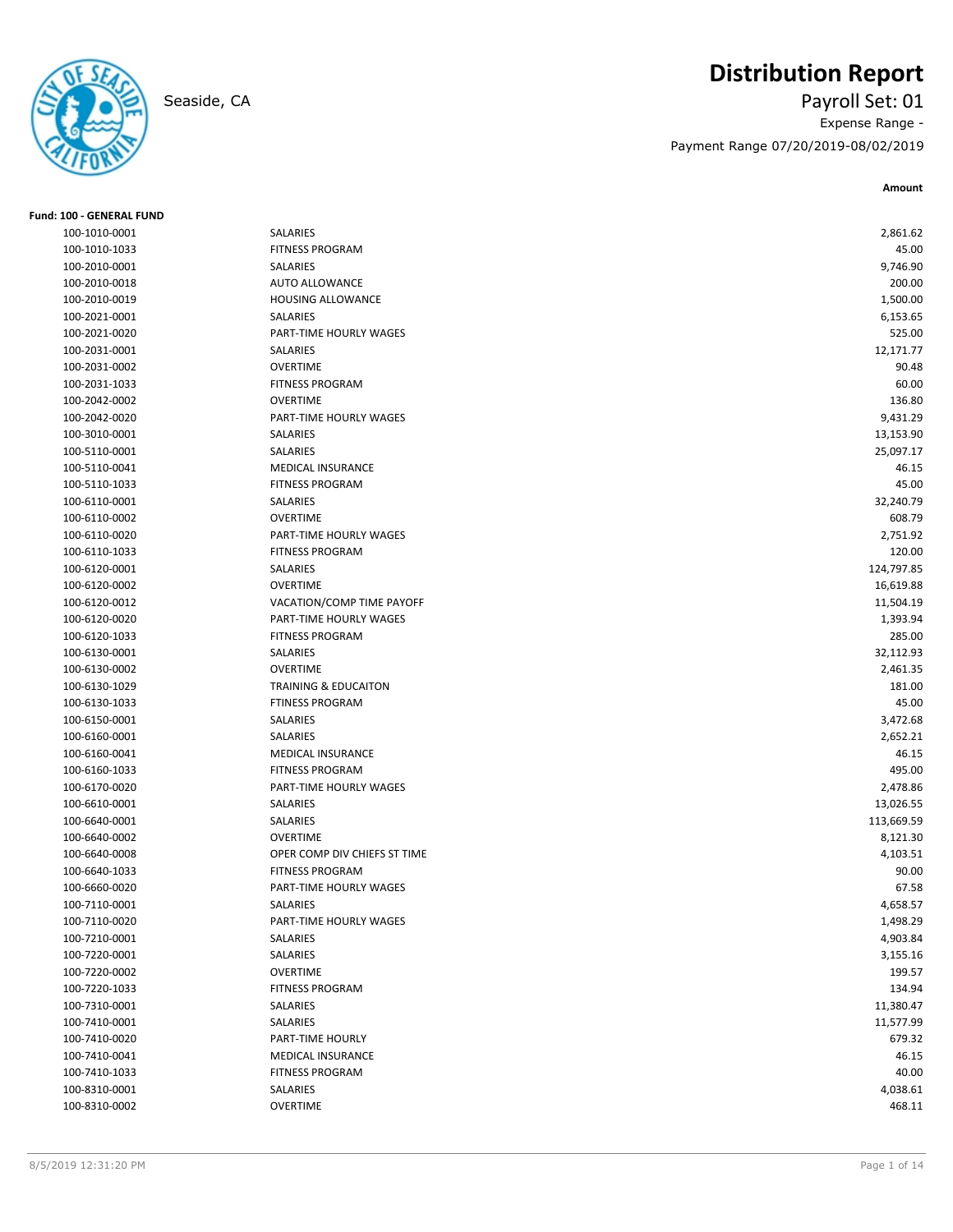

# **Distribution Report**

Seaside, CA Payroll Set: 01 Expense Range - Payment Range 07/20/2019-08/02/2019

**Amount**

| Fund: 100 - GENERAL FUND |                                 |            |
|--------------------------|---------------------------------|------------|
| 100-1010-0001            | SALARIES                        | 2,861.62   |
| 100-1010-1033            | <b>FITNESS PROGRAM</b>          | 45.00      |
| 100-2010-0001            | SALARIES                        | 9,746.90   |
| 100-2010-0018            | <b>AUTO ALLOWANCE</b>           | 200.00     |
| 100-2010-0019            | HOUSING ALLOWANCE               | 1,500.00   |
| 100-2021-0001            | SALARIES                        | 6,153.65   |
| 100-2021-0020            | PART-TIME HOURLY WAGES          | 525.00     |
| 100-2031-0001            | SALARIES                        | 12,171.77  |
| 100-2031-0002            | <b>OVERTIME</b>                 | 90.48      |
| 100-2031-1033            | <b>FITNESS PROGRAM</b>          | 60.00      |
| 100-2042-0002            | <b>OVERTIME</b>                 | 136.80     |
| 100-2042-0020            | PART-TIME HOURLY WAGES          | 9,431.29   |
| 100-3010-0001            | SALARIES                        | 13,153.90  |
| 100-5110-0001            | SALARIES                        | 25,097.17  |
| 100-5110-0041            | <b>MEDICAL INSURANCE</b>        | 46.15      |
| 100-5110-1033            | <b>FITNESS PROGRAM</b>          | 45.00      |
| 100-6110-0001            | SALARIES                        | 32,240.79  |
| 100-6110-0002            | <b>OVERTIME</b>                 | 608.79     |
| 100-6110-0020            | PART-TIME HOURLY WAGES          | 2,751.92   |
| 100-6110-1033            | <b>FITNESS PROGRAM</b>          | 120.00     |
| 100-6120-0001            | SALARIES                        | 124,797.85 |
| 100-6120-0002            | <b>OVERTIME</b>                 | 16,619.88  |
| 100-6120-0012            | VACATION/COMP TIME PAYOFF       | 11,504.19  |
| 100-6120-0020            | PART-TIME HOURLY WAGES          | 1,393.94   |
| 100-6120-1033            | <b>FITNESS PROGRAM</b>          | 285.00     |
| 100-6130-0001            | SALARIES                        | 32,112.93  |
| 100-6130-0002            | <b>OVERTIME</b>                 | 2,461.35   |
| 100-6130-1029            | <b>TRAINING &amp; EDUCAITON</b> | 181.00     |
| 100-6130-1033            | <b>FTINESS PROGRAM</b>          | 45.00      |
| 100-6150-0001            | SALARIES                        | 3,472.68   |
| 100-6160-0001            | SALARIES                        | 2,652.21   |
| 100-6160-0041            | <b>MEDICAL INSURANCE</b>        | 46.15      |
| 100-6160-1033            | <b>FITNESS PROGRAM</b>          | 495.00     |
| 100-6170-0020            | PART-TIME HOURLY WAGES          | 2,478.86   |
| 100-6610-0001            | SALARIES                        | 13,026.55  |
| 100-6640-0001            | SALARIES                        | 113,669.59 |
| 100-6640-0002            | <b>OVERTIME</b>                 | 8,121.30   |
| 100-6640-0008            | OPER COMP DIV CHIEFS ST TIME    | 4,103.51   |
| 100-6640-1033            | <b>FITNESS PROGRAM</b>          | 90.00      |
| 100-6660-0020            | PART-TIME HOURLY WAGES          | 67.58      |
| 100-7110-0001            | SALARIES                        | 4,658.57   |
| 100-7110-0020            | PART-TIME HOURLY WAGES          | 1,498.29   |
| 100-7210-0001            | SALARIES                        | 4,903.84   |
| 100-7220-0001            | SALARIES                        | 3,155.16   |
| 100-7220-0002            | <b>OVERTIME</b>                 | 199.57     |
| 100-7220-1033            | <b>FITNESS PROGRAM</b>          | 134.94     |
| 100-7310-0001            | SALARIES                        | 11,380.47  |
| 100-7410-0001            | SALARIES                        | 11,577.99  |
| 100-7410-0020            | PART-TIME HOURLY                | 679.32     |
| 100-7410-0041            | MEDICAL INSURANCE               | 46.15      |
| 100-7410-1033            | <b>FITNESS PROGRAM</b>          | 40.00      |
| 100-8310-0001            | SALARIES                        | 4,038.61   |
| 100-8310-0002            | <b>OVERTIME</b>                 | 468.11     |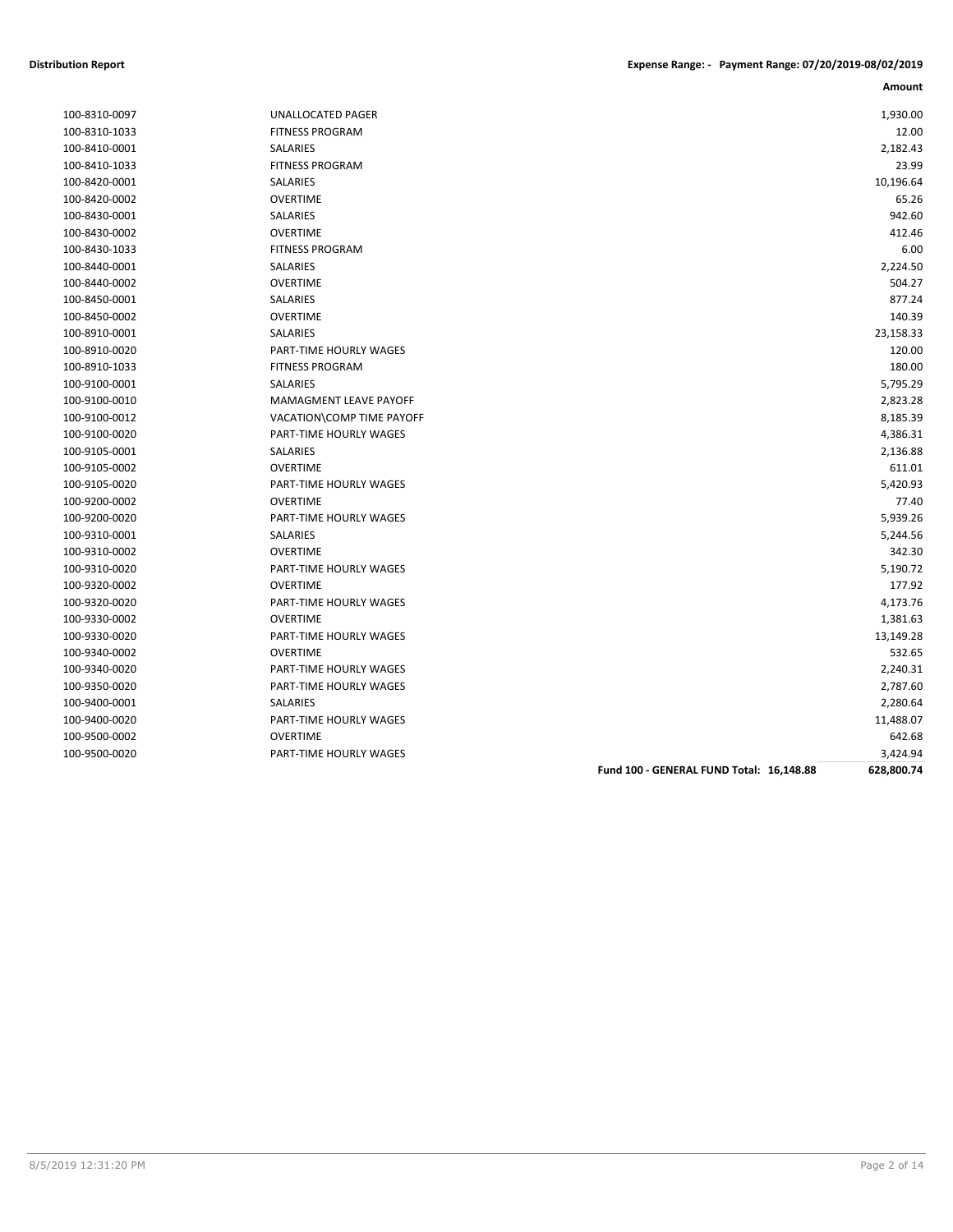| 100-8310-0097 |
|---------------|
| 100-8310-1033 |
| 100-8410-0001 |
| 100-8410-1033 |
| 100-8420-0001 |
| 100-8420-0002 |
| 100-8430-0001 |
| 100-8430-0002 |
| 100-8430-1033 |
| 100-8440-0001 |
| 100-8440-0002 |
| 100-8450-0001 |
| 100-8450-0002 |
| 100-8910-0001 |
| 100-8910-0020 |
| 100-8910-1033 |
| 100-9100-0001 |
| 100-9100-0010 |
| 100-9100-0012 |
| 100-9100-0020 |
| 100-9105-0001 |
| 100-9105-0002 |
| 100-9105-0020 |
| 100-9200-0002 |
| 100-9200-0020 |
| 100-9310-0001 |
| 100-9310-0002 |
| 100-9310-0020 |
| 100-9320-0002 |
| 100-9320-0020 |
| 100-9330-0002 |
| 100-9330-0020 |
| 100-9340-0002 |
| 100-9340-0020 |
| 100-9350-0020 |
| 100-9400-0001 |
| 100-9400-0020 |
| 100-9500-0002 |
| 100-9500-0020 |

| 1,930.00<br>100-8310-0097<br>UNALLOCATED PAGER<br><b>FITNESS PROGRAM</b><br>12.00<br>100-8310-1033<br>SALARIES<br>2,182.43<br>100-8410-0001<br><b>FITNESS PROGRAM</b><br>23.99<br>100-8410-1033<br>10,196.64<br>SALARIES<br>100-8420-0001<br><b>OVERTIME</b><br>100-8420-0002<br>65.26<br>SALARIES<br>942.60<br>100-8430-0001<br><b>OVERTIME</b><br>412.46<br>100-8430-0002<br><b>FITNESS PROGRAM</b><br>6.00<br>100-8430-1033<br>SALARIES<br>2,224.50<br>100-8440-0001<br>504.27<br>100-8440-0002<br><b>OVERTIME</b><br>SALARIES<br>877.24<br>100-8450-0001<br><b>OVERTIME</b><br>140.39<br>100-8450-0002<br>23,158.33<br>100-8910-0001<br><b>SALARIES</b><br>120.00<br>100-8910-0020<br>PART-TIME HOURLY WAGES<br>180.00<br>100-8910-1033<br><b>FITNESS PROGRAM</b><br>100-9100-0001<br><b>SALARIES</b><br>5,795.29<br>100-9100-0010<br>MAMAGMENT LEAVE PAYOFF<br>2,823.28<br>VACATION\COMP TIME PAYOFF<br>8,185.39<br>100-9100-0012<br>4,386.31<br>100-9100-0020<br>PART-TIME HOURLY WAGES<br>2,136.88<br>100-9105-0001<br><b>SALARIES</b><br><b>OVERTIME</b><br>611.01<br>100-9105-0002<br>5,420.93<br>100-9105-0020<br>PART-TIME HOURLY WAGES<br><b>OVERTIME</b><br>77.40<br>100-9200-0002<br>5,939.26<br>100-9200-0020<br>PART-TIME HOURLY WAGES<br>100-9310-0001<br><b>SALARIES</b><br>5,244.56<br>342.30<br>100-9310-0002<br><b>OVERTIME</b><br>5,190.72<br>100-9310-0020<br>PART-TIME HOURLY WAGES<br>177.92<br><b>OVERTIME</b><br>100-9320-0002<br>4,173.76<br>100-9320-0020<br>PART-TIME HOURLY WAGES<br>100-9330-0002<br><b>OVERTIME</b><br>1,381.63<br>100-9330-0020<br>PART-TIME HOURLY WAGES<br>13,149.28<br><b>OVERTIME</b><br>532.65<br>100-9340-0002<br>100-9340-0020<br>PART-TIME HOURLY WAGES<br>2,240.31<br>2,787.60<br>100-9350-0020<br>PART-TIME HOURLY WAGES<br>SALARIES<br>2,280.64<br>100-9400-0001<br>11,488.07<br>100-9400-0020<br>PART-TIME HOURLY WAGES<br>100-9500-0002<br><b>OVERTIME</b><br>642.68<br>3,424.94<br>100-9500-0020<br><b>PART-TIME HOURLY WAGES</b> |  |  |
|---------------------------------------------------------------------------------------------------------------------------------------------------------------------------------------------------------------------------------------------------------------------------------------------------------------------------------------------------------------------------------------------------------------------------------------------------------------------------------------------------------------------------------------------------------------------------------------------------------------------------------------------------------------------------------------------------------------------------------------------------------------------------------------------------------------------------------------------------------------------------------------------------------------------------------------------------------------------------------------------------------------------------------------------------------------------------------------------------------------------------------------------------------------------------------------------------------------------------------------------------------------------------------------------------------------------------------------------------------------------------------------------------------------------------------------------------------------------------------------------------------------------------------------------------------------------------------------------------------------------------------------------------------------------------------------------------------------------------------------------------------------------------------------------------------------------------------------------------------------------------------------------------------------------------------------------------------------------------------------------------|--|--|
|                                                                                                                                                                                                                                                                                                                                                                                                                                                                                                                                                                                                                                                                                                                                                                                                                                                                                                                                                                                                                                                                                                                                                                                                                                                                                                                                                                                                                                                                                                                                                                                                                                                                                                                                                                                                                                                                                                                                                                                                   |  |  |
|                                                                                                                                                                                                                                                                                                                                                                                                                                                                                                                                                                                                                                                                                                                                                                                                                                                                                                                                                                                                                                                                                                                                                                                                                                                                                                                                                                                                                                                                                                                                                                                                                                                                                                                                                                                                                                                                                                                                                                                                   |  |  |
|                                                                                                                                                                                                                                                                                                                                                                                                                                                                                                                                                                                                                                                                                                                                                                                                                                                                                                                                                                                                                                                                                                                                                                                                                                                                                                                                                                                                                                                                                                                                                                                                                                                                                                                                                                                                                                                                                                                                                                                                   |  |  |
|                                                                                                                                                                                                                                                                                                                                                                                                                                                                                                                                                                                                                                                                                                                                                                                                                                                                                                                                                                                                                                                                                                                                                                                                                                                                                                                                                                                                                                                                                                                                                                                                                                                                                                                                                                                                                                                                                                                                                                                                   |  |  |
|                                                                                                                                                                                                                                                                                                                                                                                                                                                                                                                                                                                                                                                                                                                                                                                                                                                                                                                                                                                                                                                                                                                                                                                                                                                                                                                                                                                                                                                                                                                                                                                                                                                                                                                                                                                                                                                                                                                                                                                                   |  |  |
|                                                                                                                                                                                                                                                                                                                                                                                                                                                                                                                                                                                                                                                                                                                                                                                                                                                                                                                                                                                                                                                                                                                                                                                                                                                                                                                                                                                                                                                                                                                                                                                                                                                                                                                                                                                                                                                                                                                                                                                                   |  |  |
|                                                                                                                                                                                                                                                                                                                                                                                                                                                                                                                                                                                                                                                                                                                                                                                                                                                                                                                                                                                                                                                                                                                                                                                                                                                                                                                                                                                                                                                                                                                                                                                                                                                                                                                                                                                                                                                                                                                                                                                                   |  |  |
|                                                                                                                                                                                                                                                                                                                                                                                                                                                                                                                                                                                                                                                                                                                                                                                                                                                                                                                                                                                                                                                                                                                                                                                                                                                                                                                                                                                                                                                                                                                                                                                                                                                                                                                                                                                                                                                                                                                                                                                                   |  |  |
|                                                                                                                                                                                                                                                                                                                                                                                                                                                                                                                                                                                                                                                                                                                                                                                                                                                                                                                                                                                                                                                                                                                                                                                                                                                                                                                                                                                                                                                                                                                                                                                                                                                                                                                                                                                                                                                                                                                                                                                                   |  |  |
|                                                                                                                                                                                                                                                                                                                                                                                                                                                                                                                                                                                                                                                                                                                                                                                                                                                                                                                                                                                                                                                                                                                                                                                                                                                                                                                                                                                                                                                                                                                                                                                                                                                                                                                                                                                                                                                                                                                                                                                                   |  |  |
|                                                                                                                                                                                                                                                                                                                                                                                                                                                                                                                                                                                                                                                                                                                                                                                                                                                                                                                                                                                                                                                                                                                                                                                                                                                                                                                                                                                                                                                                                                                                                                                                                                                                                                                                                                                                                                                                                                                                                                                                   |  |  |
|                                                                                                                                                                                                                                                                                                                                                                                                                                                                                                                                                                                                                                                                                                                                                                                                                                                                                                                                                                                                                                                                                                                                                                                                                                                                                                                                                                                                                                                                                                                                                                                                                                                                                                                                                                                                                                                                                                                                                                                                   |  |  |
|                                                                                                                                                                                                                                                                                                                                                                                                                                                                                                                                                                                                                                                                                                                                                                                                                                                                                                                                                                                                                                                                                                                                                                                                                                                                                                                                                                                                                                                                                                                                                                                                                                                                                                                                                                                                                                                                                                                                                                                                   |  |  |
|                                                                                                                                                                                                                                                                                                                                                                                                                                                                                                                                                                                                                                                                                                                                                                                                                                                                                                                                                                                                                                                                                                                                                                                                                                                                                                                                                                                                                                                                                                                                                                                                                                                                                                                                                                                                                                                                                                                                                                                                   |  |  |
|                                                                                                                                                                                                                                                                                                                                                                                                                                                                                                                                                                                                                                                                                                                                                                                                                                                                                                                                                                                                                                                                                                                                                                                                                                                                                                                                                                                                                                                                                                                                                                                                                                                                                                                                                                                                                                                                                                                                                                                                   |  |  |
|                                                                                                                                                                                                                                                                                                                                                                                                                                                                                                                                                                                                                                                                                                                                                                                                                                                                                                                                                                                                                                                                                                                                                                                                                                                                                                                                                                                                                                                                                                                                                                                                                                                                                                                                                                                                                                                                                                                                                                                                   |  |  |
|                                                                                                                                                                                                                                                                                                                                                                                                                                                                                                                                                                                                                                                                                                                                                                                                                                                                                                                                                                                                                                                                                                                                                                                                                                                                                                                                                                                                                                                                                                                                                                                                                                                                                                                                                                                                                                                                                                                                                                                                   |  |  |
|                                                                                                                                                                                                                                                                                                                                                                                                                                                                                                                                                                                                                                                                                                                                                                                                                                                                                                                                                                                                                                                                                                                                                                                                                                                                                                                                                                                                                                                                                                                                                                                                                                                                                                                                                                                                                                                                                                                                                                                                   |  |  |
|                                                                                                                                                                                                                                                                                                                                                                                                                                                                                                                                                                                                                                                                                                                                                                                                                                                                                                                                                                                                                                                                                                                                                                                                                                                                                                                                                                                                                                                                                                                                                                                                                                                                                                                                                                                                                                                                                                                                                                                                   |  |  |
|                                                                                                                                                                                                                                                                                                                                                                                                                                                                                                                                                                                                                                                                                                                                                                                                                                                                                                                                                                                                                                                                                                                                                                                                                                                                                                                                                                                                                                                                                                                                                                                                                                                                                                                                                                                                                                                                                                                                                                                                   |  |  |
|                                                                                                                                                                                                                                                                                                                                                                                                                                                                                                                                                                                                                                                                                                                                                                                                                                                                                                                                                                                                                                                                                                                                                                                                                                                                                                                                                                                                                                                                                                                                                                                                                                                                                                                                                                                                                                                                                                                                                                                                   |  |  |
|                                                                                                                                                                                                                                                                                                                                                                                                                                                                                                                                                                                                                                                                                                                                                                                                                                                                                                                                                                                                                                                                                                                                                                                                                                                                                                                                                                                                                                                                                                                                                                                                                                                                                                                                                                                                                                                                                                                                                                                                   |  |  |
|                                                                                                                                                                                                                                                                                                                                                                                                                                                                                                                                                                                                                                                                                                                                                                                                                                                                                                                                                                                                                                                                                                                                                                                                                                                                                                                                                                                                                                                                                                                                                                                                                                                                                                                                                                                                                                                                                                                                                                                                   |  |  |
|                                                                                                                                                                                                                                                                                                                                                                                                                                                                                                                                                                                                                                                                                                                                                                                                                                                                                                                                                                                                                                                                                                                                                                                                                                                                                                                                                                                                                                                                                                                                                                                                                                                                                                                                                                                                                                                                                                                                                                                                   |  |  |
|                                                                                                                                                                                                                                                                                                                                                                                                                                                                                                                                                                                                                                                                                                                                                                                                                                                                                                                                                                                                                                                                                                                                                                                                                                                                                                                                                                                                                                                                                                                                                                                                                                                                                                                                                                                                                                                                                                                                                                                                   |  |  |
|                                                                                                                                                                                                                                                                                                                                                                                                                                                                                                                                                                                                                                                                                                                                                                                                                                                                                                                                                                                                                                                                                                                                                                                                                                                                                                                                                                                                                                                                                                                                                                                                                                                                                                                                                                                                                                                                                                                                                                                                   |  |  |
|                                                                                                                                                                                                                                                                                                                                                                                                                                                                                                                                                                                                                                                                                                                                                                                                                                                                                                                                                                                                                                                                                                                                                                                                                                                                                                                                                                                                                                                                                                                                                                                                                                                                                                                                                                                                                                                                                                                                                                                                   |  |  |
|                                                                                                                                                                                                                                                                                                                                                                                                                                                                                                                                                                                                                                                                                                                                                                                                                                                                                                                                                                                                                                                                                                                                                                                                                                                                                                                                                                                                                                                                                                                                                                                                                                                                                                                                                                                                                                                                                                                                                                                                   |  |  |
|                                                                                                                                                                                                                                                                                                                                                                                                                                                                                                                                                                                                                                                                                                                                                                                                                                                                                                                                                                                                                                                                                                                                                                                                                                                                                                                                                                                                                                                                                                                                                                                                                                                                                                                                                                                                                                                                                                                                                                                                   |  |  |
|                                                                                                                                                                                                                                                                                                                                                                                                                                                                                                                                                                                                                                                                                                                                                                                                                                                                                                                                                                                                                                                                                                                                                                                                                                                                                                                                                                                                                                                                                                                                                                                                                                                                                                                                                                                                                                                                                                                                                                                                   |  |  |
|                                                                                                                                                                                                                                                                                                                                                                                                                                                                                                                                                                                                                                                                                                                                                                                                                                                                                                                                                                                                                                                                                                                                                                                                                                                                                                                                                                                                                                                                                                                                                                                                                                                                                                                                                                                                                                                                                                                                                                                                   |  |  |
|                                                                                                                                                                                                                                                                                                                                                                                                                                                                                                                                                                                                                                                                                                                                                                                                                                                                                                                                                                                                                                                                                                                                                                                                                                                                                                                                                                                                                                                                                                                                                                                                                                                                                                                                                                                                                                                                                                                                                                                                   |  |  |
|                                                                                                                                                                                                                                                                                                                                                                                                                                                                                                                                                                                                                                                                                                                                                                                                                                                                                                                                                                                                                                                                                                                                                                                                                                                                                                                                                                                                                                                                                                                                                                                                                                                                                                                                                                                                                                                                                                                                                                                                   |  |  |
|                                                                                                                                                                                                                                                                                                                                                                                                                                                                                                                                                                                                                                                                                                                                                                                                                                                                                                                                                                                                                                                                                                                                                                                                                                                                                                                                                                                                                                                                                                                                                                                                                                                                                                                                                                                                                                                                                                                                                                                                   |  |  |
|                                                                                                                                                                                                                                                                                                                                                                                                                                                                                                                                                                                                                                                                                                                                                                                                                                                                                                                                                                                                                                                                                                                                                                                                                                                                                                                                                                                                                                                                                                                                                                                                                                                                                                                                                                                                                                                                                                                                                                                                   |  |  |
|                                                                                                                                                                                                                                                                                                                                                                                                                                                                                                                                                                                                                                                                                                                                                                                                                                                                                                                                                                                                                                                                                                                                                                                                                                                                                                                                                                                                                                                                                                                                                                                                                                                                                                                                                                                                                                                                                                                                                                                                   |  |  |
|                                                                                                                                                                                                                                                                                                                                                                                                                                                                                                                                                                                                                                                                                                                                                                                                                                                                                                                                                                                                                                                                                                                                                                                                                                                                                                                                                                                                                                                                                                                                                                                                                                                                                                                                                                                                                                                                                                                                                                                                   |  |  |
|                                                                                                                                                                                                                                                                                                                                                                                                                                                                                                                                                                                                                                                                                                                                                                                                                                                                                                                                                                                                                                                                                                                                                                                                                                                                                                                                                                                                                                                                                                                                                                                                                                                                                                                                                                                                                                                                                                                                                                                                   |  |  |
|                                                                                                                                                                                                                                                                                                                                                                                                                                                                                                                                                                                                                                                                                                                                                                                                                                                                                                                                                                                                                                                                                                                                                                                                                                                                                                                                                                                                                                                                                                                                                                                                                                                                                                                                                                                                                                                                                                                                                                                                   |  |  |

**Fund 100 - GENERAL FUND Total: 16,148.88 628,800.74**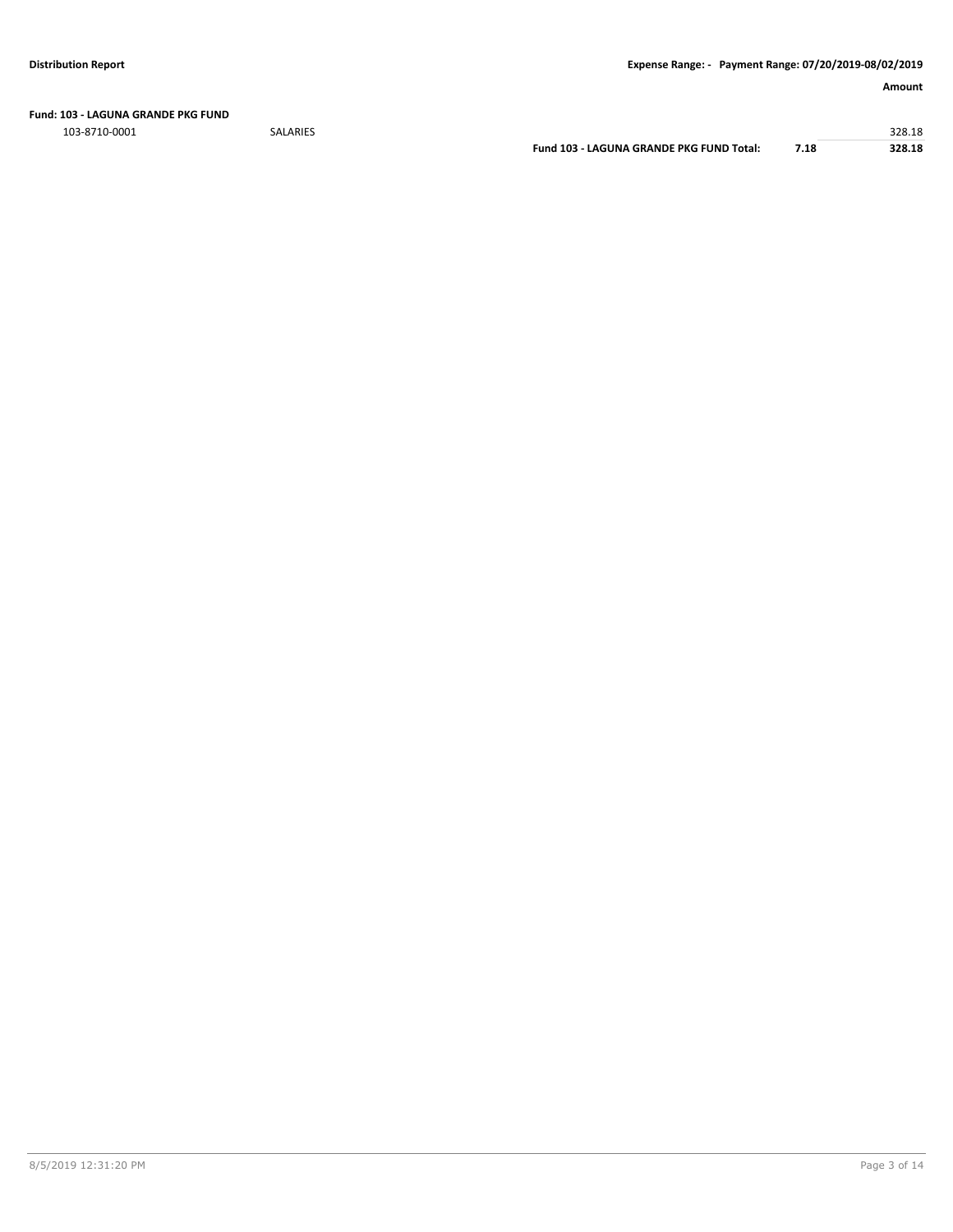**Fund: 103 - LAGUNA GRANDE PKG FUND**

103-8710-0001 SALARIES 328.18

**Fund 103 - LAGUNA GRANDE PKG FUND Total: 7.18 328.18**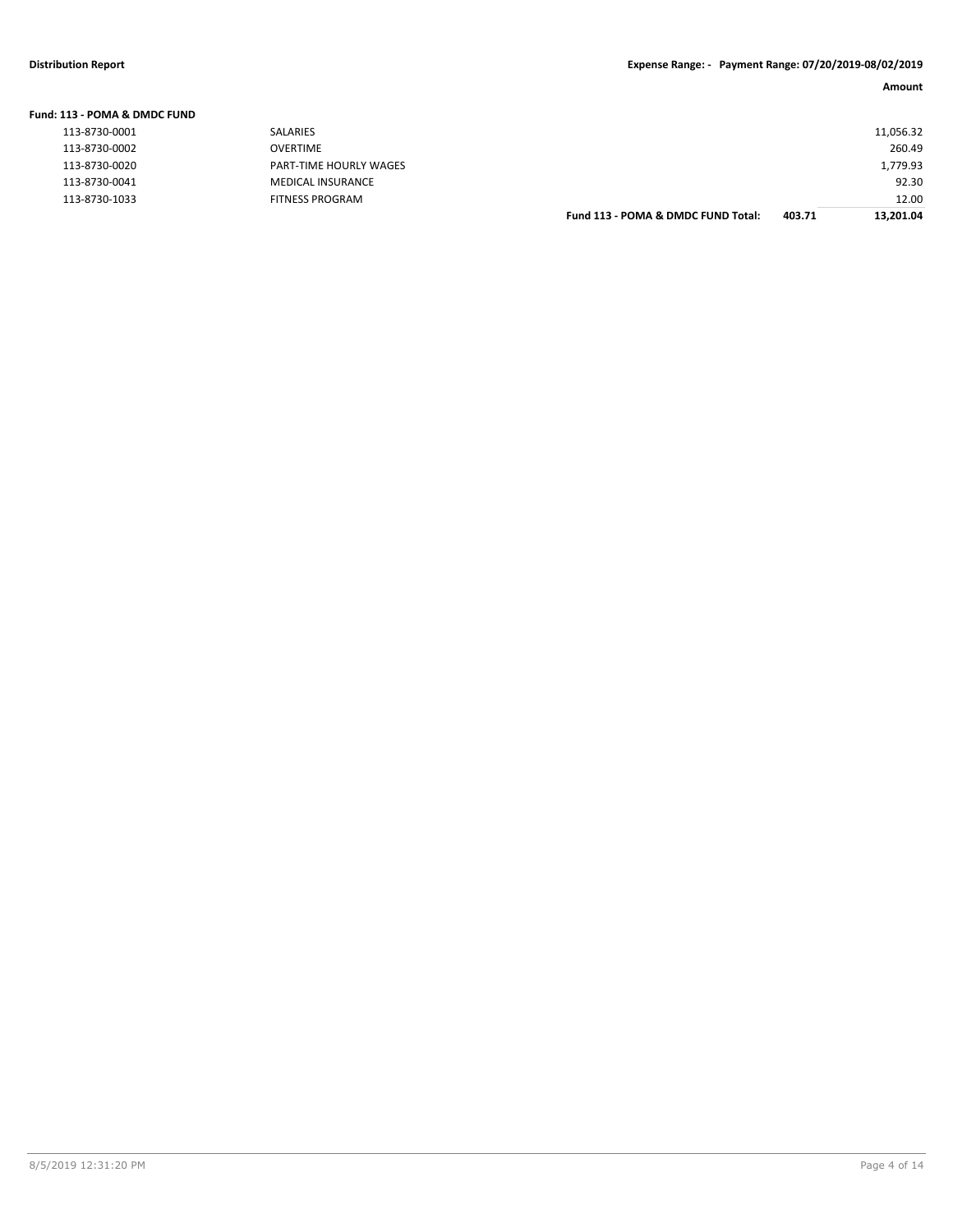| Fund: 113 - POMA & DMDC FUND |                               |                                    |        |           |
|------------------------------|-------------------------------|------------------------------------|--------|-----------|
| 113-8730-0001                | SALARIES                      |                                    |        | 11,056.32 |
| 113-8730-0002                | <b>OVERTIME</b>               |                                    |        | 260.49    |
| 113-8730-0020                | <b>PART-TIME HOURLY WAGES</b> |                                    |        | 1,779.93  |
| 113-8730-0041                | <b>MEDICAL INSURANCE</b>      |                                    |        | 92.30     |
| 113-8730-1033                | <b>FITNESS PROGRAM</b>        |                                    |        | 12.00     |
|                              |                               | Fund 113 - POMA & DMDC FUND Total: | 403.71 | 13.201.04 |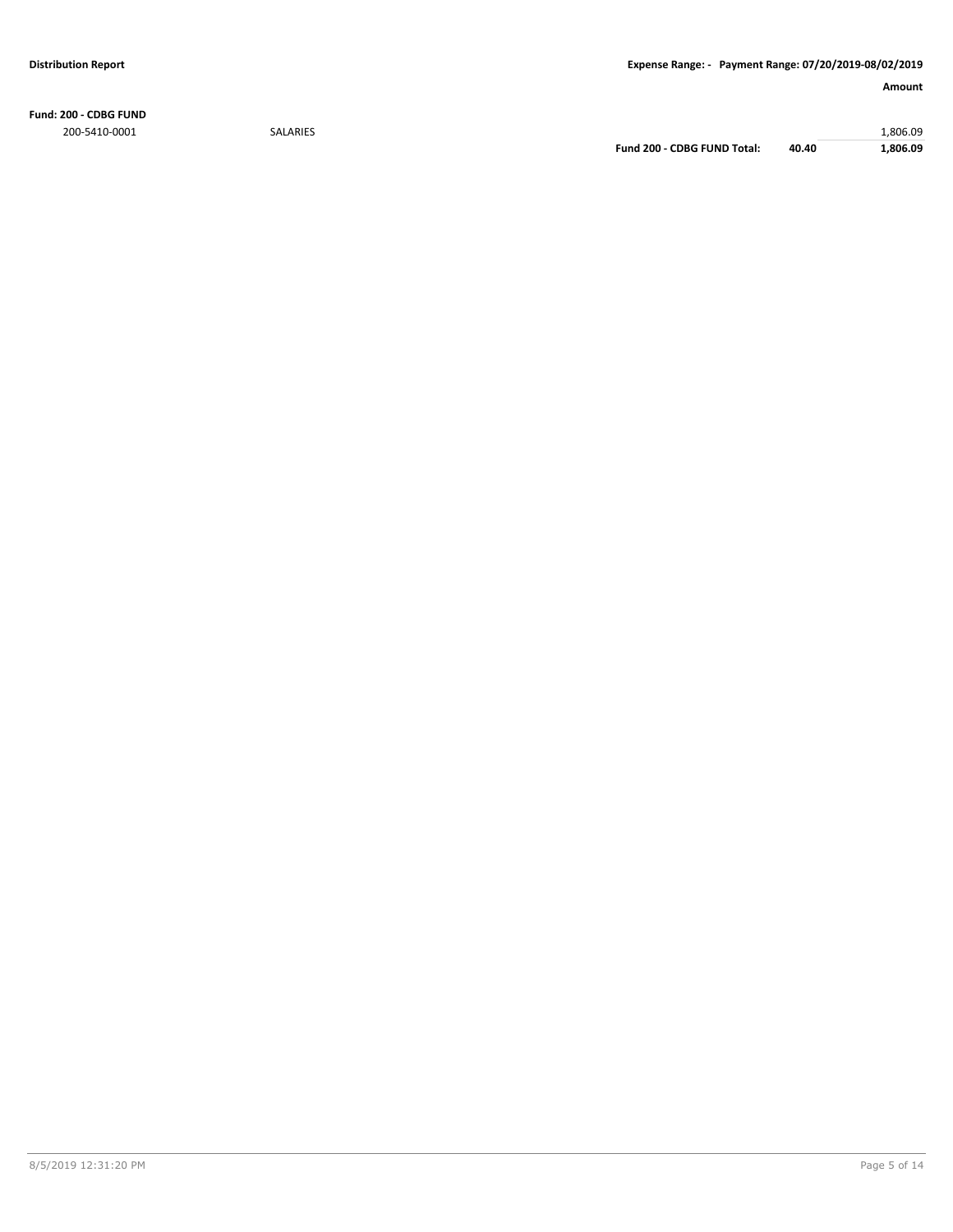**Fund: 200 - CDBG FUND** 200-5410-0001 SALARIES 1,806.09

**Fund 200 - CDBG FUND Total: 40.40 1,806.09**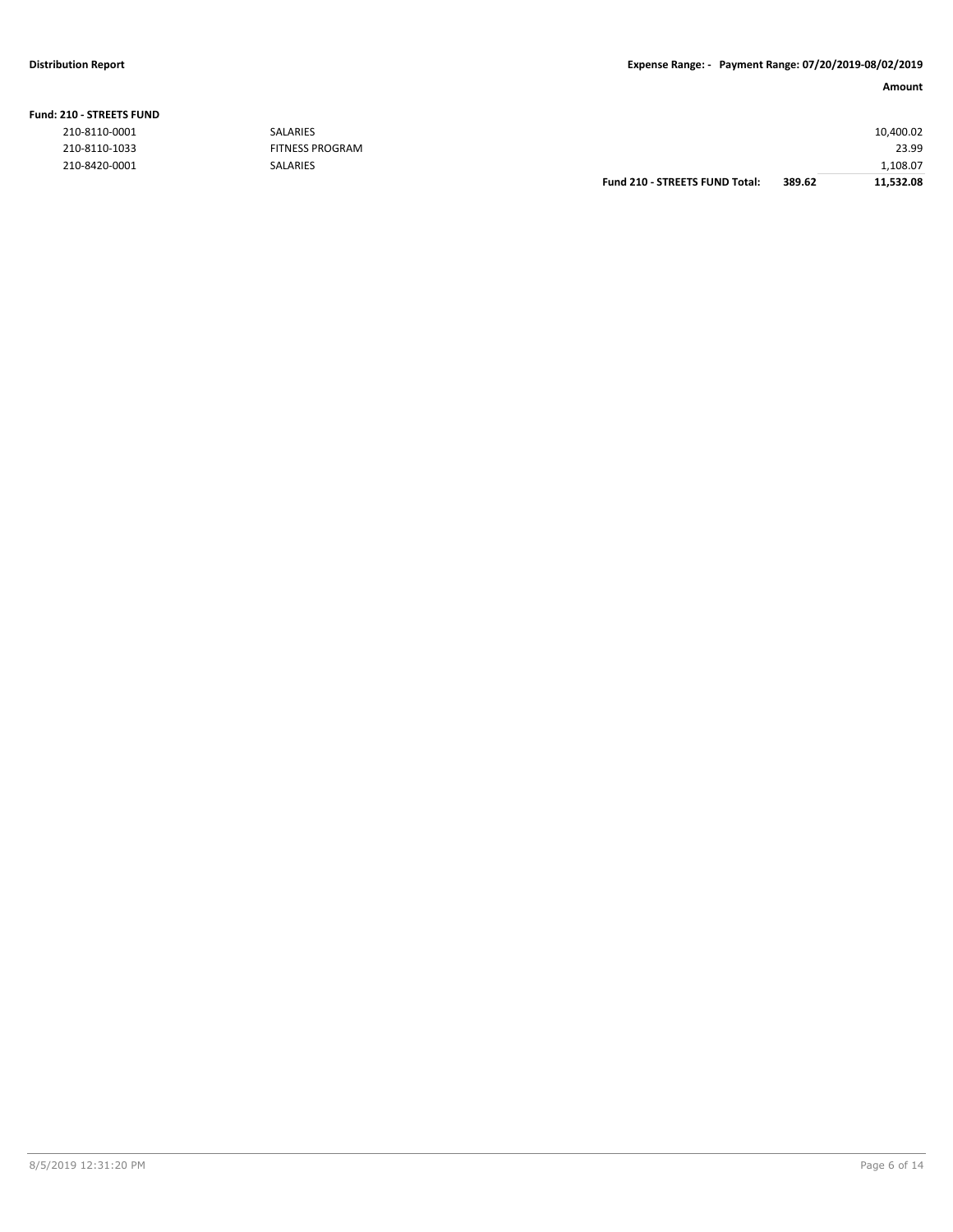## **Distribution Report Expense Range: - Payment Range: 07/20/2019-08/02/2019**

## **Fund: 210 - STREETS FUND**

|               |                 | <b>Fund 210 - STREETS FUND Total:</b> | 389.62 | 11.532.08 |
|---------------|-----------------|---------------------------------------|--------|-----------|
| 210-8420-0001 | SALARIES        |                                       |        | 1,108.07  |
| 210-8110-1033 | FITNESS PROGRAM |                                       |        | 23.99     |
| 210-8110-0001 | <b>SALARIES</b> |                                       |        | 10,400.02 |
|               |                 |                                       |        |           |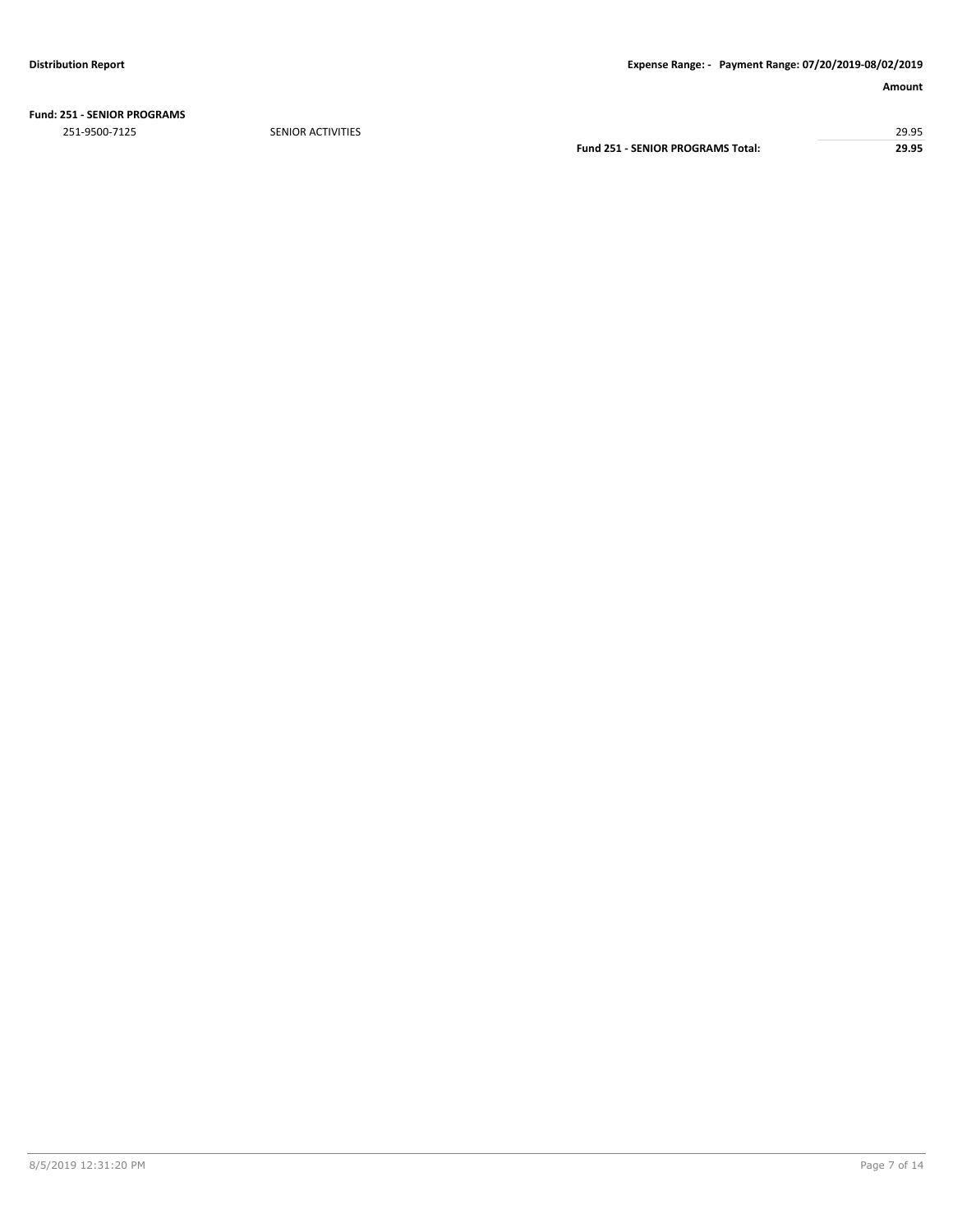**Fund: 251 - SENIOR PROGRAMS**

251-9500-7125 SENIOR ACTIVITIES 29.95 **Fund 251 - SENIOR PROGRAMS Total: 29.95**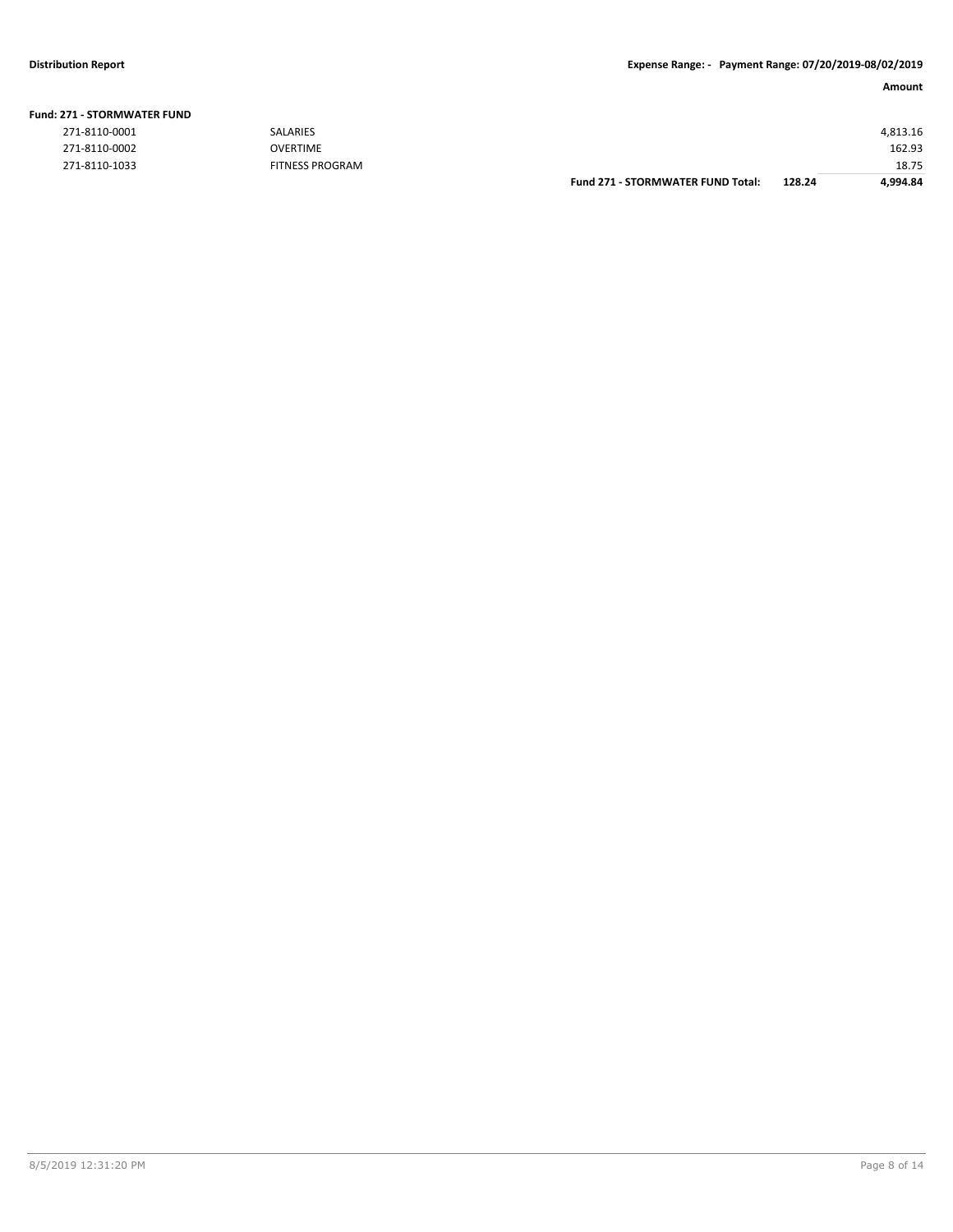|                       |                        | <b>Fund 271 - STORMWATER FUND Total:</b> | 128.24 | 4.994.84 |
|-----------------------|------------------------|------------------------------------------|--------|----------|
| 271-8110-1033         | <b>FITNESS PROGRAM</b> |                                          |        | 18.75    |
| 271-8110-0002         | <b>OVERTIME</b>        |                                          |        | 162.93   |
| 271-8110-0001         | <b>SALARIES</b>        |                                          |        | 4.813.16 |
| !71 - STORMWATER FUND |                        |                                          |        |          |

## **Fund: 271 - STORMWATER FUND**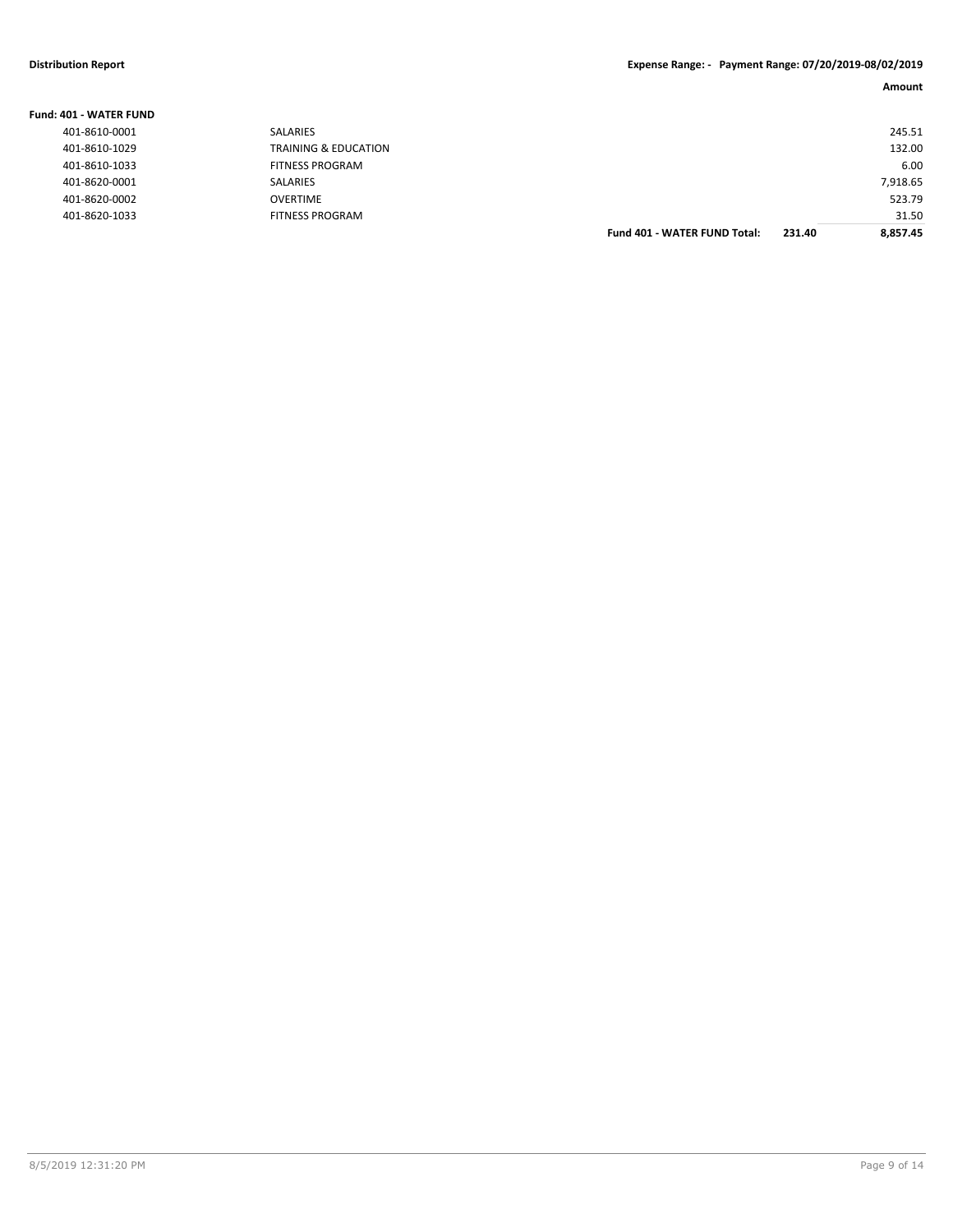| <b>Fund: 401 - WATER FUND</b> |                                 |                                     |        |          |
|-------------------------------|---------------------------------|-------------------------------------|--------|----------|
| 401-8610-0001                 | SALARIES                        |                                     |        | 245.51   |
| 401-8610-1029                 | <b>TRAINING &amp; EDUCATION</b> |                                     |        | 132.00   |
| 401-8610-1033                 | <b>FITNESS PROGRAM</b>          |                                     |        | 6.00     |
| 401-8620-0001                 | SALARIES                        |                                     |        | 7.918.65 |
| 401-8620-0002                 | <b>OVERTIME</b>                 |                                     |        | 523.79   |
| 401-8620-1033                 | <b>FITNESS PROGRAM</b>          |                                     |        | 31.50    |
|                               |                                 | <b>Fund 401 - WATER FUND Total:</b> | 231.40 | 8.857.45 |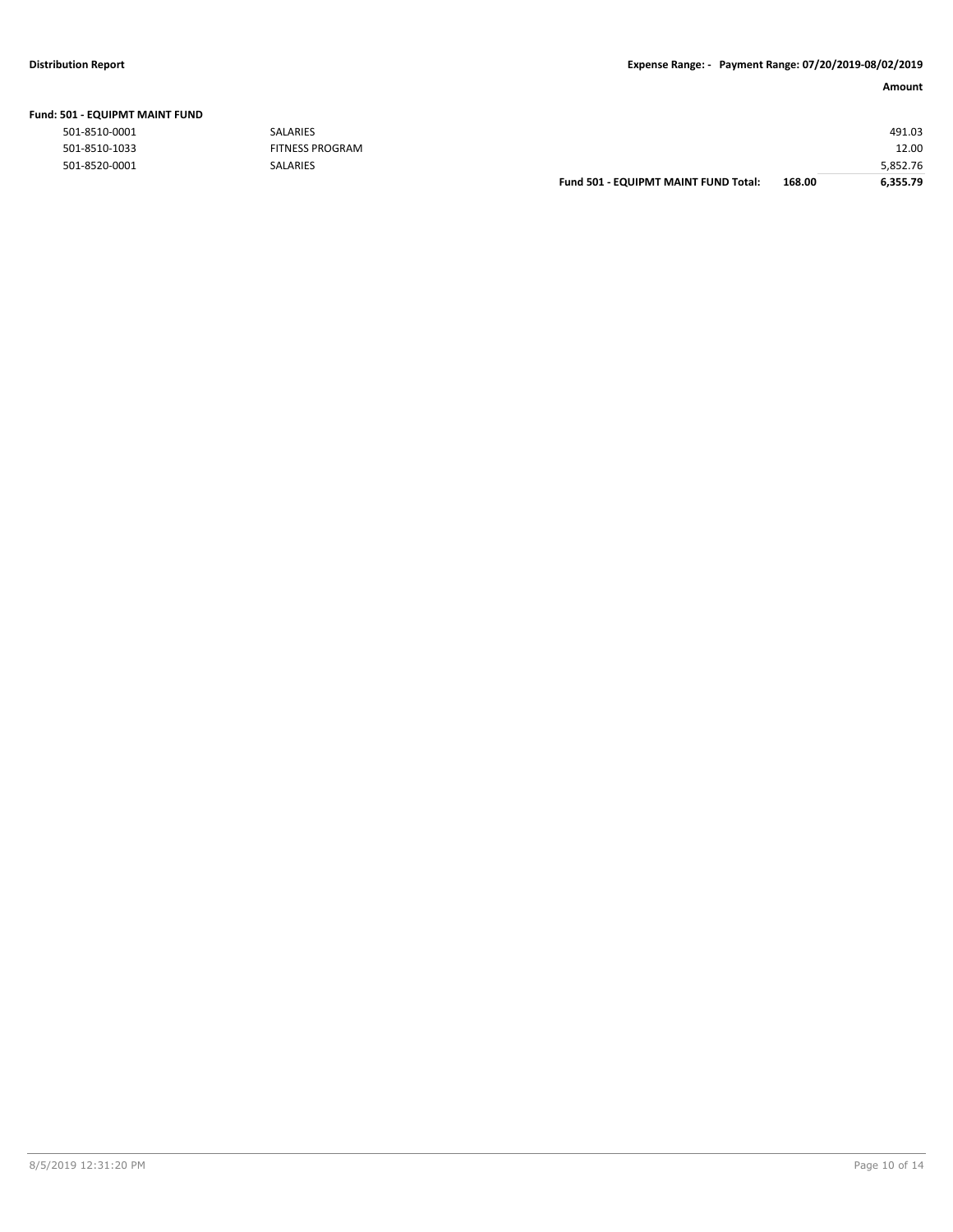| Fund: 501 - EQUIPMT MAINT FUND |  |  |
|--------------------------------|--|--|
|                                |  |  |

|               |                        | Fund 501 - EQUIPMT MAINT FUND Total: | 168.00 | 6,355.79 |
|---------------|------------------------|--------------------------------------|--------|----------|
| 501-8520-0001 | <b>SALARIES</b>        |                                      |        | 5,852.76 |
| 501-8510-1033 | <b>FITNESS PROGRAM</b> |                                      |        | 12.00    |
| 501-8510-0001 | SALARIES               |                                      |        | 491.03   |
|               |                        |                                      |        |          |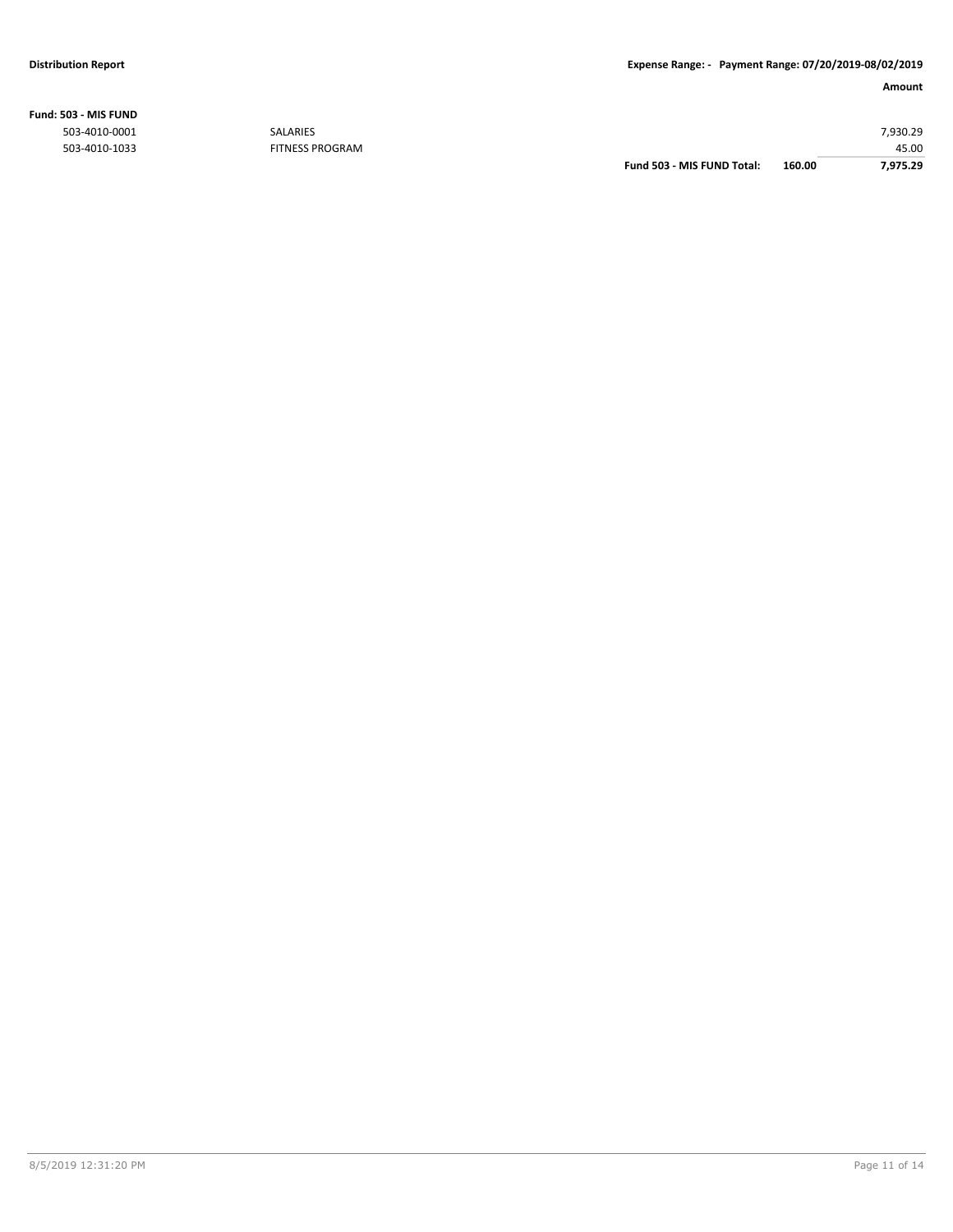## **Fund: 503 - MIS FUND**

| 7,975.29 |
|----------|
| 45.00    |
| 7,930.29 |
|          |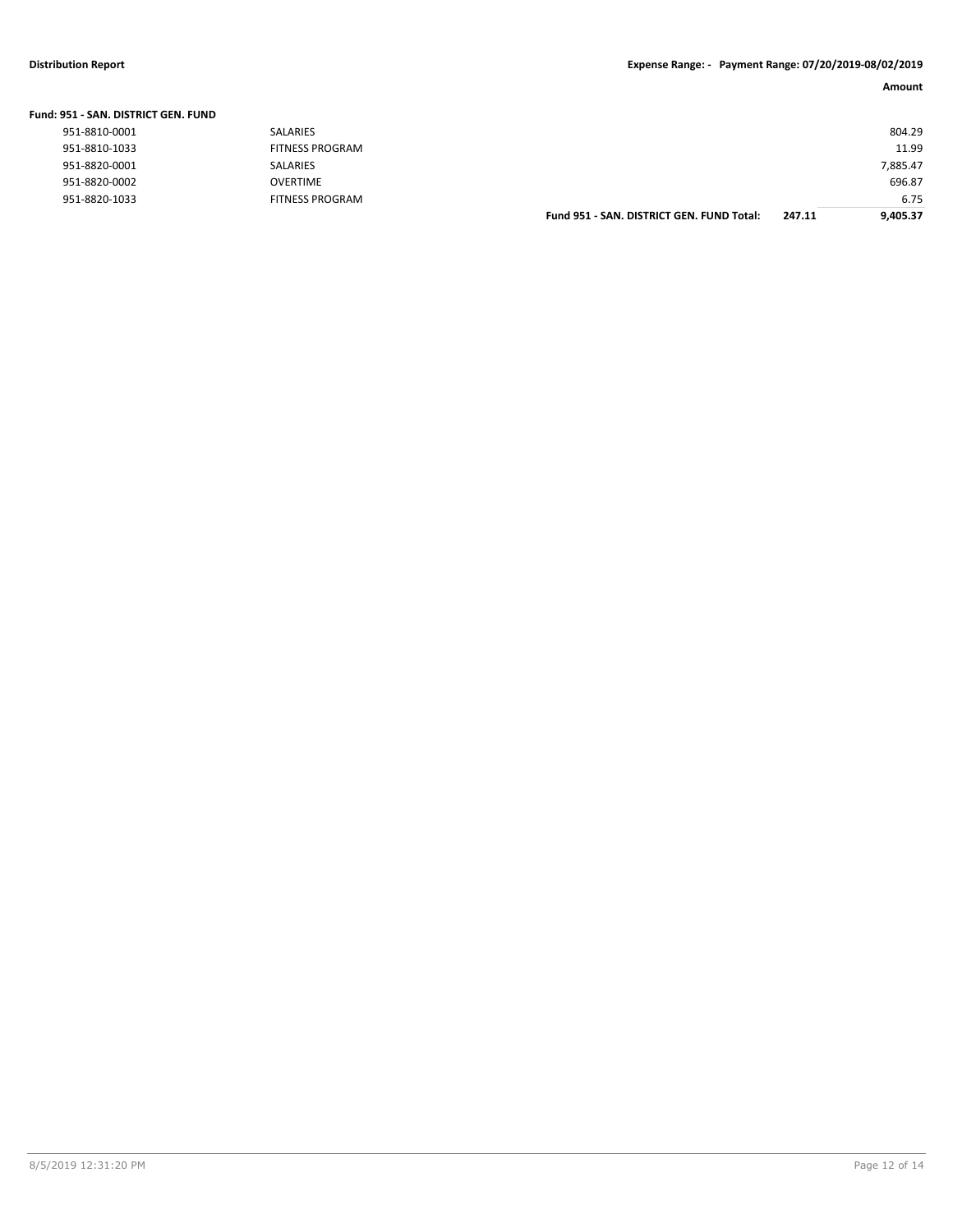## **Distribution Report Expense Range: - Payment Range: 07/20/2019-08/02/2019**

| Fund: 951 - SAN. DISTRICT GEN. FUND |  |  |
|-------------------------------------|--|--|
|                                     |  |  |

|               |                        | Fund 951 - SAN. DISTRICT GEN. FUND Total: | 247.11 | 9.405.37 |
|---------------|------------------------|-------------------------------------------|--------|----------|
| 951-8820-1033 | <b>FITNESS PROGRAM</b> |                                           |        | 6.75     |
| 951-8820-0002 | OVERTIME               |                                           |        | 696.87   |
| 951-8820-0001 | SALARIES               |                                           |        | 7.885.47 |
| 951-8810-1033 | <b>FITNESS PROGRAM</b> |                                           |        | 11.99    |
| 951-8810-0001 | <b>SALARIES</b>        |                                           |        | 804.29   |
|               |                        |                                           |        |          |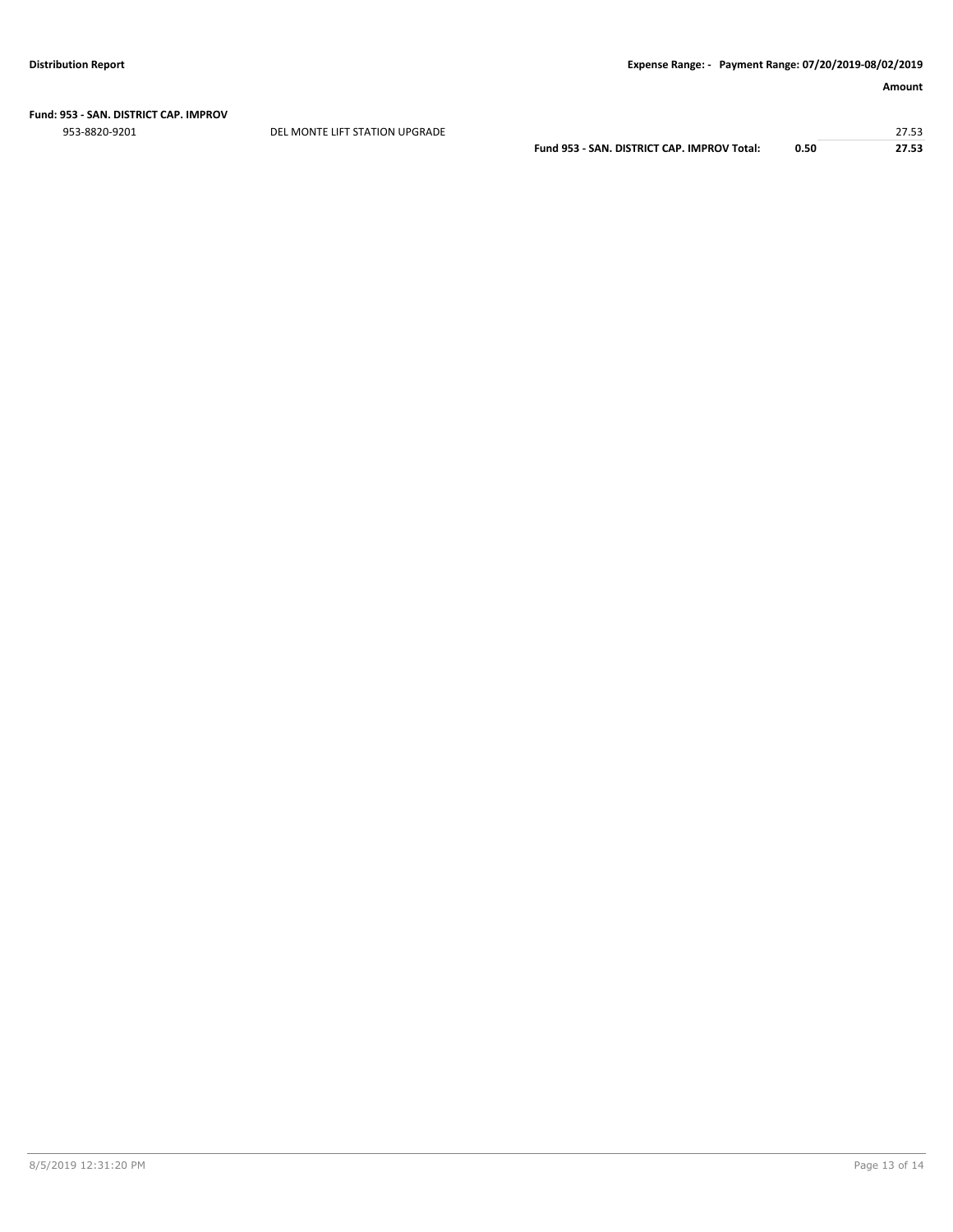# **Fund: 953 - SAN. DISTRICT CAP. IMPROV**

953-8820-9201 DEL MONTE LIFT STATION UPGRADE 27.53

**Fund 953 - SAN. DISTRICT CAP. IMPROV Total: 0.50 27.53**